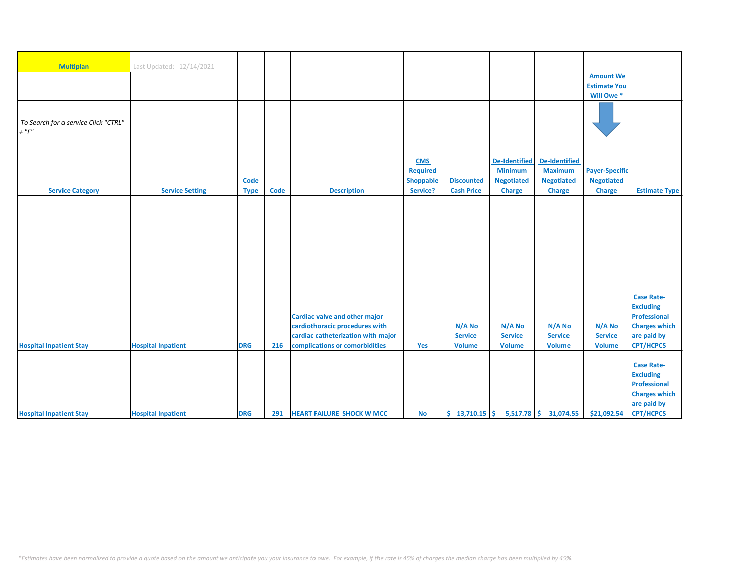| <b>Multiplan</b>                     | Last Updated: 12/14/2021  |             |      |                                      |            |                   |                      |                                                                         |                       |                      |
|--------------------------------------|---------------------------|-------------|------|--------------------------------------|------------|-------------------|----------------------|-------------------------------------------------------------------------|-----------------------|----------------------|
|                                      |                           |             |      |                                      |            |                   |                      |                                                                         | <b>Amount We</b>      |                      |
|                                      |                           |             |      |                                      |            |                   |                      |                                                                         | <b>Estimate You</b>   |                      |
|                                      |                           |             |      |                                      |            |                   |                      |                                                                         | Will Owe*             |                      |
|                                      |                           |             |      |                                      |            |                   |                      |                                                                         |                       |                      |
|                                      |                           |             |      |                                      |            |                   |                      |                                                                         |                       |                      |
| To Search for a service Click "CTRL" |                           |             |      |                                      |            |                   |                      |                                                                         |                       |                      |
| $+$ " $F$ "                          |                           |             |      |                                      |            |                   |                      |                                                                         |                       |                      |
|                                      |                           |             |      |                                      |            |                   |                      |                                                                         |                       |                      |
|                                      |                           |             |      |                                      |            |                   |                      |                                                                         |                       |                      |
|                                      |                           |             |      |                                      | <b>CMS</b> |                   | <b>De-Identified</b> | <b>De-Identified</b>                                                    |                       |                      |
|                                      |                           |             |      |                                      | Required   |                   | <b>Minimum</b>       | <b>Maximum</b>                                                          | <b>Payer-Specific</b> |                      |
|                                      |                           | Code        |      |                                      | Shoppable  | <b>Discounted</b> | <b>Negotiated</b>    | <b>Negotiated</b>                                                       | <b>Negotiated</b>     |                      |
| <b>Service Category</b>              | <b>Service Setting</b>    | <b>Type</b> | Code | <b>Description</b>                   | Service?   | <b>Cash Price</b> | Charge               | Charge                                                                  | Charge                | <b>Estimate Type</b> |
|                                      |                           |             |      |                                      |            |                   |                      |                                                                         |                       |                      |
|                                      |                           |             |      |                                      |            |                   |                      |                                                                         |                       |                      |
|                                      |                           |             |      |                                      |            |                   |                      |                                                                         |                       |                      |
|                                      |                           |             |      |                                      |            |                   |                      |                                                                         |                       |                      |
|                                      |                           |             |      |                                      |            |                   |                      |                                                                         |                       |                      |
|                                      |                           |             |      |                                      |            |                   |                      |                                                                         |                       |                      |
|                                      |                           |             |      |                                      |            |                   |                      |                                                                         |                       |                      |
|                                      |                           |             |      |                                      |            |                   |                      |                                                                         |                       |                      |
|                                      |                           |             |      |                                      |            |                   |                      |                                                                         |                       |                      |
|                                      |                           |             |      |                                      |            |                   |                      |                                                                         |                       |                      |
|                                      |                           |             |      |                                      |            |                   |                      |                                                                         |                       | <b>Case Rate-</b>    |
|                                      |                           |             |      |                                      |            |                   |                      |                                                                         |                       | <b>Excluding</b>     |
|                                      |                           |             |      | <b>Cardiac valve and other major</b> |            |                   |                      |                                                                         |                       | Professional         |
|                                      |                           |             |      | cardiothoracic procedures with       |            | N/A No            | N/A No               | N/A No                                                                  | $N/A$ No              | <b>Charges which</b> |
|                                      |                           |             |      | cardiac catheterization with major   |            | <b>Service</b>    | <b>Service</b>       | <b>Service</b>                                                          | <b>Service</b>        | are paid by          |
| <b>Hospital Inpatient Stay</b>       | <b>Hospital Inpatient</b> | <b>DRG</b>  | 216  | complications or comorbidities       | Yes        | <b>Volume</b>     | <b>Volume</b>        | <b>Volume</b>                                                           | <b>Volume</b>         | <b>CPT/HCPCS</b>     |
|                                      |                           |             |      |                                      |            |                   |                      |                                                                         |                       |                      |
|                                      |                           |             |      |                                      |            |                   |                      |                                                                         |                       | <b>Case Rate-</b>    |
|                                      |                           |             |      |                                      |            |                   |                      |                                                                         |                       | <b>Excluding</b>     |
|                                      |                           |             |      |                                      |            |                   |                      |                                                                         |                       | Professional         |
|                                      |                           |             |      |                                      |            |                   |                      |                                                                         |                       | <b>Charges which</b> |
|                                      |                           |             |      |                                      |            |                   |                      |                                                                         |                       | are paid by          |
| <b>Hospital Inpatient Stay</b>       | <b>Hospital Inpatient</b> | <b>DRG</b>  | 291  | <b>HEART FAILURE SHOCK W MCC</b>     | <b>No</b>  |                   |                      | $\binom{13}{710.15}$ $\binom{15}{7}$ 5,517.78 $\binom{16}{7}$ 31,074.55 | \$21,092.54           | <b>CPT/HCPCS</b>     |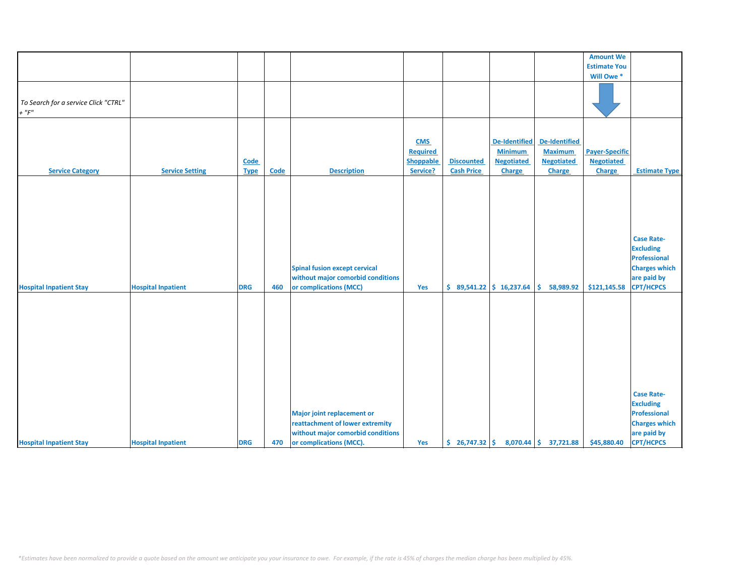|                                                     |                           |                     |      |                                                                                                                                      |                                                        |                                        |                                                                       |                                                                              | <b>Amount We</b>                                     |                                                                                                                  |
|-----------------------------------------------------|---------------------------|---------------------|------|--------------------------------------------------------------------------------------------------------------------------------------|--------------------------------------------------------|----------------------------------------|-----------------------------------------------------------------------|------------------------------------------------------------------------------|------------------------------------------------------|------------------------------------------------------------------------------------------------------------------|
|                                                     |                           |                     |      |                                                                                                                                      |                                                        |                                        |                                                                       |                                                                              | <b>Estimate You</b>                                  |                                                                                                                  |
|                                                     |                           |                     |      |                                                                                                                                      |                                                        |                                        |                                                                       |                                                                              | Will Owe *                                           |                                                                                                                  |
| To Search for a service Click "CTRL"<br>$+$ " $F$ " |                           |                     |      |                                                                                                                                      |                                                        |                                        |                                                                       |                                                                              |                                                      |                                                                                                                  |
|                                                     |                           |                     |      |                                                                                                                                      |                                                        |                                        |                                                                       |                                                                              |                                                      |                                                                                                                  |
| <b>Service Category</b>                             | <b>Service Setting</b>    | Code<br><b>Type</b> | Code | <b>Description</b>                                                                                                                   | <b>CMS</b><br><b>Required</b><br>Shoppable<br>Service? | <b>Discounted</b><br><b>Cash Price</b> | <b>De-Identified</b><br><b>Minimum</b><br><b>Negotiated</b><br>Charge | <b>De-Identified</b><br><b>Maximum</b><br><b>Negotiated</b><br><b>Charge</b> | <b>Payer-Specific</b><br><b>Negotiated</b><br>Charge | <b>Estimate Type</b>                                                                                             |
|                                                     |                           |                     |      |                                                                                                                                      |                                                        |                                        |                                                                       |                                                                              |                                                      |                                                                                                                  |
| <b>Hospital Inpatient Stay</b>                      | <b>Hospital Inpatient</b> | <b>DRG</b>          | 460  | <b>Spinal fusion except cervical</b><br>without major comorbid conditions<br>or complications (MCC)                                  | Yes                                                    |                                        | $$89,541.22 \  $16,237.64$                                            | \$58,989.92                                                                  | \$121,145.58                                         | <b>Case Rate-</b><br><b>Excluding</b><br>Professional<br><b>Charges which</b><br>are paid by<br><b>CPT/HCPCS</b> |
| <b>Hospital Inpatient Stay</b>                      | <b>Hospital Inpatient</b> | <b>DRG</b>          | 470  | <b>Major joint replacement or</b><br>reattachment of lower extremity<br>without major comorbid conditions<br>or complications (MCC). | Yes                                                    |                                        |                                                                       | $\binom{26}{7}$ 26,747.32 $\binom{26}{7}$ 8,070.44 $\binom{26}{7}$ 37,721.88 | \$45,880.40                                          | <b>Case Rate-</b><br><b>Excluding</b><br>Professional<br><b>Charges which</b><br>are paid by<br><b>CPT/HCPCS</b> |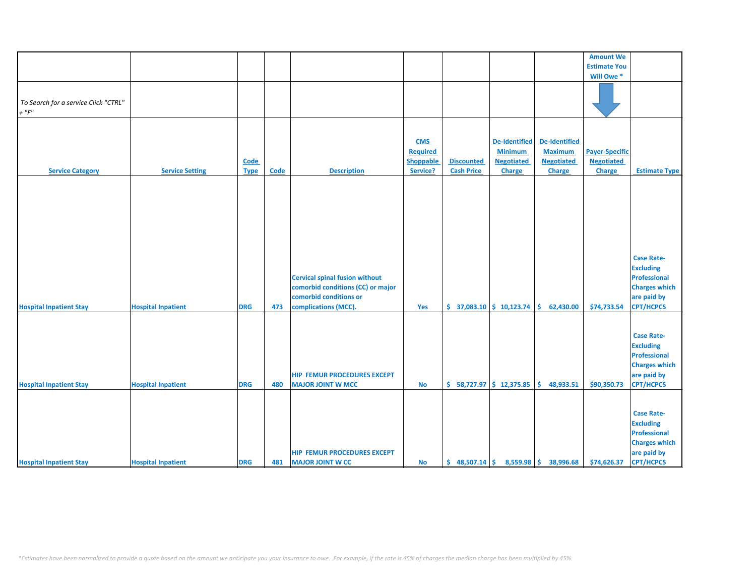|                                                                  |                                                        |                            |            |                                                                                                      |                                                        |                                                 |                                                                       |                                                                       | <b>Amount We</b>                                     |                                                                                                                                      |
|------------------------------------------------------------------|--------------------------------------------------------|----------------------------|------------|------------------------------------------------------------------------------------------------------|--------------------------------------------------------|-------------------------------------------------|-----------------------------------------------------------------------|-----------------------------------------------------------------------|------------------------------------------------------|--------------------------------------------------------------------------------------------------------------------------------------|
|                                                                  |                                                        |                            |            |                                                                                                      |                                                        |                                                 |                                                                       |                                                                       | <b>Estimate You</b>                                  |                                                                                                                                      |
|                                                                  |                                                        |                            |            |                                                                                                      |                                                        |                                                 |                                                                       |                                                                       | Will Owe*                                            |                                                                                                                                      |
| To Search for a service Click "CTRL"<br>$+$ " $F$ "              |                                                        |                            |            |                                                                                                      |                                                        |                                                 |                                                                       |                                                                       |                                                      |                                                                                                                                      |
| <b>Service Category</b>                                          | <b>Service Setting</b>                                 | <b>Code</b><br><b>Type</b> | Code       | <b>Description</b>                                                                                   | <b>CMS</b><br>Required<br><b>Shoppable</b><br>Service? | <b>Discounted</b><br><b>Cash Price</b>          | <b>De-Identified</b><br><b>Minimum</b><br><b>Negotiated</b><br>Charge | <b>De-Identified</b><br><b>Maximum</b><br><b>Negotiated</b><br>Charge | <b>Payer-Specific</b><br><b>Negotiated</b><br>Charge | <b>Estimate Type</b>                                                                                                                 |
|                                                                  |                                                        |                            |            | <b>Cervical spinal fusion without</b><br>comorbid conditions (CC) or major<br>comorbid conditions or |                                                        |                                                 |                                                                       |                                                                       |                                                      | <b>Case Rate-</b><br><b>Excluding</b><br>Professional<br><b>Charges which</b><br>are paid by                                         |
| <b>Hospital Inpatient Stay</b>                                   | <b>Hospital Inpatient</b>                              | <b>DRG</b>                 | 473        | complications (MCC).<br>HIP FEMUR PROCEDURES EXCEPT                                                  | Yes                                                    | $\frac{1}{2}$ 37,083.10 $\frac{1}{2}$ 10,123.74 |                                                                       | Ŝ.<br>62,430.00                                                       | \$74,733.54                                          | <b>CPT/HCPCS</b><br><b>Case Rate-</b><br><b>Excluding</b><br>Professional<br><b>Charges which</b><br>are paid by                     |
| <b>Hospital Inpatient Stay</b><br><b>Hospital Inpatient Stay</b> | <b>Hospital Inpatient</b><br><b>Hospital Inpatient</b> | <b>DRG</b><br><b>DRG</b>   | 480<br>481 | <b>MAJOR JOINT W MCC</b><br><b>HIP FEMUR PROCEDURES EXCEPT</b><br><b>MAJOR JOINT W CC</b>            | <b>No</b><br>No                                        | $$58,727.97$ $$12,375.85$<br>\$48,507.14        |                                                                       | 48,933.51<br>Ŝ.<br>8,559.98 \$ 38,996.68                              | \$90,350.73<br>\$74,626.37                           | <b>CPT/HCPCS</b><br><b>Case Rate-</b><br><b>Excluding</b><br>Professional<br><b>Charges which</b><br>are paid by<br><b>CPT/HCPCS</b> |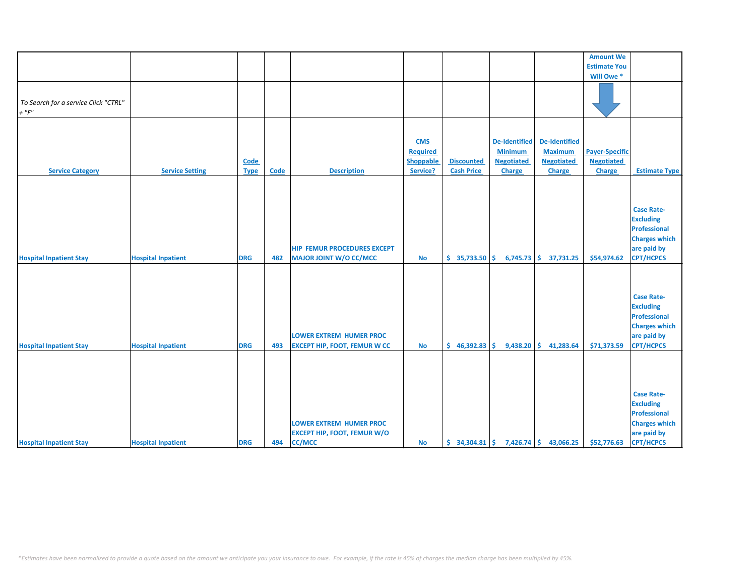|                                                    |                           |                            |      |                                                                                       |                                                               |                                        |                                                                       |                                                                       | <b>Amount We</b>                                     |                                                                                                                  |
|----------------------------------------------------|---------------------------|----------------------------|------|---------------------------------------------------------------------------------------|---------------------------------------------------------------|----------------------------------------|-----------------------------------------------------------------------|-----------------------------------------------------------------------|------------------------------------------------------|------------------------------------------------------------------------------------------------------------------|
|                                                    |                           |                            |      |                                                                                       |                                                               |                                        |                                                                       |                                                                       | <b>Estimate You</b>                                  |                                                                                                                  |
|                                                    |                           |                            |      |                                                                                       |                                                               |                                        |                                                                       |                                                                       | Will Owe *                                           |                                                                                                                  |
| To Search for a service Click "CTRL"<br>$+$ " $F"$ |                           |                            |      |                                                                                       |                                                               |                                        |                                                                       |                                                                       |                                                      |                                                                                                                  |
|                                                    |                           |                            |      |                                                                                       |                                                               |                                        |                                                                       |                                                                       |                                                      |                                                                                                                  |
| <b>Service Category</b>                            | <b>Service Setting</b>    | <b>Code</b><br><b>Type</b> | Code | <b>Description</b>                                                                    | <b>CMS</b><br><b>Required</b><br><b>Shoppable</b><br>Service? | <b>Discounted</b><br><b>Cash Price</b> | <b>De-Identified</b><br><b>Minimum</b><br><b>Negotiated</b><br>Charge | <b>De-Identified</b><br><b>Maximum</b><br><b>Negotiated</b><br>Charge | <b>Payer-Specific</b><br><b>Negotiated</b><br>Charge | <b>Estimate Type</b>                                                                                             |
|                                                    |                           |                            |      |                                                                                       |                                                               |                                        |                                                                       |                                                                       |                                                      |                                                                                                                  |
| <b>Hospital Inpatient Stay</b>                     | <b>Hospital Inpatient</b> | <b>DRG</b>                 | 482  | <b>HIP FEMUR PROCEDURES EXCEPT</b><br><b>MAJOR JOINT W/O CC/MCC</b>                   | <b>No</b>                                                     | \$35,733.50                            |                                                                       | $6,745.73$ \$ 37,731.25                                               | \$54,974.62                                          | <b>Case Rate-</b><br><b>Excluding</b><br>Professional<br><b>Charges which</b><br>are paid by<br><b>CPT/HCPCS</b> |
| <b>Hospital Inpatient Stay</b>                     | <b>Hospital Inpatient</b> | <b>DRG</b>                 | 493  | <b>LOWER EXTREM HUMER PROC</b><br><b>EXCEPT HIP, FOOT, FEMUR W CC</b>                 | <b>No</b>                                                     | \$46,392.83                            | 9,438.20                                                              | S.<br>41,283.64                                                       | \$71,373.59                                          | <b>Case Rate-</b><br><b>Excluding</b><br>Professional<br><b>Charges which</b><br>are paid by<br><b>CPT/HCPCS</b> |
| <b>Hospital Inpatient Stay</b>                     | <b>Hospital Inpatient</b> | <b>DRG</b>                 | 494  | <b>LOWER EXTREM HUMER PROC</b><br><b>EXCEPT HIP, FOOT, FEMUR W/O</b><br><b>CC/MCC</b> | <b>No</b>                                                     | \$34,304.81                            |                                                                       | $7,426.74$ \$ 43,066.25                                               | \$52,776.63                                          | <b>Case Rate-</b><br><b>Excluding</b><br>Professional<br><b>Charges which</b><br>are paid by<br><b>CPT/HCPCS</b> |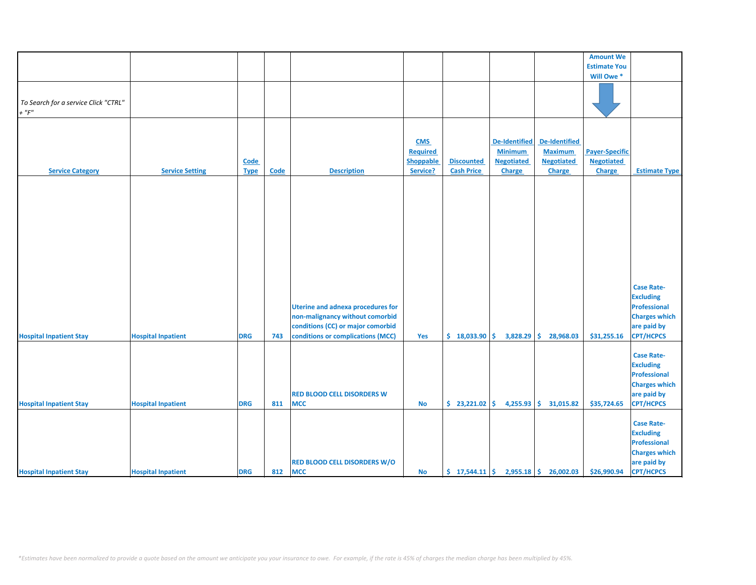|                                      |                           |             |             |                                          |                 |                   |                      |                                                                        | <b>Amount We</b>      |                      |
|--------------------------------------|---------------------------|-------------|-------------|------------------------------------------|-----------------|-------------------|----------------------|------------------------------------------------------------------------|-----------------------|----------------------|
|                                      |                           |             |             |                                          |                 |                   |                      |                                                                        | <b>Estimate You</b>   |                      |
|                                      |                           |             |             |                                          |                 |                   |                      |                                                                        | Will Owe *            |                      |
|                                      |                           |             |             |                                          |                 |                   |                      |                                                                        |                       |                      |
|                                      |                           |             |             |                                          |                 |                   |                      |                                                                        |                       |                      |
| To Search for a service Click "CTRL" |                           |             |             |                                          |                 |                   |                      |                                                                        |                       |                      |
| $+$ " $F$ "                          |                           |             |             |                                          |                 |                   |                      |                                                                        |                       |                      |
|                                      |                           |             |             |                                          |                 |                   |                      |                                                                        |                       |                      |
|                                      |                           |             |             |                                          |                 |                   |                      |                                                                        |                       |                      |
|                                      |                           |             |             |                                          | <b>CMS</b>      |                   | <b>De-Identified</b> | <b>De-Identified</b>                                                   |                       |                      |
|                                      |                           |             |             |                                          | <b>Required</b> |                   | <b>Minimum</b>       | <b>Maximum</b>                                                         | <b>Payer-Specific</b> |                      |
|                                      |                           | Code        |             |                                          | Shoppable       | <b>Discounted</b> | <b>Negotiated</b>    | <b>Negotiated</b>                                                      | <b>Negotiated</b>     |                      |
| <b>Service Category</b>              | <b>Service Setting</b>    | <b>Type</b> | <b>Code</b> | <b>Description</b>                       | Service?        | <b>Cash Price</b> | Charge               | Charge                                                                 | Charge                | <b>Estimate Type</b> |
|                                      |                           |             |             |                                          |                 |                   |                      |                                                                        |                       |                      |
|                                      |                           |             |             |                                          |                 |                   |                      |                                                                        |                       |                      |
|                                      |                           |             |             |                                          |                 |                   |                      |                                                                        |                       |                      |
|                                      |                           |             |             |                                          |                 |                   |                      |                                                                        |                       |                      |
|                                      |                           |             |             |                                          |                 |                   |                      |                                                                        |                       |                      |
|                                      |                           |             |             |                                          |                 |                   |                      |                                                                        |                       |                      |
|                                      |                           |             |             |                                          |                 |                   |                      |                                                                        |                       |                      |
|                                      |                           |             |             |                                          |                 |                   |                      |                                                                        |                       |                      |
|                                      |                           |             |             |                                          |                 |                   |                      |                                                                        |                       |                      |
|                                      |                           |             |             |                                          |                 |                   |                      |                                                                        |                       |                      |
|                                      |                           |             |             |                                          |                 |                   |                      |                                                                        |                       |                      |
|                                      |                           |             |             |                                          |                 |                   |                      |                                                                        |                       |                      |
|                                      |                           |             |             |                                          |                 |                   |                      |                                                                        |                       | <b>Case Rate-</b>    |
|                                      |                           |             |             |                                          |                 |                   |                      |                                                                        |                       | <b>Excluding</b>     |
|                                      |                           |             |             | <b>Uterine and adnexa procedures for</b> |                 |                   |                      |                                                                        |                       | Professional         |
|                                      |                           |             |             | non-malignancy without comorbid          |                 |                   |                      |                                                                        |                       | <b>Charges which</b> |
|                                      |                           |             |             |                                          |                 |                   |                      |                                                                        |                       |                      |
|                                      |                           |             |             | conditions (CC) or major comorbid        |                 |                   |                      |                                                                        |                       | are paid by          |
| <b>Hospital Inpatient Stay</b>       | <b>Hospital Inpatient</b> | <b>DRG</b>  | 743         | conditions or complications (MCC)        | Yes             | \$18,033.90       | \$.<br>3,828.29      | Ŝ<br>28,968.03                                                         | \$31,255.16           | <b>CPT/HCPCS</b>     |
|                                      |                           |             |             |                                          |                 |                   |                      |                                                                        |                       |                      |
|                                      |                           |             |             |                                          |                 |                   |                      |                                                                        |                       | <b>Case Rate-</b>    |
|                                      |                           |             |             |                                          |                 |                   |                      |                                                                        |                       | <b>Excluding</b>     |
|                                      |                           |             |             |                                          |                 |                   |                      |                                                                        |                       | <b>Professional</b>  |
|                                      |                           |             |             |                                          |                 |                   |                      |                                                                        |                       | <b>Charges which</b> |
|                                      |                           |             |             | <b>RED BLOOD CELL DISORDERS W</b>        |                 |                   |                      |                                                                        |                       | are paid by          |
| <b>Hospital Inpatient Stay</b>       | <b>Hospital Inpatient</b> | <b>DRG</b>  | 811         | <b>MCC</b>                               | <b>No</b>       | \$23,221.02       | 4,255.93             | -\$<br>31,015.82                                                       | \$35,724.65           | <b>CPT/HCPCS</b>     |
|                                      |                           |             |             |                                          |                 |                   |                      |                                                                        |                       |                      |
|                                      |                           |             |             |                                          |                 |                   |                      |                                                                        |                       | <b>Case Rate-</b>    |
|                                      |                           |             |             |                                          |                 |                   |                      |                                                                        |                       | <b>Excluding</b>     |
|                                      |                           |             |             |                                          |                 |                   |                      |                                                                        |                       | Professional         |
|                                      |                           |             |             |                                          |                 |                   |                      |                                                                        |                       |                      |
|                                      |                           |             |             |                                          |                 |                   |                      |                                                                        |                       | <b>Charges which</b> |
|                                      |                           |             |             | <b>RED BLOOD CELL DISORDERS W/O</b>      |                 |                   |                      |                                                                        |                       | are paid by          |
| <b>Hospital Inpatient Stay</b>       | <b>Hospital Inpatient</b> | <b>DRG</b>  | 812         | <b>MCC</b>                               | No              |                   |                      | $\frac{1}{2}$ 17,544.11 $\frac{1}{2}$ 2,955.18 $\frac{1}{2}$ 26,002.03 | \$26,990.94           | <b>CPT/HCPCS</b>     |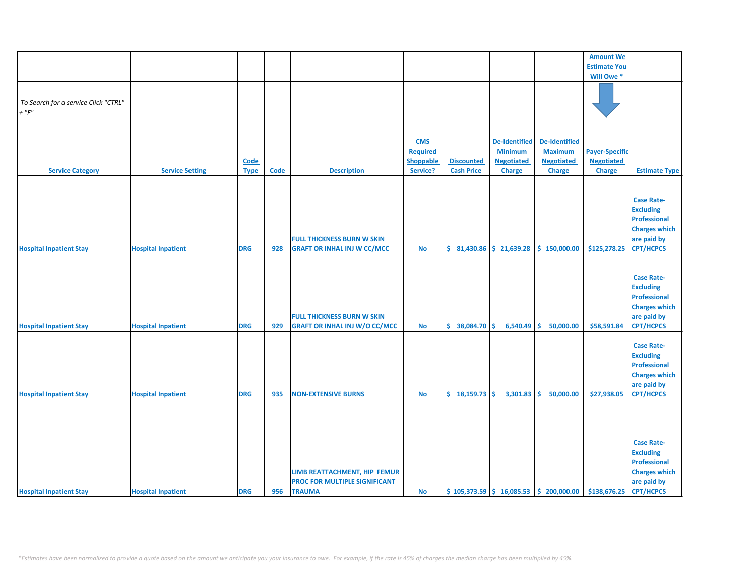|                                      |                           |             |      |                                      |                  |                                                 |                      |                                                | <b>Amount We</b>      |                      |
|--------------------------------------|---------------------------|-------------|------|--------------------------------------|------------------|-------------------------------------------------|----------------------|------------------------------------------------|-----------------------|----------------------|
|                                      |                           |             |      |                                      |                  |                                                 |                      |                                                | <b>Estimate You</b>   |                      |
|                                      |                           |             |      |                                      |                  |                                                 |                      |                                                | Will Owe*             |                      |
|                                      |                           |             |      |                                      |                  |                                                 |                      |                                                |                       |                      |
|                                      |                           |             |      |                                      |                  |                                                 |                      |                                                |                       |                      |
| To Search for a service Click "CTRL" |                           |             |      |                                      |                  |                                                 |                      |                                                |                       |                      |
| $+$ " $F$ "                          |                           |             |      |                                      |                  |                                                 |                      |                                                |                       |                      |
|                                      |                           |             |      |                                      |                  |                                                 |                      |                                                |                       |                      |
|                                      |                           |             |      |                                      |                  |                                                 |                      |                                                |                       |                      |
|                                      |                           |             |      |                                      |                  |                                                 |                      |                                                |                       |                      |
|                                      |                           |             |      |                                      | <b>CMS</b>       |                                                 | <b>De-Identified</b> | <b>De-Identified</b>                           |                       |                      |
|                                      |                           |             |      |                                      | <b>Required</b>  |                                                 | <b>Minimum</b>       | <b>Maximum</b>                                 | <b>Payer-Specific</b> |                      |
|                                      |                           | Code        |      |                                      | <b>Shoppable</b> | <b>Discounted</b>                               | <b>Negotiated</b>    | <b>Negotiated</b>                              | <b>Negotiated</b>     |                      |
| <b>Service Category</b>              | <b>Service Setting</b>    | <b>Type</b> | Code | <b>Description</b>                   | Service?         | <b>Cash Price</b>                               | Charge               | Charge                                         | Charge                | <b>Estimate Type</b> |
|                                      |                           |             |      |                                      |                  |                                                 |                      |                                                |                       |                      |
|                                      |                           |             |      |                                      |                  |                                                 |                      |                                                |                       |                      |
|                                      |                           |             |      |                                      |                  |                                                 |                      |                                                |                       | <b>Case Rate-</b>    |
|                                      |                           |             |      |                                      |                  |                                                 |                      |                                                |                       | <b>Excluding</b>     |
|                                      |                           |             |      |                                      |                  |                                                 |                      |                                                |                       |                      |
|                                      |                           |             |      |                                      |                  |                                                 |                      |                                                |                       | Professional         |
|                                      |                           |             |      |                                      |                  |                                                 |                      |                                                |                       | <b>Charges which</b> |
|                                      |                           |             |      | <b>FULL THICKNESS BURN W SKIN</b>    |                  |                                                 |                      |                                                |                       | are paid by          |
| <b>Hospital Inpatient Stay</b>       | <b>Hospital Inpatient</b> | <b>DRG</b>  | 928  | <b>GRAFT OR INHAL INJ W CC/MCC</b>   | No               | $\frac{1}{2}$ 81,430.86 $\frac{1}{2}$ 21,639.28 |                      | \$150,000.00                                   | \$125,278.25          | <b>CPT/HCPCS</b>     |
|                                      |                           |             |      |                                      |                  |                                                 |                      |                                                |                       |                      |
|                                      |                           |             |      |                                      |                  |                                                 |                      |                                                |                       |                      |
|                                      |                           |             |      |                                      |                  |                                                 |                      |                                                |                       | <b>Case Rate-</b>    |
|                                      |                           |             |      |                                      |                  |                                                 |                      |                                                |                       | <b>Excluding</b>     |
|                                      |                           |             |      |                                      |                  |                                                 |                      |                                                |                       | Professional         |
|                                      |                           |             |      |                                      |                  |                                                 |                      |                                                |                       |                      |
|                                      |                           |             |      |                                      |                  |                                                 |                      |                                                |                       | <b>Charges which</b> |
|                                      |                           |             |      | <b>FULL THICKNESS BURN W SKIN</b>    |                  |                                                 |                      |                                                |                       | are paid by          |
| <b>Hospital Inpatient Stay</b>       | <b>Hospital Inpatient</b> | <b>DRG</b>  | 929  | <b>GRAFT OR INHAL INJ W/O CC/MCC</b> | No               | \$38,084.70                                     | \$<br>6,540.49       | \$.<br>50,000.00                               | \$58,591.84           | <b>CPT/HCPCS</b>     |
|                                      |                           |             |      |                                      |                  |                                                 |                      |                                                |                       |                      |
|                                      |                           |             |      |                                      |                  |                                                 |                      |                                                |                       | <b>Case Rate-</b>    |
|                                      |                           |             |      |                                      |                  |                                                 |                      |                                                |                       | <b>Excluding</b>     |
|                                      |                           |             |      |                                      |                  |                                                 |                      |                                                |                       | Professional         |
|                                      |                           |             |      |                                      |                  |                                                 |                      |                                                |                       | <b>Charges which</b> |
|                                      |                           |             |      |                                      |                  |                                                 |                      |                                                |                       | are paid by          |
|                                      |                           |             | 935  | <b>NON-EXTENSIVE BURNS</b>           |                  |                                                 |                      | Ŝ.                                             |                       | <b>CPT/HCPCS</b>     |
| <b>Hospital Inpatient Stay</b>       | <b>Hospital Inpatient</b> | <b>DRG</b>  |      |                                      | <b>No</b>        | \$18,159.73                                     | 3,301.83             | 50,000.00                                      | \$27,938.05           |                      |
|                                      |                           |             |      |                                      |                  |                                                 |                      |                                                |                       |                      |
|                                      |                           |             |      |                                      |                  |                                                 |                      |                                                |                       |                      |
|                                      |                           |             |      |                                      |                  |                                                 |                      |                                                |                       |                      |
|                                      |                           |             |      |                                      |                  |                                                 |                      |                                                |                       |                      |
|                                      |                           |             |      |                                      |                  |                                                 |                      |                                                |                       | <b>Case Rate-</b>    |
|                                      |                           |             |      |                                      |                  |                                                 |                      |                                                |                       | <b>Excluding</b>     |
|                                      |                           |             |      |                                      |                  |                                                 |                      |                                                |                       | Professional         |
|                                      |                           |             |      | LIMB REATTACHMENT, HIP FEMUR         |                  |                                                 |                      |                                                |                       | <b>Charges which</b> |
|                                      |                           |             |      |                                      |                  |                                                 |                      |                                                |                       |                      |
|                                      |                           |             |      | <b>PROC FOR MULTIPLE SIGNIFICANT</b> |                  |                                                 |                      |                                                |                       | are paid by          |
| <b>Hospital Inpatient Stay</b>       | <b>Hospital Inpatient</b> | <b>DRG</b>  | 956  | <b>TRAUMA</b>                        | <b>No</b>        |                                                 |                      | $$105,373.59 \mid $16,085.53 \mid $200,000.00$ | \$138,676.25          | <b>CPT/HCPCS</b>     |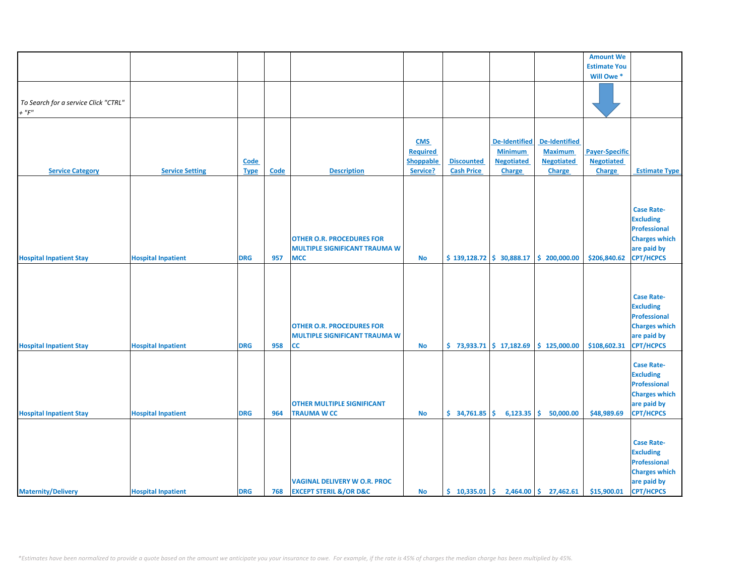|                                      |                           |             |             |                                       |            |                   |                               |                                                                          | <b>Amount We</b>      |                      |
|--------------------------------------|---------------------------|-------------|-------------|---------------------------------------|------------|-------------------|-------------------------------|--------------------------------------------------------------------------|-----------------------|----------------------|
|                                      |                           |             |             |                                       |            |                   |                               |                                                                          | <b>Estimate You</b>   |                      |
|                                      |                           |             |             |                                       |            |                   |                               |                                                                          | Will Owe*             |                      |
|                                      |                           |             |             |                                       |            |                   |                               |                                                                          |                       |                      |
|                                      |                           |             |             |                                       |            |                   |                               |                                                                          |                       |                      |
| To Search for a service Click "CTRL" |                           |             |             |                                       |            |                   |                               |                                                                          |                       |                      |
| $+$ " $F$ "                          |                           |             |             |                                       |            |                   |                               |                                                                          |                       |                      |
|                                      |                           |             |             |                                       |            |                   |                               |                                                                          |                       |                      |
|                                      |                           |             |             |                                       |            |                   |                               |                                                                          |                       |                      |
|                                      |                           |             |             |                                       |            |                   |                               |                                                                          |                       |                      |
|                                      |                           |             |             |                                       | <b>CMS</b> |                   | <b>De-Identified</b>          | De-Identified                                                            |                       |                      |
|                                      |                           |             |             |                                       | Required   |                   | <b>Minimum</b>                | <b>Maximum</b>                                                           | <b>Payer-Specific</b> |                      |
|                                      |                           | Code        |             |                                       | Shoppable  | <b>Discounted</b> | <b>Negotiated</b>             | <b>Negotiated</b>                                                        | <b>Negotiated</b>     |                      |
| <b>Service Category</b>              | <b>Service Setting</b>    | <b>Type</b> | <b>Code</b> | <b>Description</b>                    | Service?   | <b>Cash Price</b> | Charge                        | Charge                                                                   | Charge                | <b>Estimate Type</b> |
|                                      |                           |             |             |                                       |            |                   |                               |                                                                          |                       |                      |
|                                      |                           |             |             |                                       |            |                   |                               |                                                                          |                       |                      |
|                                      |                           |             |             |                                       |            |                   |                               |                                                                          |                       |                      |
|                                      |                           |             |             |                                       |            |                   |                               |                                                                          |                       | <b>Case Rate-</b>    |
|                                      |                           |             |             |                                       |            |                   |                               |                                                                          |                       | <b>Excluding</b>     |
|                                      |                           |             |             |                                       |            |                   |                               |                                                                          |                       | Professional         |
|                                      |                           |             |             |                                       |            |                   |                               |                                                                          |                       |                      |
|                                      |                           |             |             | <b>OTHER O.R. PROCEDURES FOR</b>      |            |                   |                               |                                                                          |                       | <b>Charges which</b> |
|                                      |                           |             |             | <b>MULTIPLE SIGNIFICANT TRAUMA W</b>  |            |                   |                               |                                                                          |                       | are paid by          |
| <b>Hospital Inpatient Stay</b>       | <b>Hospital Inpatient</b> | <b>DRG</b>  | 957         | <b>MCC</b>                            | <b>No</b>  |                   | $$139,128.72 \mid $30,888.17$ | \$200,000.00                                                             | \$206,840.62          | <b>CPT/HCPCS</b>     |
|                                      |                           |             |             |                                       |            |                   |                               |                                                                          |                       |                      |
|                                      |                           |             |             |                                       |            |                   |                               |                                                                          |                       |                      |
|                                      |                           |             |             |                                       |            |                   |                               |                                                                          |                       |                      |
|                                      |                           |             |             |                                       |            |                   |                               |                                                                          |                       | <b>Case Rate-</b>    |
|                                      |                           |             |             |                                       |            |                   |                               |                                                                          |                       | <b>Excluding</b>     |
|                                      |                           |             |             |                                       |            |                   |                               |                                                                          |                       | Professional         |
|                                      |                           |             |             |                                       |            |                   |                               |                                                                          |                       | <b>Charges which</b> |
|                                      |                           |             |             | <b>OTHER O.R. PROCEDURES FOR</b>      |            |                   |                               |                                                                          |                       |                      |
|                                      |                           |             |             | <b>MULTIPLE SIGNIFICANT TRAUMA W</b>  |            |                   |                               |                                                                          |                       | are paid by          |
| <b>Hospital Inpatient Stay</b>       | <b>Hospital Inpatient</b> | <b>DRG</b>  | 958         | <b>CC</b>                             | No         |                   |                               | $\frac{1}{2}$ 73,933.71 $\frac{1}{2}$ 17,182.69 $\frac{1}{2}$ 125,000.00 | \$108,602.31          | <b>CPT/HCPCS</b>     |
|                                      |                           |             |             |                                       |            |                   |                               |                                                                          |                       |                      |
|                                      |                           |             |             |                                       |            |                   |                               |                                                                          |                       | <b>Case Rate-</b>    |
|                                      |                           |             |             |                                       |            |                   |                               |                                                                          |                       | <b>Excluding</b>     |
|                                      |                           |             |             |                                       |            |                   |                               |                                                                          |                       | <b>Professional</b>  |
|                                      |                           |             |             |                                       |            |                   |                               |                                                                          |                       | <b>Charges which</b> |
|                                      |                           |             |             | <b>OTHER MULTIPLE SIGNIFICANT</b>     |            |                   |                               |                                                                          |                       | are paid by          |
| <b>Hospital Inpatient Stay</b>       | <b>Hospital Inpatient</b> | <b>DRG</b>  | 964         | <b>TRAUMA W CC</b>                    | No         | \$34,761.85       | 6,123.35                      | \$<br>50,000.00                                                          | \$48,989.69           | <b>CPT/HCPCS</b>     |
|                                      |                           |             |             |                                       |            |                   |                               |                                                                          |                       |                      |
|                                      |                           |             |             |                                       |            |                   |                               |                                                                          |                       |                      |
|                                      |                           |             |             |                                       |            |                   |                               |                                                                          |                       |                      |
|                                      |                           |             |             |                                       |            |                   |                               |                                                                          |                       | <b>Case Rate-</b>    |
|                                      |                           |             |             |                                       |            |                   |                               |                                                                          |                       | <b>Excluding</b>     |
|                                      |                           |             |             |                                       |            |                   |                               |                                                                          |                       | <b>Professional</b>  |
|                                      |                           |             |             |                                       |            |                   |                               |                                                                          |                       | <b>Charges which</b> |
|                                      |                           |             |             | <b>VAGINAL DELIVERY W O.R. PROC</b>   |            |                   |                               |                                                                          |                       | are paid by          |
| <b>Maternity/Delivery</b>            | <b>Hospital Inpatient</b> | <b>DRG</b>  | 768         | <b>EXCEPT STERIL &amp;/OR D&amp;C</b> | <b>No</b>  |                   |                               | $\binom{10,335.01}{ }$ \$ 2,464.00 \$ 27,462.61                          | \$15,900.01           | <b>CPT/HCPCS</b>     |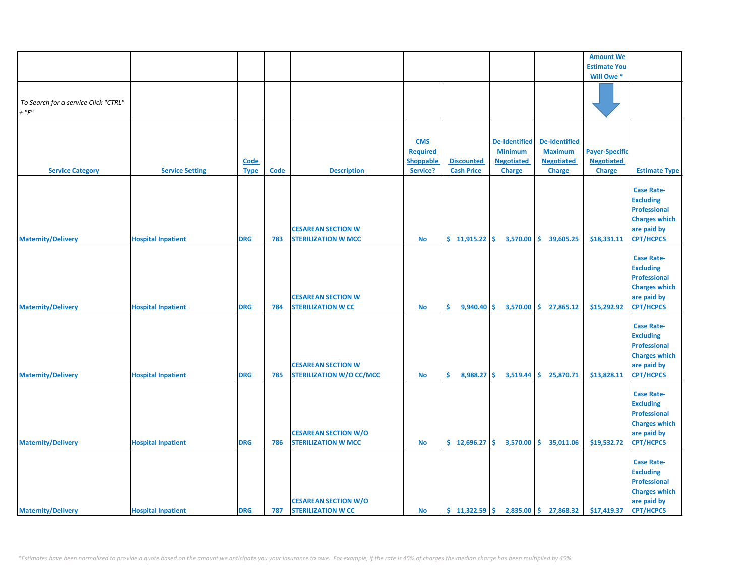|                                      |                           |             |      |                                                           |                 |                      |                      |                         | <b>Amount We</b>      |                                         |
|--------------------------------------|---------------------------|-------------|------|-----------------------------------------------------------|-----------------|----------------------|----------------------|-------------------------|-----------------------|-----------------------------------------|
|                                      |                           |             |      |                                                           |                 |                      |                      |                         | <b>Estimate You</b>   |                                         |
|                                      |                           |             |      |                                                           |                 |                      |                      |                         | Will Owe*             |                                         |
|                                      |                           |             |      |                                                           |                 |                      |                      |                         |                       |                                         |
| To Search for a service Click "CTRL" |                           |             |      |                                                           |                 |                      |                      |                         |                       |                                         |
| $+$ " $F$ "                          |                           |             |      |                                                           |                 |                      |                      |                         |                       |                                         |
|                                      |                           |             |      |                                                           |                 |                      |                      |                         |                       |                                         |
|                                      |                           |             |      |                                                           |                 |                      |                      |                         |                       |                                         |
|                                      |                           |             |      |                                                           | <b>CMS</b>      |                      | <b>De-Identified</b> | De-Identified           |                       |                                         |
|                                      |                           |             |      |                                                           | <b>Required</b> |                      | <b>Minimum</b>       | <b>Maximum</b>          | <b>Payer-Specific</b> |                                         |
|                                      |                           | Code        |      |                                                           | Shoppable       | <b>Discounted</b>    | <b>Negotiated</b>    | <b>Negotiated</b>       | <b>Negotiated</b>     |                                         |
| <b>Service Category</b>              | <b>Service Setting</b>    | <b>Type</b> | Code | <b>Description</b>                                        | Service?        | <b>Cash Price</b>    | Charge               | Charge                  | Charge                | <b>Estimate Type</b>                    |
|                                      |                           |             |      |                                                           |                 |                      |                      |                         |                       |                                         |
|                                      |                           |             |      |                                                           |                 |                      |                      |                         |                       | <b>Case Rate-</b>                       |
|                                      |                           |             |      |                                                           |                 |                      |                      |                         |                       | <b>Excluding</b><br><b>Professional</b> |
|                                      |                           |             |      |                                                           |                 |                      |                      |                         |                       | <b>Charges which</b>                    |
|                                      |                           |             |      | <b>CESAREAN SECTION W</b>                                 |                 |                      |                      |                         |                       | are paid by                             |
| <b>Maternity/Delivery</b>            | <b>Hospital Inpatient</b> | <b>DRG</b>  | 783  | <b>STERILIZATION W MCC</b>                                | <b>No</b>       | $$11,915.22$ \$      | 3,570.00             | \$39,605.25             | \$18,331.11           | <b>CPT/HCPCS</b>                        |
|                                      |                           |             |      |                                                           |                 |                      |                      |                         |                       |                                         |
|                                      |                           |             |      |                                                           |                 |                      |                      |                         |                       | <b>Case Rate-</b>                       |
|                                      |                           |             |      |                                                           |                 |                      |                      |                         |                       | <b>Excluding</b>                        |
|                                      |                           |             |      |                                                           |                 |                      |                      |                         |                       | <b>Professional</b>                     |
|                                      |                           |             |      |                                                           |                 |                      |                      |                         |                       | <b>Charges which</b>                    |
|                                      |                           |             |      | <b>CESAREAN SECTION W</b>                                 |                 |                      |                      |                         |                       | are paid by                             |
| <b>Maternity/Delivery</b>            | <b>Hospital Inpatient</b> | <b>DRG</b>  | 784  | <b>STERILIZATION W CC</b>                                 | <b>No</b>       | Ŝ.<br>$9,940.40$ \$  | 3,570.00             | \$27,865.12             | \$15,292.92           | <b>CPT/HCPCS</b>                        |
|                                      |                           |             |      |                                                           |                 |                      |                      |                         |                       |                                         |
|                                      |                           |             |      |                                                           |                 |                      |                      |                         |                       | <b>Case Rate-</b>                       |
|                                      |                           |             |      |                                                           |                 |                      |                      |                         |                       | <b>Excluding</b>                        |
|                                      |                           |             |      |                                                           |                 |                      |                      |                         |                       | <b>Professional</b>                     |
|                                      |                           |             |      |                                                           |                 |                      |                      |                         |                       | <b>Charges which</b>                    |
|                                      |                           |             |      | <b>CESAREAN SECTION W</b>                                 |                 |                      |                      |                         |                       | are paid by                             |
| <b>Maternity/Delivery</b>            | <b>Hospital Inpatient</b> | <b>DRG</b>  | 785  | <b>STERILIZATION W/O CC/MCC</b>                           | <b>No</b>       | \$.<br>$8,988.27$ \$ | 3,519.44             | 25,870.71<br>Ŝ.         | \$13,828.11           | <b>CPT/HCPCS</b>                        |
|                                      |                           |             |      |                                                           |                 |                      |                      |                         |                       |                                         |
|                                      |                           |             |      |                                                           |                 |                      |                      |                         |                       | <b>Case Rate-</b>                       |
|                                      |                           |             |      |                                                           |                 |                      |                      |                         |                       | <b>Excluding</b>                        |
|                                      |                           |             |      |                                                           |                 |                      |                      |                         |                       | Professional                            |
|                                      |                           |             |      |                                                           |                 |                      |                      |                         |                       | <b>Charges which</b>                    |
|                                      |                           |             |      | <b>CESAREAN SECTION W/O</b><br><b>STERILIZATION W MCC</b> |                 |                      |                      |                         |                       | are paid by                             |
| <b>Maternity/Delivery</b>            | <b>Hospital Inpatient</b> | <b>DRG</b>  | 786  |                                                           | <b>No</b>       | $$12,696.27$ $$$     | 3,570.00             | \$35,011.06             | \$19,532.72           | <b>CPT/HCPCS</b>                        |
|                                      |                           |             |      |                                                           |                 |                      |                      |                         |                       | <b>Case Rate-</b>                       |
|                                      |                           |             |      |                                                           |                 |                      |                      |                         |                       | <b>Excluding</b>                        |
|                                      |                           |             |      |                                                           |                 |                      |                      |                         |                       | <b>Professional</b>                     |
|                                      |                           |             |      |                                                           |                 |                      |                      |                         |                       | <b>Charges which</b>                    |
|                                      |                           |             |      | <b>CESAREAN SECTION W/O</b>                               |                 |                      |                      |                         |                       | are paid by                             |
| <b>Maternity/Delivery</b>            | <b>Hospital Inpatient</b> | <b>DRG</b>  | 787  | <b>STERILIZATION W CC</b>                                 | <b>No</b>       | \$11,322.59          |                      | $2,835.00$ \$ 27,868.32 | \$17,419.37           | <b>CPT/HCPCS</b>                        |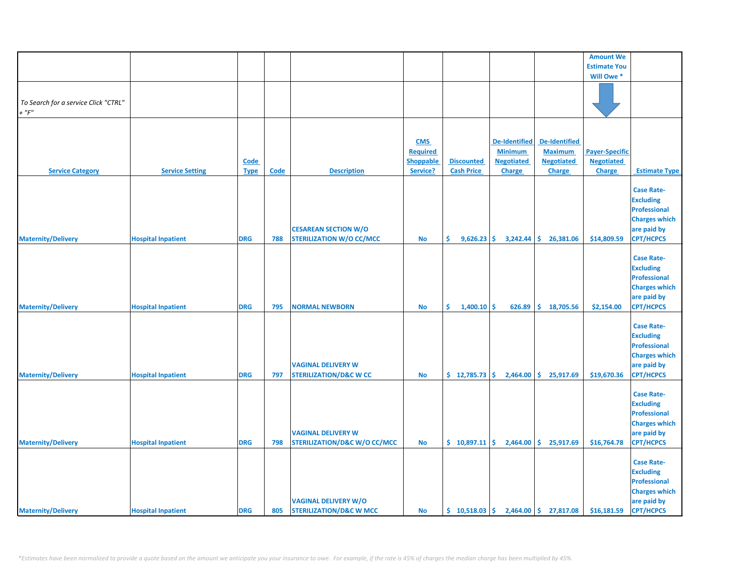|                                      |                           |             |      |                                         |                 |                     |                      |                         | <b>Amount We</b>      |                                  |
|--------------------------------------|---------------------------|-------------|------|-----------------------------------------|-----------------|---------------------|----------------------|-------------------------|-----------------------|----------------------------------|
|                                      |                           |             |      |                                         |                 |                     |                      |                         | <b>Estimate You</b>   |                                  |
|                                      |                           |             |      |                                         |                 |                     |                      |                         | Will Owe*             |                                  |
|                                      |                           |             |      |                                         |                 |                     |                      |                         |                       |                                  |
| To Search for a service Click "CTRL" |                           |             |      |                                         |                 |                     |                      |                         |                       |                                  |
| $+$ " $F$ "                          |                           |             |      |                                         |                 |                     |                      |                         |                       |                                  |
|                                      |                           |             |      |                                         |                 |                     |                      |                         |                       |                                  |
|                                      |                           |             |      |                                         |                 |                     |                      |                         |                       |                                  |
|                                      |                           |             |      |                                         | <b>CMS</b>      |                     | <b>De-Identified</b> | <b>De-Identified</b>    |                       |                                  |
|                                      |                           |             |      |                                         | <b>Required</b> |                     | <b>Minimum</b>       | <b>Maximum</b>          | <b>Payer-Specific</b> |                                  |
|                                      |                           | Code        |      |                                         | Shoppable       | <b>Discounted</b>   | <b>Negotiated</b>    | <b>Negotiated</b>       | <b>Negotiated</b>     |                                  |
| <b>Service Category</b>              | <b>Service Setting</b>    | <b>Type</b> | Code | <b>Description</b>                      | Service?        | <b>Cash Price</b>   | Charge               | Charge                  | Charge                | <b>Estimate Type</b>             |
|                                      |                           |             |      |                                         |                 |                     |                      |                         |                       | <b>Case Rate-</b>                |
|                                      |                           |             |      |                                         |                 |                     |                      |                         |                       | <b>Excluding</b>                 |
|                                      |                           |             |      |                                         |                 |                     |                      |                         |                       | <b>Professional</b>              |
|                                      |                           |             |      |                                         |                 |                     |                      |                         |                       | <b>Charges which</b>             |
|                                      |                           |             |      | <b>CESAREAN SECTION W/O</b>             |                 |                     |                      |                         |                       | are paid by                      |
| <b>Maternity/Delivery</b>            | <b>Hospital Inpatient</b> | <b>DRG</b>  | 788  | <b>STERILIZATION W/O CC/MCC</b>         | <b>No</b>       | \$<br>$9,626.23$ \$ | 3,242.44             | \$.<br>26,381.06        | \$14,809.59           | <b>CPT/HCPCS</b>                 |
|                                      |                           |             |      |                                         |                 |                     |                      |                         |                       |                                  |
|                                      |                           |             |      |                                         |                 |                     |                      |                         |                       | <b>Case Rate-</b>                |
|                                      |                           |             |      |                                         |                 |                     |                      |                         |                       | <b>Excluding</b>                 |
|                                      |                           |             |      |                                         |                 |                     |                      |                         |                       | <b>Professional</b>              |
|                                      |                           |             |      |                                         |                 |                     |                      |                         |                       | <b>Charges which</b>             |
| <b>Maternity/Delivery</b>            | <b>Hospital Inpatient</b> | <b>DRG</b>  | 795  | <b>NORMAL NEWBORN</b>                   | <b>No</b>       | Ŝ.<br>$1,400.10$ \$ | 626.89               | \$18,705.56             | \$2,154.00            | are paid by<br><b>CPT/HCPCS</b>  |
|                                      |                           |             |      |                                         |                 |                     |                      |                         |                       |                                  |
|                                      |                           |             |      |                                         |                 |                     |                      |                         |                       | <b>Case Rate-</b>                |
|                                      |                           |             |      |                                         |                 |                     |                      |                         |                       | <b>Excluding</b>                 |
|                                      |                           |             |      |                                         |                 |                     |                      |                         |                       | <b>Professional</b>              |
|                                      |                           |             |      |                                         |                 |                     |                      |                         |                       | <b>Charges which</b>             |
|                                      |                           |             |      | <b>VAGINAL DELIVERY W</b>               |                 |                     |                      |                         |                       | are paid by                      |
| <b>Maternity/Delivery</b>            | <b>Hospital Inpatient</b> | <b>DRG</b>  | 797  | <b>STERILIZATION/D&amp;C W CC</b>       | <b>No</b>       | \$12,785.73         | \$<br>2,464.00       | 25,917.69<br>\$         | \$19,670.36           | <b>CPT/HCPCS</b>                 |
|                                      |                           |             |      |                                         |                 |                     |                      |                         |                       |                                  |
|                                      |                           |             |      |                                         |                 |                     |                      |                         |                       | <b>Case Rate-</b>                |
|                                      |                           |             |      |                                         |                 |                     |                      |                         |                       | <b>Excluding</b><br>Professional |
|                                      |                           |             |      |                                         |                 |                     |                      |                         |                       | <b>Charges which</b>             |
|                                      |                           |             |      | <b>VAGINAL DELIVERY W</b>               |                 |                     |                      |                         |                       | are paid by                      |
| <b>Maternity/Delivery</b>            | <b>Hospital Inpatient</b> | <b>DRG</b>  | 798  | <b>STERILIZATION/D&amp;C W/O CC/MCC</b> | <b>No</b>       | \$10,897.11         | 2,464.00             | \$25,917.69             | \$16,764.78           | <b>CPT/HCPCS</b>                 |
|                                      |                           |             |      |                                         |                 |                     |                      |                         |                       |                                  |
|                                      |                           |             |      |                                         |                 |                     |                      |                         |                       | <b>Case Rate-</b>                |
|                                      |                           |             |      |                                         |                 |                     |                      |                         |                       | <b>Excluding</b>                 |
|                                      |                           |             |      |                                         |                 |                     |                      |                         |                       | <b>Professional</b>              |
|                                      |                           |             |      |                                         |                 |                     |                      |                         |                       | <b>Charges which</b>             |
|                                      |                           |             |      | <b>VAGINAL DELIVERY W/O</b>             |                 |                     |                      |                         |                       | are paid by                      |
| <b>Maternity/Delivery</b>            | <b>Hospital Inpatient</b> | <b>DRG</b>  | 805  | <b>STERILIZATION/D&amp;C W MCC</b>      | <b>No</b>       | \$10,518.03         |                      | $2,464.00$ \$ 27,817.08 | \$16,181.59           | <b>CPT/HCPCS</b>                 |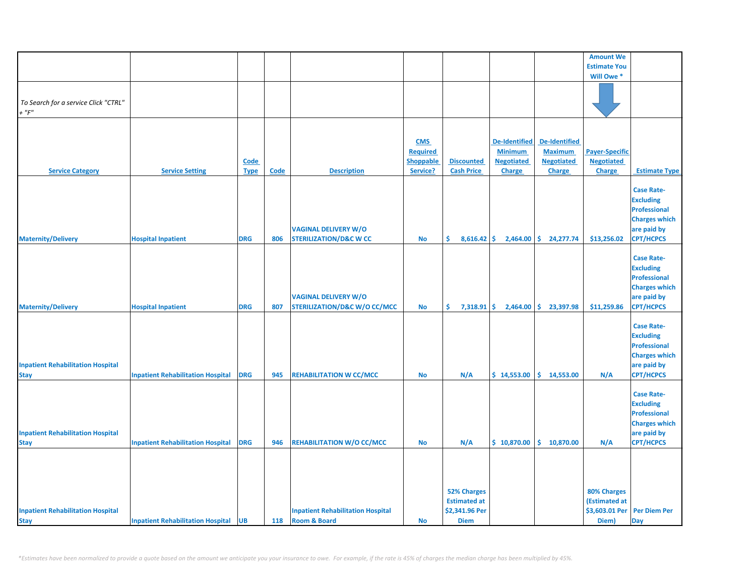|                                          |                                             |             |             |                                          |                  |                      |                      |                      | <b>Amount We</b>      |                      |
|------------------------------------------|---------------------------------------------|-------------|-------------|------------------------------------------|------------------|----------------------|----------------------|----------------------|-----------------------|----------------------|
|                                          |                                             |             |             |                                          |                  |                      |                      |                      | <b>Estimate You</b>   |                      |
|                                          |                                             |             |             |                                          |                  |                      |                      |                      | Will Owe*             |                      |
|                                          |                                             |             |             |                                          |                  |                      |                      |                      |                       |                      |
| To Search for a service Click "CTRL"     |                                             |             |             |                                          |                  |                      |                      |                      |                       |                      |
| $+$ " $F$ "                              |                                             |             |             |                                          |                  |                      |                      |                      |                       |                      |
|                                          |                                             |             |             |                                          |                  |                      |                      |                      |                       |                      |
|                                          |                                             |             |             |                                          |                  |                      |                      |                      |                       |                      |
|                                          |                                             |             |             |                                          | <b>CMS</b>       |                      | <b>De-Identified</b> | <b>De-Identified</b> |                       |                      |
|                                          |                                             |             |             |                                          | <b>Required</b>  |                      | <b>Minimum</b>       | <b>Maximum</b>       | <b>Payer-Specific</b> |                      |
|                                          |                                             | Code        |             |                                          | <b>Shoppable</b> | <b>Discounted</b>    | <b>Negotiated</b>    | <b>Negotiated</b>    | <b>Negotiated</b>     |                      |
| <b>Service Category</b>                  | <b>Service Setting</b>                      | <b>Type</b> | <b>Code</b> | <b>Description</b>                       | Service?         | <b>Cash Price</b>    | <b>Charge</b>        | Charge               | Charge                | <b>Estimate Type</b> |
|                                          |                                             |             |             |                                          |                  |                      |                      |                      |                       |                      |
|                                          |                                             |             |             |                                          |                  |                      |                      |                      |                       | <b>Case Rate-</b>    |
|                                          |                                             |             |             |                                          |                  |                      |                      |                      |                       | <b>Excluding</b>     |
|                                          |                                             |             |             |                                          |                  |                      |                      |                      |                       |                      |
|                                          |                                             |             |             |                                          |                  |                      |                      |                      |                       | <b>Professional</b>  |
|                                          |                                             |             |             |                                          |                  |                      |                      |                      |                       | <b>Charges which</b> |
|                                          |                                             |             |             | <b>VAGINAL DELIVERY W/O</b>              |                  |                      |                      |                      |                       | are paid by          |
| <b>Maternity/Delivery</b>                | <b>Hospital Inpatient</b>                   | <b>DRG</b>  | 806         | <b>STERILIZATION/D&amp;C W CC</b>        | <b>No</b>        | $8,616.42$ \$<br>\$. | 2,464.00             | \$.<br>24,277.74     | \$13,256.02           | <b>CPT/HCPCS</b>     |
|                                          |                                             |             |             |                                          |                  |                      |                      |                      |                       |                      |
|                                          |                                             |             |             |                                          |                  |                      |                      |                      |                       | <b>Case Rate-</b>    |
|                                          |                                             |             |             |                                          |                  |                      |                      |                      |                       | <b>Excluding</b>     |
|                                          |                                             |             |             |                                          |                  |                      |                      |                      |                       | <b>Professional</b>  |
|                                          |                                             |             |             |                                          |                  |                      |                      |                      |                       | <b>Charges which</b> |
|                                          |                                             |             |             | <b>VAGINAL DELIVERY W/O</b>              |                  |                      |                      |                      |                       | are paid by          |
| <b>Maternity/Delivery</b>                | <b>Hospital Inpatient</b>                   | <b>DRG</b>  | 807         | <b>STERILIZATION/D&amp;C W/O CC/MCC</b>  | No               | \$.<br>$7,318.91$ \$ | 2,464.00             | \$23,397.98          | \$11,259.86           | <b>CPT/HCPCS</b>     |
|                                          |                                             |             |             |                                          |                  |                      |                      |                      |                       |                      |
|                                          |                                             |             |             |                                          |                  |                      |                      |                      |                       | <b>Case Rate-</b>    |
|                                          |                                             |             |             |                                          |                  |                      |                      |                      |                       | <b>Excluding</b>     |
|                                          |                                             |             |             |                                          |                  |                      |                      |                      |                       | <b>Professional</b>  |
|                                          |                                             |             |             |                                          |                  |                      |                      |                      |                       | <b>Charges which</b> |
| <b>Inpatient Rehabilitation Hospital</b> |                                             |             |             |                                          |                  |                      |                      |                      |                       | are paid by          |
| <b>Stay</b>                              | <b>Inpatient Rehabilitation Hospital</b>    | <b>DRG</b>  | 945         | <b>REHABILITATION W CC/MCC</b>           | <b>No</b>        | N/A                  | \$14,553.00          | \$14,553.00          | N/A                   | <b>CPT/HCPCS</b>     |
|                                          |                                             |             |             |                                          |                  |                      |                      |                      |                       |                      |
|                                          |                                             |             |             |                                          |                  |                      |                      |                      |                       | <b>Case Rate-</b>    |
|                                          |                                             |             |             |                                          |                  |                      |                      |                      |                       | <b>Excluding</b>     |
|                                          |                                             |             |             |                                          |                  |                      |                      |                      |                       | <b>Professional</b>  |
|                                          |                                             |             |             |                                          |                  |                      |                      |                      |                       | <b>Charges which</b> |
| <b>Inpatient Rehabilitation Hospital</b> |                                             |             |             |                                          |                  |                      |                      |                      |                       | are paid by          |
|                                          | <b>Inpatient Rehabilitation Hospital</b>    | <b>DRG</b>  | 946         | <b>REHABILITATION W/O CC/MCC</b>         | <b>No</b>        | N/A                  | \$10,870.00          | \$.<br>10,870.00     | N/A                   | <b>CPT/HCPCS</b>     |
| <b>Stay</b>                              |                                             |             |             |                                          |                  |                      |                      |                      |                       |                      |
|                                          |                                             |             |             |                                          |                  |                      |                      |                      |                       |                      |
|                                          |                                             |             |             |                                          |                  |                      |                      |                      |                       |                      |
|                                          |                                             |             |             |                                          |                  |                      |                      |                      |                       |                      |
|                                          |                                             |             |             |                                          |                  |                      |                      |                      |                       |                      |
|                                          |                                             |             |             |                                          |                  | <b>52% Charges</b>   |                      |                      | 80% Charges           |                      |
|                                          |                                             |             |             |                                          |                  | <b>Estimated at</b>  |                      |                      | (Estimated at         |                      |
| <b>Inpatient Rehabilitation Hospital</b> |                                             |             |             | <b>Inpatient Rehabilitation Hospital</b> |                  | \$2,341.96 Per       |                      |                      | \$3,603.01 Per        | <b>Per Diem Per</b>  |
| <b>Stay</b>                              | <b>Inpatient Rehabilitation Hospital UB</b> |             | 118         | <b>Room &amp; Board</b>                  | <b>No</b>        | <b>Diem</b>          |                      |                      | Diem)                 | <b>Day</b>           |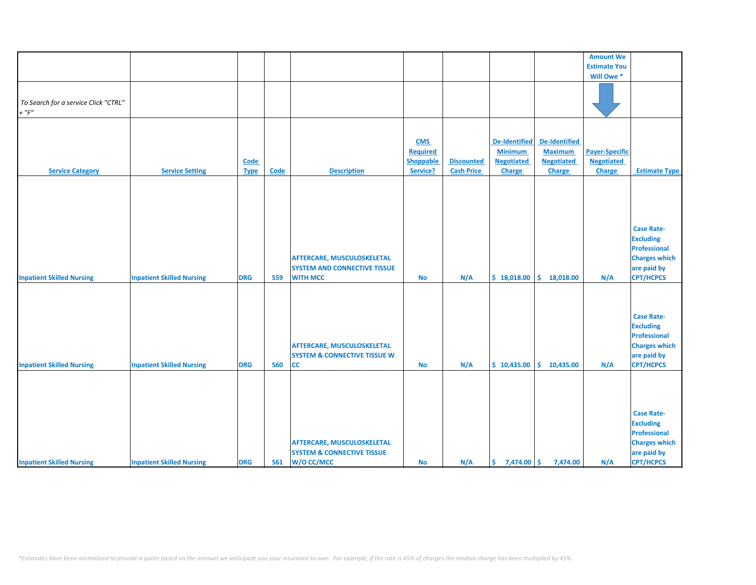|                                      |                                  |             |      |                                         |                 |                   |                      |                      | <b>Amount We</b>      |                      |
|--------------------------------------|----------------------------------|-------------|------|-----------------------------------------|-----------------|-------------------|----------------------|----------------------|-----------------------|----------------------|
|                                      |                                  |             |      |                                         |                 |                   |                      |                      | <b>Estimate You</b>   |                      |
|                                      |                                  |             |      |                                         |                 |                   |                      |                      | Will Owe *            |                      |
|                                      |                                  |             |      |                                         |                 |                   |                      |                      |                       |                      |
|                                      |                                  |             |      |                                         |                 |                   |                      |                      |                       |                      |
| To Search for a service Click "CTRL" |                                  |             |      |                                         |                 |                   |                      |                      |                       |                      |
| $+$ " $F$ "                          |                                  |             |      |                                         |                 |                   |                      |                      |                       |                      |
|                                      |                                  |             |      |                                         |                 |                   |                      |                      |                       |                      |
|                                      |                                  |             |      |                                         |                 |                   |                      |                      |                       |                      |
|                                      |                                  |             |      |                                         |                 |                   |                      |                      |                       |                      |
|                                      |                                  |             |      |                                         | <b>CMS</b>      |                   | <b>De-Identified</b> | <b>De-Identified</b> |                       |                      |
|                                      |                                  |             |      |                                         | <b>Required</b> |                   | <b>Minimum</b>       | <b>Maximum</b>       | <b>Payer-Specific</b> |                      |
|                                      |                                  | <b>Code</b> |      |                                         | Shoppable       | <b>Discounted</b> | <b>Negotiated</b>    | <b>Negotiated</b>    | <b>Negotiated</b>     |                      |
| <b>Service Category</b>              | <b>Service Setting</b>           | <b>Type</b> | Code | <b>Description</b>                      | Service?        | <b>Cash Price</b> | <b>Charge</b>        | Charge               | Charge                | <b>Estimate Type</b> |
|                                      |                                  |             |      |                                         |                 |                   |                      |                      |                       |                      |
|                                      |                                  |             |      |                                         |                 |                   |                      |                      |                       |                      |
|                                      |                                  |             |      |                                         |                 |                   |                      |                      |                       |                      |
|                                      |                                  |             |      |                                         |                 |                   |                      |                      |                       |                      |
|                                      |                                  |             |      |                                         |                 |                   |                      |                      |                       |                      |
|                                      |                                  |             |      |                                         |                 |                   |                      |                      |                       |                      |
|                                      |                                  |             |      |                                         |                 |                   |                      |                      |                       | <b>Case Rate-</b>    |
|                                      |                                  |             |      |                                         |                 |                   |                      |                      |                       | <b>Excluding</b>     |
|                                      |                                  |             |      |                                         |                 |                   |                      |                      |                       |                      |
|                                      |                                  |             |      |                                         |                 |                   |                      |                      |                       | Professional         |
|                                      |                                  |             |      | <b>AFTERCARE, MUSCULOSKELETAL</b>       |                 |                   |                      |                      |                       | <b>Charges which</b> |
|                                      |                                  |             |      | <b>SYSTEM AND CONNECTIVE TISSUE</b>     |                 |                   |                      |                      |                       | are paid by          |
| <b>Inpatient Skilled Nursing</b>     | <b>Inpatient Skilled Nursing</b> | <b>DRG</b>  | 559  | <b>WITH MCC</b>                         | <b>No</b>       | N/A               | \$18,018.00          | \$.<br>18,018.00     | N/A                   | <b>CPT/HCPCS</b>     |
|                                      |                                  |             |      |                                         |                 |                   |                      |                      |                       |                      |
|                                      |                                  |             |      |                                         |                 |                   |                      |                      |                       |                      |
|                                      |                                  |             |      |                                         |                 |                   |                      |                      |                       |                      |
|                                      |                                  |             |      |                                         |                 |                   |                      |                      |                       |                      |
|                                      |                                  |             |      |                                         |                 |                   |                      |                      |                       | <b>Case Rate-</b>    |
|                                      |                                  |             |      |                                         |                 |                   |                      |                      |                       | <b>Excluding</b>     |
|                                      |                                  |             |      |                                         |                 |                   |                      |                      |                       | Professional         |
|                                      |                                  |             |      | <b>AFTERCARE, MUSCULOSKELETAL</b>       |                 |                   |                      |                      |                       | <b>Charges which</b> |
|                                      |                                  |             |      | <b>SYSTEM &amp; CONNECTIVE TISSUE W</b> |                 |                   |                      |                      |                       | are paid by          |
| <b>Inpatient Skilled Nursing</b>     | <b>Inpatient Skilled Nursing</b> | <b>DRG</b>  | 560  | <b>CC</b>                               | No              | N/A               | \$10,435.00          | \$10,435.00          | N/A                   | <b>CPT/HCPCS</b>     |
|                                      |                                  |             |      |                                         |                 |                   |                      |                      |                       |                      |
|                                      |                                  |             |      |                                         |                 |                   |                      |                      |                       |                      |
|                                      |                                  |             |      |                                         |                 |                   |                      |                      |                       |                      |
|                                      |                                  |             |      |                                         |                 |                   |                      |                      |                       |                      |
|                                      |                                  |             |      |                                         |                 |                   |                      |                      |                       |                      |
|                                      |                                  |             |      |                                         |                 |                   |                      |                      |                       | <b>Case Rate-</b>    |
|                                      |                                  |             |      |                                         |                 |                   |                      |                      |                       | <b>Excluding</b>     |
|                                      |                                  |             |      |                                         |                 |                   |                      |                      |                       | Professional         |
|                                      |                                  |             |      |                                         |                 |                   |                      |                      |                       |                      |
|                                      |                                  |             |      | <b>AFTERCARE, MUSCULOSKELETAL</b>       |                 |                   |                      |                      |                       | <b>Charges which</b> |
|                                      |                                  |             |      | <b>SYSTEM &amp; CONNECTIVE TISSUE</b>   |                 |                   |                      |                      |                       | are paid by          |
| <b>Inpatient Skilled Nursing</b>     | <b>Inpatient Skilled Nursing</b> | <b>DRG</b>  | 561  | W/O CC/MCC                              | No              | N/A               | \$.<br>7,474.00 \$   | 7,474.00             | N/A                   | <b>CPT/HCPCS</b>     |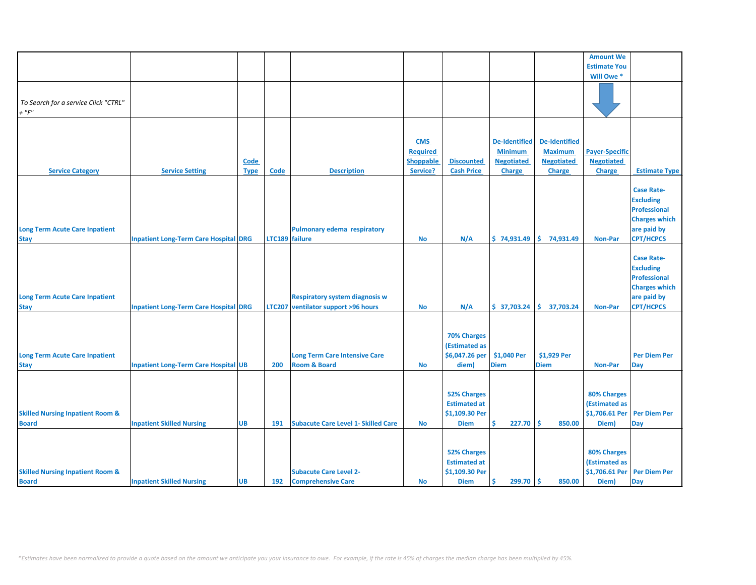|                                                             |                                              |                     |                |                                                                 |                                                               |                                                                            |                                                                              |                                                                              | <b>Amount We</b>                                            |                                                                                                                         |
|-------------------------------------------------------------|----------------------------------------------|---------------------|----------------|-----------------------------------------------------------------|---------------------------------------------------------------|----------------------------------------------------------------------------|------------------------------------------------------------------------------|------------------------------------------------------------------------------|-------------------------------------------------------------|-------------------------------------------------------------------------------------------------------------------------|
|                                                             |                                              |                     |                |                                                                 |                                                               |                                                                            |                                                                              |                                                                              | <b>Estimate You</b>                                         |                                                                                                                         |
|                                                             |                                              |                     |                |                                                                 |                                                               |                                                                            |                                                                              |                                                                              | Will Owe*                                                   |                                                                                                                         |
| To Search for a service Click "CTRL"<br>$+$ " $F$ "         |                                              |                     |                |                                                                 |                                                               |                                                                            |                                                                              |                                                                              |                                                             |                                                                                                                         |
|                                                             |                                              |                     |                |                                                                 |                                                               |                                                                            |                                                                              |                                                                              |                                                             |                                                                                                                         |
| <b>Service Category</b>                                     | <b>Service Setting</b>                       | Code<br><b>Type</b> | Code           | <b>Description</b>                                              | <b>CMS</b><br><b>Required</b><br><b>Shoppable</b><br>Service? | <b>Discounted</b><br><b>Cash Price</b>                                     | <b>De-Identified</b><br><b>Minimum</b><br><b>Negotiated</b><br><b>Charge</b> | <b>De-Identified</b><br><b>Maximum</b><br><b>Negotiated</b><br><b>Charge</b> | <b>Payer-Specific</b><br><b>Negotiated</b><br><b>Charge</b> | <b>Estimate Type</b>                                                                                                    |
|                                                             |                                              |                     |                |                                                                 |                                                               |                                                                            |                                                                              |                                                                              |                                                             |                                                                                                                         |
| <b>Long Term Acute Care Inpatient</b><br><b>Stay</b>        | <b>Inpatient Long-Term Care Hospital DRG</b> |                     | LTC189 failure | <b>Pulmonary edema respiratory</b>                              | <b>No</b>                                                     | N/A                                                                        | \$74,931.49                                                                  | \$.<br>74,931.49                                                             | <b>Non-Par</b>                                              | <b>Case Rate-</b><br><b>Excluding</b><br><b>Professional</b><br><b>Charges which</b><br>are paid by<br><b>CPT/HCPCS</b> |
|                                                             |                                              |                     |                |                                                                 |                                                               |                                                                            |                                                                              |                                                                              |                                                             |                                                                                                                         |
| <b>Long Term Acute Care Inpatient</b>                       |                                              |                     |                | <b>Respiratory system diagnosis w</b>                           |                                                               |                                                                            |                                                                              |                                                                              |                                                             | <b>Case Rate-</b><br><b>Excluding</b><br><b>Professional</b><br><b>Charges which</b><br>are paid by                     |
| <b>Stay</b>                                                 | <b>Inpatient Long-Term Care Hospital DRG</b> |                     | <b>LTC207</b>  | ventilator support >96 hours                                    | <b>No</b>                                                     | N/A                                                                        | \$37,703.24                                                                  | \$<br>37,703.24                                                              | <b>Non-Par</b>                                              | <b>CPT/HCPCS</b>                                                                                                        |
| <b>Long Term Acute Care Inpatient</b><br><b>Stay</b>        | <b>Inpatient Long-Term Care Hospital UB</b>  |                     | 200            | <b>Long Term Care Intensive Care</b><br><b>Room &amp; Board</b> | <b>No</b>                                                     | 70% Charges<br>(Estimated as<br>\$6,047.26 per<br>diem)                    | \$1,040 Per<br><b>Diem</b>                                                   | \$1,929 Per<br><b>Diem</b>                                                   | <b>Non-Par</b>                                              | <b>Per Diem Per</b><br>Day                                                                                              |
|                                                             |                                              |                     |                |                                                                 |                                                               |                                                                            |                                                                              |                                                                              |                                                             |                                                                                                                         |
| <b>Skilled Nursing Inpatient Room &amp;</b><br><b>Board</b> | <b>Inpatient Skilled Nursing</b>             | <b>UB</b>           | 191            | <b>Subacute Care Level 1- Skilled Care</b>                      | <b>No</b>                                                     | <b>52% Charges</b><br><b>Estimated at</b><br>\$1,109.30 Per<br><b>Diem</b> | Ś<br>227.70                                                                  | Ŝ<br>850.00                                                                  | 80% Charges<br>(Estimated as<br>\$1,706.61 Per<br>Diem)     | <b>Per Diem Per</b><br>Day                                                                                              |
|                                                             |                                              |                     |                |                                                                 |                                                               |                                                                            |                                                                              |                                                                              |                                                             |                                                                                                                         |
| <b>Skilled Nursing Inpatient Room &amp;</b>                 |                                              |                     |                | <b>Subacute Care Level 2-</b>                                   |                                                               | <b>52% Charges</b><br><b>Estimated at</b><br>\$1,109.30 Per                |                                                                              |                                                                              | 80% Charges<br>(Estimated as<br>\$1,706.61 Per              | <b>Per Diem Per</b>                                                                                                     |
| <b>Board</b>                                                | <b>Inpatient Skilled Nursing</b>             | <b>UB</b>           | 192            | <b>Comprehensive Care</b>                                       | <b>No</b>                                                     | <b>Diem</b>                                                                | Ś<br>$299.70$ \$                                                             | 850.00                                                                       | Diem)                                                       | Day                                                                                                                     |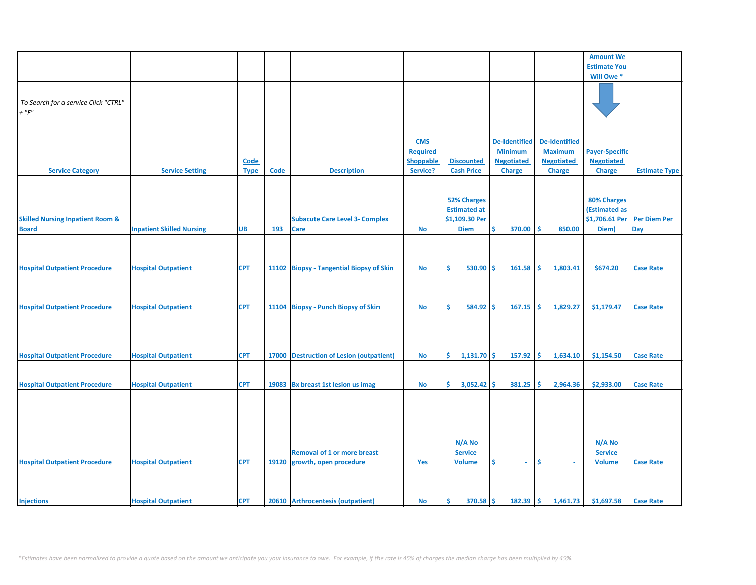|                                             |                                  |             |       |                                          |                  |                      |                      |                      | <b>Amount We</b>      |                      |
|---------------------------------------------|----------------------------------|-------------|-------|------------------------------------------|------------------|----------------------|----------------------|----------------------|-----------------------|----------------------|
|                                             |                                  |             |       |                                          |                  |                      |                      |                      | <b>Estimate You</b>   |                      |
|                                             |                                  |             |       |                                          |                  |                      |                      |                      | Will Owe *            |                      |
|                                             |                                  |             |       |                                          |                  |                      |                      |                      |                       |                      |
|                                             |                                  |             |       |                                          |                  |                      |                      |                      |                       |                      |
| To Search for a service Click "CTRL"        |                                  |             |       |                                          |                  |                      |                      |                      |                       |                      |
| $+$ " $F$ "                                 |                                  |             |       |                                          |                  |                      |                      |                      |                       |                      |
|                                             |                                  |             |       |                                          |                  |                      |                      |                      |                       |                      |
|                                             |                                  |             |       |                                          |                  |                      |                      |                      |                       |                      |
|                                             |                                  |             |       |                                          | <b>CMS</b>       |                      | <b>De-Identified</b> | <b>De-Identified</b> |                       |                      |
|                                             |                                  |             |       |                                          | <b>Required</b>  |                      | <b>Minimum</b>       | <b>Maximum</b>       | <b>Payer-Specific</b> |                      |
|                                             |                                  | <b>Code</b> |       |                                          | <b>Shoppable</b> | <b>Discounted</b>    | <b>Negotiated</b>    | <b>Negotiated</b>    | <b>Negotiated</b>     |                      |
|                                             |                                  |             |       |                                          |                  | <b>Cash Price</b>    |                      |                      |                       |                      |
| <b>Service Category</b>                     | <b>Service Setting</b>           | <b>Type</b> | Code  | <b>Description</b>                       | Service?         |                      | <b>Charge</b>        | <b>Charge</b>        | Charge                | <b>Estimate Type</b> |
|                                             |                                  |             |       |                                          |                  |                      |                      |                      |                       |                      |
|                                             |                                  |             |       |                                          |                  |                      |                      |                      |                       |                      |
|                                             |                                  |             |       |                                          |                  | <b>52% Charges</b>   |                      |                      | 80% Charges           |                      |
|                                             |                                  |             |       |                                          |                  | <b>Estimated at</b>  |                      |                      | (Estimated as         |                      |
| <b>Skilled Nursing Inpatient Room &amp;</b> |                                  |             |       | <b>Subacute Care Level 3- Complex</b>    |                  | \$1,109.30 Per       |                      |                      | \$1,706.61 Per        | <b>Per Diem Per</b>  |
| <b>Board</b>                                | <b>Inpatient Skilled Nursing</b> | <b>UB</b>   | 193   | <b>Care</b>                              | <b>No</b>        | <b>Diem</b>          | \$<br>370.00         | <b>S</b><br>850.00   | Diem)                 | Day                  |
|                                             |                                  |             |       |                                          |                  |                      |                      |                      |                       |                      |
|                                             |                                  |             |       |                                          |                  |                      |                      |                      |                       |                      |
|                                             |                                  |             |       |                                          |                  |                      |                      |                      |                       |                      |
| <b>Hospital Outpatient Procedure</b>        | <b>Hospital Outpatient</b>       | <b>CPT</b>  |       | 11102 Biopsy - Tangential Biopsy of Skin | No               | \$.<br>$530.90$ \$   | 161.58               | 1,803.41<br>\$       | \$674.20              | <b>Case Rate</b>     |
|                                             |                                  |             |       |                                          |                  |                      |                      |                      |                       |                      |
|                                             |                                  |             |       |                                          |                  |                      |                      |                      |                       |                      |
|                                             |                                  |             |       |                                          |                  |                      |                      |                      |                       |                      |
|                                             |                                  |             |       |                                          |                  |                      |                      |                      |                       |                      |
| <b>Hospital Outpatient Procedure</b>        | <b>Hospital Outpatient</b>       | <b>CPT</b>  |       | 11104 Biopsy - Punch Biopsy of Skin      | <b>No</b>        | \$.<br>584.92        | \$<br>167.15         | 1,829.27<br>\$.      | \$1,179.47            | <b>Case Rate</b>     |
|                                             |                                  |             |       |                                          |                  |                      |                      |                      |                       |                      |
|                                             |                                  |             |       |                                          |                  |                      |                      |                      |                       |                      |
|                                             |                                  |             |       |                                          |                  |                      |                      |                      |                       |                      |
|                                             |                                  |             |       |                                          |                  |                      |                      |                      |                       |                      |
| <b>Hospital Outpatient Procedure</b>        | <b>Hospital Outpatient</b>       | <b>CPT</b>  |       | 17000 Destruction of Lesion (outpatient) | No               | \$.<br>$1,131.70$ \$ | 157.92               | \$.<br>1,634.10      | \$1,154.50            | <b>Case Rate</b>     |
|                                             |                                  |             |       |                                          |                  |                      |                      |                      |                       |                      |
|                                             |                                  |             |       |                                          |                  |                      |                      |                      |                       |                      |
| <b>Hospital Outpatient Procedure</b>        | <b>Hospital Outpatient</b>       | <b>CPT</b>  | 19083 | <b>Bx breast 1st lesion us imag</b>      | <b>No</b>        | \$.<br>3,052.42      | \$<br>381.25         | \$<br>2,964.36       | \$2,933.00            | <b>Case Rate</b>     |
|                                             |                                  |             |       |                                          |                  |                      |                      |                      |                       |                      |
|                                             |                                  |             |       |                                          |                  |                      |                      |                      |                       |                      |
|                                             |                                  |             |       |                                          |                  |                      |                      |                      |                       |                      |
|                                             |                                  |             |       |                                          |                  |                      |                      |                      |                       |                      |
|                                             |                                  |             |       |                                          |                  |                      |                      |                      |                       |                      |
|                                             |                                  |             |       |                                          |                  |                      |                      |                      |                       |                      |
|                                             |                                  |             |       |                                          |                  | N/A No               |                      |                      | N/A No                |                      |
|                                             |                                  |             |       | <b>Removal of 1 or more breast</b>       |                  | <b>Service</b>       |                      |                      | <b>Service</b>        |                      |
| <b>Hospital Outpatient Procedure</b>        | <b>Hospital Outpatient</b>       | <b>CPT</b>  | 19120 | growth, open procedure                   | <b>Yes</b>       | <b>Volume</b>        | \$                   | \$.                  | <b>Volume</b>         | <b>Case Rate</b>     |
|                                             |                                  |             |       |                                          |                  |                      |                      |                      |                       |                      |
|                                             |                                  |             |       |                                          |                  |                      |                      |                      |                       |                      |
|                                             |                                  |             |       |                                          |                  |                      |                      |                      |                       |                      |
| <b>Injections</b>                           | <b>Hospital Outpatient</b>       | <b>CPT</b>  |       | 20610 Arthrocentesis (outpatient)        | <b>No</b>        | \$<br>$370.58$ \$    | 182.39               | \$<br>1,461.73       | \$1,697.58            | <b>Case Rate</b>     |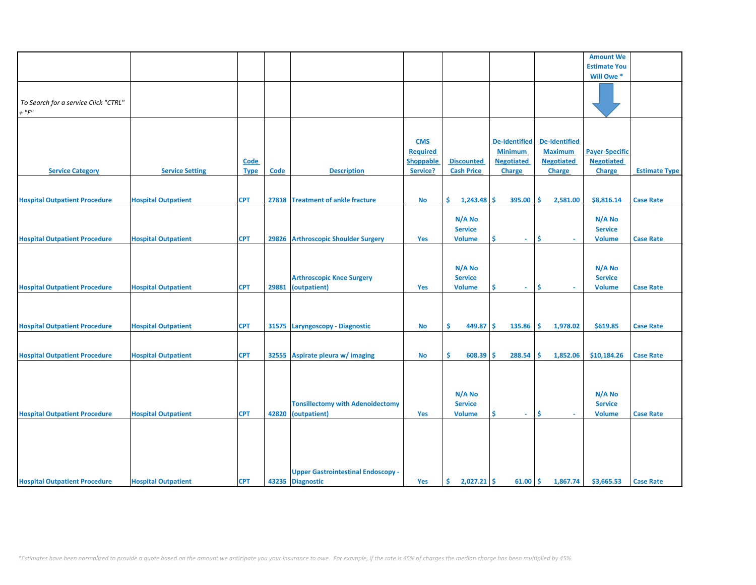|                                      |                            |             |       |                                           |                 |                      |                      |                      | <b>Amount We</b>      |                      |
|--------------------------------------|----------------------------|-------------|-------|-------------------------------------------|-----------------|----------------------|----------------------|----------------------|-----------------------|----------------------|
|                                      |                            |             |       |                                           |                 |                      |                      |                      | <b>Estimate You</b>   |                      |
|                                      |                            |             |       |                                           |                 |                      |                      |                      | Will Owe*             |                      |
|                                      |                            |             |       |                                           |                 |                      |                      |                      |                       |                      |
|                                      |                            |             |       |                                           |                 |                      |                      |                      |                       |                      |
|                                      |                            |             |       |                                           |                 |                      |                      |                      |                       |                      |
| To Search for a service Click "CTRL" |                            |             |       |                                           |                 |                      |                      |                      |                       |                      |
| $+$ " $F"$                           |                            |             |       |                                           |                 |                      |                      |                      |                       |                      |
|                                      |                            |             |       |                                           |                 |                      |                      |                      |                       |                      |
|                                      |                            |             |       |                                           |                 |                      |                      |                      |                       |                      |
|                                      |                            |             |       |                                           | <b>CMS</b>      |                      | <b>De-Identified</b> | <b>De-Identified</b> |                       |                      |
|                                      |                            |             |       |                                           | <b>Required</b> |                      | <b>Minimum</b>       | <b>Maximum</b>       | <b>Payer-Specific</b> |                      |
|                                      |                            | <b>Code</b> |       |                                           | Shoppable       | <b>Discounted</b>    | <b>Negotiated</b>    | <b>Negotiated</b>    | <b>Negotiated</b>     |                      |
| <b>Service Category</b>              | <b>Service Setting</b>     | <b>Type</b> | Code  | <b>Description</b>                        | Service?        | <b>Cash Price</b>    | Charge               | Charge               | Charge                | <b>Estimate Type</b> |
|                                      |                            |             |       |                                           |                 |                      |                      |                      |                       |                      |
|                                      |                            |             |       |                                           |                 |                      |                      |                      |                       |                      |
|                                      |                            |             |       |                                           |                 |                      |                      |                      |                       |                      |
| <b>Hospital Outpatient Procedure</b> | <b>Hospital Outpatient</b> | <b>CPT</b>  |       | 27818 Treatment of ankle fracture         | No              | \$.<br>$1,243.48$ \$ | 395.00               | \$<br>2,581.00       | \$8,816.14            | <b>Case Rate</b>     |
|                                      |                            |             |       |                                           |                 |                      |                      |                      |                       |                      |
|                                      |                            |             |       |                                           |                 | N/A No               |                      |                      | N/A No                |                      |
|                                      |                            |             |       |                                           |                 | <b>Service</b>       |                      |                      | <b>Service</b>        |                      |
| <b>Hospital Outpatient Procedure</b> | <b>Hospital Outpatient</b> | <b>CPT</b>  |       | 29826 Arthroscopic Shoulder Surgery       | Yes             | <b>Volume</b>        | \$<br>$\sim$         | \$<br>$\mathbf{r}$   | <b>Volume</b>         | <b>Case Rate</b>     |
|                                      |                            |             |       |                                           |                 |                      |                      |                      |                       |                      |
|                                      |                            |             |       |                                           |                 |                      |                      |                      |                       |                      |
|                                      |                            |             |       |                                           |                 | $N/A$ No             |                      |                      | N/A No                |                      |
|                                      |                            |             |       |                                           |                 |                      |                      |                      |                       |                      |
|                                      |                            |             |       | <b>Arthroscopic Knee Surgery</b>          |                 | <b>Service</b>       |                      |                      | <b>Service</b>        |                      |
| <b>Hospital Outpatient Procedure</b> | <b>Hospital Outpatient</b> | <b>CPT</b>  | 29881 | (outpatient)                              | <b>Yes</b>      | <b>Volume</b>        | \$<br>$\sim$         | \$                   | <b>Volume</b>         | <b>Case Rate</b>     |
|                                      |                            |             |       |                                           |                 |                      |                      |                      |                       |                      |
|                                      |                            |             |       |                                           |                 |                      |                      |                      |                       |                      |
|                                      |                            |             |       |                                           |                 |                      |                      |                      |                       |                      |
| <b>Hospital Outpatient Procedure</b> | <b>Hospital Outpatient</b> | <b>CPT</b>  |       | 31575 Laryngoscopy - Diagnostic           | No              | \$.<br>$449.87$ \$   | 135.86               | Ŝ.<br>1,978.02       | \$619.85              | <b>Case Rate</b>     |
|                                      |                            |             |       |                                           |                 |                      |                      |                      |                       |                      |
|                                      |                            |             |       |                                           |                 |                      |                      |                      |                       |                      |
| <b>Hospital Outpatient Procedure</b> | <b>Hospital Outpatient</b> | <b>CPT</b>  |       | 32555 Aspirate pleura w/ imaging          | <b>No</b>       | \$.<br>608.39        | \$.<br>288.54        | Ś<br>1,852.06        | \$10,184.26           | <b>Case Rate</b>     |
|                                      |                            |             |       |                                           |                 |                      |                      |                      |                       |                      |
|                                      |                            |             |       |                                           |                 |                      |                      |                      |                       |                      |
|                                      |                            |             |       |                                           |                 |                      |                      |                      |                       |                      |
|                                      |                            |             |       |                                           |                 |                      |                      |                      |                       |                      |
|                                      |                            |             |       |                                           |                 | N/A No               |                      |                      | N/A No                |                      |
|                                      |                            |             |       | <b>Tonsillectomy with Adenoidectomy</b>   |                 | <b>Service</b>       |                      |                      | <b>Service</b>        |                      |
| <b>Hospital Outpatient Procedure</b> | <b>Hospital Outpatient</b> | <b>CPT</b>  | 42820 | (outpatient)                              | Yes             | <b>Volume</b>        | \$<br>$\sim$         | Ś.<br>$\sim$         | <b>Volume</b>         | <b>Case Rate</b>     |
|                                      |                            |             |       |                                           |                 |                      |                      |                      |                       |                      |
|                                      |                            |             |       |                                           |                 |                      |                      |                      |                       |                      |
|                                      |                            |             |       |                                           |                 |                      |                      |                      |                       |                      |
|                                      |                            |             |       |                                           |                 |                      |                      |                      |                       |                      |
|                                      |                            |             |       |                                           |                 |                      |                      |                      |                       |                      |
|                                      |                            |             |       |                                           |                 |                      |                      |                      |                       |                      |
|                                      |                            |             |       | <b>Upper Gastrointestinal Endoscopy -</b> |                 |                      |                      |                      |                       |                      |
| <b>Hospital Outpatient Procedure</b> | <b>Hospital Outpatient</b> | <b>CPT</b>  |       | 43235 Diagnostic                          | Yes             | \$.<br>$2,027.21$ \$ | 61.00                | \$<br>1,867.74       | \$3,665.53            | <b>Case Rate</b>     |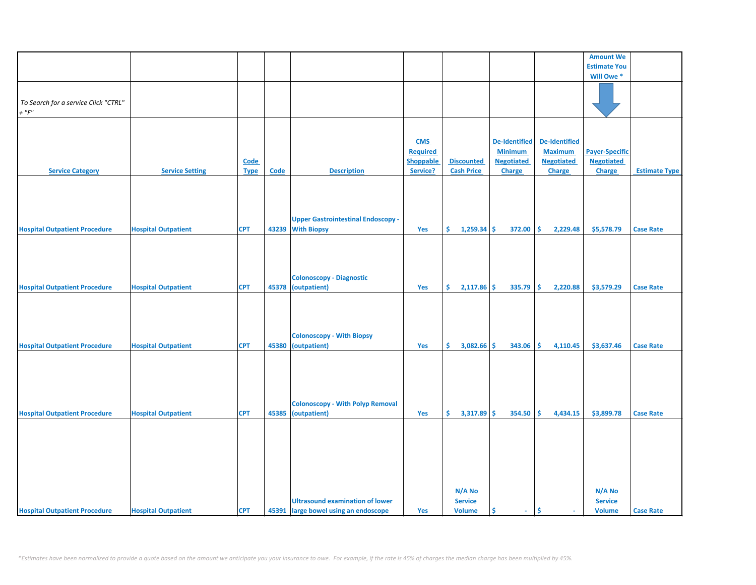|                                      |                            |             |       |                                           |                 |                      |                      |                   | <b>Amount We</b>      |                      |
|--------------------------------------|----------------------------|-------------|-------|-------------------------------------------|-----------------|----------------------|----------------------|-------------------|-----------------------|----------------------|
|                                      |                            |             |       |                                           |                 |                      |                      |                   | <b>Estimate You</b>   |                      |
|                                      |                            |             |       |                                           |                 |                      |                      |                   | Will Owe*             |                      |
|                                      |                            |             |       |                                           |                 |                      |                      |                   |                       |                      |
|                                      |                            |             |       |                                           |                 |                      |                      |                   |                       |                      |
| To Search for a service Click "CTRL" |                            |             |       |                                           |                 |                      |                      |                   |                       |                      |
| $+$ " $F$ "                          |                            |             |       |                                           |                 |                      |                      |                   |                       |                      |
|                                      |                            |             |       |                                           |                 |                      |                      |                   |                       |                      |
|                                      |                            |             |       |                                           |                 |                      |                      |                   |                       |                      |
|                                      |                            |             |       |                                           |                 |                      |                      |                   |                       |                      |
|                                      |                            |             |       |                                           | <b>CMS</b>      |                      | <b>De-Identified</b> | De-Identified     |                       |                      |
|                                      |                            |             |       |                                           | <b>Required</b> |                      | <b>Minimum</b>       | <b>Maximum</b>    | <b>Payer-Specific</b> |                      |
|                                      |                            | Code        |       |                                           | Shoppable       | <b>Discounted</b>    | <b>Negotiated</b>    | <b>Negotiated</b> | <b>Negotiated</b>     |                      |
| <b>Service Category</b>              | <b>Service Setting</b>     | <b>Type</b> | Code  | <b>Description</b>                        | Service?        | <b>Cash Price</b>    | Charge               | Charge            | Charge                | <b>Estimate Type</b> |
|                                      |                            |             |       |                                           |                 |                      |                      |                   |                       |                      |
|                                      |                            |             |       |                                           |                 |                      |                      |                   |                       |                      |
|                                      |                            |             |       |                                           |                 |                      |                      |                   |                       |                      |
|                                      |                            |             |       |                                           |                 |                      |                      |                   |                       |                      |
|                                      |                            |             |       |                                           |                 |                      |                      |                   |                       |                      |
|                                      |                            |             |       | <b>Upper Gastrointestinal Endoscopy -</b> |                 |                      |                      |                   |                       |                      |
| <b>Hospital Outpatient Procedure</b> | <b>Hospital Outpatient</b> | <b>CPT</b>  | 43239 | <b>With Biopsy</b>                        | Yes             | \$<br>$1,259.34$ \$  | 372.00               | \$<br>2,229.48    | \$5,578.79            | <b>Case Rate</b>     |
|                                      |                            |             |       |                                           |                 |                      |                      |                   |                       |                      |
|                                      |                            |             |       |                                           |                 |                      |                      |                   |                       |                      |
|                                      |                            |             |       |                                           |                 |                      |                      |                   |                       |                      |
|                                      |                            |             |       |                                           |                 |                      |                      |                   |                       |                      |
|                                      |                            |             |       |                                           |                 |                      |                      |                   |                       |                      |
|                                      |                            |             |       | <b>Colonoscopy - Diagnostic</b>           |                 |                      |                      |                   |                       |                      |
| <b>Hospital Outpatient Procedure</b> | <b>Hospital Outpatient</b> | <b>CPT</b>  | 45378 | (outpatient)                              | Yes             | \$.<br>$2,117.86$ \$ | 335.79               | 2,220.88<br>Ŝ.    | \$3,579.29            | <b>Case Rate</b>     |
|                                      |                            |             |       |                                           |                 |                      |                      |                   |                       |                      |
|                                      |                            |             |       |                                           |                 |                      |                      |                   |                       |                      |
|                                      |                            |             |       |                                           |                 |                      |                      |                   |                       |                      |
|                                      |                            |             |       |                                           |                 |                      |                      |                   |                       |                      |
|                                      |                            |             |       | <b>Colonoscopy - With Biopsy</b>          |                 |                      |                      |                   |                       |                      |
| <b>Hospital Outpatient Procedure</b> | <b>Hospital Outpatient</b> |             | 45380 | (outpatient)                              |                 | \$.<br>$3,082.66$ \$ |                      |                   | \$3,637.46            |                      |
|                                      |                            | <b>CPT</b>  |       |                                           | Yes             |                      | 343.06               | \$<br>4,110.45    |                       | <b>Case Rate</b>     |
|                                      |                            |             |       |                                           |                 |                      |                      |                   |                       |                      |
|                                      |                            |             |       |                                           |                 |                      |                      |                   |                       |                      |
|                                      |                            |             |       |                                           |                 |                      |                      |                   |                       |                      |
|                                      |                            |             |       |                                           |                 |                      |                      |                   |                       |                      |
|                                      |                            |             |       |                                           |                 |                      |                      |                   |                       |                      |
|                                      |                            |             |       | <b>Colonoscopy - With Polyp Removal</b>   |                 |                      |                      |                   |                       |                      |
| <b>Hospital Outpatient Procedure</b> | <b>Hospital Outpatient</b> | <b>CPT</b>  | 45385 | (outpatient)                              | Yes             | \$.<br>$3,317.89$ \$ | 354.50               | \$.<br>4,434.15   | \$3,899.78            | <b>Case Rate</b>     |
|                                      |                            |             |       |                                           |                 |                      |                      |                   |                       |                      |
|                                      |                            |             |       |                                           |                 |                      |                      |                   |                       |                      |
|                                      |                            |             |       |                                           |                 |                      |                      |                   |                       |                      |
|                                      |                            |             |       |                                           |                 |                      |                      |                   |                       |                      |
|                                      |                            |             |       |                                           |                 |                      |                      |                   |                       |                      |
|                                      |                            |             |       |                                           |                 |                      |                      |                   |                       |                      |
|                                      |                            |             |       |                                           |                 |                      |                      |                   |                       |                      |
|                                      |                            |             |       |                                           |                 |                      |                      |                   |                       |                      |
|                                      |                            |             |       |                                           |                 | N/A No               |                      |                   | N/A No                |                      |
|                                      |                            |             |       | <b>Ultrasound examination of lower</b>    |                 | <b>Service</b>       |                      |                   | <b>Service</b>        |                      |
|                                      |                            |             |       |                                           |                 |                      |                      |                   |                       |                      |
| <b>Hospital Outpatient Procedure</b> | <b>Hospital Outpatient</b> | <b>CPT</b>  |       | 45391 large bowel using an endoscope      | Yes             | <b>Volume</b>        | \$<br>a.             | \$<br>÷.          | <b>Volume</b>         | <b>Case Rate</b>     |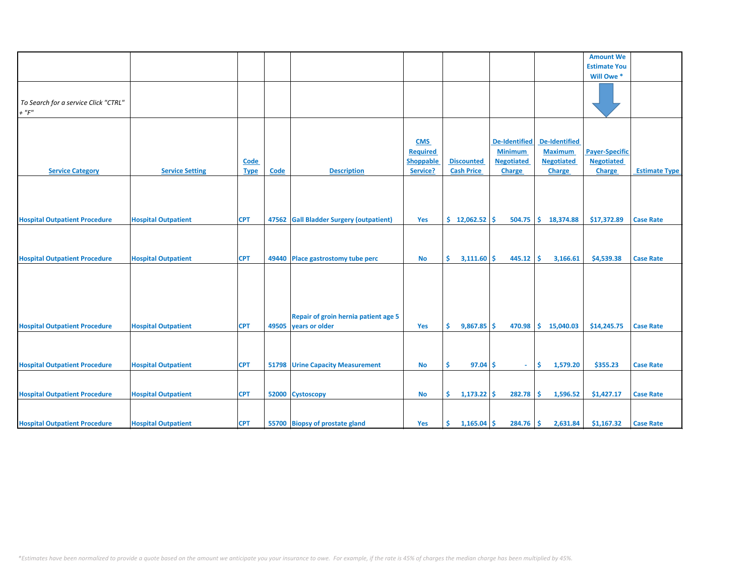|                                                     |                            |                            |       |                                                        |                                                               |                                        |                                                                       |                                                                       | <b>Amount We</b>                                     |                      |
|-----------------------------------------------------|----------------------------|----------------------------|-------|--------------------------------------------------------|---------------------------------------------------------------|----------------------------------------|-----------------------------------------------------------------------|-----------------------------------------------------------------------|------------------------------------------------------|----------------------|
|                                                     |                            |                            |       |                                                        |                                                               |                                        |                                                                       |                                                                       | <b>Estimate You</b>                                  |                      |
|                                                     |                            |                            |       |                                                        |                                                               |                                        |                                                                       |                                                                       | Will Owe *                                           |                      |
| To Search for a service Click "CTRL"<br>$+$ " $F$ " |                            |                            |       |                                                        |                                                               |                                        |                                                                       |                                                                       |                                                      |                      |
|                                                     |                            |                            |       |                                                        |                                                               |                                        |                                                                       |                                                                       |                                                      |                      |
| <b>Service Category</b>                             | <b>Service Setting</b>     | <b>Code</b><br><b>Type</b> | Code  | <b>Description</b>                                     | <b>CMS</b><br><b>Required</b><br><b>Shoppable</b><br>Service? | <b>Discounted</b><br><b>Cash Price</b> | De-Identified<br><b>Minimum</b><br><b>Negotiated</b><br><b>Charge</b> | <b>De-Identified</b><br><b>Maximum</b><br><b>Negotiated</b><br>Charge | <b>Payer-Specific</b><br><b>Negotiated</b><br>Charge | <b>Estimate Type</b> |
|                                                     |                            |                            |       |                                                        |                                                               |                                        |                                                                       |                                                                       |                                                      |                      |
| <b>Hospital Outpatient Procedure</b>                | <b>Hospital Outpatient</b> | <b>CPT</b>                 |       | 47562 Gall Bladder Surgery (outpatient)                | Yes                                                           | \$12,062.52                            | 504.75                                                                | \$.<br>18,374.88                                                      | \$17,372.89                                          | <b>Case Rate</b>     |
|                                                     |                            |                            |       |                                                        |                                                               |                                        |                                                                       |                                                                       |                                                      |                      |
| <b>Hospital Outpatient Procedure</b>                | <b>Hospital Outpatient</b> | <b>CPT</b>                 |       | 49440 Place gastrostomy tube perc                      | <b>No</b>                                                     | $3,111.60$ \$<br>S.                    | 445.12                                                                | \$.<br>3,166.61                                                       | \$4,539.38                                           | <b>Case Rate</b>     |
| <b>Hospital Outpatient Procedure</b>                | <b>Hospital Outpatient</b> | <b>CPT</b>                 | 49505 | Repair of groin hernia patient age 5<br>years or older | Yes                                                           | Ŝ.<br>$9,867.85$ \$                    | 470.98                                                                | Ŝ.<br>15,040.03                                                       | \$14,245.75                                          | <b>Case Rate</b>     |
|                                                     |                            |                            |       |                                                        |                                                               |                                        |                                                                       |                                                                       |                                                      |                      |
| <b>Hospital Outpatient Procedure</b>                | <b>Hospital Outpatient</b> | <b>CPT</b>                 |       | 51798 Urine Capacity Measurement                       | No                                                            | $97.04$ \$<br>Ŝ.                       | $\sim$                                                                | \$.<br>1,579.20                                                       | \$355.23                                             | <b>Case Rate</b>     |
|                                                     |                            |                            |       |                                                        |                                                               |                                        |                                                                       |                                                                       |                                                      |                      |
| <b>Hospital Outpatient Procedure</b>                | <b>Hospital Outpatient</b> | <b>CPT</b>                 |       | 52000 Cystoscopy                                       | <b>No</b>                                                     | \$.<br>1,173.22                        | Ŝ.<br>282.78                                                          | \$.<br>1,596.52                                                       | \$1,427.17                                           | <b>Case Rate</b>     |
| <b>Hospital Outpatient Procedure</b>                | <b>Hospital Outpatient</b> | <b>CPT</b>                 |       | 55700 Biopsy of prostate gland                         | Yes                                                           | $1,165.04$ \$<br>Ŝ.                    | 284.76                                                                | <b>S</b><br>2,631.84                                                  | \$1,167.32                                           | <b>Case Rate</b>     |
|                                                     |                            |                            |       |                                                        |                                                               |                                        |                                                                       |                                                                       |                                                      |                      |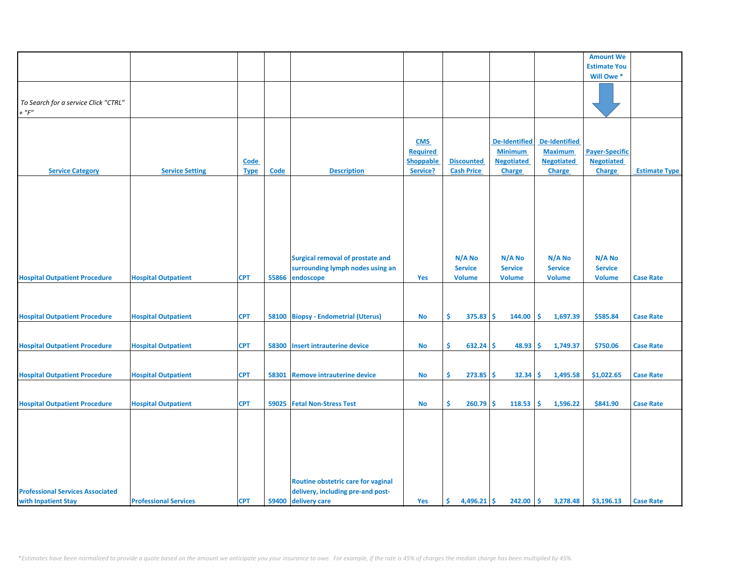|                                         |                              |             |       |                                         |                  |                     |                      |                      | <b>Amount We</b>      |                      |
|-----------------------------------------|------------------------------|-------------|-------|-----------------------------------------|------------------|---------------------|----------------------|----------------------|-----------------------|----------------------|
|                                         |                              |             |       |                                         |                  |                     |                      |                      | <b>Estimate You</b>   |                      |
|                                         |                              |             |       |                                         |                  |                     |                      |                      | Will Owe *            |                      |
|                                         |                              |             |       |                                         |                  |                     |                      |                      |                       |                      |
|                                         |                              |             |       |                                         |                  |                     |                      |                      |                       |                      |
| To Search for a service Click "CTRL"    |                              |             |       |                                         |                  |                     |                      |                      |                       |                      |
| $+$ " $F$ "                             |                              |             |       |                                         |                  |                     |                      |                      |                       |                      |
|                                         |                              |             |       |                                         |                  |                     |                      |                      |                       |                      |
|                                         |                              |             |       |                                         |                  |                     |                      |                      |                       |                      |
|                                         |                              |             |       |                                         | <b>CMS</b>       |                     | <b>De-Identified</b> | <b>De-Identified</b> |                       |                      |
|                                         |                              |             |       |                                         | <b>Required</b>  |                     | <b>Minimum</b>       | <b>Maximum</b>       | <b>Payer-Specific</b> |                      |
|                                         |                              |             |       |                                         |                  |                     |                      |                      |                       |                      |
|                                         |                              | <b>Code</b> |       |                                         | <b>Shoppable</b> | <b>Discounted</b>   | <b>Negotiated</b>    | <b>Negotiated</b>    | <b>Negotiated</b>     |                      |
| <b>Service Category</b>                 | <b>Service Setting</b>       | <b>Type</b> | Code  | <b>Description</b>                      | Service?         | <b>Cash Price</b>   | <b>Charge</b>        | Charge               | Charge                | <b>Estimate Type</b> |
|                                         |                              |             |       |                                         |                  |                     |                      |                      |                       |                      |
|                                         |                              |             |       |                                         |                  |                     |                      |                      |                       |                      |
|                                         |                              |             |       |                                         |                  |                     |                      |                      |                       |                      |
|                                         |                              |             |       |                                         |                  |                     |                      |                      |                       |                      |
|                                         |                              |             |       |                                         |                  |                     |                      |                      |                       |                      |
|                                         |                              |             |       |                                         |                  |                     |                      |                      |                       |                      |
|                                         |                              |             |       |                                         |                  |                     |                      |                      |                       |                      |
|                                         |                              |             |       |                                         |                  |                     |                      |                      |                       |                      |
|                                         |                              |             |       | <b>Surgical removal of prostate and</b> |                  | N/A No              | N/A No               | N/A No               | N/A No                |                      |
|                                         |                              |             |       |                                         |                  |                     |                      |                      |                       |                      |
|                                         |                              |             |       | surrounding lymph nodes using an        |                  | <b>Service</b>      | <b>Service</b>       | <b>Service</b>       | <b>Service</b>        |                      |
| <b>Hospital Outpatient Procedure</b>    | <b>Hospital Outpatient</b>   | <b>CPT</b>  | 55866 | endoscope                               | Yes              | <b>Volume</b>       | <b>Volume</b>        | <b>Volume</b>        | <b>Volume</b>         | <b>Case Rate</b>     |
|                                         |                              |             |       |                                         |                  |                     |                      |                      |                       |                      |
|                                         |                              |             |       |                                         |                  |                     |                      |                      |                       |                      |
|                                         |                              |             |       |                                         |                  |                     |                      |                      |                       |                      |
| <b>Hospital Outpatient Procedure</b>    | <b>Hospital Outpatient</b>   | <b>CPT</b>  | 58100 | <b>Biopsy - Endometrial (Uterus)</b>    | No               | $375.83$ \$<br>Ŝ.   | 144.00               | s.<br>1,697.39       | \$585.84              | <b>Case Rate</b>     |
|                                         |                              |             |       |                                         |                  |                     |                      |                      |                       |                      |
|                                         |                              |             |       |                                         |                  |                     |                      |                      |                       |                      |
| <b>Hospital Outpatient Procedure</b>    | <b>Hospital Outpatient</b>   | <b>CPT</b>  | 58300 | Insert intrauterine device              | <b>No</b>        | \$<br>$632.24$ \$   | 48.93                | -\$<br>1,749.37      | \$750.06              | <b>Case Rate</b>     |
|                                         |                              |             |       |                                         |                  |                     |                      |                      |                       |                      |
|                                         |                              |             |       |                                         |                  |                     |                      |                      |                       |                      |
| <b>Hospital Outpatient Procedure</b>    | <b>Hospital Outpatient</b>   | <b>CPT</b>  | 58301 | <b>Remove intrauterine device</b>       | No               | \$<br>273.85        | Ŝ.<br>32.34          | \$<br>1,495.58       | \$1,022.65            | <b>Case Rate</b>     |
|                                         |                              |             |       |                                         |                  |                     |                      |                      |                       |                      |
|                                         |                              |             |       |                                         |                  |                     |                      |                      |                       |                      |
|                                         |                              |             |       |                                         |                  |                     |                      |                      |                       |                      |
| <b>Hospital Outpatient Procedure</b>    | <b>Hospital Outpatient</b>   | <b>CPT</b>  | 59025 | <b>Fetal Non-Stress Test</b>            | No               | \$<br>260.79        | \$<br>118.53         | 1,596.22<br>Ŝ        | \$841.90              | <b>Case Rate</b>     |
|                                         |                              |             |       |                                         |                  |                     |                      |                      |                       |                      |
|                                         |                              |             |       |                                         |                  |                     |                      |                      |                       |                      |
|                                         |                              |             |       |                                         |                  |                     |                      |                      |                       |                      |
|                                         |                              |             |       |                                         |                  |                     |                      |                      |                       |                      |
|                                         |                              |             |       |                                         |                  |                     |                      |                      |                       |                      |
|                                         |                              |             |       |                                         |                  |                     |                      |                      |                       |                      |
|                                         |                              |             |       |                                         |                  |                     |                      |                      |                       |                      |
|                                         |                              |             |       | Routine obstetric care for vaginal      |                  |                     |                      |                      |                       |                      |
| <b>Professional Services Associated</b> |                              |             |       | delivery, including pre-and post-       |                  |                     |                      |                      |                       |                      |
| with Inpatient Stay                     | <b>Professional Services</b> | <b>CPT</b>  | 59400 | delivery care                           |                  | $4,496.21$ \$<br>Ŝ. | 242.00               | \$<br>3,278.48       | \$3,196.13            | <b>Case Rate</b>     |
|                                         |                              |             |       |                                         | Yes              |                     |                      |                      |                       |                      |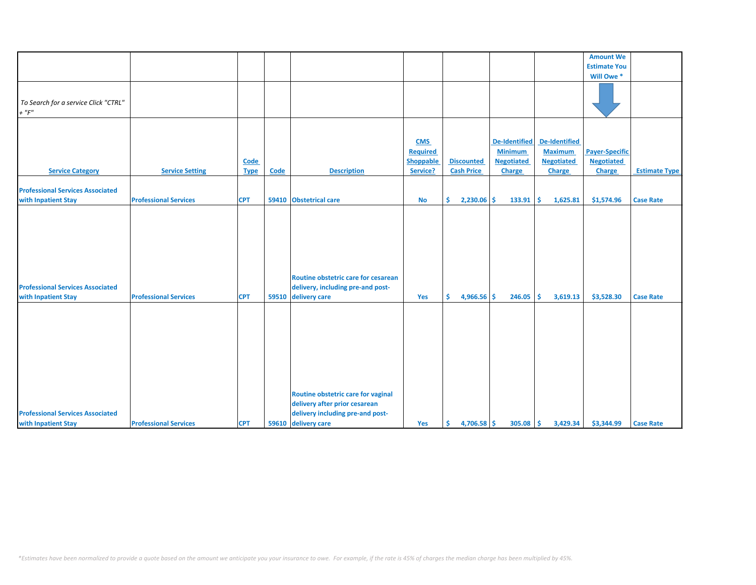|                                         |                              |             |       |                                     |                  |                     |                      |                      | <b>Amount We</b>      |                      |
|-----------------------------------------|------------------------------|-------------|-------|-------------------------------------|------------------|---------------------|----------------------|----------------------|-----------------------|----------------------|
|                                         |                              |             |       |                                     |                  |                     |                      |                      | <b>Estimate You</b>   |                      |
|                                         |                              |             |       |                                     |                  |                     |                      |                      | Will Owe *            |                      |
|                                         |                              |             |       |                                     |                  |                     |                      |                      |                       |                      |
|                                         |                              |             |       |                                     |                  |                     |                      |                      |                       |                      |
| To Search for a service Click "CTRL"    |                              |             |       |                                     |                  |                     |                      |                      |                       |                      |
|                                         |                              |             |       |                                     |                  |                     |                      |                      |                       |                      |
| $+$ " $F$ "                             |                              |             |       |                                     |                  |                     |                      |                      |                       |                      |
|                                         |                              |             |       |                                     |                  |                     |                      |                      |                       |                      |
|                                         |                              |             |       |                                     |                  |                     |                      |                      |                       |                      |
|                                         |                              |             |       |                                     | <b>CMS</b>       |                     | <b>De-Identified</b> | <b>De-Identified</b> |                       |                      |
|                                         |                              |             |       |                                     | <b>Required</b>  |                     | <b>Minimum</b>       | <b>Maximum</b>       | <b>Payer-Specific</b> |                      |
|                                         |                              | Code        |       |                                     | <b>Shoppable</b> | <b>Discounted</b>   | <b>Negotiated</b>    | <b>Negotiated</b>    | <b>Negotiated</b>     |                      |
|                                         |                              |             |       |                                     |                  |                     |                      |                      |                       |                      |
| <b>Service Category</b>                 | <b>Service Setting</b>       | <b>Type</b> | Code  | <b>Description</b>                  | Service?         | <b>Cash Price</b>   | Charge               | Charge               | Charge                | <b>Estimate Type</b> |
|                                         |                              |             |       |                                     |                  |                     |                      |                      |                       |                      |
| <b>Professional Services Associated</b> |                              |             |       |                                     |                  |                     |                      |                      |                       |                      |
| with Inpatient Stay                     | <b>Professional Services</b> | <b>CPT</b>  | 59410 | <b>Obstetrical care</b>             | <b>No</b>        | \$<br>$2,230.06$ \$ | 133.91               | 1,625.81<br>s.       | \$1,574.96            | <b>Case Rate</b>     |
|                                         |                              |             |       |                                     |                  |                     |                      |                      |                       |                      |
|                                         |                              |             |       |                                     |                  |                     |                      |                      |                       |                      |
|                                         |                              |             |       |                                     |                  |                     |                      |                      |                       |                      |
|                                         |                              |             |       |                                     |                  |                     |                      |                      |                       |                      |
|                                         |                              |             |       |                                     |                  |                     |                      |                      |                       |                      |
|                                         |                              |             |       |                                     |                  |                     |                      |                      |                       |                      |
|                                         |                              |             |       |                                     |                  |                     |                      |                      |                       |                      |
|                                         |                              |             |       |                                     |                  |                     |                      |                      |                       |                      |
|                                         |                              |             |       | Routine obstetric care for cesarean |                  |                     |                      |                      |                       |                      |
| <b>Professional Services Associated</b> |                              |             |       | delivery, including pre-and post-   |                  |                     |                      |                      |                       |                      |
|                                         |                              |             |       |                                     |                  |                     |                      |                      |                       |                      |
| with Inpatient Stay                     | <b>Professional Services</b> | <b>CPT</b>  | 59510 | delivery care                       | Yes              | 4,966.56 \$<br>Ŝ.   | 246.05               | 3,619.13<br>-Ś       | \$3,528.30            | <b>Case Rate</b>     |
|                                         |                              |             |       |                                     |                  |                     |                      |                      |                       |                      |
|                                         |                              |             |       |                                     |                  |                     |                      |                      |                       |                      |
|                                         |                              |             |       |                                     |                  |                     |                      |                      |                       |                      |
|                                         |                              |             |       |                                     |                  |                     |                      |                      |                       |                      |
|                                         |                              |             |       |                                     |                  |                     |                      |                      |                       |                      |
|                                         |                              |             |       |                                     |                  |                     |                      |                      |                       |                      |
|                                         |                              |             |       |                                     |                  |                     |                      |                      |                       |                      |
|                                         |                              |             |       |                                     |                  |                     |                      |                      |                       |                      |
|                                         |                              |             |       |                                     |                  |                     |                      |                      |                       |                      |
|                                         |                              |             |       |                                     |                  |                     |                      |                      |                       |                      |
|                                         |                              |             |       | Routine obstetric care for vaginal  |                  |                     |                      |                      |                       |                      |
|                                         |                              |             |       | delivery after prior cesarean       |                  |                     |                      |                      |                       |                      |
|                                         |                              |             |       |                                     |                  |                     |                      |                      |                       |                      |
| <b>Professional Services Associated</b> |                              |             |       | delivery including pre-and post-    |                  |                     |                      |                      |                       |                      |
| with Inpatient Stay                     | <b>Professional Services</b> | <b>CPT</b>  |       | 59610 delivery care                 | Yes              | $4,706.58$ \$<br>Ŝ  | $305.08$ \$          | 3,429.34             | \$3,344.99            | <b>Case Rate</b>     |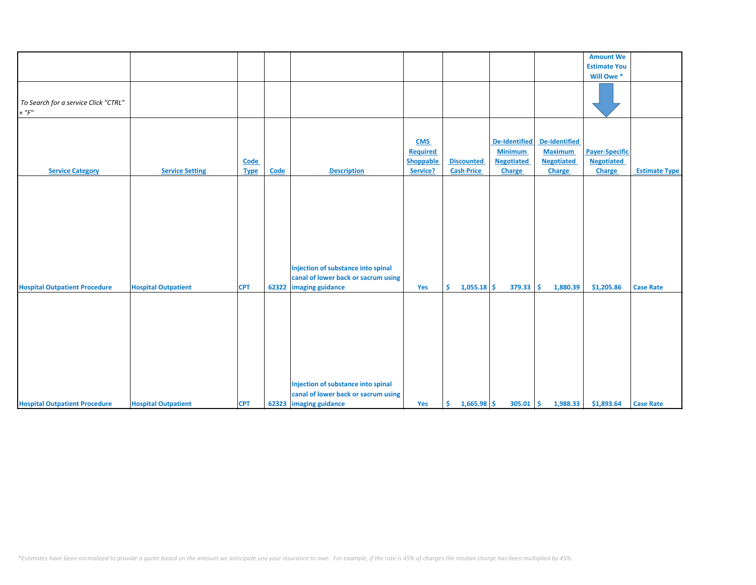|                                                     |                            |             |             |                                                                                                     |                  |                     |                      |                      | <b>Amount We</b>      |                      |
|-----------------------------------------------------|----------------------------|-------------|-------------|-----------------------------------------------------------------------------------------------------|------------------|---------------------|----------------------|----------------------|-----------------------|----------------------|
|                                                     |                            |             |             |                                                                                                     |                  |                     |                      |                      | <b>Estimate You</b>   |                      |
|                                                     |                            |             |             |                                                                                                     |                  |                     |                      |                      | Will Owe *            |                      |
| To Search for a service Click "CTRL"<br>$+$ " $F$ " |                            |             |             |                                                                                                     |                  |                     |                      |                      |                       |                      |
|                                                     |                            |             |             |                                                                                                     |                  |                     |                      |                      |                       |                      |
|                                                     |                            |             |             |                                                                                                     | <b>CMS</b>       |                     | <b>De-Identified</b> | <b>De-Identified</b> |                       |                      |
|                                                     |                            |             |             |                                                                                                     | <b>Required</b>  |                     | <b>Minimum</b>       | <b>Maximum</b>       | <b>Payer-Specific</b> |                      |
|                                                     |                            |             |             |                                                                                                     | <b>Shoppable</b> | <b>Discounted</b>   | <b>Negotiated</b>    | <b>Negotiated</b>    | <b>Negotiated</b>     |                      |
|                                                     |                            | Code        |             |                                                                                                     |                  |                     |                      |                      |                       |                      |
| <b>Service Category</b>                             | <b>Service Setting</b>     | <b>Type</b> | <b>Code</b> | <b>Description</b>                                                                                  | Service?         | <b>Cash Price</b>   | Charge               | Charge               | Charge                | <b>Estimate Type</b> |
| <b>Hospital Outpatient Procedure</b>                | <b>Hospital Outpatient</b> | <b>CPT</b>  | 62322       | Injection of substance into spinal<br>canal of lower back or sacrum using<br>imaging guidance       | Yes              | $1,055.18$ \$<br>Ŝ. | $379.33$ \$          | 1,880.39             | \$1,205.86            | <b>Case Rate</b>     |
| <b>Hospital Outpatient Procedure</b>                | <b>Hospital Outpatient</b> | <b>CPT</b>  |             | Injection of substance into spinal<br>canal of lower back or sacrum using<br>62323 imaging guidance | Yes              | $1,665.98$ \$<br>\$ | $305.01$ \$          | 1,988.33             | \$1,893.64            | <b>Case Rate</b>     |
|                                                     |                            |             |             |                                                                                                     |                  |                     |                      |                      |                       |                      |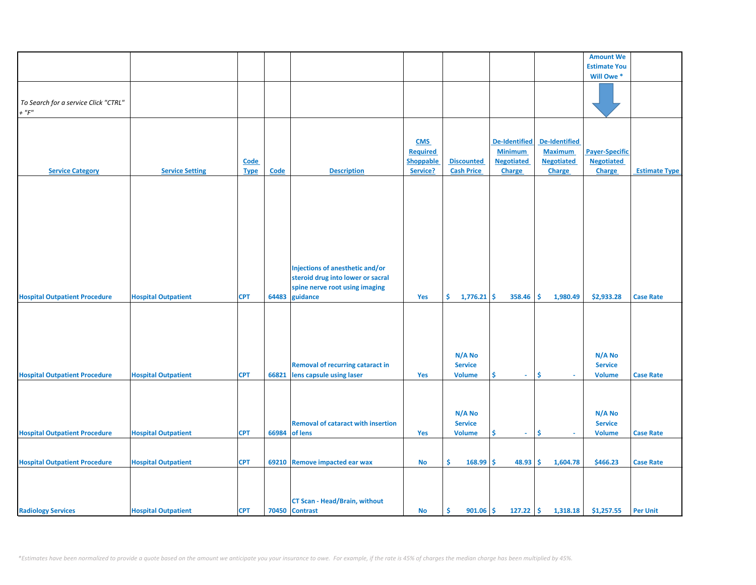|                                      |                            |             |       |                                           |                  |                      |                      |                      | <b>Amount We</b>      |                      |
|--------------------------------------|----------------------------|-------------|-------|-------------------------------------------|------------------|----------------------|----------------------|----------------------|-----------------------|----------------------|
|                                      |                            |             |       |                                           |                  |                      |                      |                      | <b>Estimate You</b>   |                      |
|                                      |                            |             |       |                                           |                  |                      |                      |                      | Will Owe*             |                      |
|                                      |                            |             |       |                                           |                  |                      |                      |                      |                       |                      |
|                                      |                            |             |       |                                           |                  |                      |                      |                      |                       |                      |
| To Search for a service Click "CTRL" |                            |             |       |                                           |                  |                      |                      |                      |                       |                      |
| $+$ " $F$ "                          |                            |             |       |                                           |                  |                      |                      |                      |                       |                      |
|                                      |                            |             |       |                                           |                  |                      |                      |                      |                       |                      |
|                                      |                            |             |       |                                           |                  |                      |                      |                      |                       |                      |
|                                      |                            |             |       |                                           | <b>CMS</b>       |                      | <b>De-Identified</b> | <b>De-Identified</b> |                       |                      |
|                                      |                            |             |       |                                           | <b>Required</b>  |                      | <b>Minimum</b>       | <b>Maximum</b>       | <b>Payer-Specific</b> |                      |
|                                      |                            | Code        |       |                                           | <b>Shoppable</b> | <b>Discounted</b>    | <b>Negotiated</b>    | <b>Negotiated</b>    | <b>Negotiated</b>     |                      |
| <b>Service Category</b>              | <b>Service Setting</b>     | <b>Type</b> | Code  | <b>Description</b>                        | Service?         | <b>Cash Price</b>    | <b>Charge</b>        | <b>Charge</b>        | Charge                | <b>Estimate Type</b> |
|                                      |                            |             |       |                                           |                  |                      |                      |                      |                       |                      |
|                                      |                            |             |       |                                           |                  |                      |                      |                      |                       |                      |
|                                      |                            |             |       |                                           |                  |                      |                      |                      |                       |                      |
|                                      |                            |             |       |                                           |                  |                      |                      |                      |                       |                      |
|                                      |                            |             |       |                                           |                  |                      |                      |                      |                       |                      |
|                                      |                            |             |       |                                           |                  |                      |                      |                      |                       |                      |
|                                      |                            |             |       |                                           |                  |                      |                      |                      |                       |                      |
|                                      |                            |             |       |                                           |                  |                      |                      |                      |                       |                      |
|                                      |                            |             |       |                                           |                  |                      |                      |                      |                       |                      |
|                                      |                            |             |       |                                           |                  |                      |                      |                      |                       |                      |
|                                      |                            |             |       | Injections of anesthetic and/or           |                  |                      |                      |                      |                       |                      |
|                                      |                            |             |       | steroid drug into lower or sacral         |                  |                      |                      |                      |                       |                      |
|                                      |                            |             |       | spine nerve root using imaging            |                  |                      |                      |                      |                       |                      |
| <b>Hospital Outpatient Procedure</b> | <b>Hospital Outpatient</b> | <b>CPT</b>  | 64483 | guidance                                  | Yes              | \$.<br>$1,776.21$ \$ | 358.46               | Ŝ.<br>1,980.49       | \$2,933.28            | <b>Case Rate</b>     |
|                                      |                            |             |       |                                           |                  |                      |                      |                      |                       |                      |
|                                      |                            |             |       |                                           |                  |                      |                      |                      |                       |                      |
|                                      |                            |             |       |                                           |                  |                      |                      |                      |                       |                      |
|                                      |                            |             |       |                                           |                  |                      |                      |                      |                       |                      |
|                                      |                            |             |       |                                           |                  |                      |                      |                      |                       |                      |
|                                      |                            |             |       |                                           |                  | N/A No               |                      |                      | N/A No                |                      |
|                                      |                            |             |       | <b>Removal of recurring cataract in</b>   |                  | <b>Service</b>       |                      |                      | <b>Service</b>        |                      |
| <b>Hospital Outpatient Procedure</b> | <b>Hospital Outpatient</b> | <b>CPT</b>  | 66821 | lens capsule using laser                  | Yes              | <b>Volume</b>        | \$.<br>$\omega$      | \$<br>$\omega$       | <b>Volume</b>         | <b>Case Rate</b>     |
|                                      |                            |             |       |                                           |                  |                      |                      |                      |                       |                      |
|                                      |                            |             |       |                                           |                  |                      |                      |                      |                       |                      |
|                                      |                            |             |       |                                           |                  |                      |                      |                      |                       |                      |
|                                      |                            |             |       |                                           |                  | N/A No               |                      |                      | N/A No                |                      |
|                                      |                            |             |       | <b>Removal of cataract with insertion</b> |                  | <b>Service</b>       |                      |                      | <b>Service</b>        |                      |
| <b>Hospital Outpatient Procedure</b> | <b>Hospital Outpatient</b> | <b>CPT</b>  | 66984 | of lens                                   | Yes              | <b>Volume</b>        | \$.<br>$\sim$        | \$                   | <b>Volume</b>         | <b>Case Rate</b>     |
|                                      |                            |             |       |                                           |                  |                      |                      |                      |                       |                      |
|                                      |                            |             |       |                                           |                  |                      |                      |                      |                       |                      |
|                                      |                            |             |       |                                           |                  |                      |                      |                      |                       |                      |
| <b>Hospital Outpatient Procedure</b> | <b>Hospital Outpatient</b> | <b>CPT</b>  | 69210 | <b>Remove impacted ear wax</b>            | <b>No</b>        | \$<br>168.99         | -\$<br>48.93         | \$<br>1,604.78       | \$466.23              | <b>Case Rate</b>     |
|                                      |                            |             |       |                                           |                  |                      |                      |                      |                       |                      |
|                                      |                            |             |       |                                           |                  |                      |                      |                      |                       |                      |
|                                      |                            |             |       |                                           |                  |                      |                      |                      |                       |                      |
|                                      |                            |             |       | <b>CT Scan - Head/Brain, without</b>      |                  |                      |                      |                      |                       |                      |
| <b>Radiology Services</b>            | <b>Hospital Outpatient</b> | <b>CPT</b>  |       | 70450 Contrast                            | No               | \$<br>$901.06$ \$    | $127.22$ \$          | 1,318.18             | \$1,257.55            | <b>Per Unit</b>      |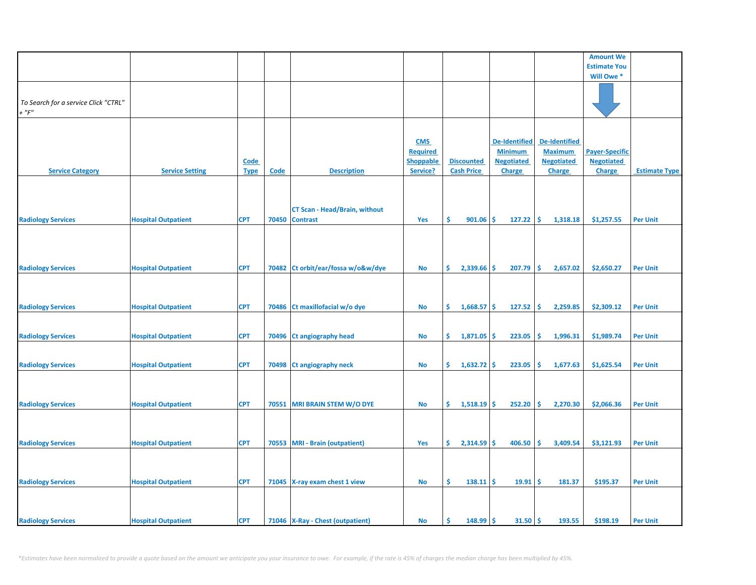|                                      |                            |             |       |                                      |                  |                      |                   |                      | <b>Amount We</b>      |                      |
|--------------------------------------|----------------------------|-------------|-------|--------------------------------------|------------------|----------------------|-------------------|----------------------|-----------------------|----------------------|
|                                      |                            |             |       |                                      |                  |                      |                   |                      | <b>Estimate You</b>   |                      |
|                                      |                            |             |       |                                      |                  |                      |                   |                      | Will Owe*             |                      |
|                                      |                            |             |       |                                      |                  |                      |                   |                      |                       |                      |
| To Search for a service Click "CTRL" |                            |             |       |                                      |                  |                      |                   |                      |                       |                      |
| $+$ " $F$ "                          |                            |             |       |                                      |                  |                      |                   |                      |                       |                      |
|                                      |                            |             |       |                                      |                  |                      |                   |                      |                       |                      |
|                                      |                            |             |       |                                      |                  |                      |                   |                      |                       |                      |
|                                      |                            |             |       |                                      | <b>CMS</b>       |                      | De-Identified     | De-Identified        |                       |                      |
|                                      |                            |             |       |                                      | <b>Required</b>  |                      | <b>Minimum</b>    | <b>Maximum</b>       | <b>Payer-Specific</b> |                      |
|                                      |                            | <b>Code</b> |       |                                      | <b>Shoppable</b> | <b>Discounted</b>    | <b>Negotiated</b> | <b>Negotiated</b>    | <b>Negotiated</b>     |                      |
| <b>Service Category</b>              | <b>Service Setting</b>     | <b>Type</b> | Code  | <b>Description</b>                   | Service?         | <b>Cash Price</b>    | Charge            | Charge               | <b>Charge</b>         | <b>Estimate Type</b> |
|                                      |                            |             |       |                                      |                  |                      |                   |                      |                       |                      |
|                                      |                            |             |       |                                      |                  |                      |                   |                      |                       |                      |
|                                      |                            |             |       | <b>CT Scan - Head/Brain, without</b> |                  |                      |                   |                      |                       |                      |
| <b>Radiology Services</b>            | <b>Hospital Outpatient</b> | <b>CPT</b>  | 70450 | <b>Contrast</b>                      | Yes              | \$.<br>901.06        | 127.22<br>\$.     | -\$<br>1,318.18      | \$1,257.55            | <b>Per Unit</b>      |
|                                      |                            |             |       |                                      |                  |                      |                   |                      |                       |                      |
|                                      |                            |             |       |                                      |                  |                      |                   |                      |                       |                      |
|                                      |                            |             |       |                                      |                  |                      |                   |                      |                       |                      |
|                                      |                            |             |       |                                      |                  |                      |                   |                      |                       |                      |
| <b>Radiology Services</b>            | <b>Hospital Outpatient</b> | <b>CPT</b>  | 70482 | Ct orbit/ear/fossa w/o&w/dye         | No               | \$<br>2,339.66       | -\$<br>207.79     | <b>S</b><br>2,657.02 | \$2,650.27            | <b>Per Unit</b>      |
|                                      |                            |             |       |                                      |                  |                      |                   |                      |                       |                      |
|                                      |                            |             |       |                                      |                  |                      |                   |                      |                       |                      |
|                                      |                            |             |       |                                      |                  |                      |                   |                      |                       |                      |
| <b>Radiology Services</b>            | <b>Hospital Outpatient</b> | <b>CPT</b>  | 70486 | Ct maxillofacial w/o dye             | <b>No</b>        | \$.<br>1,668.57      | \$<br>127.52      | \$<br>2,259.85       | \$2,309.12            | <b>Per Unit</b>      |
|                                      |                            |             |       |                                      |                  |                      |                   |                      |                       |                      |
|                                      |                            |             |       |                                      |                  |                      |                   |                      |                       |                      |
| <b>Radiology Services</b>            | <b>Hospital Outpatient</b> | <b>CPT</b>  | 70496 | <b>Ct angiography head</b>           | <b>No</b>        | \$.<br>$1,871.05$ \$ | 223.05            | -\$<br>1,996.31      | \$1,989.74            | <b>Per Unit</b>      |
|                                      |                            |             |       |                                      |                  |                      |                   |                      |                       |                      |
| <b>Radiology Services</b>            | <b>Hospital Outpatient</b> | <b>CPT</b>  | 70498 | <b>Ct angiography neck</b>           | <b>No</b>        | \$.<br>$1,632.72$ \$ | 223.05            | \$<br>1,677.63       | \$1,625.54            | <b>Per Unit</b>      |
|                                      |                            |             |       |                                      |                  |                      |                   |                      |                       |                      |
|                                      |                            |             |       |                                      |                  |                      |                   |                      |                       |                      |
|                                      |                            |             |       |                                      |                  |                      |                   |                      |                       |                      |
| <b>Radiology Services</b>            | <b>Hospital Outpatient</b> | <b>CPT</b>  | 70551 | <b>MRI BRAIN STEM W/O DYE</b>        | No               | \$.<br>1,518.19      | Ŝ.<br>252.20      | -Ś<br>2,270.30       | \$2,066.36            | <b>Per Unit</b>      |
|                                      |                            |             |       |                                      |                  |                      |                   |                      |                       |                      |
|                                      |                            |             |       |                                      |                  |                      |                   |                      |                       |                      |
|                                      |                            |             |       |                                      |                  |                      |                   |                      |                       |                      |
| <b>Radiology Services</b>            | <b>Hospital Outpatient</b> | <b>CPT</b>  | 70553 | <b>MRI - Brain (outpatient)</b>      | Yes              | \$.<br>$2,314.59$ \$ | 406.50            | \$<br>3,409.54       | \$3,121.93            | <b>Per Unit</b>      |
|                                      |                            |             |       |                                      |                  |                      |                   |                      |                       |                      |
|                                      |                            |             |       |                                      |                  |                      |                   |                      |                       |                      |
|                                      |                            |             |       |                                      |                  | \$.                  |                   | -\$                  |                       |                      |
| <b>Radiology Services</b>            | <b>Hospital Outpatient</b> | <b>CPT</b>  |       | 71045 X-ray exam chest 1 view        | No               | 138.11               | -\$<br>19.91      | 181.37               | \$195.37              | <b>Per Unit</b>      |
|                                      |                            |             |       |                                      |                  |                      |                   |                      |                       |                      |
|                                      |                            |             |       |                                      |                  |                      |                   |                      |                       |                      |
| <b>Radiology Services</b>            | <b>Hospital Outpatient</b> | <b>CPT</b>  |       | 71046 X-Ray - Chest (outpatient)     | No               | \$<br>148.99         | $31.50$ \$<br>-\$ | 193.55               | \$198.19              | <b>Per Unit</b>      |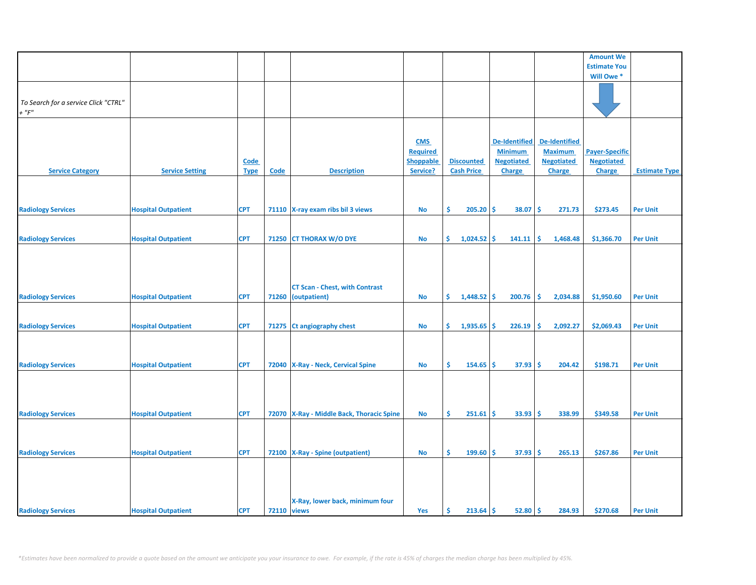|                                      |                            |             |                    |                                             |                               |                     |                      |                      | <b>Amount We</b>      |                      |
|--------------------------------------|----------------------------|-------------|--------------------|---------------------------------------------|-------------------------------|---------------------|----------------------|----------------------|-----------------------|----------------------|
|                                      |                            |             |                    |                                             |                               |                     |                      |                      | <b>Estimate You</b>   |                      |
|                                      |                            |             |                    |                                             |                               |                     |                      |                      | Will Owe*             |                      |
|                                      |                            |             |                    |                                             |                               |                     |                      |                      |                       |                      |
|                                      |                            |             |                    |                                             |                               |                     |                      |                      |                       |                      |
| To Search for a service Click "CTRL" |                            |             |                    |                                             |                               |                     |                      |                      |                       |                      |
| $+$ " $F$ "                          |                            |             |                    |                                             |                               |                     |                      |                      |                       |                      |
|                                      |                            |             |                    |                                             |                               |                     |                      |                      |                       |                      |
|                                      |                            |             |                    |                                             |                               |                     | <b>De-Identified</b> | <b>De-Identified</b> |                       |                      |
|                                      |                            |             |                    |                                             | <b>CMS</b><br><b>Required</b> |                     | <b>Minimum</b>       | <b>Maximum</b>       | <b>Payer-Specific</b> |                      |
|                                      |                            | Code        |                    |                                             | <b>Shoppable</b>              | <b>Discounted</b>   | <b>Negotiated</b>    | <b>Negotiated</b>    | <b>Negotiated</b>     |                      |
| <b>Service Category</b>              | <b>Service Setting</b>     | <b>Type</b> | <b>Code</b>        | <b>Description</b>                          | Service?                      | <b>Cash Price</b>   | Charge               | <b>Charge</b>        | <b>Charge</b>         | <b>Estimate Type</b> |
|                                      |                            |             |                    |                                             |                               |                     |                      |                      |                       |                      |
|                                      |                            |             |                    |                                             |                               |                     |                      |                      |                       |                      |
|                                      |                            |             |                    |                                             |                               |                     |                      |                      |                       |                      |
| <b>Radiology Services</b>            | <b>Hospital Outpatient</b> | <b>CPT</b>  |                    | 71110 X-ray exam ribs bil 3 views           | <b>No</b>                     | Ŝ.<br>205.20        | \$.<br>38.07         | Ŝ.<br>271.73         | \$273.45              | <b>Per Unit</b>      |
|                                      |                            |             |                    |                                             |                               |                     |                      |                      |                       |                      |
|                                      |                            |             |                    |                                             |                               |                     |                      |                      |                       |                      |
| <b>Radiology Services</b>            | <b>Hospital Outpatient</b> | <b>CPT</b>  | 71250              | <b>CT THORAX W/O DYE</b>                    | No                            | \$.<br>1,024.52     | \$<br>141.11         | 1,468.48<br>\$.      | \$1,366.70            | <b>Per Unit</b>      |
|                                      |                            |             |                    |                                             |                               |                     |                      |                      |                       |                      |
|                                      |                            |             |                    |                                             |                               |                     |                      |                      |                       |                      |
|                                      |                            |             |                    |                                             |                               |                     |                      |                      |                       |                      |
|                                      |                            |             |                    |                                             |                               |                     |                      |                      |                       |                      |
|                                      |                            |             |                    | <b>CT Scan - Chest, with Contrast</b>       |                               |                     |                      |                      |                       |                      |
| <b>Radiology Services</b>            | <b>Hospital Outpatient</b> | <b>CPT</b>  | 71260              | (outpatient)                                | <b>No</b>                     | $1,448.52$ \$<br>\$ | 200.76               | 2,034.88<br>s.       | \$1,950.60            | <b>Per Unit</b>      |
|                                      |                            |             |                    |                                             |                               |                     |                      |                      |                       |                      |
|                                      |                            |             |                    |                                             |                               |                     |                      |                      |                       |                      |
| <b>Radiology Services</b>            | <b>Hospital Outpatient</b> | <b>CPT</b>  | 71275              | <b>Ct angiography chest</b>                 | No                            | \$.<br>1,935.65     | \$<br>226.19         | \$<br>2,092.27       | \$2,069.43            | <b>Per Unit</b>      |
|                                      |                            |             |                    |                                             |                               |                     |                      |                      |                       |                      |
|                                      |                            |             |                    |                                             |                               |                     |                      |                      |                       |                      |
|                                      |                            |             |                    |                                             |                               |                     |                      |                      |                       |                      |
| <b>Radiology Services</b>            | <b>Hospital Outpatient</b> | <b>CPT</b>  | 72040              | <b>X-Ray - Neck, Cervical Spine</b>         | <b>No</b>                     | Ŝ<br>154.65         | Ŝ.<br>37.93          | 204.42<br>Ŝ.         | \$198.71              | <b>Per Unit</b>      |
|                                      |                            |             |                    |                                             |                               |                     |                      |                      |                       |                      |
|                                      |                            |             |                    |                                             |                               |                     |                      |                      |                       |                      |
|                                      |                            |             |                    |                                             |                               |                     |                      |                      |                       |                      |
|                                      |                            |             |                    |                                             |                               |                     |                      |                      |                       |                      |
| <b>Radiology Services</b>            | <b>Hospital Outpatient</b> | <b>CPT</b>  |                    | 72070   X-Ray - Middle Back, Thoracic Spine | No                            | Ŝ.<br>251.61        | \$<br>33.93          | 338.99<br>s.         | \$349.58              | <b>Per Unit</b>      |
|                                      |                            |             |                    |                                             |                               |                     |                      |                      |                       |                      |
|                                      |                            |             |                    |                                             |                               |                     |                      |                      |                       |                      |
|                                      |                            | <b>CPT</b>  |                    |                                             |                               | \$.                 | \$                   | 265.13<br>-Ś         |                       | <b>Per Unit</b>      |
| <b>Radiology Services</b>            | <b>Hospital Outpatient</b> |             | 72100              | <b>X-Ray - Spine (outpatient)</b>           | <b>No</b>                     | 199.60              | 37.93                |                      | \$267.86              |                      |
|                                      |                            |             |                    |                                             |                               |                     |                      |                      |                       |                      |
|                                      |                            |             |                    |                                             |                               |                     |                      |                      |                       |                      |
|                                      |                            |             |                    |                                             |                               |                     |                      |                      |                       |                      |
|                                      |                            |             |                    | X-Ray, lower back, minimum four             |                               |                     |                      |                      |                       |                      |
| <b>Radiology Services</b>            | <b>Hospital Outpatient</b> | <b>CPT</b>  | <b>72110 views</b> |                                             | Yes                           | \$.<br>$213.64$ \$  | 52.80                | -Ś<br>284.93         | \$270.68              | <b>Per Unit</b>      |
|                                      |                            |             |                    |                                             |                               |                     |                      |                      |                       |                      |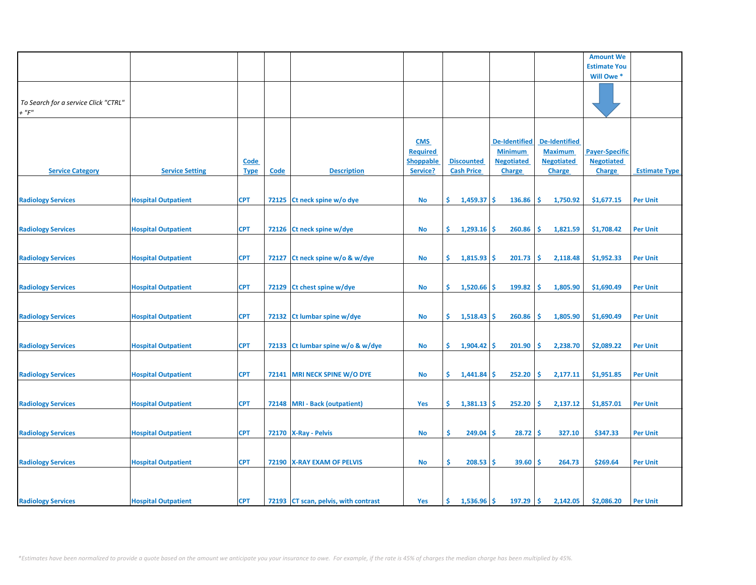|                                      |                            |             |             |                                      |                  |                      |                      |                      | <b>Amount We</b>      |                      |
|--------------------------------------|----------------------------|-------------|-------------|--------------------------------------|------------------|----------------------|----------------------|----------------------|-----------------------|----------------------|
|                                      |                            |             |             |                                      |                  |                      |                      |                      | <b>Estimate You</b>   |                      |
|                                      |                            |             |             |                                      |                  |                      |                      |                      | Will Owe *            |                      |
|                                      |                            |             |             |                                      |                  |                      |                      |                      |                       |                      |
|                                      |                            |             |             |                                      |                  |                      |                      |                      |                       |                      |
| To Search for a service Click "CTRL" |                            |             |             |                                      |                  |                      |                      |                      |                       |                      |
| $+$ " $F$ "                          |                            |             |             |                                      |                  |                      |                      |                      |                       |                      |
|                                      |                            |             |             |                                      |                  |                      |                      |                      |                       |                      |
|                                      |                            |             |             |                                      |                  |                      |                      |                      |                       |                      |
|                                      |                            |             |             |                                      | <b>CMS</b>       |                      | <b>De-Identified</b> | <b>De-Identified</b> |                       |                      |
|                                      |                            |             |             |                                      |                  |                      |                      |                      |                       |                      |
|                                      |                            |             |             |                                      | <b>Required</b>  |                      | <b>Minimum</b>       | <b>Maximum</b>       | <b>Payer-Specific</b> |                      |
|                                      |                            | Code        |             |                                      | <b>Shoppable</b> | <b>Discounted</b>    | <b>Negotiated</b>    | <b>Negotiated</b>    | <b>Negotiated</b>     |                      |
| <b>Service Category</b>              | <b>Service Setting</b>     | <b>Type</b> | <b>Code</b> | <b>Description</b>                   | Service?         | <b>Cash Price</b>    | <b>Charge</b>        | <b>Charge</b>        | <b>Charge</b>         | <b>Estimate Type</b> |
|                                      |                            |             |             |                                      |                  |                      |                      |                      |                       |                      |
|                                      |                            |             |             |                                      |                  |                      |                      |                      |                       |                      |
| <b>Radiology Services</b>            | <b>Hospital Outpatient</b> | <b>CPT</b>  | 72125       | Ct neck spine w/o dye                | No               | \$<br>1,459.37       | \$<br>136.86         | 1,750.92<br>Ŝ        | \$1,677.15            | <b>Per Unit</b>      |
|                                      |                            |             |             |                                      |                  |                      |                      |                      |                       |                      |
|                                      |                            |             |             |                                      |                  |                      |                      |                      |                       |                      |
| <b>Radiology Services</b>            | <b>Hospital Outpatient</b> | <b>CPT</b>  | 72126       | Ct neck spine w/dye                  | <b>No</b>        | \$.<br>$1,293.16$ \$ | 260.86               | \$<br>1,821.59       | \$1,708.42            | <b>Per Unit</b>      |
|                                      |                            |             |             |                                      |                  |                      |                      |                      |                       |                      |
|                                      |                            |             |             |                                      |                  |                      |                      |                      |                       |                      |
|                                      |                            |             |             |                                      |                  |                      |                      |                      |                       |                      |
| <b>Radiology Services</b>            | <b>Hospital Outpatient</b> | <b>CPT</b>  | 72127       | Ct neck spine w/o & w/dye            | No               | \$.<br>1,815.93      | \$.<br>201.73        | 2,118.48<br>Ŝ        | \$1,952.33            | <b>Per Unit</b>      |
|                                      |                            |             |             |                                      |                  |                      |                      |                      |                       |                      |
|                                      |                            |             |             |                                      |                  |                      |                      |                      |                       |                      |
| <b>Radiology Services</b>            | <b>Hospital Outpatient</b> | <b>CPT</b>  | 72129       | Ct chest spine w/dye                 | No               | \$.<br>1,520.66      | \$<br>199.82         | \$<br>1,805.90       | \$1,690.49            | <b>Per Unit</b>      |
|                                      |                            |             |             |                                      |                  |                      |                      |                      |                       |                      |
|                                      |                            |             |             |                                      |                  |                      |                      |                      |                       |                      |
| <b>Radiology Services</b>            | <b>Hospital Outpatient</b> | <b>CPT</b>  | 72132       | Ct lumbar spine w/dye                | <b>No</b>        | \$.<br>1,518.43      | \$.<br>260.86        | 1,805.90<br>S        | \$1,690.49            | <b>Per Unit</b>      |
|                                      |                            |             |             |                                      |                  |                      |                      |                      |                       |                      |
|                                      |                            |             |             |                                      |                  |                      |                      |                      |                       |                      |
|                                      |                            |             |             |                                      |                  |                      |                      |                      |                       |                      |
| <b>Radiology Services</b>            | <b>Hospital Outpatient</b> | <b>CPT</b>  | 72133       | Ct lumbar spine w/o & w/dye          | <b>No</b>        | \$.<br>1,904.42      | \$<br>201.90         | 2,238.70<br>s.       | \$2,089.22            | <b>Per Unit</b>      |
|                                      |                            |             |             |                                      |                  |                      |                      |                      |                       |                      |
|                                      |                            |             |             |                                      |                  |                      |                      |                      |                       |                      |
| <b>Radiology Services</b>            | <b>Hospital Outpatient</b> | <b>CPT</b>  |             | 72141 MRI NECK SPINE W/O DYE         | No               | \$.<br>1,441.84      | \$.<br>252.20        | 2,177.11<br>\$.      | \$1,951.85            | <b>Per Unit</b>      |
|                                      |                            |             |             |                                      |                  |                      |                      |                      |                       |                      |
|                                      |                            |             |             |                                      |                  |                      |                      |                      |                       |                      |
| <b>Radiology Services</b>            | <b>Hospital Outpatient</b> | <b>CPT</b>  | 72148       | <b>MRI</b> - Back (outpatient)       | Yes              | \$.<br>1,381.13      | \$<br>252.20         | 2,137.12<br>Ŝ        | \$1,857.01            | <b>Per Unit</b>      |
|                                      |                            |             |             |                                      |                  |                      |                      |                      |                       |                      |
|                                      |                            |             |             |                                      |                  |                      |                      |                      |                       |                      |
| <b>Radiology Services</b>            | <b>Hospital Outpatient</b> | <b>CPT</b>  | 72170       | <b>X-Ray - Pelvis</b>                | <b>No</b>        | Ŝ.<br>249.04         | \$<br>28.72          | Ŝ.<br>327.10         | \$347.33              | <b>Per Unit</b>      |
|                                      |                            |             |             |                                      |                  |                      |                      |                      |                       |                      |
|                                      |                            |             |             |                                      |                  |                      |                      |                      |                       |                      |
|                                      |                            |             |             |                                      |                  |                      |                      |                      |                       |                      |
| <b>Radiology Services</b>            | <b>Hospital Outpatient</b> | <b>CPT</b>  | 72190       | <b>X-RAY EXAM OF PELVIS</b>          | No               | \$<br>208.53         | 39.60<br>Ś           | 264.73<br>.\$        | \$269.64              | <b>Per Unit</b>      |
|                                      |                            |             |             |                                      |                  |                      |                      |                      |                       |                      |
|                                      |                            |             |             |                                      |                  |                      |                      |                      |                       |                      |
|                                      |                            |             |             |                                      |                  |                      |                      |                      |                       |                      |
| <b>Radiology Services</b>            | <b>Hospital Outpatient</b> | <b>CPT</b>  |             | 72193 CT scan, pelvis, with contrast | Yes              | \$<br>1,536.96       | Ŝ.<br>197.29         | Ŝ.<br>2,142.05       | \$2,086.20            | <b>Per Unit</b>      |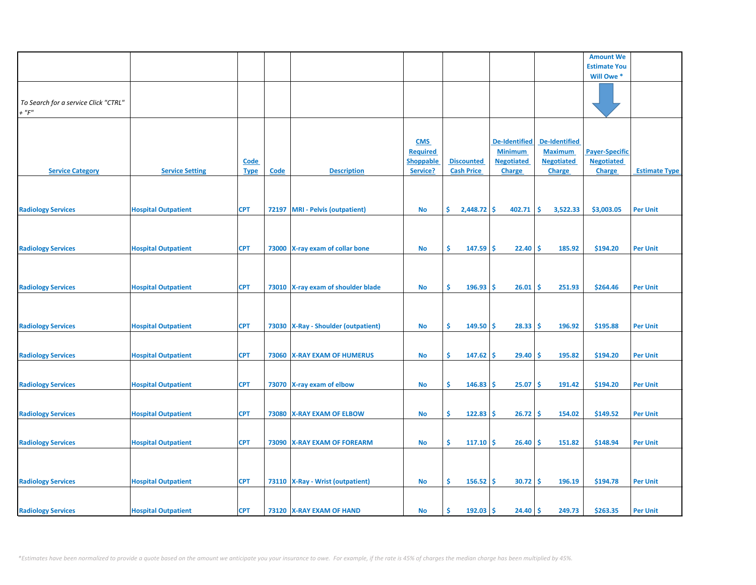|                                      |                            |             |       |                                       |                  |                         |                      |                      | <b>Amount We</b>      |                      |
|--------------------------------------|----------------------------|-------------|-------|---------------------------------------|------------------|-------------------------|----------------------|----------------------|-----------------------|----------------------|
|                                      |                            |             |       |                                       |                  |                         |                      |                      | <b>Estimate You</b>   |                      |
|                                      |                            |             |       |                                       |                  |                         |                      |                      | Will Owe*             |                      |
|                                      |                            |             |       |                                       |                  |                         |                      |                      |                       |                      |
|                                      |                            |             |       |                                       |                  |                         |                      |                      |                       |                      |
|                                      |                            |             |       |                                       |                  |                         |                      |                      |                       |                      |
| To Search for a service Click "CTRL" |                            |             |       |                                       |                  |                         |                      |                      |                       |                      |
| $+$ " $F$ "                          |                            |             |       |                                       |                  |                         |                      |                      |                       |                      |
|                                      |                            |             |       |                                       |                  |                         |                      |                      |                       |                      |
|                                      |                            |             |       |                                       |                  |                         |                      |                      |                       |                      |
|                                      |                            |             |       |                                       |                  |                         |                      |                      |                       |                      |
|                                      |                            |             |       |                                       | <b>CMS</b>       |                         | <b>De-Identified</b> | <b>De-Identified</b> |                       |                      |
|                                      |                            |             |       |                                       | <b>Required</b>  |                         | <b>Minimum</b>       | <b>Maximum</b>       | <b>Payer-Specific</b> |                      |
|                                      |                            |             |       |                                       |                  |                         |                      |                      |                       |                      |
|                                      |                            | Code        |       |                                       | <b>Shoppable</b> | <b>Discounted</b>       | <b>Negotiated</b>    | <b>Negotiated</b>    | <b>Negotiated</b>     |                      |
| <b>Service Category</b>              | <b>Service Setting</b>     | <b>Type</b> | Code  | <b>Description</b>                    | Service?         | <b>Cash Price</b>       | <b>Charge</b>        | <b>Charge</b>        | <b>Charge</b>         | <b>Estimate Type</b> |
|                                      |                            |             |       |                                       |                  |                         |                      |                      |                       |                      |
|                                      |                            |             |       |                                       |                  |                         |                      |                      |                       |                      |
|                                      |                            |             |       |                                       |                  |                         |                      |                      |                       |                      |
|                                      |                            |             |       |                                       |                  |                         |                      |                      |                       |                      |
| <b>Radiology Services</b>            | <b>Hospital Outpatient</b> | <b>CPT</b>  |       | 72197 MRI - Pelvis (outpatient)       | <b>No</b>        | \$.<br>$2,448.72$ \$    | 402.71               | -\$<br>3,522.33      | \$3,003.05            | <b>Per Unit</b>      |
|                                      |                            |             |       |                                       |                  |                         |                      |                      |                       |                      |
|                                      |                            |             |       |                                       |                  |                         |                      |                      |                       |                      |
|                                      |                            |             |       |                                       |                  |                         |                      |                      |                       |                      |
|                                      |                            |             |       |                                       |                  |                         |                      |                      |                       |                      |
| <b>Radiology Services</b>            | <b>Hospital Outpatient</b> | <b>CPT</b>  |       | 73000 X-ray exam of collar bone       | No               | \$<br>$147.59$ \$       | 22.40                | -\$<br>185.92        | \$194.20              | <b>Per Unit</b>      |
|                                      |                            |             |       |                                       |                  |                         |                      |                      |                       |                      |
|                                      |                            |             |       |                                       |                  |                         |                      |                      |                       |                      |
|                                      |                            |             |       |                                       |                  |                         |                      |                      |                       |                      |
|                                      |                            |             |       |                                       |                  |                         |                      |                      |                       |                      |
|                                      | <b>Hospital Outpatient</b> | <b>CPT</b>  |       |                                       | No               | \$.<br>196.93           | 26.01<br>\$.         | Ŝ<br>251.93          | \$264.46              | <b>Per Unit</b>      |
| <b>Radiology Services</b>            |                            |             |       | 73010 X-ray exam of shoulder blade    |                  |                         |                      |                      |                       |                      |
|                                      |                            |             |       |                                       |                  |                         |                      |                      |                       |                      |
|                                      |                            |             |       |                                       |                  |                         |                      |                      |                       |                      |
|                                      |                            |             |       |                                       |                  |                         |                      |                      |                       |                      |
|                                      |                            |             |       |                                       |                  |                         |                      |                      |                       |                      |
| <b>Radiology Services</b>            | <b>Hospital Outpatient</b> | <b>CPT</b>  |       | 73030   X-Ray - Shoulder (outpatient) | No               | \$<br>149.50            | 28.33<br>\$.         | -Ś<br>196.92         | \$195.88              | <b>Per Unit</b>      |
|                                      |                            |             |       |                                       |                  |                         |                      |                      |                       |                      |
|                                      |                            |             |       |                                       |                  |                         |                      |                      |                       |                      |
| <b>Radiology Services</b>            | <b>Hospital Outpatient</b> | <b>CPT</b>  |       | 73060 X-RAY EXAM OF HUMERUS           | <b>No</b>        | \$.<br>147.62           | -\$<br>29.40         | \$.<br>195.82        | \$194.20              | <b>Per Unit</b>      |
|                                      |                            |             |       |                                       |                  |                         |                      |                      |                       |                      |
|                                      |                            |             |       |                                       |                  |                         |                      |                      |                       |                      |
|                                      |                            |             |       |                                       |                  |                         |                      |                      |                       |                      |
| <b>Radiology Services</b>            | <b>Hospital Outpatient</b> | <b>CPT</b>  |       | 73070 X-ray exam of elbow             | <b>No</b>        | \$.<br>146.83           | 25.07<br>\$.         | -Ś<br>191.42         | \$194.20              | <b>Per Unit</b>      |
|                                      |                            |             |       |                                       |                  |                         |                      |                      |                       |                      |
|                                      |                            |             |       |                                       |                  |                         |                      |                      |                       |                      |
|                                      |                            |             |       |                                       |                  |                         |                      |                      |                       |                      |
| <b>Radiology Services</b>            | <b>Hospital Outpatient</b> | <b>CPT</b>  | 73080 | <b>X-RAY EXAM OF ELBOW</b>            | No               | \$<br>122.83            | 26.72<br>\$          | -\$<br>154.02        | \$149.52              | <b>Per Unit</b>      |
|                                      |                            |             |       |                                       |                  |                         |                      |                      |                       |                      |
|                                      |                            |             |       |                                       |                  |                         |                      |                      |                       |                      |
|                                      |                            |             |       |                                       |                  |                         |                      |                      |                       |                      |
| <b>Radiology Services</b>            | <b>Hospital Outpatient</b> | <b>CPT</b>  | 73090 | <b>X-RAY EXAM OF FOREARM</b>          | No               | \$.<br>$117.10$ \$      | 26.40                | -\$<br>151.82        | \$148.94              | <b>Per Unit</b>      |
|                                      |                            |             |       |                                       |                  |                         |                      |                      |                       |                      |
|                                      |                            |             |       |                                       |                  |                         |                      |                      |                       |                      |
|                                      |                            |             |       |                                       |                  |                         |                      |                      |                       |                      |
|                                      |                            |             |       |                                       |                  |                         |                      |                      |                       |                      |
| <b>Radiology Services</b>            | <b>Hospital Outpatient</b> | <b>CPT</b>  |       | 73110   X-Ray - Wrist (outpatient)    | <b>No</b>        | \$.<br>156.52           | \$<br>30.72          | <b>S</b><br>196.19   | \$194.78              | <b>Per Unit</b>      |
|                                      |                            |             |       |                                       |                  |                         |                      |                      |                       |                      |
|                                      |                            |             |       |                                       |                  |                         |                      |                      |                       |                      |
|                                      |                            |             |       |                                       |                  |                         |                      |                      |                       |                      |
| <b>Radiology Services</b>            | <b>Hospital Outpatient</b> | <b>CPT</b>  |       | 73120 X-RAY EXAM OF HAND              | No               | $192.03$ \$<br><b>S</b> | 24.40%               | 249.73               | \$263.35              | <b>Per Unit</b>      |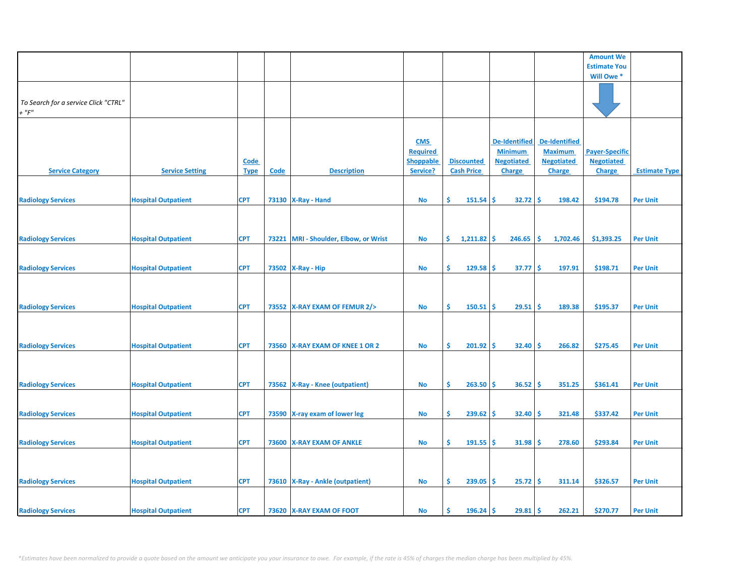|                                      |                            |             |                           |                                    |                  |                    |                      |                      | <b>Amount We</b>      |                      |
|--------------------------------------|----------------------------|-------------|---------------------------|------------------------------------|------------------|--------------------|----------------------|----------------------|-----------------------|----------------------|
|                                      |                            |             |                           |                                    |                  |                    |                      |                      | <b>Estimate You</b>   |                      |
|                                      |                            |             |                           |                                    |                  |                    |                      |                      | Will Owe*             |                      |
|                                      |                            |             |                           |                                    |                  |                    |                      |                      |                       |                      |
|                                      |                            |             |                           |                                    |                  |                    |                      |                      |                       |                      |
|                                      |                            |             |                           |                                    |                  |                    |                      |                      |                       |                      |
| To Search for a service Click "CTRL" |                            |             |                           |                                    |                  |                    |                      |                      |                       |                      |
| $+$ " $F"$                           |                            |             |                           |                                    |                  |                    |                      |                      |                       |                      |
|                                      |                            |             |                           |                                    |                  |                    |                      |                      |                       |                      |
|                                      |                            |             |                           |                                    |                  |                    |                      |                      |                       |                      |
|                                      |                            |             |                           |                                    |                  |                    |                      |                      |                       |                      |
|                                      |                            |             |                           |                                    | <b>CMS</b>       |                    | <b>De-Identified</b> | <b>De-Identified</b> |                       |                      |
|                                      |                            |             |                           |                                    | <b>Required</b>  |                    | <b>Minimum</b>       | <b>Maximum</b>       | <b>Payer-Specific</b> |                      |
|                                      |                            |             |                           |                                    |                  |                    |                      |                      |                       |                      |
|                                      |                            | <b>Code</b> |                           |                                    | <b>Shoppable</b> | <b>Discounted</b>  | <b>Negotiated</b>    | <b>Negotiated</b>    | <b>Negotiated</b>     |                      |
| <b>Service Category</b>              | <b>Service Setting</b>     | <b>Type</b> | $\underline{\text{Code}}$ | <b>Description</b>                 | Service?         | <b>Cash Price</b>  | <b>Charge</b>        | <b>Charge</b>        | <b>Charge</b>         | <b>Estimate Type</b> |
|                                      |                            |             |                           |                                    |                  |                    |                      |                      |                       |                      |
|                                      |                            |             |                           |                                    |                  |                    |                      |                      |                       |                      |
|                                      |                            |             |                           |                                    |                  |                    |                      |                      |                       |                      |
| <b>Radiology Services</b>            | <b>Hospital Outpatient</b> | <b>CPT</b>  |                           | 73130   X-Ray - Hand               | <b>No</b>        | Ś.<br>151.54       | Ŝ.<br>32.72          | -Ś<br>198.42         | \$194.78              | <b>Per Unit</b>      |
|                                      |                            |             |                           |                                    |                  |                    |                      |                      |                       |                      |
|                                      |                            |             |                           |                                    |                  |                    |                      |                      |                       |                      |
|                                      |                            |             |                           |                                    |                  |                    |                      |                      |                       |                      |
|                                      |                            |             |                           |                                    |                  |                    |                      |                      |                       |                      |
|                                      |                            | <b>CPT</b>  | 73221                     | MRI - Shoulder, Elbow, or Wrist    | No               | \$.<br>1,211.82    | -\$<br>246.65        | \$.<br>1,702.46      | \$1,393.25            | <b>Per Unit</b>      |
| <b>Radiology Services</b>            | <b>Hospital Outpatient</b> |             |                           |                                    |                  |                    |                      |                      |                       |                      |
|                                      |                            |             |                           |                                    |                  |                    |                      |                      |                       |                      |
|                                      |                            |             |                           |                                    |                  |                    |                      |                      |                       |                      |
| <b>Radiology Services</b>            | <b>Hospital Outpatient</b> | <b>CPT</b>  |                           | 73502 X-Ray - Hip                  | No               | \$.<br>129.58      | 37.77<br>\$          | -\$<br>197.91        | \$198.71              | <b>Per Unit</b>      |
|                                      |                            |             |                           |                                    |                  |                    |                      |                      |                       |                      |
|                                      |                            |             |                           |                                    |                  |                    |                      |                      |                       |                      |
|                                      |                            |             |                           |                                    |                  |                    |                      |                      |                       |                      |
|                                      |                            |             |                           |                                    |                  |                    |                      |                      |                       |                      |
|                                      |                            |             |                           |                                    |                  |                    |                      |                      |                       |                      |
| <b>Radiology Services</b>            | <b>Hospital Outpatient</b> | <b>CPT</b>  |                           | 73552 X-RAY EXAM OF FEMUR 2/>      | No               | \$<br>$150.51$ \$  | 29.51                | <b>S</b><br>189.38   | \$195.37              | <b>Per Unit</b>      |
|                                      |                            |             |                           |                                    |                  |                    |                      |                      |                       |                      |
|                                      |                            |             |                           |                                    |                  |                    |                      |                      |                       |                      |
|                                      |                            |             |                           |                                    |                  |                    |                      |                      |                       |                      |
|                                      |                            |             |                           |                                    |                  |                    |                      |                      |                       |                      |
| <b>Radiology Services</b>            | <b>Hospital Outpatient</b> | <b>CPT</b>  |                           | 73560 X-RAY EXAM OF KNEE 1 OR 2    | No               | \$.<br>$201.92$ \$ | 32.40                | -\$<br>266.82        | \$275.45              | <b>Per Unit</b>      |
|                                      |                            |             |                           |                                    |                  |                    |                      |                      |                       |                      |
|                                      |                            |             |                           |                                    |                  |                    |                      |                      |                       |                      |
|                                      |                            |             |                           |                                    |                  |                    |                      |                      |                       |                      |
|                                      |                            |             |                           |                                    |                  |                    |                      |                      |                       |                      |
| <b>Radiology Services</b>            | <b>Hospital Outpatient</b> | <b>CPT</b>  |                           | 73562 X-Ray - Knee (outpatient)    | <b>No</b>        | \$.<br>263.50      | 36.52<br>-S          | Ŝ.<br>351.25         | \$361.41              | <b>Per Unit</b>      |
|                                      |                            |             |                           |                                    |                  |                    |                      |                      |                       |                      |
|                                      |                            |             |                           |                                    |                  |                    |                      |                      |                       |                      |
|                                      |                            |             |                           |                                    |                  |                    |                      |                      |                       |                      |
| <b>Radiology Services</b>            | <b>Hospital Outpatient</b> | <b>CPT</b>  | 73590                     | X-ray exam of lower leg            | No               | \$<br>239.62       | -\$<br>32.40         | -\$<br>321.48        | \$337.42              | <b>Per Unit</b>      |
|                                      |                            |             |                           |                                    |                  |                    |                      |                      |                       |                      |
|                                      |                            |             |                           |                                    |                  |                    |                      |                      |                       |                      |
|                                      |                            |             |                           |                                    |                  |                    |                      |                      |                       |                      |
| <b>Radiology Services</b>            | <b>Hospital Outpatient</b> | <b>CPT</b>  | 73600                     | <b>X-RAY EXAM OF ANKLE</b>         | No               | \$.<br>$191.55$ \$ | 31.98                | -\$<br>278.60        | \$293.84              | <b>Per Unit</b>      |
|                                      |                            |             |                           |                                    |                  |                    |                      |                      |                       |                      |
|                                      |                            |             |                           |                                    |                  |                    |                      |                      |                       |                      |
|                                      |                            |             |                           |                                    |                  |                    |                      |                      |                       |                      |
|                                      |                            |             |                           |                                    |                  |                    |                      |                      |                       |                      |
|                                      |                            |             |                           |                                    |                  |                    |                      |                      |                       |                      |
| <b>Radiology Services</b>            | <b>Hospital Outpatient</b> | <b>CPT</b>  |                           | 73610   X-Ray - Ankle (outpatient) | No               | \$.<br>239.05      | \$<br>25.72          | -Ś<br>311.14         | \$326.57              | <b>Per Unit</b>      |
|                                      |                            |             |                           |                                    |                  |                    |                      |                      |                       |                      |
|                                      |                            |             |                           |                                    |                  |                    |                      |                      |                       |                      |
|                                      |                            |             |                           |                                    |                  |                    |                      |                      |                       |                      |
| <b>Radiology Services</b>            | <b>Hospital Outpatient</b> | <b>CPT</b>  |                           | 73620   X-RAY EXAM OF FOOT         | No               | $196.24$ \$<br>\$. | $29.81 \,$ \$        | 262.21               | \$270.77              | <b>Per Unit</b>      |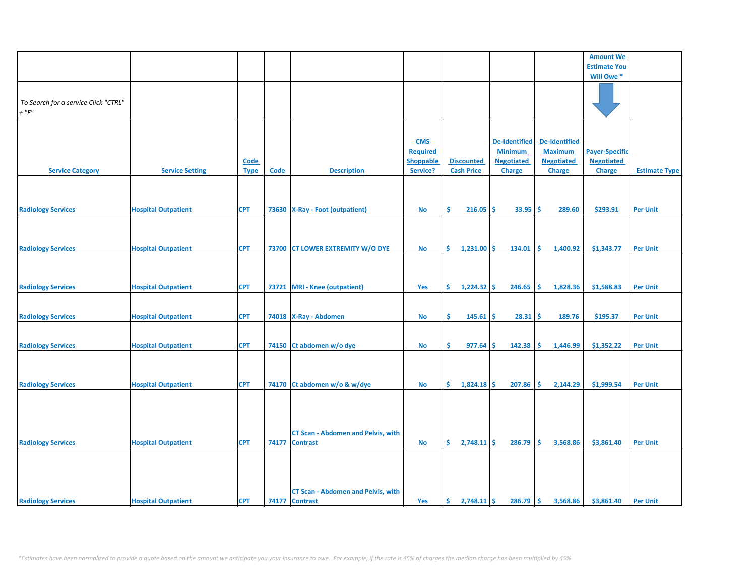|                                      |                            |             |             |                                           |                  |     |                   |                      |     |                      | <b>Amount We</b>      |                      |
|--------------------------------------|----------------------------|-------------|-------------|-------------------------------------------|------------------|-----|-------------------|----------------------|-----|----------------------|-----------------------|----------------------|
|                                      |                            |             |             |                                           |                  |     |                   |                      |     |                      | <b>Estimate You</b>   |                      |
|                                      |                            |             |             |                                           |                  |     |                   |                      |     |                      | Will Owe *            |                      |
|                                      |                            |             |             |                                           |                  |     |                   |                      |     |                      |                       |                      |
|                                      |                            |             |             |                                           |                  |     |                   |                      |     |                      |                       |                      |
| To Search for a service Click "CTRL" |                            |             |             |                                           |                  |     |                   |                      |     |                      |                       |                      |
| $+$ " $F$ "                          |                            |             |             |                                           |                  |     |                   |                      |     |                      |                       |                      |
|                                      |                            |             |             |                                           |                  |     |                   |                      |     |                      |                       |                      |
|                                      |                            |             |             |                                           |                  |     |                   |                      |     |                      |                       |                      |
|                                      |                            |             |             |                                           | <b>CMS</b>       |     |                   | <b>De-Identified</b> |     | <b>De-Identified</b> |                       |                      |
|                                      |                            |             |             |                                           |                  |     |                   |                      |     |                      |                       |                      |
|                                      |                            |             |             |                                           | <b>Required</b>  |     |                   | <b>Minimum</b>       |     | <b>Maximum</b>       | <b>Payer-Specific</b> |                      |
|                                      |                            | <b>Code</b> |             |                                           | <b>Shoppable</b> |     | <b>Discounted</b> | <b>Negotiated</b>    |     | <b>Negotiated</b>    | <b>Negotiated</b>     |                      |
| <b>Service Category</b>              | <b>Service Setting</b>     | <b>Type</b> | <b>Code</b> | <b>Description</b>                        | Service?         |     | <b>Cash Price</b> | <b>Charge</b>        |     | <b>Charge</b>        | Charge                | <b>Estimate Type</b> |
|                                      |                            |             |             |                                           |                  |     |                   |                      |     |                      |                       |                      |
|                                      |                            |             |             |                                           |                  |     |                   |                      |     |                      |                       |                      |
|                                      |                            |             |             |                                           |                  |     |                   |                      |     |                      |                       |                      |
| <b>Radiology Services</b>            | <b>Hospital Outpatient</b> | <b>CPT</b>  | 73630       | <b>X-Ray - Foot (outpatient)</b>          | No               | \$. | 216.05            | Ś.<br>33.95          | -\$ | 289.60               | \$293.91              | <b>Per Unit</b>      |
|                                      |                            |             |             |                                           |                  |     |                   |                      |     |                      |                       |                      |
|                                      |                            |             |             |                                           |                  |     |                   |                      |     |                      |                       |                      |
|                                      |                            |             |             |                                           |                  |     |                   |                      |     |                      |                       |                      |
| <b>Radiology Services</b>            | <b>Hospital Outpatient</b> | <b>CPT</b>  | 73700       | <b>CT LOWER EXTREMITY W/O DYE</b>         | No               | \$. | 1,231.00          | \$<br>134.01         | s.  | 1,400.92             | \$1,343.77            | <b>Per Unit</b>      |
|                                      |                            |             |             |                                           |                  |     |                   |                      |     |                      |                       |                      |
|                                      |                            |             |             |                                           |                  |     |                   |                      |     |                      |                       |                      |
|                                      |                            |             |             |                                           |                  |     |                   |                      |     |                      |                       |                      |
|                                      |                            |             |             |                                           |                  |     |                   |                      |     |                      |                       |                      |
| <b>Radiology Services</b>            | <b>Hospital Outpatient</b> | <b>CPT</b>  | 73721       | <b>MRI</b> - Knee (outpatient)            | Yes              | \$. | $1,224.32$ \$     | 246.65               | \$  | 1,828.36             | \$1,588.83            | <b>Per Unit</b>      |
|                                      |                            |             |             |                                           |                  |     |                   |                      |     |                      |                       |                      |
|                                      |                            |             |             |                                           |                  |     |                   |                      |     |                      |                       |                      |
| <b>Radiology Services</b>            | <b>Hospital Outpatient</b> | <b>CPT</b>  |             | 74018   X-Ray - Abdomen                   | <b>No</b>        | \$. | 145.61            | \$<br>28.31          | s.  | 189.76               | \$195.37              | <b>Per Unit</b>      |
|                                      |                            |             |             |                                           |                  |     |                   |                      |     |                      |                       |                      |
|                                      |                            |             |             |                                           |                  |     |                   |                      |     |                      |                       |                      |
| <b>Radiology Services</b>            | <b>Hospital Outpatient</b> | <b>CPT</b>  | 74150       | Ct abdomen w/o dye                        | <b>No</b>        | \$  | 977.64            | \$<br>142.38         | \$. | 1,446.99             | \$1,352.22            | <b>Per Unit</b>      |
|                                      |                            |             |             |                                           |                  |     |                   |                      |     |                      |                       |                      |
|                                      |                            |             |             |                                           |                  |     |                   |                      |     |                      |                       |                      |
|                                      |                            |             |             |                                           |                  |     |                   |                      |     |                      |                       |                      |
| <b>Radiology Services</b>            | <b>Hospital Outpatient</b> | <b>CPT</b>  | 74170       | Ct abdomen w/o & w/dye                    | <b>No</b>        | \$. | 1,824.18          | \$<br>207.86         | Ŝ.  | 2,144.29             | \$1,999.54            | <b>Per Unit</b>      |
|                                      |                            |             |             |                                           |                  |     |                   |                      |     |                      |                       |                      |
|                                      |                            |             |             |                                           |                  |     |                   |                      |     |                      |                       |                      |
|                                      |                            |             |             |                                           |                  |     |                   |                      |     |                      |                       |                      |
|                                      |                            |             |             |                                           |                  |     |                   |                      |     |                      |                       |                      |
|                                      |                            |             |             |                                           |                  |     |                   |                      |     |                      |                       |                      |
|                                      |                            |             |             | <b>CT Scan - Abdomen and Pelvis, with</b> |                  |     |                   |                      |     |                      |                       |                      |
| <b>Radiology Services</b>            | <b>Hospital Outpatient</b> | <b>CPT</b>  | 74177       | <b>Contrast</b>                           | <b>No</b>        | \$  | $2,748.11$ \$     | 286.79               | \$. | 3,568.86             | \$3,861.40            | <b>Per Unit</b>      |
|                                      |                            |             |             |                                           |                  |     |                   |                      |     |                      |                       |                      |
|                                      |                            |             |             |                                           |                  |     |                   |                      |     |                      |                       |                      |
|                                      |                            |             |             |                                           |                  |     |                   |                      |     |                      |                       |                      |
|                                      |                            |             |             |                                           |                  |     |                   |                      |     |                      |                       |                      |
|                                      |                            |             |             | <b>CT Scan - Abdomen and Pelvis, with</b> |                  |     |                   |                      |     |                      |                       |                      |
| <b>Radiology Services</b>            | <b>Hospital Outpatient</b> | <b>CPT</b>  |             | 74177 Contrast                            | Yes              | \$. | $2,748.11$ \$     | 286.79               | \$  | 3,568.86             | \$3,861.40            | <b>Per Unit</b>      |
|                                      |                            |             |             |                                           |                  |     |                   |                      |     |                      |                       |                      |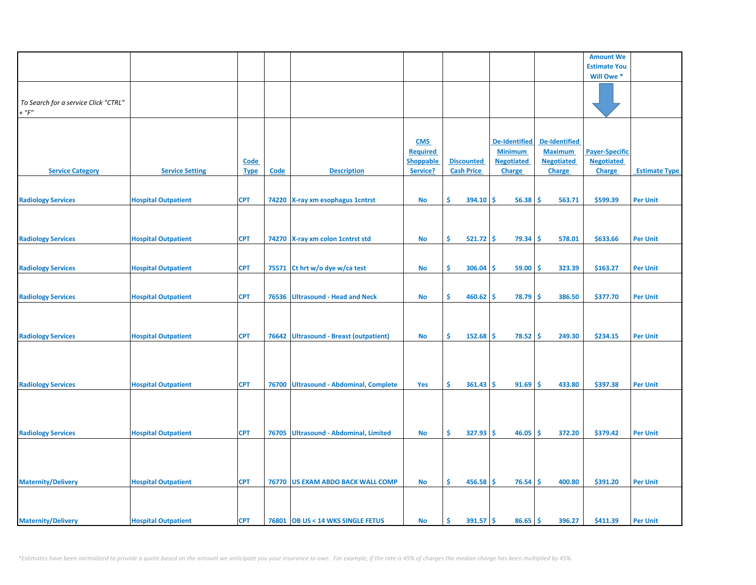|                                      |                            |             |       |                                         |                  |                    |                      |                           | <b>Amount We</b>      |                      |
|--------------------------------------|----------------------------|-------------|-------|-----------------------------------------|------------------|--------------------|----------------------|---------------------------|-----------------------|----------------------|
|                                      |                            |             |       |                                         |                  |                    |                      |                           | <b>Estimate You</b>   |                      |
|                                      |                            |             |       |                                         |                  |                    |                      |                           | Will Owe*             |                      |
|                                      |                            |             |       |                                         |                  |                    |                      |                           |                       |                      |
|                                      |                            |             |       |                                         |                  |                    |                      |                           |                       |                      |
| To Search for a service Click "CTRL" |                            |             |       |                                         |                  |                    |                      |                           |                       |                      |
| $+$ " $F$ "                          |                            |             |       |                                         |                  |                    |                      |                           |                       |                      |
|                                      |                            |             |       |                                         |                  |                    |                      |                           |                       |                      |
|                                      |                            |             |       |                                         |                  |                    |                      |                           |                       |                      |
|                                      |                            |             |       |                                         | <b>CMS</b>       |                    | <b>De-Identified</b> | De-Identified             |                       |                      |
|                                      |                            |             |       |                                         | <b>Required</b>  |                    | <b>Minimum</b>       | <b>Maximum</b>            | <b>Payer-Specific</b> |                      |
|                                      |                            | Code        |       |                                         | <b>Shoppable</b> | <b>Discounted</b>  | <b>Negotiated</b>    | <b>Negotiated</b>         | <b>Negotiated</b>     |                      |
| <b>Service Category</b>              | <b>Service Setting</b>     | <b>Type</b> | Code  | <b>Description</b>                      | Service?         | <b>Cash Price</b>  | Charge               | Charge                    | <b>Charge</b>         | <b>Estimate Type</b> |
|                                      |                            |             |       |                                         |                  |                    |                      |                           |                       |                      |
|                                      |                            |             |       |                                         |                  |                    |                      |                           |                       |                      |
| <b>Radiology Services</b>            | <b>Hospital Outpatient</b> | <b>CPT</b>  |       | 74220 X-ray xm esophagus 1cntrst        | No               | Ŝ.<br>394.10       | Ŝ.<br>$56.38$ \$     | 563.71                    | \$599.39              | <b>Per Unit</b>      |
|                                      |                            |             |       |                                         |                  |                    |                      |                           |                       |                      |
|                                      |                            |             |       |                                         |                  |                    |                      |                           |                       |                      |
|                                      |                            |             |       |                                         |                  |                    |                      |                           |                       |                      |
| <b>Radiology Services</b>            | <b>Hospital Outpatient</b> | <b>CPT</b>  |       | 74270 X-ray xm colon 1 cntrst std       | <b>No</b>        | \$.<br>$521.72$ \$ | 79.34                | <b>S</b><br>578.01        | \$633.66              | <b>Per Unit</b>      |
|                                      |                            |             |       |                                         |                  |                    |                      |                           |                       |                      |
|                                      |                            |             |       |                                         |                  |                    |                      |                           |                       |                      |
| <b>Radiology Services</b>            | <b>Hospital Outpatient</b> | <b>CPT</b>  | 75571 | Ct hrt w/o dye w/ca test                | <b>No</b>        | \$.<br>306.04      | $59.00$ \$<br>\$     | 323.39                    | \$163.27              | <b>Per Unit</b>      |
|                                      |                            |             |       |                                         |                  |                    |                      |                           |                       |                      |
|                                      |                            |             |       |                                         |                  |                    |                      |                           |                       |                      |
| <b>Radiology Services</b>            | <b>Hospital Outpatient</b> | <b>CPT</b>  | 76536 | <b>Ultrasound - Head and Neck</b>       | <b>No</b>        | \$<br>460.62       | $78.79$ \$<br>\$.    | 386.50                    | \$377.70              | <b>Per Unit</b>      |
|                                      |                            |             |       |                                         |                  |                    |                      |                           |                       |                      |
|                                      |                            |             |       |                                         |                  |                    |                      |                           |                       |                      |
|                                      |                            |             |       |                                         |                  |                    |                      |                           |                       |                      |
| <b>Radiology Services</b>            | <b>Hospital Outpatient</b> | <b>CPT</b>  | 76642 | <b>Ultrasound - Breast (outpatient)</b> | No               | Ś.<br>152.68       | \$.<br>78.52         | -Ś<br>249.30              | \$234.15              | <b>Per Unit</b>      |
|                                      |                            |             |       |                                         |                  |                    |                      |                           |                       |                      |
|                                      |                            |             |       |                                         |                  |                    |                      |                           |                       |                      |
|                                      |                            |             |       |                                         |                  |                    |                      |                           |                       |                      |
|                                      |                            |             |       |                                         |                  |                    |                      |                           |                       |                      |
| <b>Radiology Services</b>            | <b>Hospital Outpatient</b> | <b>CPT</b>  | 76700 | <b>Ultrasound - Abdominal, Complete</b> | Yes              | \$.<br>361.43      | 91.69<br>-S          | -Ś<br>433.80              | \$397.38              | <b>Per Unit</b>      |
|                                      |                            |             |       |                                         |                  |                    |                      |                           |                       |                      |
|                                      |                            |             |       |                                         |                  |                    |                      |                           |                       |                      |
|                                      |                            |             |       |                                         |                  |                    |                      |                           |                       |                      |
|                                      |                            |             |       |                                         |                  |                    |                      |                           |                       |                      |
| <b>Radiology Services</b>            | <b>Hospital Outpatient</b> | <b>CPT</b>  | 76705 | Ultrasound - Abdominal, Limited         | No               | \$.<br>$327.93$ \$ | 46.05                | $\ddot{\bm{s}}$<br>372.20 | \$379.42              | <b>Per Unit</b>      |
|                                      |                            |             |       |                                         |                  |                    |                      |                           |                       |                      |
|                                      |                            |             |       |                                         |                  |                    |                      |                           |                       |                      |
|                                      |                            |             |       |                                         |                  |                    |                      |                           |                       |                      |
|                                      |                            |             |       |                                         |                  |                    |                      |                           |                       |                      |
| <b>Maternity/Delivery</b>            | <b>Hospital Outpatient</b> | <b>CPT</b>  | 76770 | <b>US EXAM ABDO BACK WALL COMP</b>      | <b>No</b>        | \$.<br>456.58      | \$<br>76.54          | -\$<br>400.80             | \$391.20              | <b>Per Unit</b>      |
|                                      |                            |             |       |                                         |                  |                    |                      |                           |                       |                      |
|                                      |                            |             |       |                                         |                  |                    |                      |                           |                       |                      |
|                                      |                            |             |       |                                         |                  |                    |                      |                           |                       |                      |
| <b>Maternity/Delivery</b>            | <b>Hospital Outpatient</b> | <b>CPT</b>  |       | 76801 OB US < 14 WKS SINGLE FETUS       | <b>No</b>        | \$<br>$391.57$ \$  | $86.65$ \$           | 396.27                    | \$411.39              | <b>Per Unit</b>      |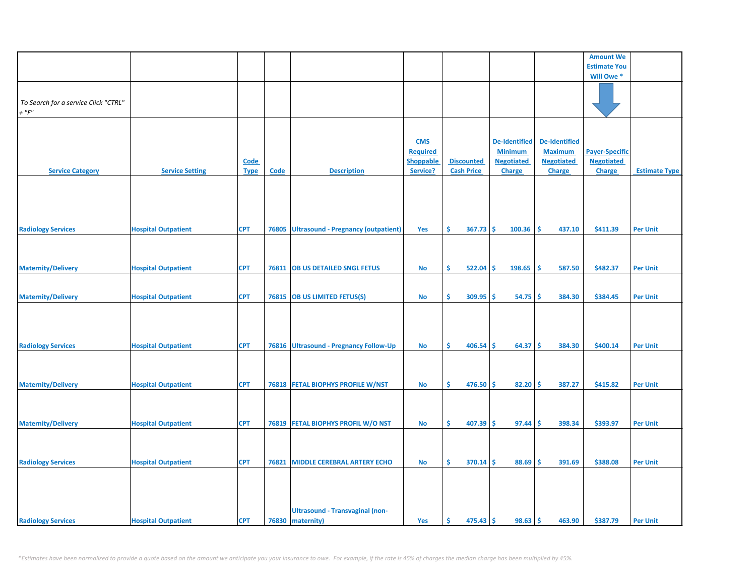|                                                     |                            |                            |       |                                                            |                                                               |                                        |                                                                |                                                                       | <b>Amount We</b>                                            |                      |
|-----------------------------------------------------|----------------------------|----------------------------|-------|------------------------------------------------------------|---------------------------------------------------------------|----------------------------------------|----------------------------------------------------------------|-----------------------------------------------------------------------|-------------------------------------------------------------|----------------------|
|                                                     |                            |                            |       |                                                            |                                                               |                                        |                                                                |                                                                       | <b>Estimate You</b>                                         |                      |
|                                                     |                            |                            |       |                                                            |                                                               |                                        |                                                                |                                                                       | Will Owe *                                                  |                      |
| To Search for a service Click "CTRL"<br>$+$ " $F$ " |                            |                            |       |                                                            |                                                               |                                        |                                                                |                                                                       |                                                             |                      |
| <b>Service Category</b>                             | <b>Service Setting</b>     | <b>Code</b><br><b>Type</b> | Code  | <b>Description</b>                                         | <b>CMS</b><br><b>Required</b><br><b>Shoppable</b><br>Service? | <b>Discounted</b><br><b>Cash Price</b> | De-Identified<br><b>Minimum</b><br><b>Negotiated</b><br>Charge | <b>De-Identified</b><br><b>Maximum</b><br><b>Negotiated</b><br>Charge | <b>Payer-Specific</b><br><b>Negotiated</b><br><b>Charge</b> | <b>Estimate Type</b> |
| <b>Radiology Services</b>                           | <b>Hospital Outpatient</b> | <b>CPT</b>                 | 76805 | <b>Ultrasound - Pregnancy (outpatient)</b>                 | Yes                                                           | \$.<br>367.73                          | \$.<br>100.36                                                  | Ś<br>437.10                                                           | \$411.39                                                    | <b>Per Unit</b>      |
|                                                     |                            |                            |       |                                                            |                                                               |                                        |                                                                |                                                                       |                                                             |                      |
| <b>Maternity/Delivery</b>                           | <b>Hospital Outpatient</b> | <b>CPT</b>                 |       | 76811 OB US DETAILED SNGL FETUS                            | No                                                            | \$.<br>522.04                          | \$.<br>198.65                                                  | Ŝ.<br>587.50                                                          | \$482.37                                                    | <b>Per Unit</b>      |
| <b>Maternity/Delivery</b>                           | <b>Hospital Outpatient</b> | <b>CPT</b>                 | 76815 | <b>OB US LIMITED FETUS(S)</b>                              | No                                                            | \$<br>309.95                           | \$.<br>54.75                                                   | \$.<br>384.30                                                         | \$384.45                                                    | <b>Per Unit</b>      |
| <b>Radiology Services</b>                           | <b>Hospital Outpatient</b> | <b>CPT</b>                 |       | 76816 Ultrasound - Pregnancy Follow-Up                     | No                                                            | \$<br>406.54                           | 64.37<br>\$.                                                   | \$<br>384.30                                                          | \$400.14                                                    | <b>Per Unit</b>      |
| <b>Maternity/Delivery</b>                           | <b>Hospital Outpatient</b> | <b>CPT</b>                 |       | 76818 FETAL BIOPHYS PROFILE W/NST                          | <b>No</b>                                                     | \$<br>$476.50$ \$                      | 82.20                                                          | \$<br>387.27                                                          | \$415.82                                                    | <b>Per Unit</b>      |
| <b>Maternity/Delivery</b>                           | <b>Hospital Outpatient</b> | <b>CPT</b>                 |       | 76819 FETAL BIOPHYS PROFIL W/O NST                         | No                                                            | \$<br>$407.39$ \$                      | 97.44                                                          | 398.34<br>Ŝ.                                                          | \$393.97                                                    | <b>Per Unit</b>      |
| <b>Radiology Services</b>                           | <b>Hospital Outpatient</b> | <b>CPT</b>                 | 76821 | <b>MIDDLE CEREBRAL ARTERY ECHO</b>                         | No                                                            | \$.<br>$370.14$ \$                     | 88.69                                                          | \$<br>391.69                                                          | \$388.08                                                    | <b>Per Unit</b>      |
| <b>Radiology Services</b>                           | <b>Hospital Outpatient</b> | <b>CPT</b>                 |       | <b>Ultrasound - Transvaginal (non-</b><br>76830 maternity) | Yes                                                           | \$.<br>$475.43$ \$                     | 98.63                                                          | \$<br>463.90                                                          | \$387.79                                                    | <b>Per Unit</b>      |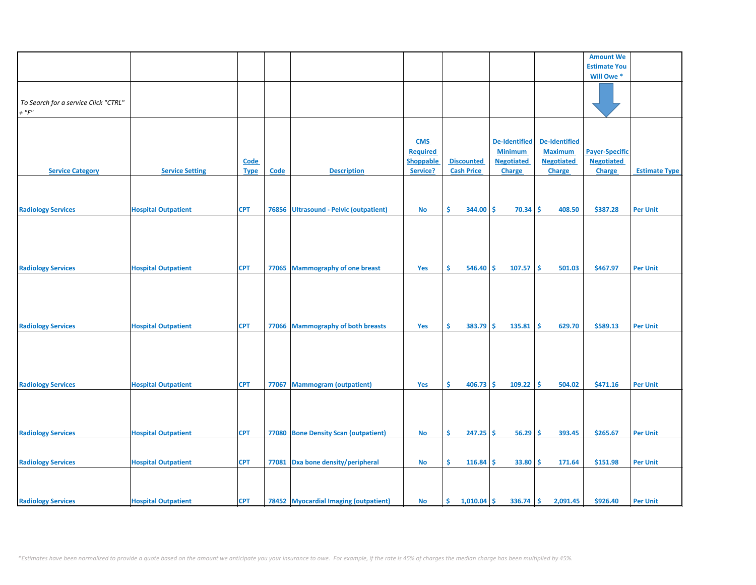|                                      |                            |             |       |                                         |                  |     |                   |    |                      |     |                      | <b>Amount We</b>      |                      |
|--------------------------------------|----------------------------|-------------|-------|-----------------------------------------|------------------|-----|-------------------|----|----------------------|-----|----------------------|-----------------------|----------------------|
|                                      |                            |             |       |                                         |                  |     |                   |    |                      |     |                      | <b>Estimate You</b>   |                      |
|                                      |                            |             |       |                                         |                  |     |                   |    |                      |     |                      | Will Owe <sup>*</sup> |                      |
|                                      |                            |             |       |                                         |                  |     |                   |    |                      |     |                      |                       |                      |
|                                      |                            |             |       |                                         |                  |     |                   |    |                      |     |                      |                       |                      |
| To Search for a service Click "CTRL" |                            |             |       |                                         |                  |     |                   |    |                      |     |                      |                       |                      |
| $+$ " $F$ "                          |                            |             |       |                                         |                  |     |                   |    |                      |     |                      |                       |                      |
|                                      |                            |             |       |                                         |                  |     |                   |    |                      |     |                      |                       |                      |
|                                      |                            |             |       |                                         |                  |     |                   |    |                      |     |                      |                       |                      |
|                                      |                            |             |       |                                         | <b>CMS</b>       |     |                   |    | <b>De-Identified</b> |     | <b>De-Identified</b> |                       |                      |
|                                      |                            |             |       |                                         | <b>Required</b>  |     |                   |    | <b>Minimum</b>       |     | <b>Maximum</b>       | <b>Payer-Specific</b> |                      |
|                                      |                            | <b>Code</b> |       |                                         | <b>Shoppable</b> |     | <b>Discounted</b> |    | <b>Negotiated</b>    |     | <b>Negotiated</b>    | <b>Negotiated</b>     |                      |
| <b>Service Category</b>              | <b>Service Setting</b>     | <b>Type</b> | Code  | <b>Description</b>                      | Service?         |     | <b>Cash Price</b> |    | Charge               |     | Charge               | Charge                | <b>Estimate Type</b> |
|                                      |                            |             |       |                                         |                  |     |                   |    |                      |     |                      |                       |                      |
|                                      |                            |             |       |                                         |                  |     |                   |    |                      |     |                      |                       |                      |
|                                      |                            |             |       |                                         |                  |     |                   |    |                      |     |                      |                       |                      |
| <b>Radiology Services</b>            | <b>Hospital Outpatient</b> | <b>CPT</b>  | 76856 | <b>Ultrasound - Pelvic (outpatient)</b> | No               | \$  | 344.00            | \$ | 70.34                | -\$ | 408.50               | \$387.28              | <b>Per Unit</b>      |
|                                      |                            |             |       |                                         |                  |     |                   |    |                      |     |                      |                       |                      |
|                                      |                            |             |       |                                         |                  |     |                   |    |                      |     |                      |                       |                      |
|                                      |                            |             |       |                                         |                  |     |                   |    |                      |     |                      |                       |                      |
|                                      |                            |             |       |                                         |                  |     |                   |    |                      |     |                      |                       |                      |
|                                      |                            |             |       |                                         |                  |     |                   |    |                      |     |                      |                       |                      |
| <b>Radiology Services</b>            | <b>Hospital Outpatient</b> | <b>CPT</b>  | 77065 | <b>Mammography of one breast</b>        | Yes              | \$  | 546.40 \$         |    | 107.57               | -Ś  | 501.03               | \$467.97              | <b>Per Unit</b>      |
|                                      |                            |             |       |                                         |                  |     |                   |    |                      |     |                      |                       |                      |
|                                      |                            |             |       |                                         |                  |     |                   |    |                      |     |                      |                       |                      |
|                                      |                            |             |       |                                         |                  |     |                   |    |                      |     |                      |                       |                      |
|                                      |                            |             |       |                                         |                  |     |                   |    |                      |     |                      |                       |                      |
|                                      |                            |             |       |                                         |                  |     |                   |    |                      |     |                      |                       |                      |
| <b>Radiology Services</b>            | <b>Hospital Outpatient</b> | <b>CPT</b>  | 77066 | <b>Mammography of both breasts</b>      | Yes              | Ŝ.  | $383.79$ \$       |    | 135.81               | \$  | 629.70               | \$589.13              | <b>Per Unit</b>      |
|                                      |                            |             |       |                                         |                  |     |                   |    |                      |     |                      |                       |                      |
|                                      |                            |             |       |                                         |                  |     |                   |    |                      |     |                      |                       |                      |
|                                      |                            |             |       |                                         |                  |     |                   |    |                      |     |                      |                       |                      |
|                                      |                            |             |       |                                         |                  |     |                   |    |                      |     |                      |                       |                      |
|                                      |                            |             |       |                                         |                  |     |                   |    |                      |     |                      |                       |                      |
| <b>Radiology Services</b>            | <b>Hospital Outpatient</b> | <b>CPT</b>  | 77067 | <b>Mammogram (outpatient)</b>           | Yes              | \$. | 406.73            | Ŝ. | 109.22               | Ŝ.  | 504.02               | \$471.16              | <b>Per Unit</b>      |
|                                      |                            |             |       |                                         |                  |     |                   |    |                      |     |                      |                       |                      |
|                                      |                            |             |       |                                         |                  |     |                   |    |                      |     |                      |                       |                      |
|                                      |                            |             |       |                                         |                  |     |                   |    |                      |     |                      |                       |                      |
|                                      |                            |             |       |                                         |                  |     |                   |    |                      |     |                      |                       |                      |
| <b>Radiology Services</b>            | <b>Hospital Outpatient</b> | <b>CPT</b>  | 77080 | <b>Bone Density Scan (outpatient)</b>   | <b>No</b>        | Ŝ.  | $247.25$ \$       |    | 56.29                | Ŝ.  | 393.45               | \$265.67              | <b>Per Unit</b>      |
|                                      |                            |             |       |                                         |                  |     |                   |    |                      |     |                      |                       |                      |
|                                      |                            |             |       |                                         |                  |     |                   |    |                      |     |                      |                       |                      |
| <b>Radiology Services</b>            | <b>Hospital Outpatient</b> | <b>CPT</b>  | 77081 | Dxa bone density/peripheral             | <b>No</b>        | \$  | 116.84            | \$ | 33.80                | \$. | 171.64               | \$151.98              | <b>Per Unit</b>      |
|                                      |                            |             |       |                                         |                  |     |                   |    |                      |     |                      |                       |                      |
|                                      |                            |             |       |                                         |                  |     |                   |    |                      |     |                      |                       |                      |
|                                      |                            |             |       |                                         |                  |     |                   |    |                      |     |                      |                       |                      |
| <b>Radiology Services</b>            | <b>Hospital Outpatient</b> | <b>CPT</b>  |       | 78452 Myocardial Imaging (outpatient)   | <b>No</b>        | Ŝ.  | 1,010.04          | \$ | 336.74               | \$  | 2,091.45             | \$926.40              | <b>Per Unit</b>      |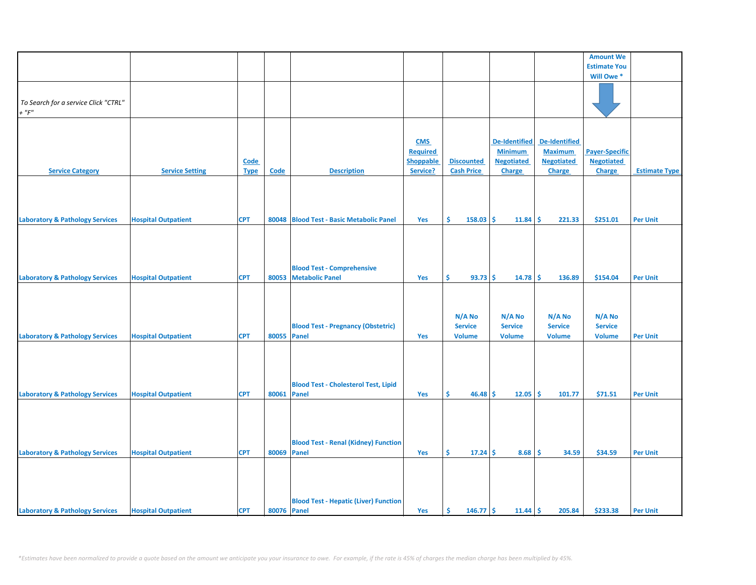|                                            |                            |             |             |                                              |                  |                   |                      |                      | <b>Amount We</b>      |                      |
|--------------------------------------------|----------------------------|-------------|-------------|----------------------------------------------|------------------|-------------------|----------------------|----------------------|-----------------------|----------------------|
|                                            |                            |             |             |                                              |                  |                   |                      |                      | <b>Estimate You</b>   |                      |
|                                            |                            |             |             |                                              |                  |                   |                      |                      | Will Owe*             |                      |
|                                            |                            |             |             |                                              |                  |                   |                      |                      |                       |                      |
|                                            |                            |             |             |                                              |                  |                   |                      |                      |                       |                      |
|                                            |                            |             |             |                                              |                  |                   |                      |                      |                       |                      |
| To Search for a service Click "CTRL"       |                            |             |             |                                              |                  |                   |                      |                      |                       |                      |
| $+$ " $F$ "                                |                            |             |             |                                              |                  |                   |                      |                      |                       |                      |
|                                            |                            |             |             |                                              |                  |                   |                      |                      |                       |                      |
|                                            |                            |             |             |                                              |                  |                   |                      |                      |                       |                      |
|                                            |                            |             |             |                                              | <b>CMS</b>       |                   | <b>De-Identified</b> | <b>De-Identified</b> |                       |                      |
|                                            |                            |             |             |                                              | <b>Required</b>  |                   | <b>Minimum</b>       | <b>Maximum</b>       | <b>Payer-Specific</b> |                      |
|                                            |                            | Code        |             |                                              | <b>Shoppable</b> | <b>Discounted</b> | <b>Negotiated</b>    | <b>Negotiated</b>    | <b>Negotiated</b>     |                      |
|                                            |                            |             | Code        | <b>Description</b>                           | Service?         | <b>Cash Price</b> |                      |                      |                       |                      |
| <b>Service Category</b>                    | <b>Service Setting</b>     | <b>Type</b> |             |                                              |                  |                   | Charge               | <b>Charge</b>        | <b>Charge</b>         | <b>Estimate Type</b> |
|                                            |                            |             |             |                                              |                  |                   |                      |                      |                       |                      |
|                                            |                            |             |             |                                              |                  |                   |                      |                      |                       |                      |
|                                            |                            |             |             |                                              |                  |                   |                      |                      |                       |                      |
|                                            |                            |             |             |                                              |                  |                   |                      |                      |                       |                      |
| <b>Laboratory &amp; Pathology Services</b> | <b>Hospital Outpatient</b> | <b>CPT</b>  | 80048       | <b>Blood Test - Basic Metabolic Panel</b>    | Yes              | \$<br>158.03      | \$<br>11.84          | 221.33<br>\$.        | \$251.01              | <b>Per Unit</b>      |
|                                            |                            |             |             |                                              |                  |                   |                      |                      |                       |                      |
|                                            |                            |             |             |                                              |                  |                   |                      |                      |                       |                      |
|                                            |                            |             |             |                                              |                  |                   |                      |                      |                       |                      |
|                                            |                            |             |             |                                              |                  |                   |                      |                      |                       |                      |
|                                            |                            |             |             |                                              |                  |                   |                      |                      |                       |                      |
|                                            |                            |             |             | <b>Blood Test - Comprehensive</b>            |                  |                   |                      |                      |                       |                      |
| <b>Laboratory &amp; Pathology Services</b> | <b>Hospital Outpatient</b> | <b>CPT</b>  | 80053       | <b>Metabolic Panel</b>                       | Yes              | \$<br>$93.73$ \$  | 14.78                | \$<br>136.89         | \$154.04              | <b>Per Unit</b>      |
|                                            |                            |             |             |                                              |                  |                   |                      |                      |                       |                      |
|                                            |                            |             |             |                                              |                  |                   |                      |                      |                       |                      |
|                                            |                            |             |             |                                              |                  |                   |                      |                      |                       |                      |
|                                            |                            |             |             |                                              |                  |                   |                      |                      |                       |                      |
|                                            |                            |             |             |                                              |                  | N/A No            | N/A No               | N/A No               | N/A No                |                      |
|                                            |                            |             |             | <b>Blood Test - Pregnancy (Obstetric)</b>    |                  | <b>Service</b>    | <b>Service</b>       | <b>Service</b>       | <b>Service</b>        |                      |
| <b>Laboratory &amp; Pathology Services</b> | <b>Hospital Outpatient</b> | <b>CPT</b>  | 80055       | <b>Panel</b>                                 | Yes              | <b>Volume</b>     | <b>Volume</b>        | <b>Volume</b>        | <b>Volume</b>         | <b>Per Unit</b>      |
|                                            |                            |             |             |                                              |                  |                   |                      |                      |                       |                      |
|                                            |                            |             |             |                                              |                  |                   |                      |                      |                       |                      |
|                                            |                            |             |             |                                              |                  |                   |                      |                      |                       |                      |
|                                            |                            |             |             |                                              |                  |                   |                      |                      |                       |                      |
|                                            |                            |             |             |                                              |                  |                   |                      |                      |                       |                      |
|                                            |                            |             |             | <b>Blood Test - Cholesterol Test, Lipid</b>  |                  |                   |                      |                      |                       |                      |
| <b>Laboratory &amp; Pathology Services</b> | <b>Hospital Outpatient</b> | <b>CPT</b>  | 80061       | Panel                                        | Yes              | Ŝ.<br>46.48       | Ŝ.<br>$12.05$ \$     | 101.77               | \$71.51               | <b>Per Unit</b>      |
|                                            |                            |             |             |                                              |                  |                   |                      |                      |                       |                      |
|                                            |                            |             |             |                                              |                  |                   |                      |                      |                       |                      |
|                                            |                            |             |             |                                              |                  |                   |                      |                      |                       |                      |
|                                            |                            |             |             |                                              |                  |                   |                      |                      |                       |                      |
|                                            |                            |             |             |                                              |                  |                   |                      |                      |                       |                      |
|                                            |                            |             |             | <b>Blood Test - Renal (Kidney) Function</b>  |                  |                   |                      |                      |                       |                      |
| <b>Laboratory &amp; Pathology Services</b> | <b>Hospital Outpatient</b> | <b>CPT</b>  | 80069       | Panel                                        | Yes              | \$<br>17.24       | 8.68<br>Ŝ.           | -Ś<br>34.59          | \$34.59               | <b>Per Unit</b>      |
|                                            |                            |             |             |                                              |                  |                   |                      |                      |                       |                      |
|                                            |                            |             |             |                                              |                  |                   |                      |                      |                       |                      |
|                                            |                            |             |             |                                              |                  |                   |                      |                      |                       |                      |
|                                            |                            |             |             |                                              |                  |                   |                      |                      |                       |                      |
|                                            |                            |             |             | <b>Blood Test - Hepatic (Liver) Function</b> |                  |                   |                      |                      |                       |                      |
|                                            |                            |             |             |                                              |                  |                   |                      |                      |                       |                      |
| <b>Laboratory &amp; Pathology Services</b> | <b>Hospital Outpatient</b> | <b>CPT</b>  | 80076 Panel |                                              | Yes              | $146.77$ \$<br>\$ | $11.44$ \$           | 205.84               | \$233.38              | <b>Per Unit</b>      |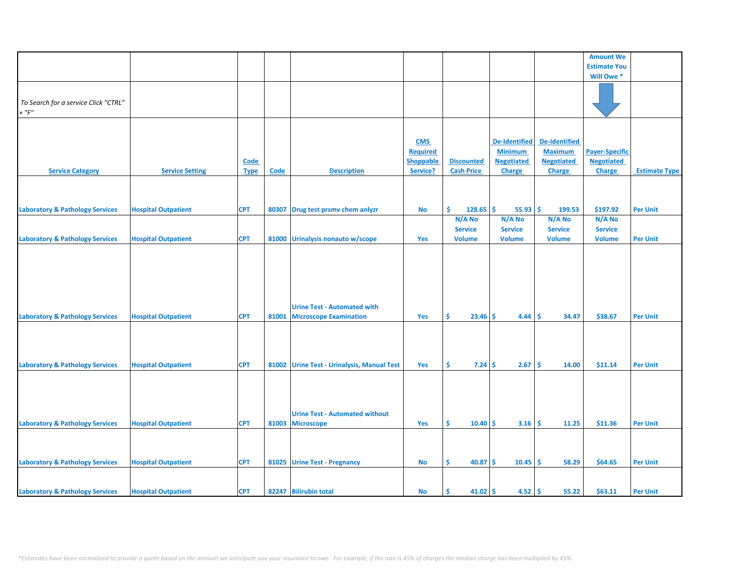|                                            |                            |             |             |                                             |                  |                    |                      |                      | <b>Amount We</b>      |                      |
|--------------------------------------------|----------------------------|-------------|-------------|---------------------------------------------|------------------|--------------------|----------------------|----------------------|-----------------------|----------------------|
|                                            |                            |             |             |                                             |                  |                    |                      |                      | <b>Estimate You</b>   |                      |
|                                            |                            |             |             |                                             |                  |                    |                      |                      | Will Owe*             |                      |
|                                            |                            |             |             |                                             |                  |                    |                      |                      |                       |                      |
|                                            |                            |             |             |                                             |                  |                    |                      |                      |                       |                      |
| To Search for a service Click "CTRL"       |                            |             |             |                                             |                  |                    |                      |                      |                       |                      |
| $+$ " $F$ "                                |                            |             |             |                                             |                  |                    |                      |                      |                       |                      |
|                                            |                            |             |             |                                             |                  |                    |                      |                      |                       |                      |
|                                            |                            |             |             |                                             |                  |                    |                      |                      |                       |                      |
|                                            |                            |             |             |                                             | <b>CMS</b>       |                    | <b>De-Identified</b> | <b>De-Identified</b> |                       |                      |
|                                            |                            |             |             |                                             | <b>Required</b>  |                    | <b>Minimum</b>       | <b>Maximum</b>       | <b>Payer-Specific</b> |                      |
|                                            |                            |             |             |                                             |                  |                    |                      |                      |                       |                      |
|                                            |                            | Code        |             |                                             | <b>Shoppable</b> | <b>Discounted</b>  | <b>Negotiated</b>    | <b>Negotiated</b>    | <b>Negotiated</b>     |                      |
| <b>Service Category</b>                    | <b>Service Setting</b>     | <b>Type</b> | <b>Code</b> | <b>Description</b>                          | Service?         | <b>Cash Price</b>  | Charge               | <b>Charge</b>        | Charge                | <b>Estimate Type</b> |
|                                            |                            |             |             |                                             |                  |                    |                      |                      |                       |                      |
|                                            |                            |             |             |                                             |                  |                    |                      |                      |                       |                      |
|                                            |                            |             |             |                                             |                  |                    |                      |                      |                       |                      |
| <b>Laboratory &amp; Pathology Services</b> | <b>Hospital Outpatient</b> | <b>CPT</b>  | 80307       | Drug test prsmv chem anlyzr                 | No               | Ś.<br>$128.65$ \$  | $55.93$ \$           | 199.53               | \$197.92              | <b>Per Unit</b>      |
|                                            |                            |             |             |                                             |                  | N/A No             | N/A No               | N/A No               | N/A No                |                      |
|                                            |                            |             |             |                                             |                  | <b>Service</b>     | <b>Service</b>       | <b>Service</b>       | <b>Service</b>        |                      |
| <b>Laboratory &amp; Pathology Services</b> | <b>Hospital Outpatient</b> | <b>CPT</b>  | 81000       | Urinalysis nonauto w/scope                  | Yes              | <b>Volume</b>      | <b>Volume</b>        | <b>Volume</b>        | <b>Volume</b>         | <b>Per Unit</b>      |
|                                            |                            |             |             |                                             |                  |                    |                      |                      |                       |                      |
|                                            |                            |             |             |                                             |                  |                    |                      |                      |                       |                      |
|                                            |                            |             |             |                                             |                  |                    |                      |                      |                       |                      |
|                                            |                            |             |             |                                             |                  |                    |                      |                      |                       |                      |
|                                            |                            |             |             |                                             |                  |                    |                      |                      |                       |                      |
|                                            |                            |             |             |                                             |                  |                    |                      |                      |                       |                      |
|                                            |                            |             |             |                                             |                  |                    |                      |                      |                       |                      |
|                                            |                            |             |             | <b>Urine Test - Automated with</b>          |                  |                    |                      |                      |                       |                      |
| <b>Laboratory &amp; Pathology Services</b> | <b>Hospital Outpatient</b> | <b>CPT</b>  | 81001       | <b>Microscope Examination</b>               | Yes              | \$<br>$23.46$ \$   | 4.44                 | 34.47<br>-\$         | \$38.67               | <b>Per Unit</b>      |
|                                            |                            |             |             |                                             |                  |                    |                      |                      |                       |                      |
|                                            |                            |             |             |                                             |                  |                    |                      |                      |                       |                      |
|                                            |                            |             |             |                                             |                  |                    |                      |                      |                       |                      |
|                                            |                            |             |             |                                             |                  |                    |                      |                      |                       |                      |
| <b>Laboratory &amp; Pathology Services</b> | <b>Hospital Outpatient</b> | <b>CPT</b>  | 81002       | <b>Urine Test - Urinalysis, Manual Test</b> | Yes              | \$<br>$7.24 \,$ \$ | $2.67$ \$            | 14.00                | \$11.14               | <b>Per Unit</b>      |
|                                            |                            |             |             |                                             |                  |                    |                      |                      |                       |                      |
|                                            |                            |             |             |                                             |                  |                    |                      |                      |                       |                      |
|                                            |                            |             |             |                                             |                  |                    |                      |                      |                       |                      |
|                                            |                            |             |             |                                             |                  |                    |                      |                      |                       |                      |
|                                            |                            |             |             |                                             |                  |                    |                      |                      |                       |                      |
|                                            |                            |             |             | <b>Urine Test - Automated without</b>       |                  |                    |                      |                      |                       |                      |
| <b>Laboratory &amp; Pathology Services</b> | <b>Hospital Outpatient</b> | <b>CPT</b>  | 81003       | <b>Microscope</b>                           | Yes              | \$<br>10.40        | \$.<br>$3.16$   \$   | 11.25                | \$11.36               | <b>Per Unit</b>      |
|                                            |                            |             |             |                                             |                  |                    |                      |                      |                       |                      |
|                                            |                            |             |             |                                             |                  |                    |                      |                      |                       |                      |
|                                            |                            |             |             |                                             |                  |                    |                      |                      |                       |                      |
| <b>Laboratory &amp; Pathology Services</b> | <b>Hospital Outpatient</b> | <b>CPT</b>  | 81025       | <b>Urine Test - Pregnancy</b>               | <b>No</b>        | 40.87<br>\$.       | Ś.<br>10.45          | -Ś<br>58.29          | \$64.65               | <b>Per Unit</b>      |
|                                            |                            |             |             |                                             |                  |                    |                      |                      |                       |                      |
|                                            |                            |             |             |                                             |                  |                    |                      |                      |                       |                      |
|                                            |                            |             |             |                                             |                  |                    |                      |                      |                       |                      |
| <b>Laboratory &amp; Pathology Services</b> | <b>Hospital Outpatient</b> | <b>CPT</b>  |             | 82247 Bilirubin total                       | <b>No</b>        | Ŝ.<br>41.02        | $4.52$ \$<br>\$      | 55.22                | \$63.11               | <b>Per Unit</b>      |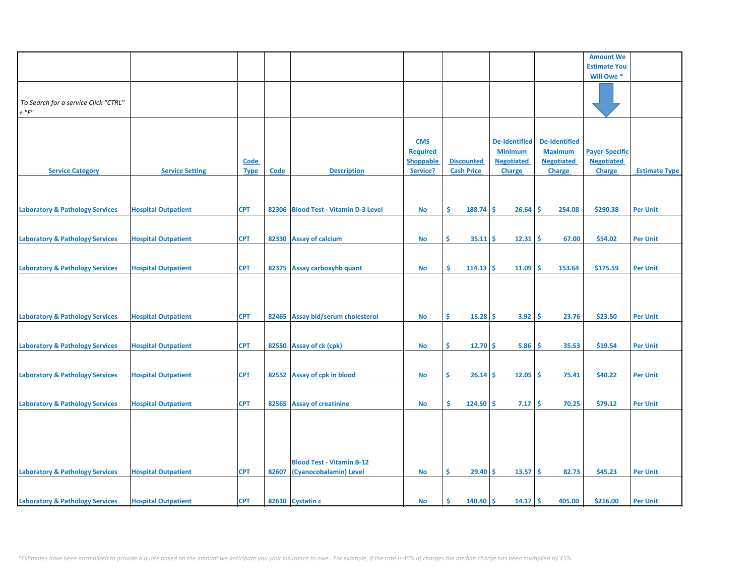|                                                     |                            |             |             |                                      |                  |                           |                      |                      | <b>Amount We</b>      |                      |
|-----------------------------------------------------|----------------------------|-------------|-------------|--------------------------------------|------------------|---------------------------|----------------------|----------------------|-----------------------|----------------------|
|                                                     |                            |             |             |                                      |                  |                           |                      |                      | <b>Estimate You</b>   |                      |
|                                                     |                            |             |             |                                      |                  |                           |                      |                      | Will Owe*             |                      |
| To Search for a service Click "CTRL"<br>$+$ " $F$ " |                            |             |             |                                      |                  |                           |                      |                      |                       |                      |
|                                                     |                            |             |             |                                      |                  |                           |                      |                      |                       |                      |
|                                                     |                            |             |             |                                      |                  |                           |                      |                      |                       |                      |
|                                                     |                            |             |             |                                      | <b>CMS</b>       |                           | <b>De-Identified</b> | <b>De-Identified</b> |                       |                      |
|                                                     |                            |             |             |                                      | <b>Required</b>  |                           | <b>Minimum</b>       | <b>Maximum</b>       | <b>Payer-Specific</b> |                      |
|                                                     |                            | <b>Code</b> |             |                                      | <b>Shoppable</b> | <b>Discounted</b>         | <b>Negotiated</b>    | <b>Negotiated</b>    | <b>Negotiated</b>     |                      |
| <b>Service Category</b>                             | <b>Service Setting</b>     | <b>Type</b> | <b>Code</b> | <b>Description</b>                   | Service?         | <b>Cash Price</b>         | <b>Charge</b>        | Charge               | Charge                | <b>Estimate Type</b> |
|                                                     |                            |             |             |                                      |                  |                           |                      |                      |                       |                      |
| <b>Laboratory &amp; Pathology Services</b>          | <b>Hospital Outpatient</b> | <b>CPT</b>  |             | 82306 Blood Test - Vitamin D-3 Level | No               | \$<br>$188.74$ \$         | $26.64 \,$ \$        | 254.08               | \$290.38              | <b>Per Unit</b>      |
|                                                     |                            |             |             |                                      |                  |                           |                      |                      |                       |                      |
|                                                     |                            |             |             |                                      |                  |                           |                      |                      |                       |                      |
| <b>Laboratory &amp; Pathology Services</b>          | <b>Hospital Outpatient</b> | <b>CPT</b>  |             | 82330 Assay of calcium               | No               | \$<br>$35.11 \, \text{S}$ | $12.31 \, \text{S}$  | 67.00                | \$54.02               | <b>Per Unit</b>      |
|                                                     |                            |             |             |                                      |                  |                           |                      |                      |                       |                      |
|                                                     |                            |             |             |                                      |                  |                           |                      |                      |                       |                      |
| <b>Laboratory &amp; Pathology Services</b>          | <b>Hospital Outpatient</b> | <b>CPT</b>  |             | 82375 Assay carboxyhb quant          | No               | \$<br>$114.13$ \$         | 11.09                | ۱Ś<br>153.64         | \$175.59              | <b>Per Unit</b>      |
|                                                     |                            |             |             |                                      |                  |                           |                      |                      |                       |                      |
| <b>Laboratory &amp; Pathology Services</b>          | <b>Hospital Outpatient</b> | <b>CPT</b>  |             | 82465 Assay bld/serum cholesterol    | No               | \$.<br>$15.28$ \$         | $3.92 \mid 5$        | 23.76                | \$23.50               | <b>Per Unit</b>      |
|                                                     |                            |             |             |                                      |                  |                           |                      |                      |                       |                      |
| <b>Laboratory &amp; Pathology Services</b>          | <b>Hospital Outpatient</b> | <b>CPT</b>  |             | 82550 Assay of ck (cpk)              | No               | \$<br>$12.70$ \$          | 5.86                 | -\$<br>35.53         | \$19.54               | <b>Per Unit</b>      |
|                                                     |                            |             |             |                                      |                  |                           |                      |                      |                       |                      |
| <b>Laboratory &amp; Pathology Services</b>          | <b>Hospital Outpatient</b> | <b>CPT</b>  |             | 82552 Assay of cpk in blood          | No               | \$.<br>$26.14$ \$         | $12.05$   \$         | 75.41                | \$40.22               | <b>Per Unit</b>      |
|                                                     |                            |             |             |                                      |                  |                           |                      |                      |                       |                      |
|                                                     |                            |             |             |                                      |                  |                           |                      |                      |                       |                      |
|                                                     |                            |             |             |                                      |                  |                           |                      |                      |                       |                      |
| <b>Laboratory &amp; Pathology Services</b>          | <b>Hospital Outpatient</b> | <b>CPT</b>  |             | 82565 Assay of creatinine            | No               | Ŝ.<br>$124.50$ \$         | $7.17 \pm 5$         | 70.25                | \$79.12               | <b>Per Unit</b>      |
|                                                     |                            |             |             | <b>Blood Test - Vitamin B-12</b>     |                  |                           |                      |                      |                       |                      |
| <b>Laboratory &amp; Pathology Services</b>          | <b>Hospital Outpatient</b> | <b>CPT</b>  | 82607       | (Cyanocobalamin) Level               | No               | \$<br>$29.40$ \$          | $13.57 \, \text{S}$  | 82.73                | \$45.23               | <b>Per Unit</b>      |
|                                                     |                            |             |             |                                      |                  |                           |                      |                      |                       |                      |
| <b>Laboratory &amp; Pathology Services</b>          | <b>Hospital Outpatient</b> | <b>CPT</b>  |             | 82610 Cystatin c                     | No               | $140.40$ \$<br>Ŝ          | 14.17                | 405.00<br>١ś         | \$216.00              | <b>Per Unit</b>      |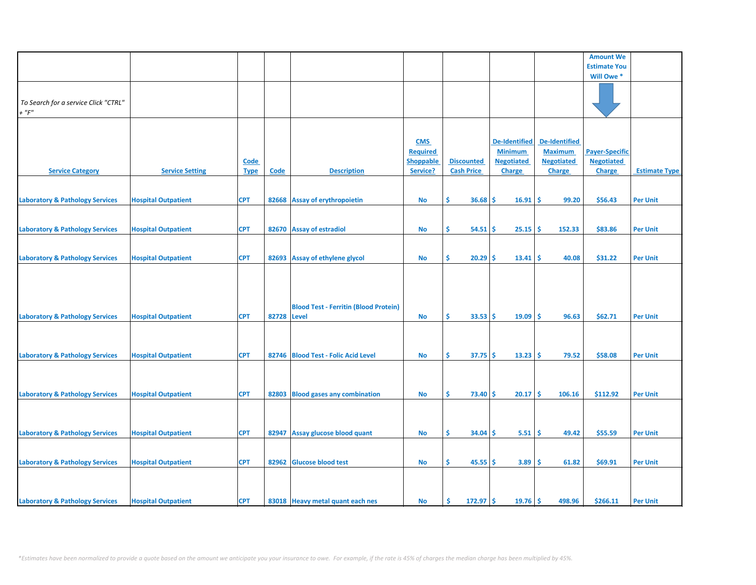|                                                     |                            |                     |             |                                              |                                                               |                                        |                                                                              |                                                                              | <b>Amount We</b>                                     |                      |
|-----------------------------------------------------|----------------------------|---------------------|-------------|----------------------------------------------|---------------------------------------------------------------|----------------------------------------|------------------------------------------------------------------------------|------------------------------------------------------------------------------|------------------------------------------------------|----------------------|
|                                                     |                            |                     |             |                                              |                                                               |                                        |                                                                              |                                                                              | <b>Estimate You</b>                                  |                      |
|                                                     |                            |                     |             |                                              |                                                               |                                        |                                                                              |                                                                              | Will Owe*                                            |                      |
| To Search for a service Click "CTRL"<br>$+$ " $F$ " |                            |                     |             |                                              |                                                               |                                        |                                                                              |                                                                              |                                                      |                      |
|                                                     |                            |                     |             |                                              |                                                               |                                        |                                                                              |                                                                              |                                                      |                      |
| <b>Service Category</b>                             | <b>Service Setting</b>     | Code<br><b>Type</b> | <b>Code</b> | <b>Description</b>                           | <b>CMS</b><br><b>Required</b><br><b>Shoppable</b><br>Service? | <b>Discounted</b><br><b>Cash Price</b> | <b>De-Identified</b><br><b>Minimum</b><br><b>Negotiated</b><br><b>Charge</b> | <b>De-Identified</b><br><b>Maximum</b><br><b>Negotiated</b><br><b>Charge</b> | <b>Payer-Specific</b><br><b>Negotiated</b><br>Charge | <b>Estimate Type</b> |
|                                                     |                            |                     |             |                                              |                                                               |                                        |                                                                              |                                                                              |                                                      |                      |
| <b>Laboratory &amp; Pathology Services</b>          | <b>Hospital Outpatient</b> | <b>CPT</b>          |             | 82668 Assay of erythropoietin                | <b>No</b>                                                     | \$<br>$36.68$ \$                       | 16.91                                                                        | <b>S</b><br>99.20                                                            | \$56.43                                              | <b>Per Unit</b>      |
| <b>Laboratory &amp; Pathology Services</b>          | <b>Hospital Outpatient</b> | <b>CPT</b>          |             | 82670 Assay of estradiol                     | No                                                            | \$<br>$54.51$ \$                       | 25.15                                                                        | 152.33<br>-\$                                                                | \$83.86                                              | <b>Per Unit</b>      |
|                                                     |                            |                     |             |                                              |                                                               |                                        |                                                                              |                                                                              |                                                      |                      |
| <b>Laboratory &amp; Pathology Services</b>          | <b>Hospital Outpatient</b> | <b>CPT</b>          |             | 82693 Assay of ethylene glycol               | No                                                            | \$<br>$20.29$ \$                       | $13.41 \,$ \$                                                                | 40.08                                                                        | \$31.22                                              | <b>Per Unit</b>      |
| <b>Laboratory &amp; Pathology Services</b>          | <b>Hospital Outpatient</b> | <b>CPT</b>          | 82728 Level | <b>Blood Test - Ferritin (Blood Protein)</b> | No                                                            | \$<br>$33.53$ \$                       | $19.09$ \$                                                                   | 96.63                                                                        | \$62.71                                              | <b>Per Unit</b>      |
|                                                     |                            |                     |             |                                              |                                                               |                                        |                                                                              |                                                                              |                                                      |                      |
| <b>Laboratory &amp; Pathology Services</b>          | <b>Hospital Outpatient</b> | <b>CPT</b>          |             | 82746 Blood Test - Folic Acid Level          | <b>No</b>                                                     | \$<br>$37.75$ \$                       | $13.23$ \$                                                                   | 79.52                                                                        | \$58.08                                              | <b>Per Unit</b>      |
|                                                     |                            |                     |             |                                              |                                                               |                                        |                                                                              |                                                                              |                                                      |                      |
| <b>Laboratory &amp; Pathology Services</b>          | <b>Hospital Outpatient</b> | <b>CPT</b>          |             | 82803 Blood gases any combination            | No                                                            | \$<br>$73.40 \,$ \$                    | $20.17$ \$                                                                   | 106.16                                                                       | \$112.92                                             | <b>Per Unit</b>      |
| <b>Laboratory &amp; Pathology Services</b>          | <b>Hospital Outpatient</b> | <b>CPT</b>          |             | 82947 Assay glucose blood quant              | No                                                            | \$<br>$34.04 \,$ \$                    | $5.51 \, \text{S}$                                                           | 49.42                                                                        | \$55.59                                              | <b>Per Unit</b>      |
| <b>Laboratory &amp; Pathology Services</b>          | <b>Hospital Outpatient</b> | <b>CPT</b>          | 82962       | <b>Glucose blood test</b>                    | <b>No</b>                                                     | \$<br>$45.55$ \$                       | 3.89                                                                         | 61.82<br>l \$                                                                | \$69.91                                              | <b>Per Unit</b>      |
|                                                     |                            |                     |             |                                              |                                                               |                                        |                                                                              |                                                                              |                                                      |                      |
| <b>Laboratory &amp; Pathology Services</b>          | <b>Hospital Outpatient</b> | <b>CPT</b>          |             | 83018 Heavy metal quant each nes             | No                                                            | Ŝ<br>$172.97$ \$                       | $19.76$ \$                                                                   | 498.96                                                                       | \$266.11                                             | <b>Per Unit</b>      |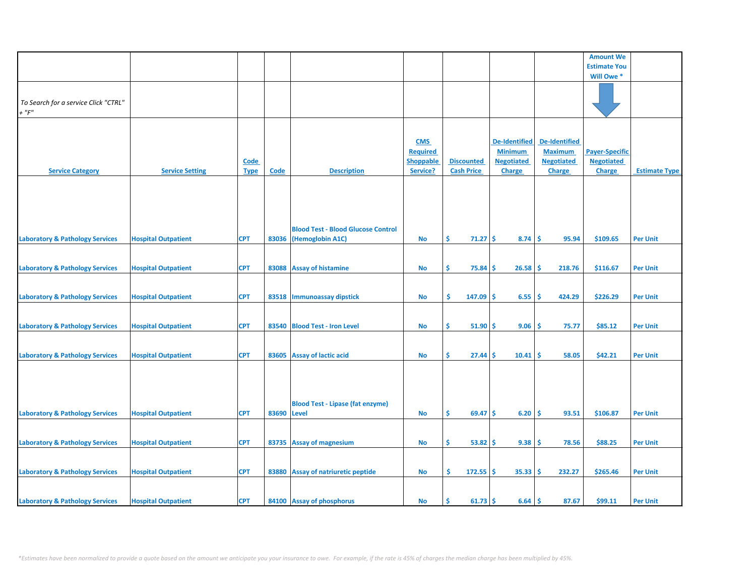|                                            |                            |             |             |                                           |                  |                     |                      |                      | <b>Amount We</b>      |                      |
|--------------------------------------------|----------------------------|-------------|-------------|-------------------------------------------|------------------|---------------------|----------------------|----------------------|-----------------------|----------------------|
|                                            |                            |             |             |                                           |                  |                     |                      |                      | <b>Estimate You</b>   |                      |
|                                            |                            |             |             |                                           |                  |                     |                      |                      | Will Owe*             |                      |
|                                            |                            |             |             |                                           |                  |                     |                      |                      |                       |                      |
|                                            |                            |             |             |                                           |                  |                     |                      |                      |                       |                      |
|                                            |                            |             |             |                                           |                  |                     |                      |                      |                       |                      |
| To Search for a service Click "CTRL"       |                            |             |             |                                           |                  |                     |                      |                      |                       |                      |
| $+$ " $F$ "                                |                            |             |             |                                           |                  |                     |                      |                      |                       |                      |
|                                            |                            |             |             |                                           |                  |                     |                      |                      |                       |                      |
|                                            |                            |             |             |                                           |                  |                     |                      |                      |                       |                      |
|                                            |                            |             |             |                                           |                  |                     |                      |                      |                       |                      |
|                                            |                            |             |             |                                           | <b>CMS</b>       |                     | <b>De-Identified</b> | <b>De-Identified</b> |                       |                      |
|                                            |                            |             |             |                                           | <b>Required</b>  |                     | <b>Minimum</b>       | <b>Maximum</b>       | <b>Payer-Specific</b> |                      |
|                                            |                            |             |             |                                           |                  |                     |                      |                      |                       |                      |
|                                            |                            | <b>Code</b> |             |                                           | <b>Shoppable</b> | <b>Discounted</b>   | <b>Negotiated</b>    | <b>Negotiated</b>    | <b>Negotiated</b>     |                      |
| <b>Service Category</b>                    | <b>Service Setting</b>     | <b>Type</b> | <b>Code</b> | <b>Description</b>                        | Service?         | <b>Cash Price</b>   | <b>Charge</b>        | <b>Charge</b>        | Charge                | <b>Estimate Type</b> |
|                                            |                            |             |             |                                           |                  |                     |                      |                      |                       |                      |
|                                            |                            |             |             |                                           |                  |                     |                      |                      |                       |                      |
|                                            |                            |             |             |                                           |                  |                     |                      |                      |                       |                      |
|                                            |                            |             |             |                                           |                  |                     |                      |                      |                       |                      |
|                                            |                            |             |             |                                           |                  |                     |                      |                      |                       |                      |
|                                            |                            |             |             |                                           |                  |                     |                      |                      |                       |                      |
|                                            |                            |             |             |                                           |                  |                     |                      |                      |                       |                      |
|                                            |                            |             |             | <b>Blood Test - Blood Glucose Control</b> |                  |                     |                      |                      |                       |                      |
| <b>Laboratory &amp; Pathology Services</b> | <b>Hospital Outpatient</b> | <b>CPT</b>  | 83036       | (Hemoglobin A1C)                          | <b>No</b>        | \$<br>$71.27$ \$    | 8.74                 | Ŝ.<br>95.94          | \$109.65              | <b>Per Unit</b>      |
|                                            |                            |             |             |                                           |                  |                     |                      |                      |                       |                      |
|                                            |                            |             |             |                                           |                  |                     |                      |                      |                       |                      |
|                                            |                            |             |             |                                           |                  |                     |                      |                      |                       |                      |
| <b>Laboratory &amp; Pathology Services</b> | <b>Hospital Outpatient</b> | <b>CPT</b>  |             | 83088 Assay of histamine                  | No               | \$<br>75.84         | Ŝ.<br>26.58          | Ŝ.<br>218.76         | \$116.67              | <b>Per Unit</b>      |
|                                            |                            |             |             |                                           |                  |                     |                      |                      |                       |                      |
|                                            |                            |             |             |                                           |                  |                     |                      |                      |                       |                      |
|                                            |                            |             |             |                                           |                  |                     |                      |                      |                       |                      |
| <b>Laboratory &amp; Pathology Services</b> | <b>Hospital Outpatient</b> | <b>CPT</b>  | 83518       | Immunoassay dipstick                      | <b>No</b>        | Ŝ.<br>147.09        | Ŝ.<br>6.55           | 424.29<br>Ŝ.         | \$226.29              | <b>Per Unit</b>      |
|                                            |                            |             |             |                                           |                  |                     |                      |                      |                       |                      |
|                                            |                            |             |             |                                           |                  |                     |                      |                      |                       |                      |
|                                            |                            |             |             |                                           |                  |                     |                      |                      |                       |                      |
| <b>Laboratory &amp; Pathology Services</b> | <b>Hospital Outpatient</b> | <b>CPT</b>  | 83540       | <b>Blood Test - Iron Level</b>            | <b>No</b>        | \$<br>51.90         | Ŝ.<br>9.06           | 75.77<br>s.          | \$85.12               | <b>Per Unit</b>      |
|                                            |                            |             |             |                                           |                  |                     |                      |                      |                       |                      |
|                                            |                            |             |             |                                           |                  |                     |                      |                      |                       |                      |
|                                            |                            |             |             |                                           |                  | \$                  | \$                   | Ŝ.                   |                       |                      |
| <b>Laboratory &amp; Pathology Services</b> | <b>Hospital Outpatient</b> | <b>CPT</b>  | 83605       | <b>Assay of lactic acid</b>               | <b>No</b>        | 27.44               | 10.41                | 58.05                | \$42.21               | <b>Per Unit</b>      |
|                                            |                            |             |             |                                           |                  |                     |                      |                      |                       |                      |
|                                            |                            |             |             |                                           |                  |                     |                      |                      |                       |                      |
|                                            |                            |             |             |                                           |                  |                     |                      |                      |                       |                      |
|                                            |                            |             |             |                                           |                  |                     |                      |                      |                       |                      |
|                                            |                            |             |             |                                           |                  |                     |                      |                      |                       |                      |
|                                            |                            |             |             | <b>Blood Test - Lipase (fat enzyme)</b>   |                  |                     |                      |                      |                       |                      |
| <b>Laboratory &amp; Pathology Services</b> | <b>Hospital Outpatient</b> | <b>CPT</b>  | 83690       | Level                                     | <b>No</b>        | Ŝ.<br>$69.47$ \$    | 6.20                 | Ŝ.<br>93.51          | \$106.87              | <b>Per Unit</b>      |
|                                            |                            |             |             |                                           |                  |                     |                      |                      |                       |                      |
|                                            |                            |             |             |                                           |                  |                     |                      |                      |                       |                      |
|                                            |                            |             |             |                                           |                  |                     |                      |                      |                       |                      |
| <b>Laboratory &amp; Pathology Services</b> | <b>Hospital Outpatient</b> | <b>CPT</b>  | 83735       | <b>Assay of magnesium</b>                 | <b>No</b>        | \$<br>$53.82 \,$ \$ | 9.38                 | Ŝ.<br>78.56          | \$88.25               | <b>Per Unit</b>      |
|                                            |                            |             |             |                                           |                  |                     |                      |                      |                       |                      |
|                                            |                            |             |             |                                           |                  |                     |                      |                      |                       |                      |
|                                            |                            |             |             |                                           |                  |                     |                      |                      |                       |                      |
| <b>Laboratory &amp; Pathology Services</b> | <b>Hospital Outpatient</b> | <b>CPT</b>  | 83880       | Assay of natriuretic peptide              | No               | \$.<br>$172.55$ \$  | 35.33                | Ŝ.<br>232.27         | \$265.46              | <b>Per Unit</b>      |
|                                            |                            |             |             |                                           |                  |                     |                      |                      |                       |                      |
|                                            |                            |             |             |                                           |                  |                     |                      |                      |                       |                      |
|                                            |                            |             |             |                                           |                  |                     |                      |                      |                       |                      |
| <b>Laboratory &amp; Pathology Services</b> | <b>Hospital Outpatient</b> | <b>CPT</b>  |             | 84100 Assay of phosphorus                 | No               | Ś<br>$61.73$ \$     | $6.64$ \$            | 87.67                | \$99.11               | <b>Per Unit</b>      |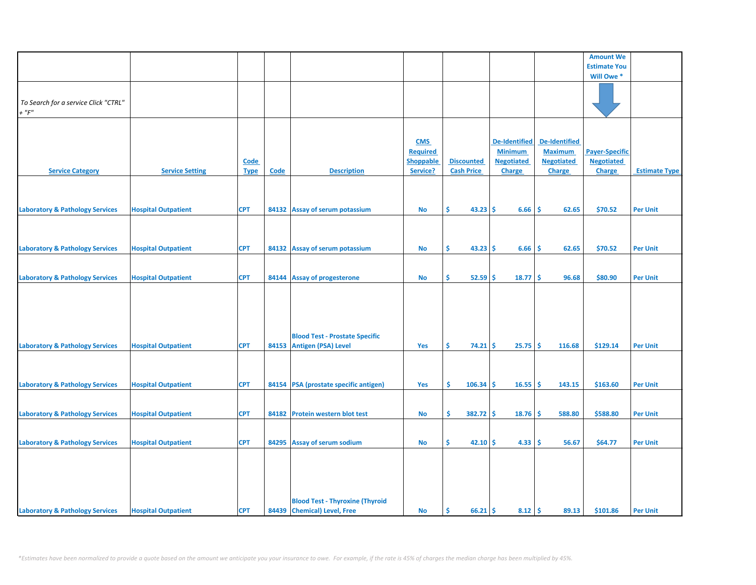|                                            |                            |             |             |                                        |                  |                   |                      |                    | <b>Amount We</b>      |                      |
|--------------------------------------------|----------------------------|-------------|-------------|----------------------------------------|------------------|-------------------|----------------------|--------------------|-----------------------|----------------------|
|                                            |                            |             |             |                                        |                  |                   |                      |                    | <b>Estimate You</b>   |                      |
|                                            |                            |             |             |                                        |                  |                   |                      |                    | Will Owe*             |                      |
|                                            |                            |             |             |                                        |                  |                   |                      |                    |                       |                      |
|                                            |                            |             |             |                                        |                  |                   |                      |                    |                       |                      |
| To Search for a service Click "CTRL"       |                            |             |             |                                        |                  |                   |                      |                    |                       |                      |
| $+$ " $F$ "                                |                            |             |             |                                        |                  |                   |                      |                    |                       |                      |
|                                            |                            |             |             |                                        |                  |                   |                      |                    |                       |                      |
|                                            |                            |             |             |                                        |                  |                   |                      |                    |                       |                      |
|                                            |                            |             |             |                                        | <b>CMS</b>       |                   | <b>De-Identified</b> | De-Identified      |                       |                      |
|                                            |                            |             |             |                                        | <b>Required</b>  |                   | <b>Minimum</b>       | <b>Maximum</b>     | <b>Payer-Specific</b> |                      |
|                                            |                            | <b>Code</b> |             |                                        | <b>Shoppable</b> | <b>Discounted</b> | <b>Negotiated</b>    | <b>Negotiated</b>  | <b>Negotiated</b>     |                      |
| <b>Service Category</b>                    | <b>Service Setting</b>     | <b>Type</b> | <b>Code</b> | <b>Description</b>                     | Service?         | <b>Cash Price</b> | Charge               | Charge             | <b>Charge</b>         | <b>Estimate Type</b> |
|                                            |                            |             |             |                                        |                  |                   |                      |                    |                       |                      |
|                                            |                            |             |             |                                        |                  |                   |                      |                    |                       |                      |
|                                            |                            |             |             |                                        |                  |                   |                      |                    |                       |                      |
| <b>Laboratory &amp; Pathology Services</b> | <b>Hospital Outpatient</b> | <b>CPT</b>  |             | 84132 Assay of serum potassium         | <b>No</b>        | \$<br>$43.23$ \$  | 6.66                 | -Ś<br>62.65        | \$70.52               | <b>Per Unit</b>      |
|                                            |                            |             |             |                                        |                  |                   |                      |                    |                       |                      |
|                                            |                            |             |             |                                        |                  |                   |                      |                    |                       |                      |
|                                            |                            |             |             |                                        |                  |                   |                      |                    |                       |                      |
| <b>Laboratory &amp; Pathology Services</b> | <b>Hospital Outpatient</b> | <b>CPT</b>  |             | 84132 Assay of serum potassium         | No               | \$<br>$43.23$ \$  | 6.66                 | -\$<br>62.65       | \$70.52               | <b>Per Unit</b>      |
|                                            |                            |             |             |                                        |                  |                   |                      |                    |                       |                      |
|                                            |                            |             |             |                                        |                  |                   |                      |                    |                       |                      |
| <b>Laboratory &amp; Pathology Services</b> | <b>Hospital Outpatient</b> | <b>CPT</b>  |             | 84144 Assay of progesterone            | <b>No</b>        | \$<br>$52.59$ \$  | 18.77                | -\$<br>96.68       | \$80.90               | <b>Per Unit</b>      |
|                                            |                            |             |             |                                        |                  |                   |                      |                    |                       |                      |
|                                            |                            |             |             |                                        |                  |                   |                      |                    |                       |                      |
|                                            |                            |             |             |                                        |                  |                   |                      |                    |                       |                      |
|                                            |                            |             |             |                                        |                  |                   |                      |                    |                       |                      |
|                                            |                            |             |             |                                        |                  |                   |                      |                    |                       |                      |
|                                            |                            |             |             |                                        |                  |                   |                      |                    |                       |                      |
|                                            |                            |             |             | <b>Blood Test - Prostate Specific</b>  |                  |                   |                      |                    |                       |                      |
| <b>Laboratory &amp; Pathology Services</b> | <b>Hospital Outpatient</b> | <b>CPT</b>  |             | 84153 Antigen (PSA) Level              | Yes              | Ŝ.<br>$74.21$ \$  | 25.75                | <b>S</b><br>116.68 | \$129.14              | <b>Per Unit</b>      |
|                                            |                            |             |             |                                        |                  |                   |                      |                    |                       |                      |
|                                            |                            |             |             |                                        |                  |                   |                      |                    |                       |                      |
|                                            |                            |             |             |                                        |                  |                   |                      |                    |                       |                      |
| <b>Laboratory &amp; Pathology Services</b> | <b>Hospital Outpatient</b> | <b>CPT</b>  |             | 84154 PSA (prostate specific antigen)  | Yes              | \$<br>106.34      | -\$<br>16.55         | -\$<br>143.15      | \$163.60              | <b>Per Unit</b>      |
|                                            |                            |             |             |                                        |                  |                   |                      |                    |                       |                      |
|                                            |                            |             |             |                                        |                  |                   |                      |                    |                       |                      |
| <b>Laboratory &amp; Pathology Services</b> | <b>Hospital Outpatient</b> | <b>CPT</b>  |             | 84182 Protein western blot test        | <b>No</b>        | \$<br>$382.72$ \$ | 18.76                | <b>S</b><br>588.80 | \$588.80              | <b>Per Unit</b>      |
|                                            |                            |             |             |                                        |                  |                   |                      |                    |                       |                      |
|                                            |                            |             |             |                                        |                  |                   |                      |                    |                       |                      |
| <b>Laboratory &amp; Pathology Services</b> | <b>Hospital Outpatient</b> | <b>CPT</b>  | 84295       | <b>Assay of serum sodium</b>           | <b>No</b>        | \$<br>$42.10$ \$  | 4.33                 | <b>S</b><br>56.67  | \$64.77               | <b>Per Unit</b>      |
|                                            |                            |             |             |                                        |                  |                   |                      |                    |                       |                      |
|                                            |                            |             |             |                                        |                  |                   |                      |                    |                       |                      |
|                                            |                            |             |             |                                        |                  |                   |                      |                    |                       |                      |
|                                            |                            |             |             |                                        |                  |                   |                      |                    |                       |                      |
|                                            |                            |             |             |                                        |                  |                   |                      |                    |                       |                      |
|                                            |                            |             |             | <b>Blood Test - Thyroxine (Thyroid</b> |                  |                   |                      |                    |                       |                      |
| <b>Laboratory &amp; Pathology Services</b> | <b>Hospital Outpatient</b> | <b>CPT</b>  |             | 84439 Chemical) Level, Free            | No               | -\$<br>$66.21$ \$ | 8.12                 | -\$<br>89.13       | \$101.86              | <b>Per Unit</b>      |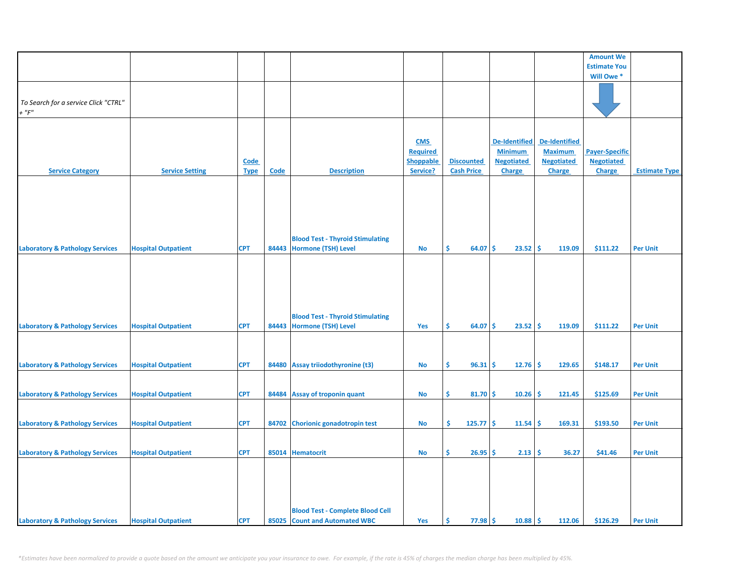|                                            |                            |             |       |                                         |                  |                   |                      |                      | <b>Amount We</b>      |                      |
|--------------------------------------------|----------------------------|-------------|-------|-----------------------------------------|------------------|-------------------|----------------------|----------------------|-----------------------|----------------------|
|                                            |                            |             |       |                                         |                  |                   |                      |                      | <b>Estimate You</b>   |                      |
|                                            |                            |             |       |                                         |                  |                   |                      |                      | Will Owe*             |                      |
|                                            |                            |             |       |                                         |                  |                   |                      |                      |                       |                      |
| To Search for a service Click "CTRL"       |                            |             |       |                                         |                  |                   |                      |                      |                       |                      |
| $+$ " $F$ "                                |                            |             |       |                                         |                  |                   |                      |                      |                       |                      |
|                                            |                            |             |       |                                         |                  |                   |                      |                      |                       |                      |
|                                            |                            |             |       |                                         |                  |                   |                      |                      |                       |                      |
|                                            |                            |             |       |                                         | <b>CMS</b>       |                   | <b>De-Identified</b> | <b>De-Identified</b> |                       |                      |
|                                            |                            |             |       |                                         | <b>Required</b>  |                   | <b>Minimum</b>       | <b>Maximum</b>       | <b>Payer-Specific</b> |                      |
|                                            |                            | <b>Code</b> |       |                                         | <b>Shoppable</b> | <b>Discounted</b> | <b>Negotiated</b>    | <b>Negotiated</b>    | <b>Negotiated</b>     |                      |
| <b>Service Category</b>                    | <b>Service Setting</b>     | <b>Type</b> | Code  | <b>Description</b>                      | Service?         | <b>Cash Price</b> | <b>Charge</b>        | <b>Charge</b>        | <b>Charge</b>         | <b>Estimate Type</b> |
|                                            |                            |             |       |                                         |                  |                   |                      |                      |                       |                      |
|                                            |                            |             |       |                                         |                  |                   |                      |                      |                       |                      |
|                                            |                            |             |       |                                         |                  |                   |                      |                      |                       |                      |
|                                            |                            |             |       |                                         |                  |                   |                      |                      |                       |                      |
|                                            |                            |             |       |                                         |                  |                   |                      |                      |                       |                      |
|                                            |                            |             |       |                                         |                  |                   |                      |                      |                       |                      |
|                                            |                            |             |       | <b>Blood Test - Thyroid Stimulating</b> |                  |                   |                      |                      |                       |                      |
| <b>Laboratory &amp; Pathology Services</b> | <b>Hospital Outpatient</b> | <b>CPT</b>  | 84443 | Hormone (TSH) Level                     | No               | Ŝ<br>64.07        | \$<br>23.52          | \$<br>119.09         | \$111.22              | <b>Per Unit</b>      |
|                                            |                            |             |       |                                         |                  |                   |                      |                      |                       |                      |
|                                            |                            |             |       |                                         |                  |                   |                      |                      |                       |                      |
|                                            |                            |             |       |                                         |                  |                   |                      |                      |                       |                      |
|                                            |                            |             |       |                                         |                  |                   |                      |                      |                       |                      |
|                                            |                            |             |       |                                         |                  |                   |                      |                      |                       |                      |
|                                            |                            |             |       |                                         |                  |                   |                      |                      |                       |                      |
|                                            |                            |             |       | <b>Blood Test - Thyroid Stimulating</b> |                  |                   |                      |                      |                       |                      |
| <b>Laboratory &amp; Pathology Services</b> | <b>Hospital Outpatient</b> | <b>CPT</b>  |       | 84443 Hormone (TSH) Level               | Yes              | Ŝ.<br>64.07       | Ŝ.<br>23.52          | \$<br>119.09         | \$111.22              | <b>Per Unit</b>      |
|                                            |                            |             |       |                                         |                  |                   |                      |                      |                       |                      |
|                                            |                            |             |       |                                         |                  |                   |                      |                      |                       |                      |
|                                            |                            |             |       |                                         |                  |                   |                      |                      |                       |                      |
| <b>Laboratory &amp; Pathology Services</b> | <b>Hospital Outpatient</b> | <b>CPT</b>  |       | 84480 Assay triiodothyronine (t3)       | No               | $96.31$ \$<br>\$. | 12.76                | Ŝ.<br>129.65         | \$148.17              | <b>Per Unit</b>      |
|                                            |                            |             |       |                                         |                  |                   |                      |                      |                       |                      |
|                                            |                            |             |       |                                         |                  |                   |                      |                      |                       |                      |
| <b>Laboratory &amp; Pathology Services</b> | <b>Hospital Outpatient</b> | <b>CPT</b>  |       | 84484 Assay of troponin quant           | No               | \$<br>$81.70 \S$  | 10.26                | 121.45<br>Ŝ.         | \$125.69              | <b>Per Unit</b>      |
|                                            |                            |             |       |                                         |                  |                   |                      |                      |                       |                      |
|                                            |                            |             |       |                                         |                  |                   |                      |                      |                       |                      |
| <b>Laboratory &amp; Pathology Services</b> | <b>Hospital Outpatient</b> | <b>CPT</b>  | 84702 | <b>Chorionic gonadotropin test</b>      | No               | \$<br>$125.77$ \$ | 11.54                | \$<br>169.31         | \$193.50              | <b>Per Unit</b>      |
|                                            |                            |             |       |                                         |                  |                   |                      |                      |                       |                      |
|                                            |                            |             |       |                                         |                  |                   |                      |                      |                       |                      |
| <b>Laboratory &amp; Pathology Services</b> | <b>Hospital Outpatient</b> | <b>CPT</b>  |       | 85014 Hematocrit                        | <b>No</b>        | \$<br>$26.95$ \$  | $2.13 \mid 5$        | 36.27                | \$41.46               | <b>Per Unit</b>      |
|                                            |                            |             |       |                                         |                  |                   |                      |                      |                       |                      |
|                                            |                            |             |       |                                         |                  |                   |                      |                      |                       |                      |
|                                            |                            |             |       |                                         |                  |                   |                      |                      |                       |                      |
|                                            |                            |             |       |                                         |                  |                   |                      |                      |                       |                      |
|                                            |                            |             |       | <b>Blood Test - Complete Blood Cell</b> |                  |                   |                      |                      |                       |                      |
|                                            |                            | <b>CPT</b>  |       |                                         |                  | $77.98$ \$        |                      |                      |                       | <b>Per Unit</b>      |
| <b>Laboratory &amp; Pathology Services</b> | <b>Hospital Outpatient</b> |             |       | 85025 Count and Automated WBC           | Yes              | \$                | 10.88                | -\$<br>112.06        | \$126.29              |                      |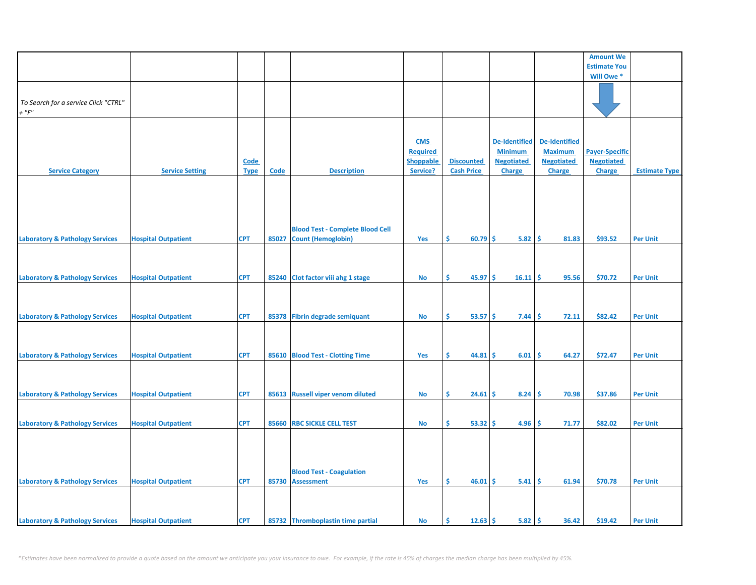|                                            |                            |             |       |                                         |                  |                           |                         |                      | <b>Amount We</b>      |                      |
|--------------------------------------------|----------------------------|-------------|-------|-----------------------------------------|------------------|---------------------------|-------------------------|----------------------|-----------------------|----------------------|
|                                            |                            |             |       |                                         |                  |                           |                         |                      | <b>Estimate You</b>   |                      |
|                                            |                            |             |       |                                         |                  |                           |                         |                      | Will Owe*             |                      |
|                                            |                            |             |       |                                         |                  |                           |                         |                      |                       |                      |
|                                            |                            |             |       |                                         |                  |                           |                         |                      |                       |                      |
| To Search for a service Click "CTRL"       |                            |             |       |                                         |                  |                           |                         |                      |                       |                      |
| $+$ " $F$ "                                |                            |             |       |                                         |                  |                           |                         |                      |                       |                      |
|                                            |                            |             |       |                                         |                  |                           |                         |                      |                       |                      |
|                                            |                            |             |       |                                         |                  |                           |                         |                      |                       |                      |
|                                            |                            |             |       |                                         | <b>CMS</b>       |                           | <b>De-Identified</b>    | <b>De-Identified</b> |                       |                      |
|                                            |                            |             |       |                                         | <b>Required</b>  |                           | <b>Minimum</b>          | <b>Maximum</b>       | <b>Payer-Specific</b> |                      |
|                                            |                            | <b>Code</b> |       |                                         | <b>Shoppable</b> | <b>Discounted</b>         | <b>Negotiated</b>       | <b>Negotiated</b>    | <b>Negotiated</b>     |                      |
| <b>Service Category</b>                    | <b>Service Setting</b>     | <b>Type</b> | Code  | <b>Description</b>                      | Service?         | <b>Cash Price</b>         | Charge                  | <b>Charge</b>        | Charge                | <b>Estimate Type</b> |
|                                            |                            |             |       |                                         |                  |                           |                         |                      |                       |                      |
|                                            |                            |             |       |                                         |                  |                           |                         |                      |                       |                      |
|                                            |                            |             |       |                                         |                  |                           |                         |                      |                       |                      |
|                                            |                            |             |       |                                         |                  |                           |                         |                      |                       |                      |
|                                            |                            |             |       |                                         |                  |                           |                         |                      |                       |                      |
|                                            |                            |             |       |                                         |                  |                           |                         |                      |                       |                      |
|                                            |                            |             |       | <b>Blood Test - Complete Blood Cell</b> |                  |                           |                         |                      |                       |                      |
| <b>Laboratory &amp; Pathology Services</b> | <b>Hospital Outpatient</b> | <b>CPT</b>  | 85027 | <b>Count (Hemoglobin)</b>               | Yes              | 60.79<br>\$.              | \$<br>$5.82 \,   \, \$$ | 81.83                | \$93.52               | <b>Per Unit</b>      |
|                                            |                            |             |       |                                         |                  |                           |                         |                      |                       |                      |
|                                            |                            |             |       |                                         |                  |                           |                         |                      |                       |                      |
|                                            |                            |             |       |                                         |                  |                           |                         |                      |                       |                      |
| <b>Laboratory &amp; Pathology Services</b> | <b>Hospital Outpatient</b> | <b>CPT</b>  | 85240 | Clot factor viii ahg 1 stage            | <b>No</b>        | $45.97$ \$<br>Ŝ.          | $16.11 \,$ \$           | 95.56                | \$70.72               | <b>Per Unit</b>      |
|                                            |                            |             |       |                                         |                  |                           |                         |                      |                       |                      |
|                                            |                            |             |       |                                         |                  |                           |                         |                      |                       |                      |
|                                            |                            |             |       |                                         |                  |                           |                         |                      |                       |                      |
| <b>Laboratory &amp; Pathology Services</b> | <b>Hospital Outpatient</b> | <b>CPT</b>  | 85378 | <b>Fibrin degrade semiquant</b>         | No               | Ŝ.<br>53.57               | \$.<br>7.44             | Ŝ.<br>72.11          | \$82.42               | <b>Per Unit</b>      |
|                                            |                            |             |       |                                         |                  |                           |                         |                      |                       |                      |
|                                            |                            |             |       |                                         |                  |                           |                         |                      |                       |                      |
|                                            |                            |             |       |                                         |                  |                           |                         |                      |                       |                      |
| <b>Laboratory &amp; Pathology Services</b> | <b>Hospital Outpatient</b> | <b>CPT</b>  | 85610 | <b>Blood Test - Clotting Time</b>       | Yes              | \$<br>44.81               | \$.<br>6.01             | \$<br>64.27          | \$72.47               | <b>Per Unit</b>      |
|                                            |                            |             |       |                                         |                  |                           |                         |                      |                       |                      |
|                                            |                            |             |       |                                         |                  |                           |                         |                      |                       |                      |
|                                            |                            |             |       |                                         |                  |                           |                         |                      |                       |                      |
| <b>Laboratory &amp; Pathology Services</b> | <b>Hospital Outpatient</b> | <b>CPT</b>  | 85613 | <b>Russell viper venom diluted</b>      | No               | \$<br>24.61               | \$<br>8.24              | 70.98<br>\$.         | \$37.86               | <b>Per Unit</b>      |
|                                            |                            |             |       |                                         |                  |                           |                         |                      |                       |                      |
|                                            |                            |             |       |                                         |                  |                           |                         |                      |                       |                      |
|                                            | <b>Hospital Outpatient</b> | <b>CPT</b>  | 85660 | <b>RBC SICKLE CELL TEST</b>             | No               | Ŝ.<br>$53.32 \, \text{s}$ | 4.96 S                  | 71.77                | \$82.02               | <b>Per Unit</b>      |
| <b>Laboratory &amp; Pathology Services</b> |                            |             |       |                                         |                  |                           |                         |                      |                       |                      |
|                                            |                            |             |       |                                         |                  |                           |                         |                      |                       |                      |
|                                            |                            |             |       |                                         |                  |                           |                         |                      |                       |                      |
|                                            |                            |             |       |                                         |                  |                           |                         |                      |                       |                      |
|                                            |                            |             |       |                                         |                  |                           |                         |                      |                       |                      |
|                                            |                            |             |       | <b>Blood Test - Coagulation</b>         |                  |                           |                         |                      |                       |                      |
| <b>Laboratory &amp; Pathology Services</b> | <b>Hospital Outpatient</b> | <b>CPT</b>  | 85730 | <b>Assessment</b>                       | Yes              | \$<br>46.01               | \$<br>5.41              | \$<br>61.94          | \$70.78               | <b>Per Unit</b>      |
|                                            |                            |             |       |                                         |                  |                           |                         |                      |                       |                      |
|                                            |                            |             |       |                                         |                  |                           |                         |                      |                       |                      |
|                                            |                            |             |       |                                         |                  |                           |                         |                      |                       |                      |
| <b>Laboratory &amp; Pathology Services</b> | <b>Hospital Outpatient</b> | <b>CPT</b>  |       | 85732 Thromboplastin time partial       | <b>No</b>        | \$<br>12.63               | \$<br>$5.82 \div$       | 36.42                | \$19.42               | <b>Per Unit</b>      |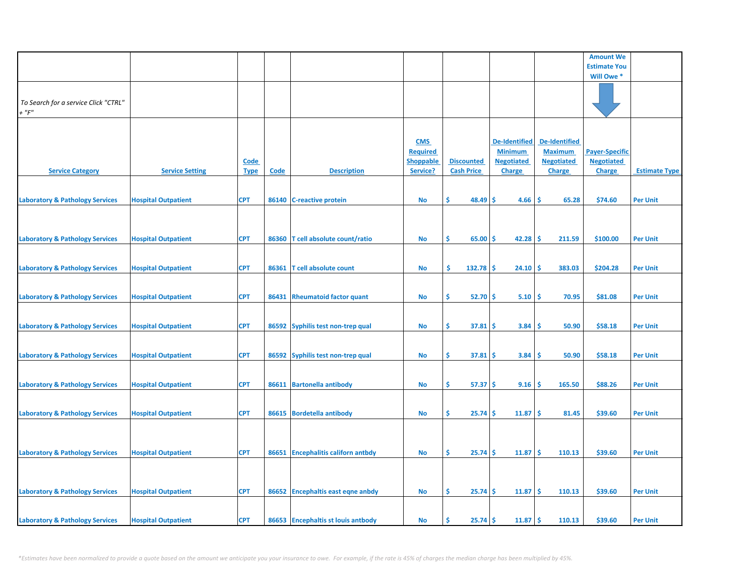|                                            |                            |             |             |                                    |                  |                     |                       |                      | <b>Amount We</b>      |                      |
|--------------------------------------------|----------------------------|-------------|-------------|------------------------------------|------------------|---------------------|-----------------------|----------------------|-----------------------|----------------------|
|                                            |                            |             |             |                                    |                  |                     |                       |                      | <b>Estimate You</b>   |                      |
|                                            |                            |             |             |                                    |                  |                     |                       |                      | Will Owe *            |                      |
|                                            |                            |             |             |                                    |                  |                     |                       |                      |                       |                      |
| To Search for a service Click "CTRL"       |                            |             |             |                                    |                  |                     |                       |                      |                       |                      |
| $+$ " $F"$                                 |                            |             |             |                                    |                  |                     |                       |                      |                       |                      |
|                                            |                            |             |             |                                    |                  |                     |                       |                      |                       |                      |
|                                            |                            |             |             |                                    | <b>CMS</b>       |                     | <b>De-Identified</b>  | <b>De-Identified</b> |                       |                      |
|                                            |                            |             |             |                                    | <b>Required</b>  |                     | <b>Minimum</b>        | <b>Maximum</b>       | <b>Payer-Specific</b> |                      |
|                                            |                            | <b>Code</b> |             |                                    | <b>Shoppable</b> | <b>Discounted</b>   | <b>Negotiated</b>     | <b>Negotiated</b>    | <b>Negotiated</b>     |                      |
| <b>Service Category</b>                    | <b>Service Setting</b>     | <b>Type</b> | <b>Code</b> | <b>Description</b>                 | Service?         | <b>Cash Price</b>   | <b>Charge</b>         | <b>Charge</b>        | <b>Charge</b>         | <b>Estimate Type</b> |
|                                            |                            |             |             |                                    |                  |                     |                       |                      |                       |                      |
| <b>Laboratory &amp; Pathology Services</b> | <b>Hospital Outpatient</b> | <b>CPT</b>  |             | 86140 C-reactive protein           | <b>No</b>        | \$<br>$48.49$ \$    | 4.66 S                | 65.28                | \$74.60               | <b>Per Unit</b>      |
|                                            |                            |             |             |                                    |                  |                     |                       |                      |                       |                      |
|                                            |                            |             |             |                                    |                  |                     |                       |                      |                       |                      |
| <b>Laboratory &amp; Pathology Services</b> | <b>Hospital Outpatient</b> | <b>CPT</b>  |             | 86360 T cell absolute count/ratio  | No               | \$<br>$65.00$ \$    | $42.28$   \$          | 211.59               | \$100.00              | <b>Per Unit</b>      |
|                                            |                            |             |             |                                    |                  |                     |                       |                      |                       |                      |
|                                            |                            |             |             |                                    |                  |                     |                       |                      |                       |                      |
| <b>Laboratory &amp; Pathology Services</b> | <b>Hospital Outpatient</b> | CPT         | 86361       | <b>T</b> cell absolute count       | <b>No</b>        | -\$<br>$132.78$ \$  | $24.10$ \$            | 383.03               | \$204.28              | <b>Per Unit</b>      |
|                                            |                            |             |             |                                    |                  |                     |                       |                      |                       |                      |
| <b>Laboratory &amp; Pathology Services</b> | <b>Hospital Outpatient</b> | CPT         |             | 86431 Rheumatoid factor quant      | <b>No</b>        | \$<br>$52.70$ \$    | 5.10                  | ۱\$<br>70.95         | \$81.08               | <b>Per Unit</b>      |
|                                            |                            |             |             |                                    |                  |                     |                       |                      |                       |                      |
|                                            |                            |             |             |                                    |                  |                     |                       |                      |                       |                      |
| <b>Laboratory &amp; Pathology Services</b> | <b>Hospital Outpatient</b> | <b>CPT</b>  |             | 86592 Syphilis test non-trep qual  | <b>No</b>        | \$<br>$37.81 \div$  | $3.84 \, \vert \, \$$ | 50.90                | \$58.18               | <b>Per Unit</b>      |
|                                            |                            |             |             |                                    |                  |                     |                       |                      |                       |                      |
| <b>Laboratory &amp; Pathology Services</b> | <b>Hospital Outpatient</b> | <b>CPT</b>  |             | 86592 Syphilis test non-trep qual  | No               | \$<br>$37.81 \, \s$ | $3.84 \, \vert \, \$$ | 50.90                | \$58.18               | <b>Per Unit</b>      |
|                                            |                            |             |             |                                    |                  |                     |                       |                      |                       |                      |
| <b>Laboratory &amp; Pathology Services</b> | <b>Hospital Outpatient</b> | <b>CPT</b>  |             | 86611 Bartonella antibody          | No               | \$<br>$57.37$ \$    | 9.16                  | 165.50<br>\$.        | \$88.26               | <b>Per Unit</b>      |
|                                            |                            |             |             |                                    |                  |                     |                       |                      |                       |                      |
|                                            |                            |             |             |                                    |                  |                     |                       |                      |                       |                      |
| <b>Laboratory &amp; Pathology Services</b> | <b>Hospital Outpatient</b> | <b>CPT</b>  |             | 86615 Bordetella antibody          | <b>No</b>        | \$<br>$25.74$ \$    | $11.87$   \$          | 81.45                | \$39.60               | <b>Per Unit</b>      |
|                                            |                            |             |             |                                    |                  |                     |                       |                      |                       |                      |
|                                            |                            |             |             |                                    |                  |                     |                       |                      |                       |                      |
| <b>Laboratory &amp; Pathology Services</b> | <b>Hospital Outpatient</b> | CPT         |             | 86651 Encephalitis californ antbdy | No               | \$<br>$25.74$ \$    | $11.87 \, \text{S}$   | 110.13               | \$39.60               | <b>Per Unit</b>      |
|                                            |                            |             |             |                                    |                  |                     |                       |                      |                       |                      |
|                                            |                            |             |             |                                    |                  |                     |                       |                      |                       |                      |
| <b>Laboratory &amp; Pathology Services</b> | <b>Hospital Outpatient</b> | <b>CPT</b>  |             | 86652 Encephaltis east eqne anbdy  | No               | \$<br>$25.74 \S$    | $11.87 \, \text{S}$   | 110.13               | \$39.60               | <b>Per Unit</b>      |
|                                            |                            |             |             |                                    |                  |                     |                       |                      |                       |                      |
|                                            |                            |             |             |                                    |                  |                     |                       |                      |                       |                      |
| <b>Laboratory &amp; Pathology Services</b> | <b>Hospital Outpatient</b> | <b>CPT</b>  |             | 86653 Encephaltis st louis antbody | No               | Ŝ.<br>$25.74 \S$    | $11.87 \,$ \$         | 110.13               | \$39.60               | <b>Per Unit</b>      |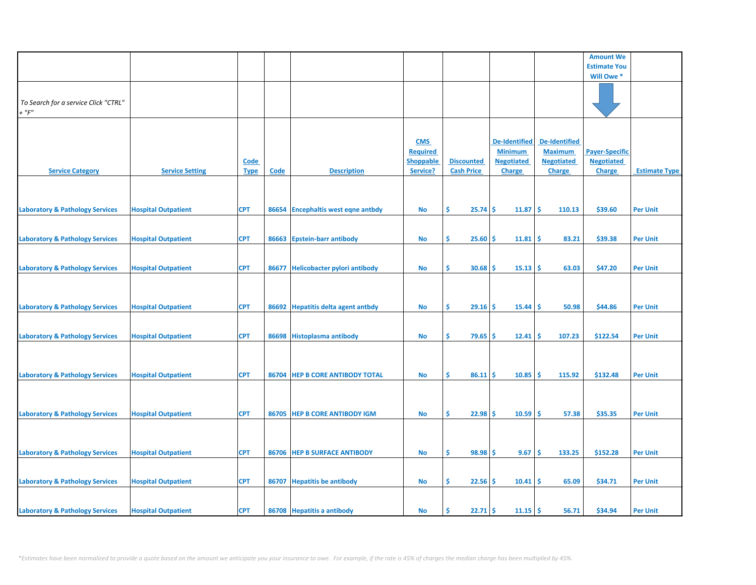|                                            |                            |             |             |                                     |                  |                   |                      |                      | <b>Amount We</b>      |                      |
|--------------------------------------------|----------------------------|-------------|-------------|-------------------------------------|------------------|-------------------|----------------------|----------------------|-----------------------|----------------------|
|                                            |                            |             |             |                                     |                  |                   |                      |                      | <b>Estimate You</b>   |                      |
|                                            |                            |             |             |                                     |                  |                   |                      |                      | Will Owe*             |                      |
|                                            |                            |             |             |                                     |                  |                   |                      |                      |                       |                      |
|                                            |                            |             |             |                                     |                  |                   |                      |                      |                       |                      |
| To Search for a service Click "CTRL"       |                            |             |             |                                     |                  |                   |                      |                      |                       |                      |
|                                            |                            |             |             |                                     |                  |                   |                      |                      |                       |                      |
| $+$ " $F$ "                                |                            |             |             |                                     |                  |                   |                      |                      |                       |                      |
|                                            |                            |             |             |                                     |                  |                   |                      |                      |                       |                      |
|                                            |                            |             |             |                                     |                  |                   |                      |                      |                       |                      |
|                                            |                            |             |             |                                     | <b>CMS</b>       |                   | <b>De-Identified</b> | <b>De-Identified</b> |                       |                      |
|                                            |                            |             |             |                                     |                  |                   |                      |                      |                       |                      |
|                                            |                            |             |             |                                     | <b>Required</b>  |                   | <b>Minimum</b>       | <b>Maximum</b>       | <b>Payer-Specific</b> |                      |
|                                            |                            | <b>Code</b> |             |                                     | <b>Shoppable</b> | <b>Discounted</b> | <b>Negotiated</b>    | <b>Negotiated</b>    | <b>Negotiated</b>     |                      |
| <b>Service Category</b>                    | <b>Service Setting</b>     | <b>Type</b> | <b>Code</b> | <b>Description</b>                  | Service?         | <b>Cash Price</b> | <b>Charge</b>        | <b>Charge</b>        | <b>Charge</b>         | <b>Estimate Type</b> |
|                                            |                            |             |             |                                     |                  |                   |                      |                      |                       |                      |
|                                            |                            |             |             |                                     |                  |                   |                      |                      |                       |                      |
|                                            |                            |             |             |                                     |                  |                   |                      |                      |                       |                      |
|                                            |                            |             |             |                                     |                  |                   |                      |                      |                       |                      |
| <b>Laboratory &amp; Pathology Services</b> | <b>Hospital Outpatient</b> | <b>CPT</b>  | 86654       | <b>Encephaltis west eqne antbdy</b> | No               | \$.<br>$25.74$ \$ | 11.87                | \$<br>110.13         | \$39.60               | <b>Per Unit</b>      |
|                                            |                            |             |             |                                     |                  |                   |                      |                      |                       |                      |
|                                            |                            |             |             |                                     |                  |                   |                      |                      |                       |                      |
|                                            |                            |             |             |                                     |                  |                   |                      |                      |                       |                      |
| <b>Laboratory &amp; Pathology Services</b> | <b>Hospital Outpatient</b> | <b>CPT</b>  | 86663       | <b>Epstein-barr antibody</b>        | No               | \$<br>$25.60$ \$  | 11.81                | -\$<br>83.21         | \$39.38               | <b>Per Unit</b>      |
|                                            |                            |             |             |                                     |                  |                   |                      |                      |                       |                      |
|                                            |                            |             |             |                                     |                  |                   |                      |                      |                       |                      |
|                                            |                            |             |             |                                     |                  |                   |                      |                      |                       |                      |
| <b>Laboratory &amp; Pathology Services</b> | <b>Hospital Outpatient</b> | <b>CPT</b>  | 86677       | <b>Helicobacter pylori antibody</b> | <b>No</b>        | Š.<br>30.68       | $15.13$ \$<br>-S     | 63.03                | \$47.20               | <b>Per Unit</b>      |
|                                            |                            |             |             |                                     |                  |                   |                      |                      |                       |                      |
|                                            |                            |             |             |                                     |                  |                   |                      |                      |                       |                      |
|                                            |                            |             |             |                                     |                  |                   |                      |                      |                       |                      |
|                                            |                            |             |             |                                     |                  |                   |                      |                      |                       |                      |
| <b>Laboratory &amp; Pathology Services</b> | <b>Hospital Outpatient</b> | <b>CPT</b>  | 86692       | <b>Hepatitis delta agent antbdy</b> | <b>No</b>        | \$<br>29.16       | -\$<br>15.44         | \$.<br>50.98         | \$44.86               | <b>Per Unit</b>      |
|                                            |                            |             |             |                                     |                  |                   |                      |                      |                       |                      |
|                                            |                            |             |             |                                     |                  |                   |                      |                      |                       |                      |
| <b>Laboratory &amp; Pathology Services</b> | <b>Hospital Outpatient</b> | <b>CPT</b>  | 86698       | <b>Histoplasma antibody</b>         | No               | \$<br>$79.65$ \$  | 12.41                | 107.23<br>-S         | \$122.54              | <b>Per Unit</b>      |
|                                            |                            |             |             |                                     |                  |                   |                      |                      |                       |                      |
|                                            |                            |             |             |                                     |                  |                   |                      |                      |                       |                      |
|                                            |                            |             |             |                                     |                  |                   |                      |                      |                       |                      |
|                                            |                            |             |             |                                     |                  |                   |                      |                      |                       |                      |
| <b>Laboratory &amp; Pathology Services</b> | <b>Hospital Outpatient</b> | <b>CPT</b>  | 86704       | <b>HEP B CORE ANTIBODY TOTAL</b>    | No               | \$<br>86.11       | -\$<br>10.85         | Ś<br>115.92          | \$132.48              | <b>Per Unit</b>      |
|                                            |                            |             |             |                                     |                  |                   |                      |                      |                       |                      |
|                                            |                            |             |             |                                     |                  |                   |                      |                      |                       |                      |
|                                            |                            |             |             |                                     |                  |                   |                      |                      |                       |                      |
|                                            |                            |             |             |                                     |                  |                   |                      |                      |                       |                      |
| <b>Laboratory &amp; Pathology Services</b> | <b>Hospital Outpatient</b> | <b>CPT</b>  | 86705       | <b>HEP B CORE ANTIBODY IGM</b>      | No               | $22.98$ \$<br>\$  | 10.59                | \$.<br>57.38         | \$35.35               | <b>Per Unit</b>      |
|                                            |                            |             |             |                                     |                  |                   |                      |                      |                       |                      |
|                                            |                            |             |             |                                     |                  |                   |                      |                      |                       |                      |
|                                            |                            |             |             |                                     |                  |                   |                      |                      |                       |                      |
|                                            |                            |             |             |                                     |                  |                   |                      |                      |                       |                      |
| <b>Laboratory &amp; Pathology Services</b> | <b>Hospital Outpatient</b> | <b>CPT</b>  | 86706       | <b>HEP B SURFACE ANTIBODY</b>       | No               | \$<br>$98.98$ \$  | 9.67                 | \$.<br>133.25        | \$152.28              | <b>Per Unit</b>      |
|                                            |                            |             |             |                                     |                  |                   |                      |                      |                       |                      |
|                                            |                            |             |             |                                     |                  |                   |                      |                      |                       |                      |
|                                            |                            |             |             |                                     |                  |                   |                      |                      |                       |                      |
| <b>Laboratory &amp; Pathology Services</b> | <b>Hospital Outpatient</b> | <b>CPT</b>  | 86707       | <b>Hepatitis be antibody</b>        | <b>No</b>        | 22.56<br>\$.      | \$<br>10.41          | \$.<br>65.09         | \$34.71               | <b>Per Unit</b>      |
|                                            |                            |             |             |                                     |                  |                   |                      |                      |                       |                      |
|                                            |                            |             |             |                                     |                  |                   |                      |                      |                       |                      |
|                                            |                            |             |             |                                     |                  |                   |                      |                      |                       |                      |
| <b>Laboratory &amp; Pathology Services</b> | <b>Hospital Outpatient</b> | <b>CPT</b>  |             | 86708 Hepatitis a antibody          | No               | $22.71$ \$<br>\$. | $11.15$ \$           | 56.71                | \$34.94               | <b>Per Unit</b>      |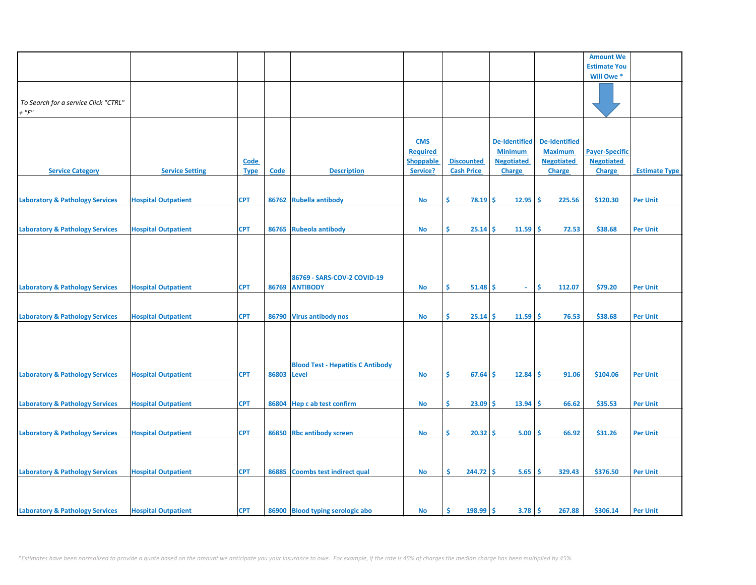|                                            |                            |             |       |                                          |                  |                   |                      |                      | <b>Amount We</b>      |                      |
|--------------------------------------------|----------------------------|-------------|-------|------------------------------------------|------------------|-------------------|----------------------|----------------------|-----------------------|----------------------|
|                                            |                            |             |       |                                          |                  |                   |                      |                      | <b>Estimate You</b>   |                      |
|                                            |                            |             |       |                                          |                  |                   |                      |                      | Will Owe*             |                      |
|                                            |                            |             |       |                                          |                  |                   |                      |                      |                       |                      |
|                                            |                            |             |       |                                          |                  |                   |                      |                      |                       |                      |
|                                            |                            |             |       |                                          |                  |                   |                      |                      |                       |                      |
| To Search for a service Click "CTRL"       |                            |             |       |                                          |                  |                   |                      |                      |                       |                      |
| $+$ " $F$ "                                |                            |             |       |                                          |                  |                   |                      |                      |                       |                      |
|                                            |                            |             |       |                                          |                  |                   |                      |                      |                       |                      |
|                                            |                            |             |       |                                          |                  |                   |                      |                      |                       |                      |
|                                            |                            |             |       |                                          |                  |                   |                      |                      |                       |                      |
|                                            |                            |             |       |                                          |                  |                   |                      |                      |                       |                      |
|                                            |                            |             |       |                                          | <b>CMS</b>       |                   | <b>De-Identified</b> | <b>De-Identified</b> |                       |                      |
|                                            |                            |             |       |                                          | <b>Required</b>  |                   | <b>Minimum</b>       | <b>Maximum</b>       | <b>Payer-Specific</b> |                      |
|                                            |                            | Code        |       |                                          | <b>Shoppable</b> | <b>Discounted</b> | <b>Negotiated</b>    | <b>Negotiated</b>    | <b>Negotiated</b>     |                      |
|                                            |                            |             |       |                                          |                  |                   |                      |                      |                       |                      |
| <b>Service Category</b>                    | <b>Service Setting</b>     | <b>Type</b> | Code  | <b>Description</b>                       | Service?         | <b>Cash Price</b> | Charge               | <b>Charge</b>        | <b>Charge</b>         | <b>Estimate Type</b> |
|                                            |                            |             |       |                                          |                  |                   |                      |                      |                       |                      |
|                                            |                            |             |       |                                          |                  |                   |                      |                      |                       |                      |
|                                            |                            |             |       |                                          |                  |                   |                      |                      |                       |                      |
| <b>Laboratory &amp; Pathology Services</b> | <b>Hospital Outpatient</b> | <b>CPT</b>  | 86762 | <b>Rubella antibody</b>                  | No               | \$<br>78.19       | \$<br>12.95          | \$<br>225.56         | \$120.30              | <b>Per Unit</b>      |
|                                            |                            |             |       |                                          |                  |                   |                      |                      |                       |                      |
|                                            |                            |             |       |                                          |                  |                   |                      |                      |                       |                      |
|                                            |                            |             |       |                                          |                  |                   |                      |                      |                       |                      |
| <b>Laboratory &amp; Pathology Services</b> | <b>Hospital Outpatient</b> | <b>CPT</b>  | 86765 | Rubeola antibody                         | <b>No</b>        | \$<br>25.14       | \$<br>$11.59$ \$     | 72.53                | \$38.68               | <b>Per Unit</b>      |
|                                            |                            |             |       |                                          |                  |                   |                      |                      |                       |                      |
|                                            |                            |             |       |                                          |                  |                   |                      |                      |                       |                      |
|                                            |                            |             |       |                                          |                  |                   |                      |                      |                       |                      |
|                                            |                            |             |       |                                          |                  |                   |                      |                      |                       |                      |
|                                            |                            |             |       |                                          |                  |                   |                      |                      |                       |                      |
|                                            |                            |             |       |                                          |                  |                   |                      |                      |                       |                      |
|                                            |                            |             |       | 86769 - SARS-COV-2 COVID-19              |                  |                   |                      |                      |                       |                      |
| <b>Laboratory &amp; Pathology Services</b> | <b>Hospital Outpatient</b> | <b>CPT</b>  | 86769 | <b>ANTIBODY</b>                          | No               | \$<br>51.48       | \$<br>$\sim$         | \$<br>112.07         | \$79.20               | <b>Per Unit</b>      |
|                                            |                            |             |       |                                          |                  |                   |                      |                      |                       |                      |
|                                            |                            |             |       |                                          |                  |                   |                      |                      |                       |                      |
|                                            |                            |             |       |                                          |                  |                   |                      |                      |                       |                      |
| <b>Laboratory &amp; Pathology Services</b> | <b>Hospital Outpatient</b> | <b>CPT</b>  | 86790 | <b>Virus antibody nos</b>                | <b>No</b>        | \$<br>25.14       | $11.59$ \$<br>\$.    | 76.53                | \$38.68               | <b>Per Unit</b>      |
|                                            |                            |             |       |                                          |                  |                   |                      |                      |                       |                      |
|                                            |                            |             |       |                                          |                  |                   |                      |                      |                       |                      |
|                                            |                            |             |       |                                          |                  |                   |                      |                      |                       |                      |
|                                            |                            |             |       |                                          |                  |                   |                      |                      |                       |                      |
|                                            |                            |             |       |                                          |                  |                   |                      |                      |                       |                      |
|                                            |                            |             |       |                                          |                  |                   |                      |                      |                       |                      |
|                                            |                            |             |       | <b>Blood Test - Hepatitis C Antibody</b> |                  |                   |                      |                      |                       |                      |
|                                            |                            |             |       |                                          |                  |                   |                      |                      |                       |                      |
| <b>Laboratory &amp; Pathology Services</b> | <b>Hospital Outpatient</b> | <b>CPT</b>  | 86803 | Level                                    | No               | \$<br>67.64       | 12.84<br>\$.         | \$.<br>91.06         | \$104.06              | <b>Per Unit</b>      |
|                                            |                            |             |       |                                          |                  |                   |                      |                      |                       |                      |
|                                            |                            |             |       |                                          |                  |                   |                      |                      |                       |                      |
|                                            |                            |             |       |                                          |                  |                   |                      |                      |                       |                      |
| <b>Laboratory &amp; Pathology Services</b> | <b>Hospital Outpatient</b> | <b>CPT</b>  | 86804 | Hep c ab test confirm                    | <b>No</b>        | \$<br>23.09       | \$.<br>13.94         | Ŝ.<br>66.62          | \$35.53               | <b>Per Unit</b>      |
|                                            |                            |             |       |                                          |                  |                   |                      |                      |                       |                      |
|                                            |                            |             |       |                                          |                  |                   |                      |                      |                       |                      |
|                                            |                            |             |       |                                          |                  |                   |                      |                      |                       |                      |
| <b>Laboratory &amp; Pathology Services</b> | <b>Hospital Outpatient</b> | <b>CPT</b>  | 86850 | <b>Rbc antibody screen</b>               | No               | \$<br>20.32       | \$.<br>5.00          | 66.92<br>s.          | \$31.26               | <b>Per Unit</b>      |
|                                            |                            |             |       |                                          |                  |                   |                      |                      |                       |                      |
|                                            |                            |             |       |                                          |                  |                   |                      |                      |                       |                      |
|                                            |                            |             |       |                                          |                  |                   |                      |                      |                       |                      |
|                                            |                            |             |       |                                          |                  |                   |                      |                      |                       |                      |
| <b>Laboratory &amp; Pathology Services</b> | <b>Hospital Outpatient</b> | <b>CPT</b>  | 86885 | Coombs test indirect qual                | <b>No</b>        | Ŝ.<br>244.72      | ∣\$<br>5.65          | \$<br>329.43         | \$376.50              | <b>Per Unit</b>      |
|                                            |                            |             |       |                                          |                  |                   |                      |                      |                       |                      |
|                                            |                            |             |       |                                          |                  |                   |                      |                      |                       |                      |
|                                            |                            |             |       |                                          |                  |                   |                      |                      |                       |                      |
|                                            |                            |             |       |                                          |                  |                   |                      |                      |                       |                      |
|                                            |                            |             |       |                                          |                  |                   |                      |                      |                       |                      |
| <b>Laboratory &amp; Pathology Services</b> | <b>Hospital Outpatient</b> | <b>CPT</b>  |       | 86900 Blood typing serologic abo         | No               | Ŝ.<br>198.99      | \$.<br>$3.78$ \$     | 267.88               | \$306.14              | <b>Per Unit</b>      |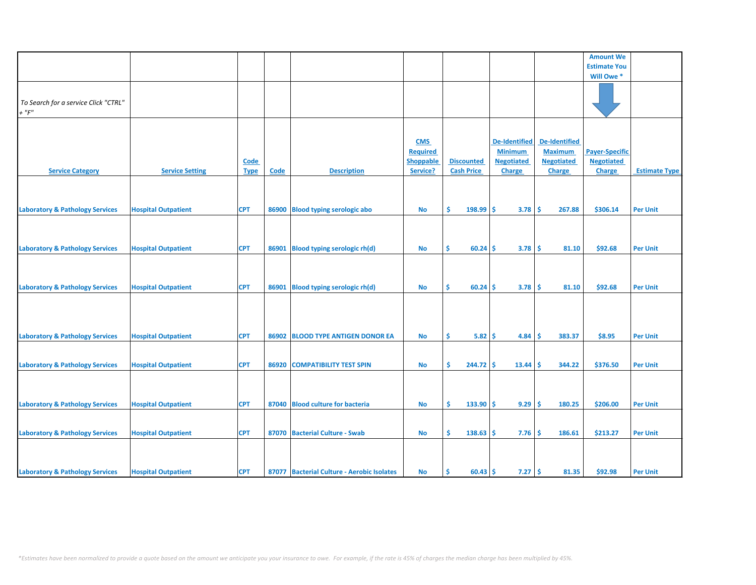|                                            |                            |             |       |                                            |                  |                        |                      |                      | <b>Amount We</b>      |                      |
|--------------------------------------------|----------------------------|-------------|-------|--------------------------------------------|------------------|------------------------|----------------------|----------------------|-----------------------|----------------------|
|                                            |                            |             |       |                                            |                  |                        |                      |                      | <b>Estimate You</b>   |                      |
|                                            |                            |             |       |                                            |                  |                        |                      |                      | Will Owe*             |                      |
|                                            |                            |             |       |                                            |                  |                        |                      |                      |                       |                      |
|                                            |                            |             |       |                                            |                  |                        |                      |                      |                       |                      |
| To Search for a service Click "CTRL"       |                            |             |       |                                            |                  |                        |                      |                      |                       |                      |
| $+$ " $F$ "                                |                            |             |       |                                            |                  |                        |                      |                      |                       |                      |
|                                            |                            |             |       |                                            |                  |                        |                      |                      |                       |                      |
|                                            |                            |             |       |                                            |                  |                        |                      |                      |                       |                      |
|                                            |                            |             |       |                                            |                  |                        |                      |                      |                       |                      |
|                                            |                            |             |       |                                            | <b>CMS</b>       |                        | <b>De-Identified</b> | <b>De-Identified</b> |                       |                      |
|                                            |                            |             |       |                                            | <b>Required</b>  |                        | <b>Minimum</b>       | <b>Maximum</b>       | <b>Payer-Specific</b> |                      |
|                                            |                            | <b>Code</b> |       |                                            | <b>Shoppable</b> | <b>Discounted</b>      | <b>Negotiated</b>    | <b>Negotiated</b>    | <b>Negotiated</b>     |                      |
| <b>Service Category</b>                    | <b>Service Setting</b>     | <b>Type</b> | Code  | <b>Description</b>                         | Service?         | <b>Cash Price</b>      | <b>Charge</b>        | <b>Charge</b>        | Charge                | <b>Estimate Type</b> |
|                                            |                            |             |       |                                            |                  |                        |                      |                      |                       |                      |
|                                            |                            |             |       |                                            |                  |                        |                      |                      |                       |                      |
|                                            |                            |             |       |                                            |                  |                        |                      |                      |                       |                      |
|                                            |                            |             |       |                                            |                  |                        |                      |                      |                       |                      |
| <b>Laboratory &amp; Pathology Services</b> | <b>Hospital Outpatient</b> | <b>CPT</b>  | 86900 | <b>Blood typing serologic abo</b>          | <b>No</b>        | Ŝ.<br>$198.99$ \$      | 3.78                 | Ŝ.<br>267.88         | \$306.14              | <b>Per Unit</b>      |
|                                            |                            |             |       |                                            |                  |                        |                      |                      |                       |                      |
|                                            |                            |             |       |                                            |                  |                        |                      |                      |                       |                      |
|                                            |                            |             |       |                                            |                  |                        |                      |                      |                       |                      |
| <b>Laboratory &amp; Pathology Services</b> | <b>Hospital Outpatient</b> | <b>CPT</b>  | 86901 | <b>Blood typing serologic rh(d)</b>        | No               | $60.24$ \$<br>\$.      | $3.78$ \$            | 81.10                | \$92.68               | <b>Per Unit</b>      |
|                                            |                            |             |       |                                            |                  |                        |                      |                      |                       |                      |
|                                            |                            |             |       |                                            |                  |                        |                      |                      |                       |                      |
|                                            |                            |             |       |                                            |                  |                        |                      |                      |                       |                      |
|                                            |                            |             |       |                                            |                  |                        |                      |                      |                       |                      |
| <b>Laboratory &amp; Pathology Services</b> | <b>Hospital Outpatient</b> | <b>CPT</b>  | 86901 | <b>Blood typing serologic rh(d)</b>        | No               | $60.24$ \$<br>\$.      | $3.78$ \$            | 81.10                | \$92.68               | <b>Per Unit</b>      |
|                                            |                            |             |       |                                            |                  |                        |                      |                      |                       |                      |
|                                            |                            |             |       |                                            |                  |                        |                      |                      |                       |                      |
|                                            |                            |             |       |                                            |                  |                        |                      |                      |                       |                      |
|                                            |                            |             |       |                                            |                  |                        |                      |                      |                       |                      |
|                                            |                            |             |       |                                            |                  |                        |                      |                      |                       |                      |
| <b>Laboratory &amp; Pathology Services</b> | <b>Hospital Outpatient</b> | <b>CPT</b>  | 86902 | <b>BLOOD TYPE ANTIGEN DONOR EA</b>         | <b>No</b>        | Ŝ.<br>5.82             | \$.<br>4.84          | Ŝ.<br>383.37         | \$8.95                | <b>Per Unit</b>      |
|                                            |                            |             |       |                                            |                  |                        |                      |                      |                       |                      |
|                                            |                            |             |       |                                            |                  |                        |                      |                      |                       |                      |
| <b>Laboratory &amp; Pathology Services</b> | <b>Hospital Outpatient</b> | <b>CPT</b>  | 86920 | <b>COMPATIBILITY TEST SPIN</b>             | <b>No</b>        | Ŝ.<br>244.72           | Ŝ<br>13.44           | Ŝ<br>344.22          | \$376.50              | <b>Per Unit</b>      |
|                                            |                            |             |       |                                            |                  |                        |                      |                      |                       |                      |
|                                            |                            |             |       |                                            |                  |                        |                      |                      |                       |                      |
|                                            |                            |             |       |                                            |                  |                        |                      |                      |                       |                      |
|                                            |                            |             |       |                                            |                  | Ŝ.<br>133.90           |                      |                      |                       |                      |
| <b>Laboratory &amp; Pathology Services</b> | <b>Hospital Outpatient</b> | <b>CPT</b>  | 87040 | <b>Blood culture for bacteria</b>          | No               |                        | \$<br>9.29           | \$<br>180.25         | \$206.00              | <b>Per Unit</b>      |
|                                            |                            |             |       |                                            |                  |                        |                      |                      |                       |                      |
|                                            |                            |             |       |                                            |                  |                        |                      |                      |                       |                      |
| <b>Laboratory &amp; Pathology Services</b> | <b>Hospital Outpatient</b> | <b>CPT</b>  | 87070 | <b>Bacterial Culture - Swab</b>            | No               | \$<br>$138.63$ \$      | 7.76                 | -Ś<br>186.61         | \$213.27              | <b>Per Unit</b>      |
|                                            |                            |             |       |                                            |                  |                        |                      |                      |                       |                      |
|                                            |                            |             |       |                                            |                  |                        |                      |                      |                       |                      |
|                                            |                            |             |       |                                            |                  |                        |                      |                      |                       |                      |
| <b>Laboratory &amp; Pathology Services</b> | <b>Hospital Outpatient</b> | <b>CPT</b>  |       | 87077 Bacterial Culture - Aerobic Isolates | No               | $60.43$ \$<br><b>S</b> | $7.27$ \$            | 81.35                | \$92.98               |                      |
|                                            |                            |             |       |                                            |                  |                        |                      |                      |                       | <b>Per Unit</b>      |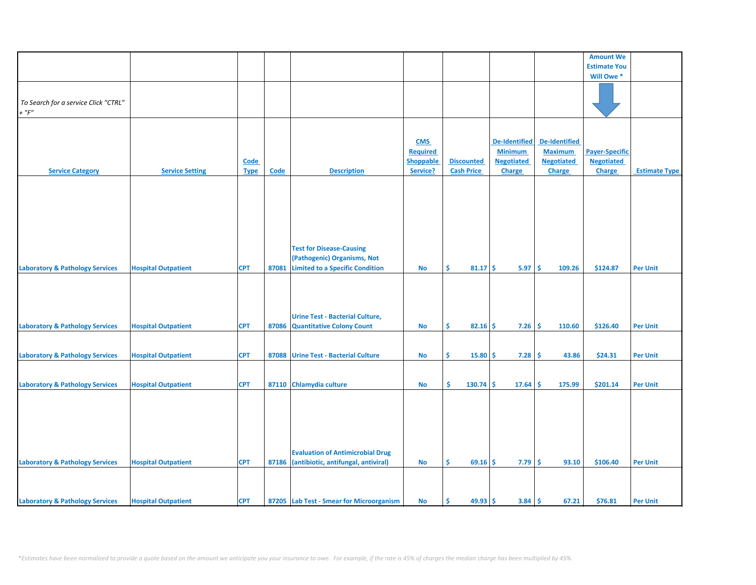|                                            |                            |             |       |                                          |                  |                   |               |                      |          |                      | <b>Amount We</b>      |                      |
|--------------------------------------------|----------------------------|-------------|-------|------------------------------------------|------------------|-------------------|---------------|----------------------|----------|----------------------|-----------------------|----------------------|
|                                            |                            |             |       |                                          |                  |                   |               |                      |          |                      | <b>Estimate You</b>   |                      |
|                                            |                            |             |       |                                          |                  |                   |               |                      |          |                      | Will Owe *            |                      |
|                                            |                            |             |       |                                          |                  |                   |               |                      |          |                      |                       |                      |
|                                            |                            |             |       |                                          |                  |                   |               |                      |          |                      |                       |                      |
| To Search for a service Click "CTRL"       |                            |             |       |                                          |                  |                   |               |                      |          |                      |                       |                      |
| $+$ " $F$ "                                |                            |             |       |                                          |                  |                   |               |                      |          |                      |                       |                      |
|                                            |                            |             |       |                                          |                  |                   |               |                      |          |                      |                       |                      |
|                                            |                            |             |       |                                          |                  |                   |               |                      |          |                      |                       |                      |
|                                            |                            |             |       |                                          |                  |                   |               |                      |          |                      |                       |                      |
|                                            |                            |             |       |                                          | <b>CMS</b>       |                   |               | <b>De-Identified</b> |          | <b>De-Identified</b> |                       |                      |
|                                            |                            |             |       |                                          | <b>Required</b>  |                   |               | <b>Minimum</b>       |          | <b>Maximum</b>       | <b>Payer-Specific</b> |                      |
|                                            |                            | <b>Code</b> |       |                                          | <b>Shoppable</b> | <b>Discounted</b> |               | <b>Negotiated</b>    |          | <b>Negotiated</b>    | <b>Negotiated</b>     |                      |
| <b>Service Category</b>                    | <b>Service Setting</b>     | <b>Type</b> | Code  | <b>Description</b>                       | Service?         | <b>Cash Price</b> |               | Charge               |          | <b>Charge</b>        | Charge                | <b>Estimate Type</b> |
|                                            |                            |             |       |                                          |                  |                   |               |                      |          |                      |                       |                      |
|                                            |                            |             |       |                                          |                  |                   |               |                      |          |                      |                       |                      |
|                                            |                            |             |       |                                          |                  |                   |               |                      |          |                      |                       |                      |
|                                            |                            |             |       |                                          |                  |                   |               |                      |          |                      |                       |                      |
|                                            |                            |             |       |                                          |                  |                   |               |                      |          |                      |                       |                      |
|                                            |                            |             |       |                                          |                  |                   |               |                      |          |                      |                       |                      |
|                                            |                            |             |       |                                          |                  |                   |               |                      |          |                      |                       |                      |
|                                            |                            |             |       |                                          |                  |                   |               |                      |          |                      |                       |                      |
|                                            |                            |             |       | <b>Test for Disease-Causing</b>          |                  |                   |               |                      |          |                      |                       |                      |
|                                            |                            |             |       | (Pathogenic) Organisms, Not              |                  |                   |               |                      |          |                      |                       |                      |
|                                            |                            | <b>CPT</b>  | 87081 | <b>Limited to a Specific Condition</b>   | No               | \$                | $81.17 \pm 5$ | $5.97 \, \text{S}$   |          | 109.26               | \$124.87              | <b>Per Unit</b>      |
| <b>Laboratory &amp; Pathology Services</b> | <b>Hospital Outpatient</b> |             |       |                                          |                  |                   |               |                      |          |                      |                       |                      |
|                                            |                            |             |       |                                          |                  |                   |               |                      |          |                      |                       |                      |
|                                            |                            |             |       |                                          |                  |                   |               |                      |          |                      |                       |                      |
|                                            |                            |             |       |                                          |                  |                   |               |                      |          |                      |                       |                      |
|                                            |                            |             |       |                                          |                  |                   |               |                      |          |                      |                       |                      |
|                                            |                            |             |       | <b>Urine Test - Bacterial Culture,</b>   |                  |                   |               |                      |          |                      |                       |                      |
| <b>Laboratory &amp; Pathology Services</b> | <b>Hospital Outpatient</b> | <b>CPT</b>  | 87086 | <b>Quantitative Colony Count</b>         | No               | \$                | $82.16$ \$    | 7.26                 | -\$      | 110.60               | \$126.40              | <b>Per Unit</b>      |
|                                            |                            |             |       |                                          |                  |                   |               |                      |          |                      |                       |                      |
|                                            |                            |             |       |                                          |                  |                   |               |                      |          |                      |                       |                      |
|                                            |                            | <b>CPT</b>  |       |                                          |                  | \$                |               |                      |          |                      |                       |                      |
| <b>Laboratory &amp; Pathology Services</b> | <b>Hospital Outpatient</b> |             | 87088 | <b>Urine Test - Bacterial Culture</b>    | No               |                   | 15.80         | \$<br>7.28           | \$       | 43.86                | \$24.31               | <b>Per Unit</b>      |
|                                            |                            |             |       |                                          |                  |                   |               |                      |          |                      |                       |                      |
|                                            |                            |             |       |                                          |                  |                   |               |                      |          |                      |                       |                      |
| <b>Laboratory &amp; Pathology Services</b> | <b>Hospital Outpatient</b> | <b>CPT</b>  | 87110 | Chlamydia culture                        | <b>No</b>        | Ś.<br>$130.74$ \$ |               | 17.64                | <b>S</b> | 175.99               | \$201.14              | <b>Per Unit</b>      |
|                                            |                            |             |       |                                          |                  |                   |               |                      |          |                      |                       |                      |
|                                            |                            |             |       |                                          |                  |                   |               |                      |          |                      |                       |                      |
|                                            |                            |             |       |                                          |                  |                   |               |                      |          |                      |                       |                      |
|                                            |                            |             |       |                                          |                  |                   |               |                      |          |                      |                       |                      |
|                                            |                            |             |       |                                          |                  |                   |               |                      |          |                      |                       |                      |
|                                            |                            |             |       |                                          |                  |                   |               |                      |          |                      |                       |                      |
|                                            |                            |             |       |                                          |                  |                   |               |                      |          |                      |                       |                      |
|                                            |                            |             |       | <b>Evaluation of Antimicrobial Drug</b>  |                  |                   |               |                      |          |                      |                       |                      |
| <b>Laboratory &amp; Pathology Services</b> | <b>Hospital Outpatient</b> | <b>CPT</b>  | 87186 | (antibiotic, antifungal, antiviral)      | <b>No</b>        | \$                | 69.16         | 7.79<br>Ŝ.           | \$       | 93.10                | \$106.40              | <b>Per Unit</b>      |
|                                            |                            |             |       |                                          |                  |                   |               |                      |          |                      |                       |                      |
|                                            |                            |             |       |                                          |                  |                   |               |                      |          |                      |                       |                      |
|                                            |                            |             |       |                                          |                  |                   |               |                      |          |                      |                       |                      |
| <b>Laboratory &amp; Pathology Services</b> | <b>Hospital Outpatient</b> | <b>CPT</b>  |       | 87205 Lab Test - Smear for Microorganism | <b>No</b>        | Ŝ.                | $49.93$ \$    | 3.84                 | -\$      | 67.21                | \$76.81               | <b>Per Unit</b>      |
|                                            |                            |             |       |                                          |                  |                   |               |                      |          |                      |                       |                      |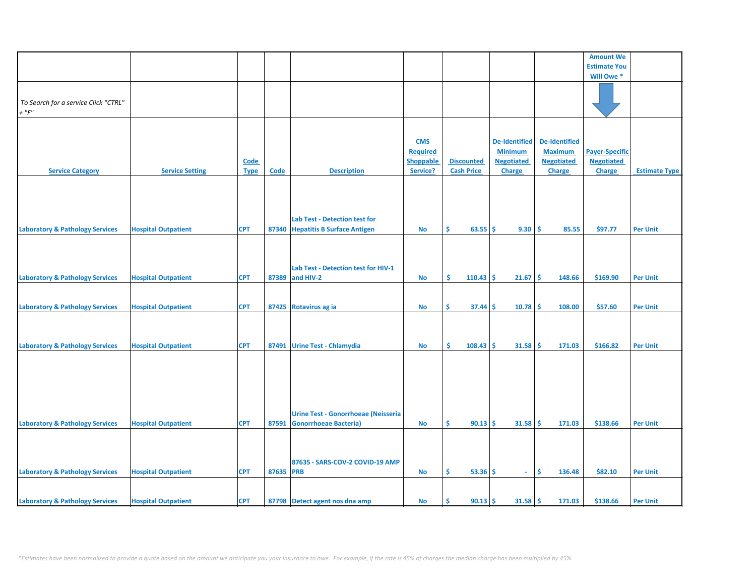|                                            |                            |             |             |                                            |                  |                           |                      |                      | <b>Amount We</b>      |                      |
|--------------------------------------------|----------------------------|-------------|-------------|--------------------------------------------|------------------|---------------------------|----------------------|----------------------|-----------------------|----------------------|
|                                            |                            |             |             |                                            |                  |                           |                      |                      | <b>Estimate You</b>   |                      |
|                                            |                            |             |             |                                            |                  |                           |                      |                      | Will Owe*             |                      |
|                                            |                            |             |             |                                            |                  |                           |                      |                      |                       |                      |
|                                            |                            |             |             |                                            |                  |                           |                      |                      |                       |                      |
| To Search for a service Click "CTRL"       |                            |             |             |                                            |                  |                           |                      |                      |                       |                      |
| + $"F"$                                    |                            |             |             |                                            |                  |                           |                      |                      |                       |                      |
|                                            |                            |             |             |                                            |                  |                           |                      |                      |                       |                      |
|                                            |                            |             |             |                                            |                  |                           |                      |                      |                       |                      |
|                                            |                            |             |             |                                            | <b>CMS</b>       |                           | <b>De-Identified</b> | <b>De-Identified</b> |                       |                      |
|                                            |                            |             |             |                                            | <b>Required</b>  |                           | <b>Minimum</b>       | <b>Maximum</b>       | <b>Payer-Specific</b> |                      |
|                                            |                            |             |             |                                            | <b>Shoppable</b> | <b>Discounted</b>         | <b>Negotiated</b>    | <b>Negotiated</b>    | <b>Negotiated</b>     |                      |
|                                            |                            | <b>Code</b> |             |                                            |                  |                           |                      |                      |                       |                      |
| <b>Service Category</b>                    | <b>Service Setting</b>     | <b>Type</b> | <b>Code</b> | <b>Description</b>                         | Service?         | <b>Cash Price</b>         | <b>Charge</b>        | <b>Charge</b>        | <b>Charge</b>         | <b>Estimate Type</b> |
|                                            |                            |             |             |                                            |                  |                           |                      |                      |                       |                      |
|                                            |                            |             |             |                                            |                  |                           |                      |                      |                       |                      |
|                                            |                            |             |             |                                            |                  |                           |                      |                      |                       |                      |
|                                            |                            |             |             |                                            |                  |                           |                      |                      |                       |                      |
|                                            |                            |             |             | <b>Lab Test - Detection test for</b>       |                  |                           |                      |                      |                       |                      |
| <b>Laboratory &amp; Pathology Services</b> | <b>Hospital Outpatient</b> | <b>CPT</b>  |             | 87340 Hepatitis B Surface Antigen          | No               | \$<br>$63.55$ \$          | 9.30   \$            | 85.55                | \$97.77               | <b>Per Unit</b>      |
|                                            |                            |             |             |                                            |                  |                           |                      |                      |                       |                      |
|                                            |                            |             |             |                                            |                  |                           |                      |                      |                       |                      |
|                                            |                            |             |             |                                            |                  |                           |                      |                      |                       |                      |
|                                            |                            |             |             | Lab Test - Detection test for HIV-1        |                  |                           |                      |                      |                       |                      |
| <b>Laboratory &amp; Pathology Services</b> | <b>Hospital Outpatient</b> | <b>CPT</b>  |             | 87389 and HIV-2                            | No               | \$<br>$110.43$ \$         | $21.67 \,$ \$        | 148.66               | \$169.90              | <b>Per Unit</b>      |
|                                            |                            |             |             |                                            |                  |                           |                      |                      |                       |                      |
|                                            |                            |             |             |                                            |                  |                           |                      |                      |                       |                      |
| <b>Laboratory &amp; Pathology Services</b> | <b>Hospital Outpatient</b> | <b>CPT</b>  |             | 87425 Rotavirus ag ia                      | No               | Ŝ.<br>$37.44 \, \text{S}$ | $10.78$ \$           | 108.00               | \$57.60               | <b>Per Unit</b>      |
|                                            |                            |             |             |                                            |                  |                           |                      |                      |                       |                      |
|                                            |                            |             |             |                                            |                  |                           |                      |                      |                       |                      |
|                                            |                            |             |             |                                            |                  |                           |                      |                      |                       |                      |
| <b>Laboratory &amp; Pathology Services</b> | <b>Hospital Outpatient</b> | <b>CPT</b>  |             | 87491 Urine Test - Chlamydia               | No               | Ŝ.<br>$108.43$ \$         | $31.58$ \$           | 171.03               | \$166.82              | <b>Per Unit</b>      |
|                                            |                            |             |             |                                            |                  |                           |                      |                      |                       |                      |
|                                            |                            |             |             |                                            |                  |                           |                      |                      |                       |                      |
|                                            |                            |             |             |                                            |                  |                           |                      |                      |                       |                      |
|                                            |                            |             |             |                                            |                  |                           |                      |                      |                       |                      |
|                                            |                            |             |             |                                            |                  |                           |                      |                      |                       |                      |
|                                            |                            |             |             |                                            |                  |                           |                      |                      |                       |                      |
|                                            |                            |             |             |                                            |                  |                           |                      |                      |                       |                      |
|                                            |                            |             |             | <b>Urine Test - Gonorrhoeae (Neisseria</b> |                  |                           |                      |                      |                       |                      |
| <b>Laboratory &amp; Pathology Services</b> | <b>Hospital Outpatient</b> | <b>CPT</b>  |             | 87591 Gonorrhoeae Bacteria)                | No               | $90.13$ \$<br>Ŝ           | $31.58$ \$           | 171.03               | \$138.66              | <b>Per Unit</b>      |
|                                            |                            |             |             |                                            |                  |                           |                      |                      |                       |                      |
|                                            |                            |             |             |                                            |                  |                           |                      |                      |                       |                      |
|                                            |                            |             |             |                                            |                  |                           |                      |                      |                       |                      |
|                                            |                            |             |             | 87635 - SARS-COV-2 COVID-19 AMP            |                  |                           |                      |                      |                       |                      |
| <b>Laboratory &amp; Pathology Services</b> | <b>Hospital Outpatient</b> | <b>CPT</b>  | 87635 PRB   |                                            | No               | \$<br>$53.36$ \$          | $\blacksquare$       | \$<br>136.48         | \$82.10               | <b>Per Unit</b>      |
|                                            |                            |             |             |                                            |                  |                           |                      |                      |                       |                      |
|                                            |                            |             |             |                                            |                  |                           |                      |                      |                       |                      |
| <b>Laboratory &amp; Pathology Services</b> |                            | <b>CPT</b>  |             |                                            |                  |                           |                      | 171.03               | \$138.66              | <b>Per Unit</b>      |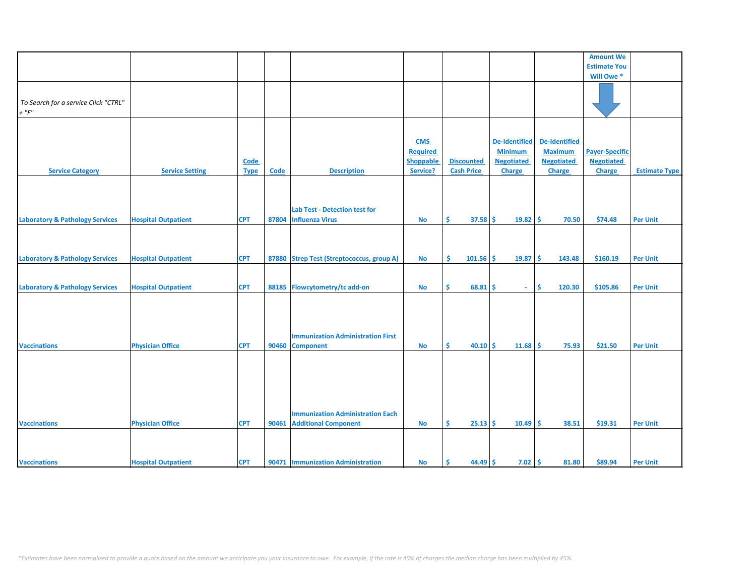|                                            |                            |             |             |                                           |                  |                   |                      |                   | <b>Amount We</b>      |                      |
|--------------------------------------------|----------------------------|-------------|-------------|-------------------------------------------|------------------|-------------------|----------------------|-------------------|-----------------------|----------------------|
|                                            |                            |             |             |                                           |                  |                   |                      |                   | <b>Estimate You</b>   |                      |
|                                            |                            |             |             |                                           |                  |                   |                      |                   | Will Owe*             |                      |
|                                            |                            |             |             |                                           |                  |                   |                      |                   |                       |                      |
|                                            |                            |             |             |                                           |                  |                   |                      |                   |                       |                      |
| To Search for a service Click "CTRL"       |                            |             |             |                                           |                  |                   |                      |                   |                       |                      |
| $+$ " $F$ "                                |                            |             |             |                                           |                  |                   |                      |                   |                       |                      |
|                                            |                            |             |             |                                           |                  |                   |                      |                   |                       |                      |
|                                            |                            |             |             |                                           |                  |                   |                      |                   |                       |                      |
|                                            |                            |             |             |                                           |                  |                   |                      |                   |                       |                      |
|                                            |                            |             |             |                                           | <b>CMS</b>       |                   | <b>De-Identified</b> | De-Identified     |                       |                      |
|                                            |                            |             |             |                                           | <b>Required</b>  |                   | <b>Minimum</b>       | <b>Maximum</b>    | <b>Payer-Specific</b> |                      |
|                                            |                            | Code        |             |                                           | <b>Shoppable</b> | <b>Discounted</b> | <b>Negotiated</b>    | <b>Negotiated</b> | <b>Negotiated</b>     |                      |
| <b>Service Category</b>                    | <b>Service Setting</b>     | <b>Type</b> | <b>Code</b> | <b>Description</b>                        | Service?         | <b>Cash Price</b> | Charge               | Charge            | Charge                | <b>Estimate Type</b> |
|                                            |                            |             |             |                                           |                  |                   |                      |                   |                       |                      |
|                                            |                            |             |             |                                           |                  |                   |                      |                   |                       |                      |
|                                            |                            |             |             |                                           |                  |                   |                      |                   |                       |                      |
|                                            |                            |             |             |                                           |                  |                   |                      |                   |                       |                      |
|                                            |                            |             |             | <b>Lab Test - Detection test for</b>      |                  |                   |                      |                   |                       |                      |
| <b>Laboratory &amp; Pathology Services</b> | <b>Hospital Outpatient</b> | <b>CPT</b>  | 87804       | <b>Influenza Virus</b>                    | No               | Ŝ.<br>$37.58$ \$  | $19.82 \, \text{S}$  | 70.50             | \$74.48               | <b>Per Unit</b>      |
|                                            |                            |             |             |                                           |                  |                   |                      |                   |                       |                      |
|                                            |                            |             |             |                                           |                  |                   |                      |                   |                       |                      |
|                                            |                            |             |             |                                           |                  |                   |                      |                   |                       |                      |
|                                            |                            |             |             |                                           |                  |                   |                      |                   |                       |                      |
| <b>Laboratory &amp; Pathology Services</b> | <b>Hospital Outpatient</b> | <b>CPT</b>  |             | 87880 Strep Test (Streptococcus, group A) | No               | Ŝ.<br>$101.56$ \$ | $19.87 \, \text{S}$  | 143.48            | \$160.19              | <b>Per Unit</b>      |
|                                            |                            |             |             |                                           |                  |                   |                      |                   |                       |                      |
|                                            |                            |             |             |                                           |                  |                   |                      |                   |                       |                      |
| <b>Laboratory &amp; Pathology Services</b> | <b>Hospital Outpatient</b> | <b>CPT</b>  | 88185       | Flowcytometry/tc add-on                   | <b>No</b>        | Ŝ.<br>$68.81$ \$  | $\sim$               | Ŝ.<br>120.30      | \$105.86              | <b>Per Unit</b>      |
|                                            |                            |             |             |                                           |                  |                   |                      |                   |                       |                      |
|                                            |                            |             |             |                                           |                  |                   |                      |                   |                       |                      |
|                                            |                            |             |             |                                           |                  |                   |                      |                   |                       |                      |
|                                            |                            |             |             |                                           |                  |                   |                      |                   |                       |                      |
|                                            |                            |             |             |                                           |                  |                   |                      |                   |                       |                      |
|                                            |                            |             |             | <b>Immunization Administration First</b>  |                  |                   |                      |                   |                       |                      |
| <b>Vaccinations</b>                        | <b>Physician Office</b>    | <b>CPT</b>  | 90460       | <b>Component</b>                          | <b>No</b>        | 40.10<br>\$       | \$<br>$11.68$ \$     | 75.93             | \$21.50               | <b>Per Unit</b>      |
|                                            |                            |             |             |                                           |                  |                   |                      |                   |                       |                      |
|                                            |                            |             |             |                                           |                  |                   |                      |                   |                       |                      |
|                                            |                            |             |             |                                           |                  |                   |                      |                   |                       |                      |
|                                            |                            |             |             |                                           |                  |                   |                      |                   |                       |                      |
|                                            |                            |             |             |                                           |                  |                   |                      |                   |                       |                      |
|                                            |                            |             |             |                                           |                  |                   |                      |                   |                       |                      |
|                                            |                            |             |             |                                           |                  |                   |                      |                   |                       |                      |
|                                            |                            |             |             | <b>Immunization Administration Each</b>   |                  |                   |                      |                   |                       |                      |
| <b>Vaccinations</b>                        | <b>Physician Office</b>    | <b>CPT</b>  | 90461       | <b>Additional Component</b>               | <b>No</b>        | \$<br>$25.13$ \$  | $10.49$ \$           | 38.51             | \$19.31               | <b>Per Unit</b>      |
|                                            |                            |             |             |                                           |                  |                   |                      |                   |                       |                      |
|                                            |                            |             |             |                                           |                  |                   |                      |                   |                       |                      |
|                                            |                            |             |             |                                           |                  |                   |                      |                   |                       |                      |
|                                            |                            | <b>CPT</b>  |             |                                           |                  | $44.49$ \$<br>Ŝ.  |                      |                   | \$89.94               |                      |
| <b>Vaccinations</b>                        | <b>Hospital Outpatient</b> |             |             | 90471   Immunization Administration       | No               |                   | $7.02 \, \text{S}$   | 81.80             |                       | <b>Per Unit</b>      |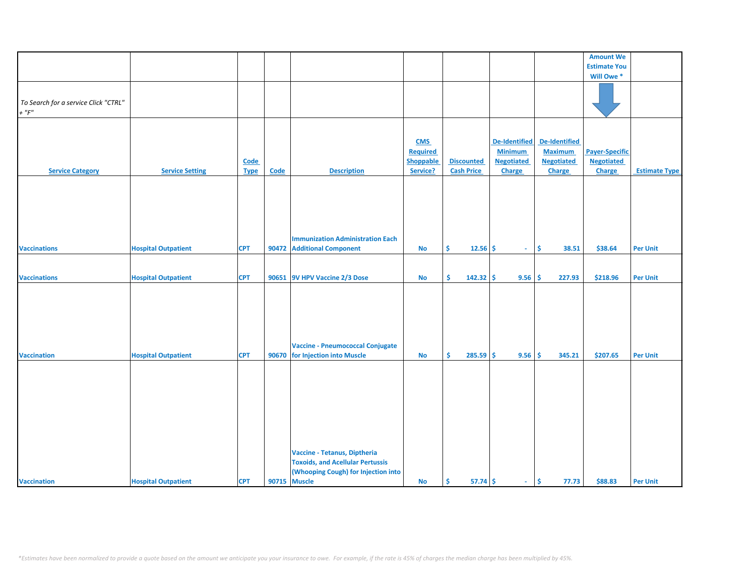|                                      |                            |             |             |                                         |                  |                   |                   |                      | <b>Amount We</b>      |                      |
|--------------------------------------|----------------------------|-------------|-------------|-----------------------------------------|------------------|-------------------|-------------------|----------------------|-----------------------|----------------------|
|                                      |                            |             |             |                                         |                  |                   |                   |                      | <b>Estimate You</b>   |                      |
|                                      |                            |             |             |                                         |                  |                   |                   |                      | Will Owe*             |                      |
|                                      |                            |             |             |                                         |                  |                   |                   |                      |                       |                      |
|                                      |                            |             |             |                                         |                  |                   |                   |                      |                       |                      |
| To Search for a service Click "CTRL" |                            |             |             |                                         |                  |                   |                   |                      |                       |                      |
| $+$ " $F$ "                          |                            |             |             |                                         |                  |                   |                   |                      |                       |                      |
|                                      |                            |             |             |                                         |                  |                   |                   |                      |                       |                      |
|                                      |                            |             |             |                                         |                  |                   |                   |                      |                       |                      |
|                                      |                            |             |             |                                         |                  |                   |                   | <b>De-Identified</b> |                       |                      |
|                                      |                            |             |             |                                         | <b>CMS</b>       |                   | De-Identified     |                      |                       |                      |
|                                      |                            |             |             |                                         | <b>Required</b>  |                   | <b>Minimum</b>    | <b>Maximum</b>       | <b>Payer-Specific</b> |                      |
|                                      |                            | <b>Code</b> |             |                                         | <b>Shoppable</b> | <b>Discounted</b> | <b>Negotiated</b> | <b>Negotiated</b>    | <b>Negotiated</b>     |                      |
| <b>Service Category</b>              | <b>Service Setting</b>     | <b>Type</b> | <b>Code</b> | <b>Description</b>                      | Service?         | <b>Cash Price</b> | <b>Charge</b>     | Charge               | <b>Charge</b>         | <b>Estimate Type</b> |
|                                      |                            |             |             |                                         |                  |                   |                   |                      |                       |                      |
|                                      |                            |             |             |                                         |                  |                   |                   |                      |                       |                      |
|                                      |                            |             |             |                                         |                  |                   |                   |                      |                       |                      |
|                                      |                            |             |             |                                         |                  |                   |                   |                      |                       |                      |
|                                      |                            |             |             |                                         |                  |                   |                   |                      |                       |                      |
|                                      |                            |             |             |                                         |                  |                   |                   |                      |                       |                      |
|                                      |                            |             |             | <b>Immunization Administration Each</b> |                  |                   |                   |                      |                       |                      |
|                                      |                            |             |             |                                         |                  |                   |                   |                      |                       |                      |
| <b>Vaccinations</b>                  | <b>Hospital Outpatient</b> | <b>CPT</b>  | 90472       | <b>Additional Component</b>             | <b>No</b>        | Ŝ.<br>$12.56$ \$  | $\sim$            | Ŝ.<br>38.51          | \$38.64               | <b>Per Unit</b>      |
|                                      |                            |             |             |                                         |                  |                   |                   |                      |                       |                      |
|                                      |                            |             |             |                                         |                  |                   |                   |                      |                       |                      |
| <b>Vaccinations</b>                  | <b>Hospital Outpatient</b> | <b>CPT</b>  | 90651       | 9V HPV Vaccine 2/3 Dose                 | <b>No</b>        | \$<br>$142.32$ \$ | 9.56              | -\$<br>227.93        | \$218.96              | <b>Per Unit</b>      |
|                                      |                            |             |             |                                         |                  |                   |                   |                      |                       |                      |
|                                      |                            |             |             |                                         |                  |                   |                   |                      |                       |                      |
|                                      |                            |             |             |                                         |                  |                   |                   |                      |                       |                      |
|                                      |                            |             |             |                                         |                  |                   |                   |                      |                       |                      |
|                                      |                            |             |             |                                         |                  |                   |                   |                      |                       |                      |
|                                      |                            |             |             |                                         |                  |                   |                   |                      |                       |                      |
|                                      |                            |             |             | <b>Vaccine - Pneumococcal Conjugate</b> |                  |                   |                   |                      |                       |                      |
| <b>Vaccination</b>                   | <b>Hospital Outpatient</b> | <b>CPT</b>  |             | 90670 for Injection into Muscle         | <b>No</b>        | Ŝ.<br>$285.59$ \$ | 9.56              | Ŝ.<br>345.21         | \$207.65              | <b>Per Unit</b>      |
|                                      |                            |             |             |                                         |                  |                   |                   |                      |                       |                      |
|                                      |                            |             |             |                                         |                  |                   |                   |                      |                       |                      |
|                                      |                            |             |             |                                         |                  |                   |                   |                      |                       |                      |
|                                      |                            |             |             |                                         |                  |                   |                   |                      |                       |                      |
|                                      |                            |             |             |                                         |                  |                   |                   |                      |                       |                      |
|                                      |                            |             |             |                                         |                  |                   |                   |                      |                       |                      |
|                                      |                            |             |             |                                         |                  |                   |                   |                      |                       |                      |
|                                      |                            |             |             |                                         |                  |                   |                   |                      |                       |                      |
|                                      |                            |             |             |                                         |                  |                   |                   |                      |                       |                      |
|                                      |                            |             |             |                                         |                  |                   |                   |                      |                       |                      |
|                                      |                            |             |             | Vaccine - Tetanus, Diptheria            |                  |                   |                   |                      |                       |                      |
|                                      |                            |             |             | <b>Toxoids, and Acellular Pertussis</b> |                  |                   |                   |                      |                       |                      |
|                                      |                            |             |             |                                         |                  |                   |                   |                      |                       |                      |
|                                      |                            |             |             | (Whooping Cough) for Injection into     |                  |                   |                   |                      |                       |                      |
| <b>Vaccination</b>                   | <b>Hospital Outpatient</b> | <b>CPT</b>  |             | 90715 Muscle                            | <b>No</b>        | $57.74$ \$<br>Ŝ.  | $\sim$            | Ŝ.<br>77.73          | \$88.83               | <b>Per Unit</b>      |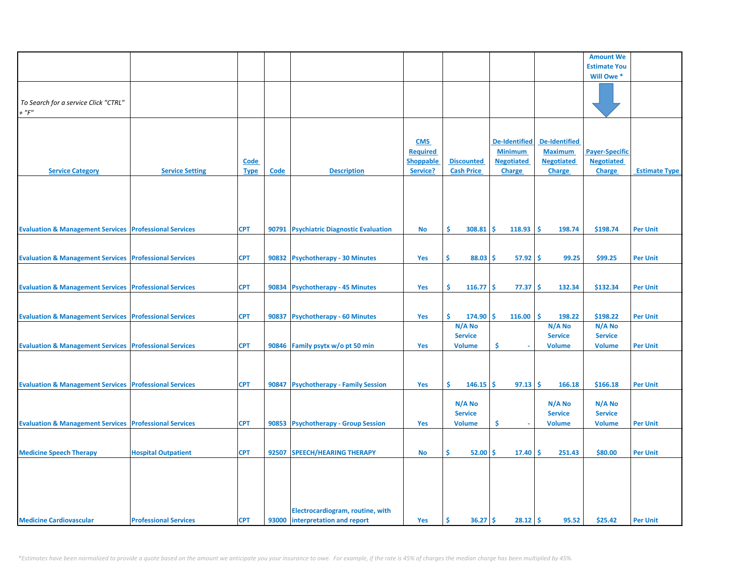|                                                                   |                              |             |                           |                                         |                  |                   |                          |                      | <b>Amount We</b>      |                      |
|-------------------------------------------------------------------|------------------------------|-------------|---------------------------|-----------------------------------------|------------------|-------------------|--------------------------|----------------------|-----------------------|----------------------|
|                                                                   |                              |             |                           |                                         |                  |                   |                          |                      | <b>Estimate You</b>   |                      |
|                                                                   |                              |             |                           |                                         |                  |                   |                          |                      | Will Owe*             |                      |
|                                                                   |                              |             |                           |                                         |                  |                   |                          |                      |                       |                      |
|                                                                   |                              |             |                           |                                         |                  |                   |                          |                      |                       |                      |
| To Search for a service Click "CTRL"                              |                              |             |                           |                                         |                  |                   |                          |                      |                       |                      |
| $+$ " $F$ "                                                       |                              |             |                           |                                         |                  |                   |                          |                      |                       |                      |
|                                                                   |                              |             |                           |                                         |                  |                   |                          |                      |                       |                      |
|                                                                   |                              |             |                           |                                         |                  |                   |                          |                      |                       |                      |
|                                                                   |                              |             |                           |                                         |                  |                   |                          |                      |                       |                      |
|                                                                   |                              |             |                           |                                         | <b>CMS</b>       |                   | <b>De-Identified</b>     | <b>De-Identified</b> |                       |                      |
|                                                                   |                              |             |                           |                                         | <b>Required</b>  |                   | <b>Minimum</b>           | <b>Maximum</b>       | <b>Payer-Specific</b> |                      |
|                                                                   |                              | Code        |                           |                                         | <b>Shoppable</b> | <b>Discounted</b> | <b>Negotiated</b>        | <b>Negotiated</b>    | <b>Negotiated</b>     |                      |
| <b>Service Category</b>                                           | <b>Service Setting</b>       | <b>Type</b> | $\underline{\text{Code}}$ | <b>Description</b>                      | Service?         | <b>Cash Price</b> | Charge                   | <b>Charge</b>        | <b>Charge</b>         | <b>Estimate Type</b> |
|                                                                   |                              |             |                           |                                         |                  |                   |                          |                      |                       |                      |
|                                                                   |                              |             |                           |                                         |                  |                   |                          |                      |                       |                      |
|                                                                   |                              |             |                           |                                         |                  |                   |                          |                      |                       |                      |
|                                                                   |                              |             |                           |                                         |                  |                   |                          |                      |                       |                      |
|                                                                   |                              |             |                           |                                         |                  |                   |                          |                      |                       |                      |
|                                                                   |                              |             |                           |                                         |                  |                   |                          |                      |                       |                      |
| <b>Evaluation &amp; Management Services Professional Services</b> |                              | <b>CPT</b>  |                           | 90791 Psychiatric Diagnostic Evaluation | <b>No</b>        | \$.<br>308.81     | Ŝ.<br>118.93             | 198.74<br>\$.        | \$198.74              | <b>Per Unit</b>      |
|                                                                   |                              |             |                           |                                         |                  |                   |                          |                      |                       |                      |
|                                                                   |                              |             |                           |                                         |                  |                   |                          |                      |                       |                      |
| <b>Evaluation &amp; Management Services Professional Services</b> |                              | <b>CPT</b>  |                           | 90832 Psychotherapy - 30 Minutes        | <b>Yes</b>       | Ŝ.<br>$88.03$ \$  | $57.92 \mid \frac{1}{2}$ | 99.25                | \$99.25               | <b>Per Unit</b>      |
|                                                                   |                              |             |                           |                                         |                  |                   |                          |                      |                       |                      |
|                                                                   |                              |             |                           |                                         |                  |                   |                          |                      |                       |                      |
|                                                                   |                              |             |                           |                                         |                  |                   |                          |                      |                       |                      |
| <b>Evaluation &amp; Management Services Professional Services</b> |                              | <b>CPT</b>  |                           | 90834 Psychotherapy - 45 Minutes        | Yes              | Ŝ.<br>$116.77$ \$ | 77.37                    | 132.34<br>\$.        | \$132.34              | <b>Per Unit</b>      |
|                                                                   |                              |             |                           |                                         |                  |                   |                          |                      |                       |                      |
|                                                                   |                              |             |                           |                                         |                  |                   |                          |                      |                       |                      |
| <b>Evaluation &amp; Management Services</b>                       | <b>Professional Services</b> | <b>CPT</b>  | 90837                     | <b>Psychotherapy - 60 Minutes</b>       | Yes              | Ś.<br>174.90      | \$.<br>116.00            | Ŝ.<br>198.22         | \$198.22              | <b>Per Unit</b>      |
|                                                                   |                              |             |                           |                                         |                  | N/A No            |                          | N/A No               | N/A No                |                      |
|                                                                   |                              |             |                           |                                         |                  | <b>Service</b>    |                          | <b>Service</b>       | <b>Service</b>        |                      |
| <b>Evaluation &amp; Management Services Professional Services</b> |                              | <b>CPT</b>  |                           | 90846 Family psytx w/o pt 50 min        | Yes              | <b>Volume</b>     | \$                       | <b>Volume</b>        | <b>Volume</b>         | <b>Per Unit</b>      |
|                                                                   |                              |             |                           |                                         |                  |                   |                          |                      |                       |                      |
|                                                                   |                              |             |                           |                                         |                  |                   |                          |                      |                       |                      |
|                                                                   |                              |             |                           |                                         |                  |                   |                          |                      |                       |                      |
|                                                                   |                              |             |                           |                                         |                  |                   |                          |                      |                       |                      |
| <b>Evaluation &amp; Management Services Professional Services</b> |                              | <b>CPT</b>  | 90847                     | <b>Psychotherapy - Family Session</b>   | Yes              | Ś.<br>146.15      | Ŝ.<br>97.13              | -Ś<br>166.18         | \$166.18              | <b>Per Unit</b>      |
|                                                                   |                              |             |                           |                                         |                  |                   |                          |                      |                       |                      |
|                                                                   |                              |             |                           |                                         |                  | N/A No            |                          | N/A No               | N/A No                |                      |
|                                                                   |                              |             |                           |                                         |                  | <b>Service</b>    |                          | <b>Service</b>       | <b>Service</b>        |                      |
| <b>Evaluation &amp; Management Services Professional Services</b> |                              | <b>CPT</b>  | 90853                     | <b>Psychotherapy - Group Session</b>    | Yes              | <b>Volume</b>     | \$                       | <b>Volume</b>        | <b>Volume</b>         | <b>Per Unit</b>      |
|                                                                   |                              |             |                           |                                         |                  |                   |                          |                      |                       |                      |
|                                                                   |                              |             |                           |                                         |                  |                   |                          |                      |                       |                      |
|                                                                   |                              |             |                           |                                         |                  |                   |                          |                      |                       |                      |
| <b>Medicine Speech Therapy</b>                                    | <b>Hospital Outpatient</b>   | <b>CPT</b>  |                           | 92507 SPEECH/HEARING THERAPY            | No               | Ŝ.<br>$52.00$ \$  | 17.40                    | Ŝ.<br>251.43         | \$80.00               | <b>Per Unit</b>      |
|                                                                   |                              |             |                           |                                         |                  |                   |                          |                      |                       |                      |
|                                                                   |                              |             |                           |                                         |                  |                   |                          |                      |                       |                      |
|                                                                   |                              |             |                           |                                         |                  |                   |                          |                      |                       |                      |
|                                                                   |                              |             |                           |                                         |                  |                   |                          |                      |                       |                      |
|                                                                   |                              |             |                           |                                         |                  |                   |                          |                      |                       |                      |
|                                                                   |                              |             |                           | Electrocardiogram, routine, with        |                  |                   |                          |                      |                       |                      |
| <b>Medicine Cardiovascular</b>                                    | <b>Professional Services</b> | <b>CPT</b>  |                           | 93000 interpretation and report         | <b>Yes</b>       | $36.27$ \$<br>\$. | 28.12                    | -\$<br>95.52         | \$25.42               | <b>Per Unit</b>      |
|                                                                   |                              |             |                           |                                         |                  |                   |                          |                      |                       |                      |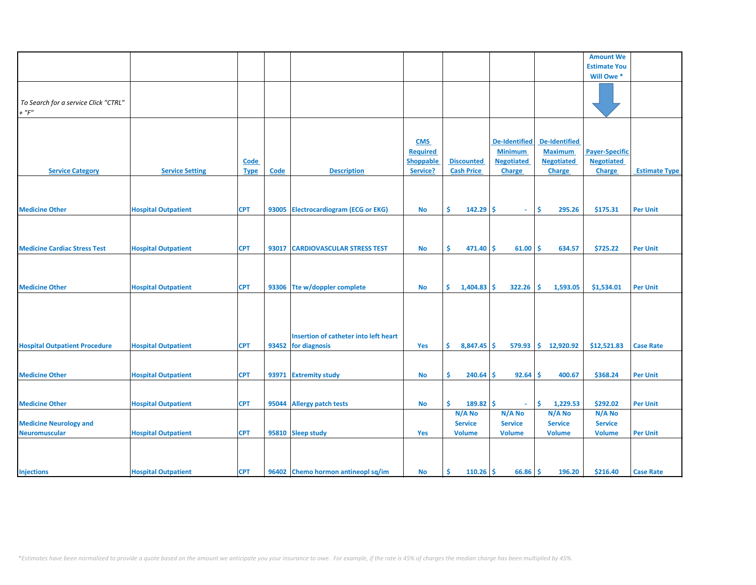|                                      |                            |             |       |                                       |                  |                           |                          |                      | <b>Amount We</b>      |                      |
|--------------------------------------|----------------------------|-------------|-------|---------------------------------------|------------------|---------------------------|--------------------------|----------------------|-----------------------|----------------------|
|                                      |                            |             |       |                                       |                  |                           |                          |                      | <b>Estimate You</b>   |                      |
|                                      |                            |             |       |                                       |                  |                           |                          |                      | Will Owe*             |                      |
|                                      |                            |             |       |                                       |                  |                           |                          |                      |                       |                      |
|                                      |                            |             |       |                                       |                  |                           |                          |                      |                       |                      |
| To Search for a service Click "CTRL" |                            |             |       |                                       |                  |                           |                          |                      |                       |                      |
| $+$ " $F$ "                          |                            |             |       |                                       |                  |                           |                          |                      |                       |                      |
|                                      |                            |             |       |                                       |                  |                           |                          |                      |                       |                      |
|                                      |                            |             |       |                                       |                  |                           |                          |                      |                       |                      |
|                                      |                            |             |       |                                       | <b>CMS</b>       |                           | <b>De-Identified</b>     | <b>De-Identified</b> |                       |                      |
|                                      |                            |             |       |                                       | <b>Required</b>  |                           | <b>Minimum</b>           | <b>Maximum</b>       | <b>Payer-Specific</b> |                      |
|                                      |                            | <b>Code</b> |       |                                       | <b>Shoppable</b> | <b>Discounted</b>         | <b>Negotiated</b>        | <b>Negotiated</b>    | <b>Negotiated</b>     |                      |
| <b>Service Category</b>              | <b>Service Setting</b>     | <b>Type</b> | Code  | <b>Description</b>                    | Service?         | <b>Cash Price</b>         | <b>Charge</b>            | Charge               | <b>Charge</b>         | <b>Estimate Type</b> |
|                                      |                            |             |       |                                       |                  |                           |                          |                      |                       |                      |
|                                      |                            |             |       |                                       |                  |                           |                          |                      |                       |                      |
|                                      |                            |             |       |                                       |                  |                           |                          |                      |                       |                      |
| <b>Medicine Other</b>                |                            | <b>CPT</b>  | 93005 |                                       | No               | Ŝ.<br>$142.29$ \$         | $\sim$                   | \$<br>295.26         | \$175.31              | <b>Per Unit</b>      |
|                                      | <b>Hospital Outpatient</b> |             |       | <b>Electrocardiogram (ECG or EKG)</b> |                  |                           |                          |                      |                       |                      |
|                                      |                            |             |       |                                       |                  |                           |                          |                      |                       |                      |
|                                      |                            |             |       |                                       |                  |                           |                          |                      |                       |                      |
|                                      |                            |             |       |                                       |                  |                           |                          |                      |                       |                      |
| <b>Medicine Cardiac Stress Test</b>  | <b>Hospital Outpatient</b> | <b>CPT</b>  | 93017 | <b>CARDIOVASCULAR STRESS TEST</b>     | No               | Ŝ.<br>$471.40$ \$         | $61.00$ \$               | 634.57               | \$725.22              | <b>Per Unit</b>      |
|                                      |                            |             |       |                                       |                  |                           |                          |                      |                       |                      |
|                                      |                            |             |       |                                       |                  |                           |                          |                      |                       |                      |
|                                      |                            |             |       |                                       |                  |                           |                          |                      |                       |                      |
| <b>Medicine Other</b>                | <b>Hospital Outpatient</b> | <b>CPT</b>  |       | 93306 Tte w/doppler complete          | <b>No</b>        | \$.<br>$1,404.83$ \$      | 322.26                   | -Ś<br>1,593.05       | \$1,534.01            | <b>Per Unit</b>      |
|                                      |                            |             |       |                                       |                  |                           |                          |                      |                       |                      |
|                                      |                            |             |       |                                       |                  |                           |                          |                      |                       |                      |
|                                      |                            |             |       |                                       |                  |                           |                          |                      |                       |                      |
|                                      |                            |             |       |                                       |                  |                           |                          |                      |                       |                      |
|                                      |                            |             |       | Insertion of catheter into left heart |                  |                           |                          |                      |                       |                      |
| <b>Hospital Outpatient Procedure</b> | <b>Hospital Outpatient</b> | <b>CPT</b>  |       | 93452 for diagnosis                   | Yes              | \$.<br>$8,847.45$ \$      | 579.93                   | \$.<br>12,920.92     | \$12,521.83           | <b>Case Rate</b>     |
|                                      |                            |             |       |                                       |                  |                           |                          |                      |                       |                      |
|                                      |                            |             |       |                                       |                  |                           |                          |                      |                       |                      |
| <b>Medicine Other</b>                | <b>Hospital Outpatient</b> | <b>CPT</b>  | 93971 | <b>Extremity study</b>                | <b>No</b>        | \$<br>$240.64$ \$         | 92.64                    | <b>S</b><br>400.67   | \$368.24              | <b>Per Unit</b>      |
|                                      |                            |             |       |                                       |                  |                           |                          |                      |                       |                      |
|                                      |                            |             |       |                                       |                  |                           |                          |                      |                       |                      |
| <b>Medicine Other</b>                | <b>Hospital Outpatient</b> | <b>CPT</b>  | 95044 | <b>Allergy patch tests</b>            | No               | Ŝ.<br>$189.82 \mid \zeta$ | $\overline{\phantom{a}}$ | <b>S</b><br>1,229.53 | \$292.02              | <b>Per Unit</b>      |
|                                      |                            |             |       |                                       |                  | N/A No                    | N/A No                   | $N/A$ No             | $N/A$ No              |                      |
| <b>Medicine Neurology and</b>        |                            |             |       |                                       |                  | <b>Service</b>            | <b>Service</b>           | <b>Service</b>       | <b>Service</b>        |                      |
|                                      |                            |             |       |                                       |                  |                           |                          |                      |                       |                      |
| <b>Neuromuscular</b>                 | <b>Hospital Outpatient</b> | <b>CPT</b>  |       | 95810 Sleep study                     | Yes              | <b>Volume</b>             | <b>Volume</b>            | <b>Volume</b>        | <b>Volume</b>         | <b>Per Unit</b>      |
|                                      |                            |             |       |                                       |                  |                           |                          |                      |                       |                      |
|                                      |                            |             |       |                                       |                  |                           |                          |                      |                       |                      |
|                                      |                            |             |       |                                       |                  |                           |                          |                      |                       |                      |
| <b>Injections</b>                    | <b>Hospital Outpatient</b> | <b>CPT</b>  |       | 96402 Chemo hormon antineopl sq/im    | <b>No</b>        | \$<br>$110.26$ \$         | $66.86$ \$               | 196.20               | \$216.40              | <b>Case Rate</b>     |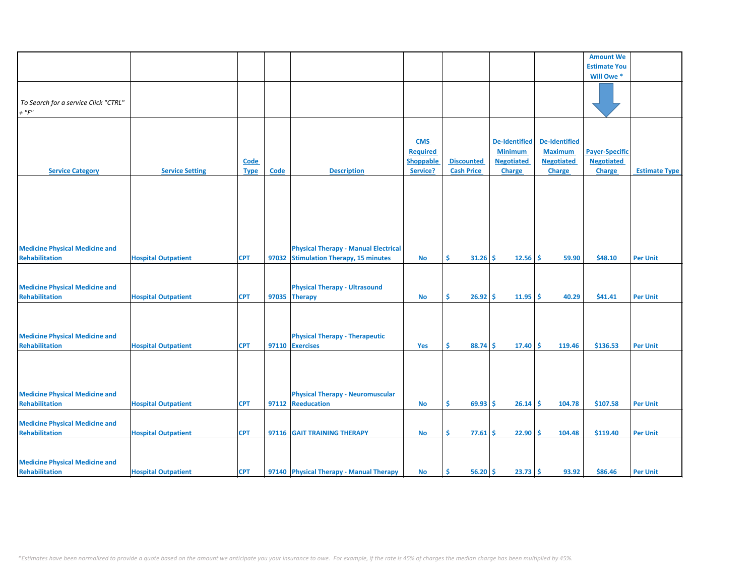|                                       |                            |             |             |                                             |                  |                               |                      |                      | <b>Amount We</b>      |                      |
|---------------------------------------|----------------------------|-------------|-------------|---------------------------------------------|------------------|-------------------------------|----------------------|----------------------|-----------------------|----------------------|
|                                       |                            |             |             |                                             |                  |                               |                      |                      | <b>Estimate You</b>   |                      |
|                                       |                            |             |             |                                             |                  |                               |                      |                      | Will Owe*             |                      |
|                                       |                            |             |             |                                             |                  |                               |                      |                      |                       |                      |
|                                       |                            |             |             |                                             |                  |                               |                      |                      |                       |                      |
| To Search for a service Click "CTRL"  |                            |             |             |                                             |                  |                               |                      |                      |                       |                      |
| $+$ " $F$ "                           |                            |             |             |                                             |                  |                               |                      |                      |                       |                      |
|                                       |                            |             |             |                                             |                  |                               |                      |                      |                       |                      |
|                                       |                            |             |             |                                             |                  |                               |                      |                      |                       |                      |
|                                       |                            |             |             |                                             | <b>CMS</b>       |                               | <b>De-Identified</b> | <b>De-Identified</b> |                       |                      |
|                                       |                            |             |             |                                             | <b>Required</b>  |                               | <b>Minimum</b>       | <b>Maximum</b>       | <b>Payer-Specific</b> |                      |
|                                       |                            | Code        |             |                                             | <b>Shoppable</b> | <b>Discounted</b>             | <b>Negotiated</b>    | <b>Negotiated</b>    | <b>Negotiated</b>     |                      |
| <b>Service Category</b>               | <b>Service Setting</b>     | <b>Type</b> | <b>Code</b> | <b>Description</b>                          | Service?         | <b>Cash Price</b>             | Charge               | <b>Charge</b>        | Charge                | <b>Estimate Type</b> |
|                                       |                            |             |             |                                             |                  |                               |                      |                      |                       |                      |
|                                       |                            |             |             |                                             |                  |                               |                      |                      |                       |                      |
|                                       |                            |             |             |                                             |                  |                               |                      |                      |                       |                      |
|                                       |                            |             |             |                                             |                  |                               |                      |                      |                       |                      |
|                                       |                            |             |             |                                             |                  |                               |                      |                      |                       |                      |
|                                       |                            |             |             |                                             |                  |                               |                      |                      |                       |                      |
|                                       |                            |             |             |                                             |                  |                               |                      |                      |                       |                      |
|                                       |                            |             |             |                                             |                  |                               |                      |                      |                       |                      |
| <b>Medicine Physical Medicine and</b> |                            |             |             | <b>Physical Therapy - Manual Electrical</b> |                  |                               |                      |                      |                       |                      |
| <b>Rehabilitation</b>                 | <b>Hospital Outpatient</b> | <b>CPT</b>  | 97032       | <b>Stimulation Therapy, 15 minutes</b>      | <b>No</b>        | $31.26$ \$<br>Ŝ.              | $12.56$ \$           | 59.90                | \$48.10               | <b>Per Unit</b>      |
|                                       |                            |             |             |                                             |                  |                               |                      |                      |                       |                      |
|                                       |                            |             |             |                                             |                  |                               |                      |                      |                       |                      |
| <b>Medicine Physical Medicine and</b> |                            |             |             | <b>Physical Therapy - Ultrasound</b>        |                  |                               |                      |                      |                       |                      |
| <b>Rehabilitation</b>                 | <b>Hospital Outpatient</b> | <b>CPT</b>  | 97035       | <b>Therapy</b>                              | No               | $26.92 \mid \frac{1}{2}$<br>S | $11.95$ \$           | 40.29                | \$41.41               | <b>Per Unit</b>      |
|                                       |                            |             |             |                                             |                  |                               |                      |                      |                       |                      |
|                                       |                            |             |             |                                             |                  |                               |                      |                      |                       |                      |
|                                       |                            |             |             |                                             |                  |                               |                      |                      |                       |                      |
| <b>Medicine Physical Medicine and</b> |                            |             |             | <b>Physical Therapy - Therapeutic</b>       |                  |                               |                      |                      |                       |                      |
|                                       |                            |             |             |                                             |                  |                               |                      |                      |                       |                      |
| <b>Rehabilitation</b>                 | <b>Hospital Outpatient</b> | <b>CPT</b>  |             | 97110 Exercises                             | Yes              | $88.74$ \$<br>\$.             | $17.40 \,$ \$        | 119.46               | \$136.53              | <b>Per Unit</b>      |
|                                       |                            |             |             |                                             |                  |                               |                      |                      |                       |                      |
|                                       |                            |             |             |                                             |                  |                               |                      |                      |                       |                      |
|                                       |                            |             |             |                                             |                  |                               |                      |                      |                       |                      |
|                                       |                            |             |             |                                             |                  |                               |                      |                      |                       |                      |
| <b>Medicine Physical Medicine and</b> |                            |             |             | <b>Physical Therapy - Neuromuscular</b>     |                  |                               |                      |                      |                       |                      |
| Rehabilitation                        | <b>Hospital Outpatient</b> | <b>CPT</b>  | 97112       | Reeducation                                 | <b>No</b>        | \$<br>$69.93$ \$              | 26.14                | Ŝ<br>104.78          | \$107.58              | <b>Per Unit</b>      |
|                                       |                            |             |             |                                             |                  |                               |                      |                      |                       |                      |
| <b>Medicine Physical Medicine and</b> |                            |             |             |                                             |                  |                               |                      |                      |                       |                      |
| <b>Rehabilitation</b>                 | <b>Hospital Outpatient</b> | <b>CPT</b>  | 97116       | <b>GAIT TRAINING THERAPY</b>                | No               | Ŝ.<br>77.61                   | Ŝ.<br>22.90          | Ŝ.<br>104.48         | \$119.40              | <b>Per Unit</b>      |
|                                       |                            |             |             |                                             |                  |                               |                      |                      |                       |                      |
|                                       |                            |             |             |                                             |                  |                               |                      |                      |                       |                      |
| <b>Medicine Physical Medicine and</b> |                            |             |             |                                             |                  |                               |                      |                      |                       |                      |
| Rehabilitation                        | <b>Hospital Outpatient</b> | <b>CPT</b>  |             | 97140 Physical Therapy - Manual Therapy     | No               | $56.20$ \$<br>\$.             | $23.73$ \$           | 93.92                | \$86.46               | <b>Per Unit</b>      |
|                                       |                            |             |             |                                             |                  |                               |                      |                      |                       |                      |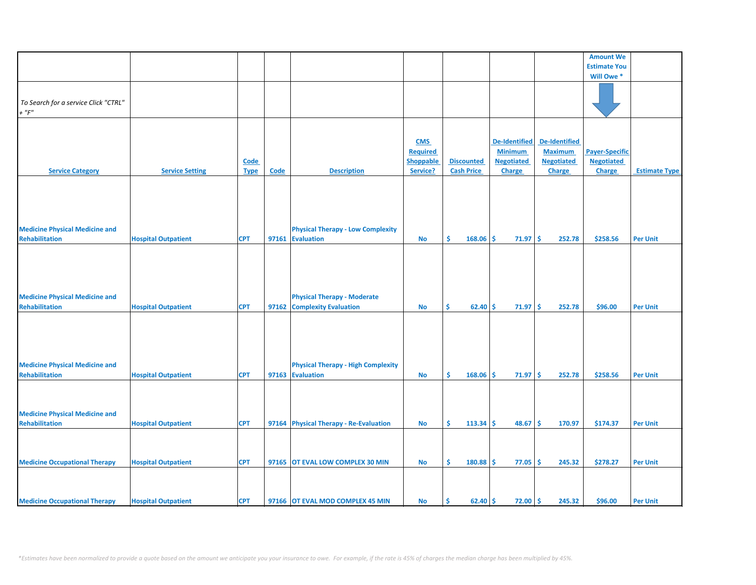|                                       |                            |             |             |                                           |                  |                    |                      |                      | <b>Amount We</b>      |                      |
|---------------------------------------|----------------------------|-------------|-------------|-------------------------------------------|------------------|--------------------|----------------------|----------------------|-----------------------|----------------------|
|                                       |                            |             |             |                                           |                  |                    |                      |                      | <b>Estimate You</b>   |                      |
|                                       |                            |             |             |                                           |                  |                    |                      |                      | Will Owe *            |                      |
|                                       |                            |             |             |                                           |                  |                    |                      |                      |                       |                      |
|                                       |                            |             |             |                                           |                  |                    |                      |                      |                       |                      |
| To Search for a service Click "CTRL"  |                            |             |             |                                           |                  |                    |                      |                      |                       |                      |
| $+$ " $F$ "                           |                            |             |             |                                           |                  |                    |                      |                      |                       |                      |
|                                       |                            |             |             |                                           |                  |                    |                      |                      |                       |                      |
|                                       |                            |             |             |                                           | <b>CMS</b>       |                    | <b>De-Identified</b> | <b>De-Identified</b> |                       |                      |
|                                       |                            |             |             |                                           | <b>Required</b>  |                    | <b>Minimum</b>       | <b>Maximum</b>       | <b>Payer-Specific</b> |                      |
|                                       |                            | Code        |             |                                           | <b>Shoppable</b> | <b>Discounted</b>  | <b>Negotiated</b>    | <b>Negotiated</b>    | <b>Negotiated</b>     |                      |
| <b>Service Category</b>               | <b>Service Setting</b>     | <b>Type</b> | <b>Code</b> | <b>Description</b>                        | Service?         | <b>Cash Price</b>  | Charge               | Charge               | Charge                | <b>Estimate Type</b> |
|                                       |                            |             |             |                                           |                  |                    |                      |                      |                       |                      |
|                                       |                            |             |             |                                           |                  |                    |                      |                      |                       |                      |
|                                       |                            |             |             |                                           |                  |                    |                      |                      |                       |                      |
|                                       |                            |             |             |                                           |                  |                    |                      |                      |                       |                      |
|                                       |                            |             |             |                                           |                  |                    |                      |                      |                       |                      |
| <b>Medicine Physical Medicine and</b> |                            |             |             | <b>Physical Therapy - Low Complexity</b>  |                  |                    |                      |                      |                       |                      |
| <b>Rehabilitation</b>                 | <b>Hospital Outpatient</b> | <b>CPT</b>  | 97161       | <b>Evaluation</b>                         | <b>No</b>        | \$<br>168.06       | \$<br>71.97          | -Ś<br>252.78         | \$258.56              | <b>Per Unit</b>      |
|                                       |                            |             |             |                                           |                  |                    |                      |                      |                       |                      |
|                                       |                            |             |             |                                           |                  |                    |                      |                      |                       |                      |
|                                       |                            |             |             |                                           |                  |                    |                      |                      |                       |                      |
|                                       |                            |             |             |                                           |                  |                    |                      |                      |                       |                      |
|                                       |                            |             |             |                                           |                  |                    |                      |                      |                       |                      |
| <b>Medicine Physical Medicine and</b> |                            |             |             | <b>Physical Therapy - Moderate</b>        |                  |                    |                      |                      |                       |                      |
| <b>Rehabilitation</b>                 | <b>Hospital Outpatient</b> | <b>CPT</b>  | 97162       | <b>Complexity Evaluation</b>              | No               | 62.40<br>\$        | \$<br>71.97          | Ŝ.<br>252.78         | \$96.00               | <b>Per Unit</b>      |
|                                       |                            |             |             |                                           |                  |                    |                      |                      |                       |                      |
|                                       |                            |             |             |                                           |                  |                    |                      |                      |                       |                      |
|                                       |                            |             |             |                                           |                  |                    |                      |                      |                       |                      |
|                                       |                            |             |             |                                           |                  |                    |                      |                      |                       |                      |
|                                       |                            |             |             |                                           |                  |                    |                      |                      |                       |                      |
| <b>Medicine Physical Medicine and</b> |                            |             |             | <b>Physical Therapy - High Complexity</b> |                  |                    |                      |                      |                       |                      |
| <b>Rehabilitation</b>                 | <b>Hospital Outpatient</b> | <b>CPT</b>  | 97163       | <b>Evaluation</b>                         | No               | \$.<br>$168.06$ \$ | $71.97 \,$ \$        | 252.78               | \$258.56              | <b>Per Unit</b>      |
|                                       |                            |             |             |                                           |                  |                    |                      |                      |                       |                      |
|                                       |                            |             |             |                                           |                  |                    |                      |                      |                       |                      |
|                                       |                            |             |             |                                           |                  |                    |                      |                      |                       |                      |
| <b>Medicine Physical Medicine and</b> |                            |             |             |                                           |                  |                    |                      |                      |                       |                      |
| <b>Rehabilitation</b>                 | <b>Hospital Outpatient</b> | <b>CPT</b>  |             | 97164 Physical Therapy - Re-Evaluation    | No               | Ŝ.<br>$113.34$ \$  | $48.67$ \$           | 170.97               | \$174.37              | <b>Per Unit</b>      |
|                                       |                            |             |             |                                           |                  |                    |                      |                      |                       |                      |
|                                       |                            |             |             |                                           |                  |                    |                      |                      |                       |                      |
|                                       |                            |             |             |                                           |                  |                    |                      |                      |                       |                      |
| <b>Medicine Occupational Therapy</b>  | <b>Hospital Outpatient</b> | <b>CPT</b>  | 97165       | OT EVAL LOW COMPLEX 30 MIN                | <b>No</b>        | \$<br>180.88       | \$<br>77.05          | \$<br>245.32         | \$278.27              | <b>Per Unit</b>      |
|                                       |                            |             |             |                                           |                  |                    |                      |                      |                       |                      |
|                                       |                            |             |             |                                           |                  |                    |                      |                      |                       |                      |
|                                       |                            |             |             |                                           |                  |                    |                      |                      |                       |                      |
| <b>Medicine Occupational Therapy</b>  | <b>Hospital Outpatient</b> | <b>CPT</b>  |             | 97166 OT EVAL MOD COMPLEX 45 MIN          | <b>No</b>        | 62.40<br>Ŝ.        | Ŝ.<br>$72.00$ \$     | 245.32               | \$96.00               | <b>Per Unit</b>      |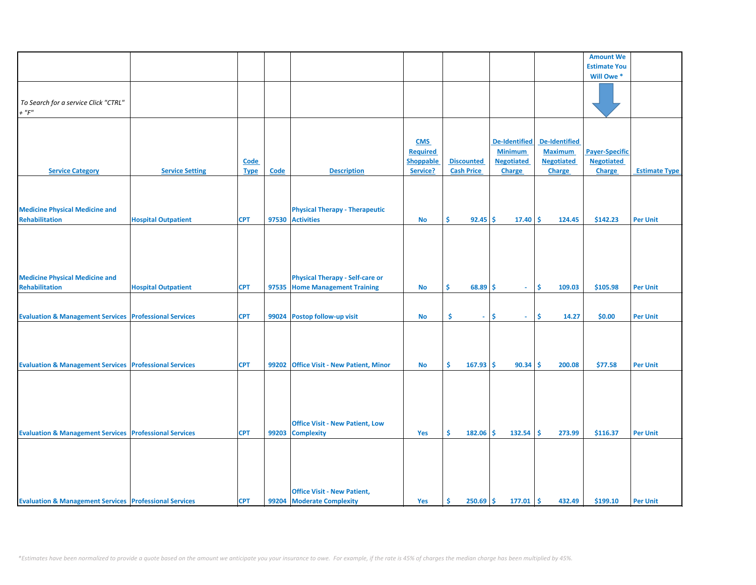|                                                                   |                              |             |       |                                          |                  |                   |                      |                      | <b>Amount We</b>      |                      |
|-------------------------------------------------------------------|------------------------------|-------------|-------|------------------------------------------|------------------|-------------------|----------------------|----------------------|-----------------------|----------------------|
|                                                                   |                              |             |       |                                          |                  |                   |                      |                      | <b>Estimate You</b>   |                      |
|                                                                   |                              |             |       |                                          |                  |                   |                      |                      | Will Owe *            |                      |
|                                                                   |                              |             |       |                                          |                  |                   |                      |                      |                       |                      |
|                                                                   |                              |             |       |                                          |                  |                   |                      |                      |                       |                      |
| To Search for a service Click "CTRL"                              |                              |             |       |                                          |                  |                   |                      |                      |                       |                      |
| $+$ " $F$ "                                                       |                              |             |       |                                          |                  |                   |                      |                      |                       |                      |
|                                                                   |                              |             |       |                                          |                  |                   |                      |                      |                       |                      |
|                                                                   |                              |             |       |                                          |                  |                   |                      |                      |                       |                      |
|                                                                   |                              |             |       |                                          | <b>CMS</b>       |                   | <b>De-Identified</b> | <b>De-Identified</b> |                       |                      |
|                                                                   |                              |             |       |                                          |                  |                   |                      |                      |                       |                      |
|                                                                   |                              |             |       |                                          | <b>Required</b>  |                   | <b>Minimum</b>       | <b>Maximum</b>       | <b>Payer-Specific</b> |                      |
|                                                                   |                              | <b>Code</b> |       |                                          | <b>Shoppable</b> | <b>Discounted</b> | <b>Negotiated</b>    | <b>Negotiated</b>    | <b>Negotiated</b>     |                      |
| <b>Service Category</b>                                           | <b>Service Setting</b>       | <b>Type</b> | Code  | <b>Description</b>                       | Service?         | <b>Cash Price</b> | Charge               | <b>Charge</b>        | <b>Charge</b>         | <b>Estimate Type</b> |
|                                                                   |                              |             |       |                                          |                  |                   |                      |                      |                       |                      |
|                                                                   |                              |             |       |                                          |                  |                   |                      |                      |                       |                      |
|                                                                   |                              |             |       |                                          |                  |                   |                      |                      |                       |                      |
| <b>Medicine Physical Medicine and</b>                             |                              |             |       | <b>Physical Therapy - Therapeutic</b>    |                  |                   |                      |                      |                       |                      |
| <b>Rehabilitation</b>                                             | <b>Hospital Outpatient</b>   | <b>CPT</b>  | 97530 | <b>Activities</b>                        | No               | Ŝ.<br>$92.45$ \$  | 17.40                | -Ś<br>124.45         | \$142.23              | <b>Per Unit</b>      |
|                                                                   |                              |             |       |                                          |                  |                   |                      |                      |                       |                      |
|                                                                   |                              |             |       |                                          |                  |                   |                      |                      |                       |                      |
|                                                                   |                              |             |       |                                          |                  |                   |                      |                      |                       |                      |
|                                                                   |                              |             |       |                                          |                  |                   |                      |                      |                       |                      |
|                                                                   |                              |             |       |                                          |                  |                   |                      |                      |                       |                      |
|                                                                   |                              |             |       |                                          |                  |                   |                      |                      |                       |                      |
| <b>Medicine Physical Medicine and</b>                             |                              |             |       | <b>Physical Therapy - Self-care or</b>   |                  |                   |                      |                      |                       |                      |
| <b>Rehabilitation</b>                                             | <b>Hospital Outpatient</b>   | <b>CPT</b>  | 97535 | <b>Home Management Training</b>          | <b>No</b>        | \$<br>$68.89$ \$  | ÷.                   | \$<br>109.03         | \$105.98              | <b>Per Unit</b>      |
|                                                                   |                              |             |       |                                          |                  |                   |                      |                      |                       |                      |
|                                                                   |                              |             |       |                                          |                  |                   |                      |                      |                       |                      |
| <b>Evaluation &amp; Management Services Professional Services</b> |                              | <b>CPT</b>  | 99024 | Postop follow-up visit                   | No               | \$<br>$\sim$      | \$<br>$\sim$         | \$<br>14.27          | \$0.00                | <b>Per Unit</b>      |
|                                                                   |                              |             |       |                                          |                  |                   |                      |                      |                       |                      |
|                                                                   |                              |             |       |                                          |                  |                   |                      |                      |                       |                      |
|                                                                   |                              |             |       |                                          |                  |                   |                      |                      |                       |                      |
|                                                                   |                              |             |       |                                          |                  |                   |                      |                      |                       |                      |
| <b>Evaluation &amp; Management Services Professional Services</b> |                              | <b>CPT</b>  | 99202 | <b>Office Visit - New Patient, Minor</b> | No               | \$<br>$167.93$ \$ | 90.34                | -\$<br>200.08        | \$77.58               | <b>Per Unit</b>      |
|                                                                   |                              |             |       |                                          |                  |                   |                      |                      |                       |                      |
|                                                                   |                              |             |       |                                          |                  |                   |                      |                      |                       |                      |
|                                                                   |                              |             |       |                                          |                  |                   |                      |                      |                       |                      |
|                                                                   |                              |             |       |                                          |                  |                   |                      |                      |                       |                      |
|                                                                   |                              |             |       |                                          |                  |                   |                      |                      |                       |                      |
|                                                                   |                              |             |       |                                          |                  |                   |                      |                      |                       |                      |
|                                                                   |                              |             |       | <b>Office Visit - New Patient, Low</b>   |                  |                   |                      |                      |                       |                      |
| <b>Evaluation &amp; Management Services</b>                       | <b>Professional Services</b> | <b>CPT</b>  | 99203 | <b>Complexity</b>                        | Yes              | Ŝ.<br>$182.06$ \$ | 132.54               | Ŝ.<br>273.99         | \$116.37              | <b>Per Unit</b>      |
|                                                                   |                              |             |       |                                          |                  |                   |                      |                      |                       |                      |
|                                                                   |                              |             |       |                                          |                  |                   |                      |                      |                       |                      |
|                                                                   |                              |             |       |                                          |                  |                   |                      |                      |                       |                      |
|                                                                   |                              |             |       |                                          |                  |                   |                      |                      |                       |                      |
|                                                                   |                              |             |       |                                          |                  |                   |                      |                      |                       |                      |
|                                                                   |                              |             |       |                                          |                  |                   |                      |                      |                       |                      |
|                                                                   |                              |             |       | <b>Office Visit - New Patient,</b>       |                  |                   |                      |                      |                       |                      |
| <b>Evaluation &amp; Management Services Professional Services</b> |                              | <b>CPT</b>  |       | 99204 Moderate Complexity                | Yes              | Ŝ.<br>$250.69$ \$ | 177.01               | \$<br>432.49         | \$199.10              | <b>Per Unit</b>      |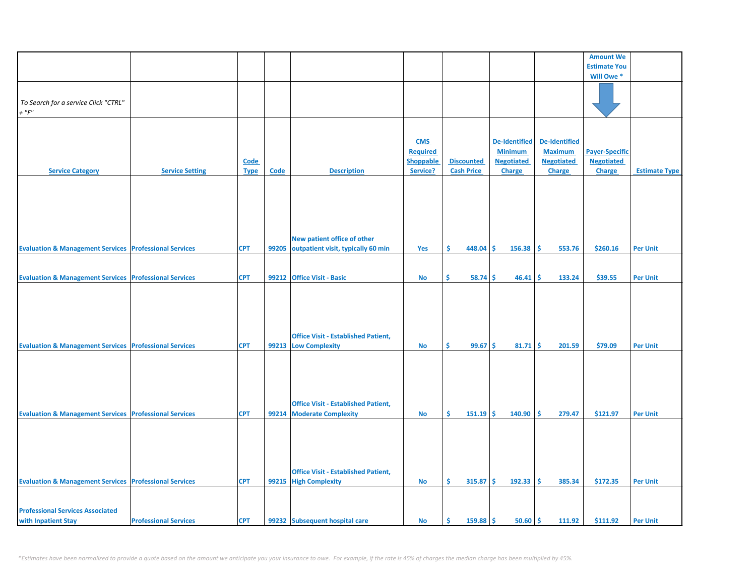|                                                                   |                              |             |       |                                            |                  |                   |                      |                      | <b>Amount We</b>      |                      |
|-------------------------------------------------------------------|------------------------------|-------------|-------|--------------------------------------------|------------------|-------------------|----------------------|----------------------|-----------------------|----------------------|
|                                                                   |                              |             |       |                                            |                  |                   |                      |                      | <b>Estimate You</b>   |                      |
|                                                                   |                              |             |       |                                            |                  |                   |                      |                      | Will Owe*             |                      |
|                                                                   |                              |             |       |                                            |                  |                   |                      |                      |                       |                      |
|                                                                   |                              |             |       |                                            |                  |                   |                      |                      |                       |                      |
| To Search for a service Click "CTRL"                              |                              |             |       |                                            |                  |                   |                      |                      |                       |                      |
| $+$ " $F$ "                                                       |                              |             |       |                                            |                  |                   |                      |                      |                       |                      |
|                                                                   |                              |             |       |                                            |                  |                   |                      |                      |                       |                      |
|                                                                   |                              |             |       |                                            |                  |                   |                      |                      |                       |                      |
|                                                                   |                              |             |       |                                            |                  |                   |                      |                      |                       |                      |
|                                                                   |                              |             |       |                                            | <b>CMS</b>       |                   | <b>De-Identified</b> | <b>De-Identified</b> |                       |                      |
|                                                                   |                              |             |       |                                            | <b>Required</b>  |                   | <b>Minimum</b>       | <b>Maximum</b>       | <b>Payer-Specific</b> |                      |
|                                                                   |                              | Code        |       |                                            | <b>Shoppable</b> | <b>Discounted</b> | <b>Negotiated</b>    | <b>Negotiated</b>    | <b>Negotiated</b>     |                      |
| <b>Service Category</b>                                           | <b>Service Setting</b>       | <b>Type</b> | Code  | <b>Description</b>                         | Service?         | <b>Cash Price</b> | Charge               | <b>Charge</b>        | Charge                | <b>Estimate Type</b> |
|                                                                   |                              |             |       |                                            |                  |                   |                      |                      |                       |                      |
|                                                                   |                              |             |       |                                            |                  |                   |                      |                      |                       |                      |
|                                                                   |                              |             |       |                                            |                  |                   |                      |                      |                       |                      |
|                                                                   |                              |             |       |                                            |                  |                   |                      |                      |                       |                      |
|                                                                   |                              |             |       |                                            |                  |                   |                      |                      |                       |                      |
|                                                                   |                              |             |       |                                            |                  |                   |                      |                      |                       |                      |
|                                                                   |                              |             |       |                                            |                  |                   |                      |                      |                       |                      |
|                                                                   |                              |             |       | New patient office of other                |                  |                   |                      |                      |                       |                      |
| <b>Evaluation &amp; Management Services Professional Services</b> |                              | <b>CPT</b>  | 99205 | outpatient visit, typically 60 min         | Yes              | \$.<br>448.04     | \$<br>156.38         | 553.76<br>Ŝ.         | \$260.16              | <b>Per Unit</b>      |
|                                                                   |                              |             |       |                                            |                  |                   |                      |                      |                       |                      |
|                                                                   |                              |             |       |                                            |                  |                   |                      |                      |                       |                      |
| <b>Evaluation &amp; Management Services Professional Services</b> |                              | <b>CPT</b>  | 99212 | <b>Office Visit - Basic</b>                | No               | 58.74<br>\$.      | Ŝ.<br>46.41          | 133.24<br>s.         | \$39.55               | <b>Per Unit</b>      |
|                                                                   |                              |             |       |                                            |                  |                   |                      |                      |                       |                      |
|                                                                   |                              |             |       |                                            |                  |                   |                      |                      |                       |                      |
|                                                                   |                              |             |       |                                            |                  |                   |                      |                      |                       |                      |
|                                                                   |                              |             |       |                                            |                  |                   |                      |                      |                       |                      |
|                                                                   |                              |             |       |                                            |                  |                   |                      |                      |                       |                      |
|                                                                   |                              |             |       |                                            |                  |                   |                      |                      |                       |                      |
|                                                                   |                              |             |       | <b>Office Visit - Established Patient,</b> |                  |                   |                      |                      |                       |                      |
| <b>Evaluation &amp; Management Services Professional Services</b> |                              | <b>CPT</b>  | 99213 | <b>Low Complexity</b>                      | <b>No</b>        | \$<br>$99.67$ \$  | 81.71                | 201.59<br>\$         | \$79.09               | <b>Per Unit</b>      |
|                                                                   |                              |             |       |                                            |                  |                   |                      |                      |                       |                      |
|                                                                   |                              |             |       |                                            |                  |                   |                      |                      |                       |                      |
|                                                                   |                              |             |       |                                            |                  |                   |                      |                      |                       |                      |
|                                                                   |                              |             |       |                                            |                  |                   |                      |                      |                       |                      |
|                                                                   |                              |             |       |                                            |                  |                   |                      |                      |                       |                      |
|                                                                   |                              |             |       |                                            |                  |                   |                      |                      |                       |                      |
|                                                                   |                              |             |       | <b>Office Visit - Established Patient,</b> |                  |                   |                      |                      |                       |                      |
| <b>Evaluation &amp; Management Services Professional Services</b> |                              | <b>CPT</b>  | 99214 | <b>Moderate Complexity</b>                 | No               | Ŝ.<br>151.19      | \$<br>140.90         | 279.47<br>Ŝ.         | \$121.97              | <b>Per Unit</b>      |
|                                                                   |                              |             |       |                                            |                  |                   |                      |                      |                       |                      |
|                                                                   |                              |             |       |                                            |                  |                   |                      |                      |                       |                      |
|                                                                   |                              |             |       |                                            |                  |                   |                      |                      |                       |                      |
|                                                                   |                              |             |       |                                            |                  |                   |                      |                      |                       |                      |
|                                                                   |                              |             |       |                                            |                  |                   |                      |                      |                       |                      |
|                                                                   |                              |             |       | <b>Office Visit - Established Patient,</b> |                  |                   |                      |                      |                       |                      |
|                                                                   |                              |             |       |                                            |                  |                   |                      |                      |                       |                      |
| <b>Evaluation &amp; Management Services Professional Services</b> |                              | <b>CPT</b>  | 99215 | <b>High Complexity</b>                     | <b>No</b>        | Ŝ.<br>315.87      | \$<br>192.33         | Ŝ.<br>385.34         | \$172.35              | <b>Per Unit</b>      |
|                                                                   |                              |             |       |                                            |                  |                   |                      |                      |                       |                      |
|                                                                   |                              |             |       |                                            |                  |                   |                      |                      |                       |                      |
| <b>Professional Services Associated</b>                           |                              |             |       |                                            |                  |                   |                      |                      |                       |                      |
| with Inpatient Stay                                               | <b>Professional Services</b> | <b>CPT</b>  |       | 99232 Subsequent hospital care             | No               | \$.<br>159.88     | Ŝ.<br>$50.60$ \$     | 111.92               | \$111.92              | <b>Per Unit</b>      |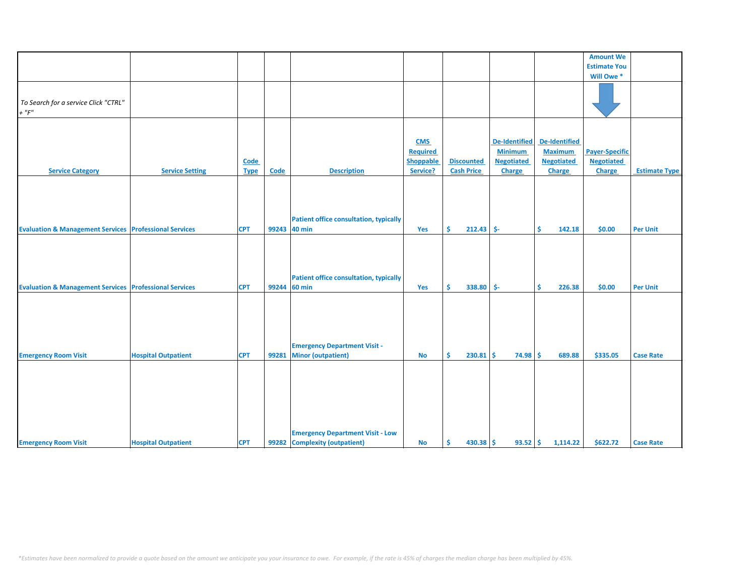|                                                                   |                            |             |       |                                                         |                  |                    |                      |                      | <b>Amount We</b>      |                      |
|-------------------------------------------------------------------|----------------------------|-------------|-------|---------------------------------------------------------|------------------|--------------------|----------------------|----------------------|-----------------------|----------------------|
|                                                                   |                            |             |       |                                                         |                  |                    |                      |                      |                       |                      |
|                                                                   |                            |             |       |                                                         |                  |                    |                      |                      | <b>Estimate You</b>   |                      |
|                                                                   |                            |             |       |                                                         |                  |                    |                      |                      | Will Owe *            |                      |
|                                                                   |                            |             |       |                                                         |                  |                    |                      |                      |                       |                      |
| To Search for a service Click "CTRL"                              |                            |             |       |                                                         |                  |                    |                      |                      |                       |                      |
| $+$ " $F$ "                                                       |                            |             |       |                                                         |                  |                    |                      |                      |                       |                      |
|                                                                   |                            |             |       |                                                         |                  |                    |                      |                      |                       |                      |
|                                                                   |                            |             |       |                                                         |                  |                    |                      |                      |                       |                      |
|                                                                   |                            |             |       |                                                         | <b>CMS</b>       |                    | <b>De-Identified</b> | <b>De-Identified</b> |                       |                      |
|                                                                   |                            |             |       |                                                         | Required         |                    | <b>Minimum</b>       | <b>Maximum</b>       | <b>Payer-Specific</b> |                      |
|                                                                   |                            | Code        |       |                                                         | <b>Shoppable</b> | <b>Discounted</b>  | <b>Negotiated</b>    | <b>Negotiated</b>    | <b>Negotiated</b>     |                      |
| <b>Service Category</b>                                           | <b>Service Setting</b>     | <b>Type</b> | Code  | <b>Description</b>                                      | Service?         | <b>Cash Price</b>  | <b>Charge</b>        | <b>Charge</b>        | Charge                | <b>Estimate Type</b> |
|                                                                   |                            |             |       |                                                         |                  |                    |                      |                      |                       |                      |
|                                                                   |                            |             |       |                                                         |                  |                    |                      |                      |                       |                      |
|                                                                   |                            |             |       |                                                         |                  |                    |                      |                      |                       |                      |
|                                                                   |                            |             |       |                                                         |                  |                    |                      |                      |                       |                      |
|                                                                   |                            |             |       | <b>Patient office consultation, typically</b>           |                  |                    |                      |                      |                       |                      |
| <b>Evaluation &amp; Management Services Professional Services</b> |                            | <b>CPT</b>  | 99243 | <b>40 min</b>                                           | Yes              | $212.43$ \$-<br>Ŝ. |                      | \$<br>142.18         | \$0.00                | <b>Per Unit</b>      |
|                                                                   |                            |             |       |                                                         |                  |                    |                      |                      |                       |                      |
|                                                                   |                            |             |       |                                                         |                  |                    |                      |                      |                       |                      |
|                                                                   |                            |             |       |                                                         |                  |                    |                      |                      |                       |                      |
|                                                                   |                            |             |       |                                                         |                  |                    |                      |                      |                       |                      |
|                                                                   |                            |             |       |                                                         |                  |                    |                      |                      |                       |                      |
|                                                                   |                            |             | 99244 | <b>Patient office consultation, typically</b><br>60 min |                  |                    |                      | 226.38               |                       |                      |
| <b>Evaluation &amp; Management Services Professional Services</b> |                            | <b>CPT</b>  |       |                                                         | Yes              | Ŝ.<br>338.80       | -\$-                 | \$                   | \$0.00                | <b>Per Unit</b>      |
|                                                                   |                            |             |       |                                                         |                  |                    |                      |                      |                       |                      |
|                                                                   |                            |             |       |                                                         |                  |                    |                      |                      |                       |                      |
|                                                                   |                            |             |       |                                                         |                  |                    |                      |                      |                       |                      |
|                                                                   |                            |             |       |                                                         |                  |                    |                      |                      |                       |                      |
|                                                                   |                            |             |       |                                                         |                  |                    |                      |                      |                       |                      |
|                                                                   |                            |             |       | <b>Emergency Department Visit -</b>                     |                  |                    |                      |                      |                       |                      |
| <b>Emergency Room Visit</b>                                       | <b>Hospital Outpatient</b> | <b>CPT</b>  | 99281 | <b>Minor (outpatient)</b>                               | No               | Ŝ<br>$230.81$ \$   | $74.98$ \$           | 689.88               | \$335.05              | <b>Case Rate</b>     |
|                                                                   |                            |             |       |                                                         |                  |                    |                      |                      |                       |                      |
|                                                                   |                            |             |       |                                                         |                  |                    |                      |                      |                       |                      |
|                                                                   |                            |             |       |                                                         |                  |                    |                      |                      |                       |                      |
|                                                                   |                            |             |       |                                                         |                  |                    |                      |                      |                       |                      |
|                                                                   |                            |             |       |                                                         |                  |                    |                      |                      |                       |                      |
|                                                                   |                            |             |       |                                                         |                  |                    |                      |                      |                       |                      |
|                                                                   |                            |             |       |                                                         |                  |                    |                      |                      |                       |                      |
|                                                                   |                            |             |       | <b>Emergency Department Visit - Low</b>                 |                  |                    |                      |                      |                       |                      |
| <b>Emergency Room Visit</b>                                       | <b>Hospital Outpatient</b> | <b>CPT</b>  |       | 99282 Complexity (outpatient)                           | No               | $430.38$ \$<br>Ŝ.  | $93.52$ \$           | 1,114.22             | \$622.72              | <b>Case Rate</b>     |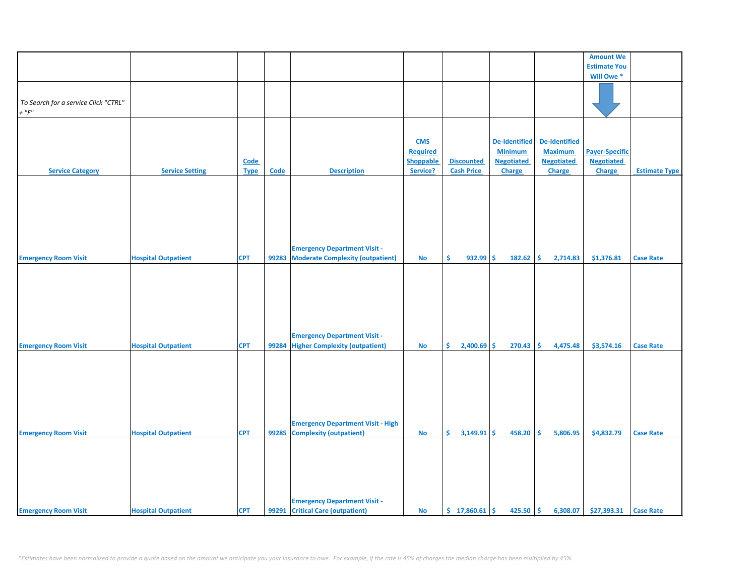|                                      |                            |             |             |                                          |                  |                      |                      |                   | <b>Amount We</b>      |                      |
|--------------------------------------|----------------------------|-------------|-------------|------------------------------------------|------------------|----------------------|----------------------|-------------------|-----------------------|----------------------|
|                                      |                            |             |             |                                          |                  |                      |                      |                   | <b>Estimate You</b>   |                      |
|                                      |                            |             |             |                                          |                  |                      |                      |                   | Will Owe*             |                      |
|                                      |                            |             |             |                                          |                  |                      |                      |                   |                       |                      |
|                                      |                            |             |             |                                          |                  |                      |                      |                   |                       |                      |
| To Search for a service Click "CTRL" |                            |             |             |                                          |                  |                      |                      |                   |                       |                      |
| $+$ " $F$ "                          |                            |             |             |                                          |                  |                      |                      |                   |                       |                      |
|                                      |                            |             |             |                                          |                  |                      |                      |                   |                       |                      |
|                                      |                            |             |             |                                          |                  |                      |                      |                   |                       |                      |
|                                      |                            |             |             |                                          | <b>CMS</b>       |                      | <b>De-Identified</b> | De-Identified     |                       |                      |
|                                      |                            |             |             |                                          | <b>Required</b>  |                      | <b>Minimum</b>       | <b>Maximum</b>    | <b>Payer-Specific</b> |                      |
|                                      |                            | <b>Code</b> |             |                                          | <b>Shoppable</b> | <b>Discounted</b>    | <b>Negotiated</b>    | <b>Negotiated</b> | <b>Negotiated</b>     |                      |
| <b>Service Category</b>              | <b>Service Setting</b>     | <b>Type</b> | <b>Code</b> | <b>Description</b>                       | Service?         | <b>Cash Price</b>    | <b>Charge</b>        | Charge            | Charge                | <b>Estimate Type</b> |
|                                      |                            |             |             |                                          |                  |                      |                      |                   |                       |                      |
|                                      |                            |             |             |                                          |                  |                      |                      |                   |                       |                      |
|                                      |                            |             |             |                                          |                  |                      |                      |                   |                       |                      |
|                                      |                            |             |             |                                          |                  |                      |                      |                   |                       |                      |
|                                      |                            |             |             |                                          |                  |                      |                      |                   |                       |                      |
|                                      |                            |             |             |                                          |                  |                      |                      |                   |                       |                      |
|                                      |                            |             |             |                                          |                  |                      |                      |                   |                       |                      |
|                                      |                            |             |             |                                          |                  |                      |                      |                   |                       |                      |
|                                      |                            |             |             | <b>Emergency Department Visit -</b>      |                  |                      |                      |                   |                       |                      |
| <b>Emergency Room Visit</b>          | <b>Hospital Outpatient</b> | <b>CPT</b>  | 99283       | <b>Moderate Complexity (outpatient)</b>  | No               | \$<br>$932.99$ \$    | 182.62               | \$<br>2,714.83    | \$1,376.81            | <b>Case Rate</b>     |
|                                      |                            |             |             |                                          |                  |                      |                      |                   |                       |                      |
|                                      |                            |             |             |                                          |                  |                      |                      |                   |                       |                      |
|                                      |                            |             |             |                                          |                  |                      |                      |                   |                       |                      |
|                                      |                            |             |             |                                          |                  |                      |                      |                   |                       |                      |
|                                      |                            |             |             |                                          |                  |                      |                      |                   |                       |                      |
|                                      |                            |             |             |                                          |                  |                      |                      |                   |                       |                      |
|                                      |                            |             |             |                                          |                  |                      |                      |                   |                       |                      |
|                                      |                            |             |             | <b>Emergency Department Visit -</b>      |                  |                      |                      |                   |                       |                      |
| <b>Emergency Room Visit</b>          | <b>Hospital Outpatient</b> | <b>CPT</b>  | 99284       | <b>Higher Complexity (outpatient)</b>    | No               | \$.<br>$2,400.69$ \$ | 270.43               | \$<br>4,475.48    | \$3,574.16            | <b>Case Rate</b>     |
|                                      |                            |             |             |                                          |                  |                      |                      |                   |                       |                      |
|                                      |                            |             |             |                                          |                  |                      |                      |                   |                       |                      |
|                                      |                            |             |             |                                          |                  |                      |                      |                   |                       |                      |
|                                      |                            |             |             |                                          |                  |                      |                      |                   |                       |                      |
|                                      |                            |             |             |                                          |                  |                      |                      |                   |                       |                      |
|                                      |                            |             |             |                                          |                  |                      |                      |                   |                       |                      |
|                                      |                            |             |             |                                          |                  |                      |                      |                   |                       |                      |
|                                      |                            |             |             |                                          |                  |                      |                      |                   |                       |                      |
|                                      |                            |             |             | <b>Emergency Department Visit - High</b> |                  |                      |                      |                   |                       |                      |
| <b>Emergency Room Visit</b>          | <b>Hospital Outpatient</b> | <b>CPT</b>  | 99285       | <b>Complexity (outpatient)</b>           | <b>No</b>        | Ŝ.<br>$3,149.91$ \$  | 458.20               | Ŝ.<br>5,806.95    | \$4,832.79            | <b>Case Rate</b>     |
|                                      |                            |             |             |                                          |                  |                      |                      |                   |                       |                      |
|                                      |                            |             |             |                                          |                  |                      |                      |                   |                       |                      |
|                                      |                            |             |             |                                          |                  |                      |                      |                   |                       |                      |
|                                      |                            |             |             |                                          |                  |                      |                      |                   |                       |                      |
|                                      |                            |             |             |                                          |                  |                      |                      |                   |                       |                      |
|                                      |                            |             |             |                                          |                  |                      |                      |                   |                       |                      |
|                                      |                            |             |             | <b>Emergency Department Visit -</b>      |                  |                      |                      |                   |                       |                      |
| <b>Emergency Room Visit</b>          | <b>Hospital Outpatient</b> | <b>CPT</b>  |             | 99291 Critical Care (outpatient)         | <b>No</b>        | \$17,860.61          | \$<br>425.50         | \$<br>6,308.07    | \$27,393.31           | <b>Case Rate</b>     |
|                                      |                            |             |             |                                          |                  |                      |                      |                   |                       |                      |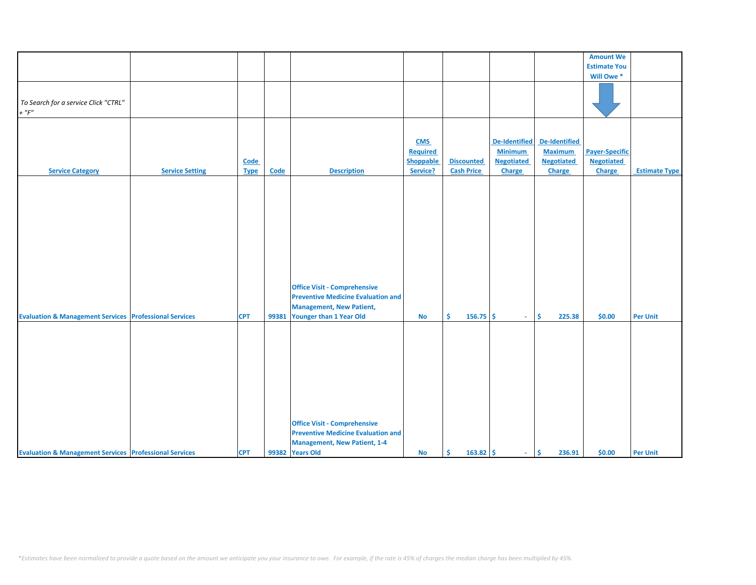|                                                                   |                        |             |       |                                           |            |                   |                   |                   | <b>Amount We</b>      |                      |
|-------------------------------------------------------------------|------------------------|-------------|-------|-------------------------------------------|------------|-------------------|-------------------|-------------------|-----------------------|----------------------|
|                                                                   |                        |             |       |                                           |            |                   |                   |                   | <b>Estimate You</b>   |                      |
|                                                                   |                        |             |       |                                           |            |                   |                   |                   | Will Owe *            |                      |
|                                                                   |                        |             |       |                                           |            |                   |                   |                   |                       |                      |
|                                                                   |                        |             |       |                                           |            |                   |                   |                   |                       |                      |
|                                                                   |                        |             |       |                                           |            |                   |                   |                   |                       |                      |
| To Search for a service Click "CTRL"                              |                        |             |       |                                           |            |                   |                   |                   |                       |                      |
| $+$ " $F$ "                                                       |                        |             |       |                                           |            |                   |                   |                   |                       |                      |
|                                                                   |                        |             |       |                                           |            |                   |                   |                   |                       |                      |
|                                                                   |                        |             |       |                                           |            |                   |                   |                   |                       |                      |
|                                                                   |                        |             |       |                                           |            |                   |                   |                   |                       |                      |
|                                                                   |                        |             |       |                                           | <b>CMS</b> |                   | De-Identified     | De-Identified     |                       |                      |
|                                                                   |                        |             |       |                                           | Required   |                   | <b>Minimum</b>    | <b>Maximum</b>    | <b>Payer-Specific</b> |                      |
|                                                                   |                        |             |       |                                           |            |                   |                   |                   |                       |                      |
|                                                                   |                        | Code        |       |                                           | Shoppable  | <b>Discounted</b> | <b>Negotiated</b> | <b>Negotiated</b> | <b>Negotiated</b>     |                      |
| <b>Service Category</b>                                           | <b>Service Setting</b> | <b>Type</b> | Code  | <b>Description</b>                        | Service?   | <b>Cash Price</b> | Charge            | Charge            | Charge                | <b>Estimate Type</b> |
|                                                                   |                        |             |       |                                           |            |                   |                   |                   |                       |                      |
|                                                                   |                        |             |       |                                           |            |                   |                   |                   |                       |                      |
|                                                                   |                        |             |       |                                           |            |                   |                   |                   |                       |                      |
|                                                                   |                        |             |       |                                           |            |                   |                   |                   |                       |                      |
|                                                                   |                        |             |       |                                           |            |                   |                   |                   |                       |                      |
|                                                                   |                        |             |       |                                           |            |                   |                   |                   |                       |                      |
|                                                                   |                        |             |       |                                           |            |                   |                   |                   |                       |                      |
|                                                                   |                        |             |       |                                           |            |                   |                   |                   |                       |                      |
|                                                                   |                        |             |       |                                           |            |                   |                   |                   |                       |                      |
|                                                                   |                        |             |       |                                           |            |                   |                   |                   |                       |                      |
|                                                                   |                        |             |       |                                           |            |                   |                   |                   |                       |                      |
|                                                                   |                        |             |       |                                           |            |                   |                   |                   |                       |                      |
|                                                                   |                        |             |       |                                           |            |                   |                   |                   |                       |                      |
|                                                                   |                        |             |       |                                           |            |                   |                   |                   |                       |                      |
|                                                                   |                        |             |       |                                           |            |                   |                   |                   |                       |                      |
|                                                                   |                        |             |       | <b>Office Visit - Comprehensive</b>       |            |                   |                   |                   |                       |                      |
|                                                                   |                        |             |       | <b>Preventive Medicine Evaluation and</b> |            |                   |                   |                   |                       |                      |
|                                                                   |                        |             |       |                                           |            |                   |                   |                   |                       |                      |
|                                                                   |                        |             |       | <b>Management, New Patient,</b>           |            |                   |                   |                   |                       |                      |
| <b>Evaluation &amp; Management Services Professional Services</b> |                        | <b>CPT</b>  | 99381 | Younger than 1 Year Old                   | <b>No</b>  | Ŝ.<br>$156.75$ \$ | $\sim$            | \$<br>225.38      | \$0.00                | <b>Per Unit</b>      |
|                                                                   |                        |             |       |                                           |            |                   |                   |                   |                       |                      |
|                                                                   |                        |             |       |                                           |            |                   |                   |                   |                       |                      |
|                                                                   |                        |             |       |                                           |            |                   |                   |                   |                       |                      |
|                                                                   |                        |             |       |                                           |            |                   |                   |                   |                       |                      |
|                                                                   |                        |             |       |                                           |            |                   |                   |                   |                       |                      |
|                                                                   |                        |             |       |                                           |            |                   |                   |                   |                       |                      |
|                                                                   |                        |             |       |                                           |            |                   |                   |                   |                       |                      |
|                                                                   |                        |             |       |                                           |            |                   |                   |                   |                       |                      |
|                                                                   |                        |             |       |                                           |            |                   |                   |                   |                       |                      |
|                                                                   |                        |             |       |                                           |            |                   |                   |                   |                       |                      |
|                                                                   |                        |             |       |                                           |            |                   |                   |                   |                       |                      |
|                                                                   |                        |             |       |                                           |            |                   |                   |                   |                       |                      |
|                                                                   |                        |             |       |                                           |            |                   |                   |                   |                       |                      |
|                                                                   |                        |             |       |                                           |            |                   |                   |                   |                       |                      |
|                                                                   |                        |             |       | <b>Office Visit - Comprehensive</b>       |            |                   |                   |                   |                       |                      |
|                                                                   |                        |             |       | <b>Preventive Medicine Evaluation and</b> |            |                   |                   |                   |                       |                      |
|                                                                   |                        |             |       | <b>Management, New Patient, 1-4</b>       |            |                   |                   |                   |                       |                      |
|                                                                   |                        |             |       |                                           |            | $163.82 \mid 5$   |                   | 236.91            | \$0.00                |                      |
| <b>Evaluation &amp; Management Services Professional Services</b> |                        | <b>CPT</b>  |       | 99382 Years Old                           | <b>No</b>  | Ŝ.                | $\sim$ $\sim$     | \$                |                       | <b>Per Unit</b>      |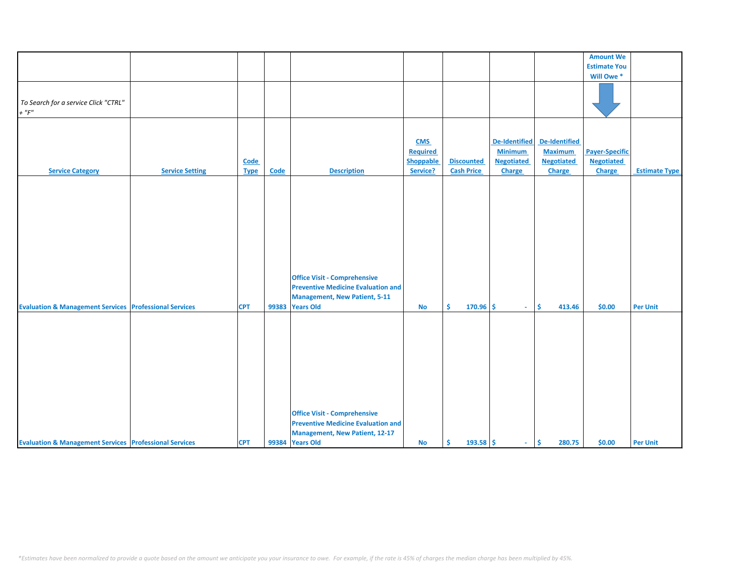|                                                                   |                        |             |       |                                                                                                                                              |                                     |                   |                                                             |                                                      | <b>Amount We</b>                           |                      |
|-------------------------------------------------------------------|------------------------|-------------|-------|----------------------------------------------------------------------------------------------------------------------------------------------|-------------------------------------|-------------------|-------------------------------------------------------------|------------------------------------------------------|--------------------------------------------|----------------------|
|                                                                   |                        |             |       |                                                                                                                                              |                                     |                   |                                                             |                                                      |                                            |                      |
|                                                                   |                        |             |       |                                                                                                                                              |                                     |                   |                                                             |                                                      | <b>Estimate You</b>                        |                      |
|                                                                   |                        |             |       |                                                                                                                                              |                                     |                   |                                                             |                                                      | Will Owe *                                 |                      |
| To Search for a service Click "CTRL"<br>$+$ " $F$ "               |                        |             |       |                                                                                                                                              |                                     |                   |                                                             |                                                      |                                            |                      |
|                                                                   |                        |             |       |                                                                                                                                              |                                     |                   |                                                             |                                                      |                                            |                      |
|                                                                   |                        | Code        |       |                                                                                                                                              | <b>CMS</b><br>Required<br>Shoppable | <b>Discounted</b> | <b>De-Identified</b><br><b>Minimum</b><br><b>Negotiated</b> | De-Identified<br><b>Maximum</b><br><b>Negotiated</b> | <b>Payer-Specific</b><br><b>Negotiated</b> |                      |
| <b>Service Category</b>                                           | <b>Service Setting</b> | <b>Type</b> | Code  | <b>Description</b>                                                                                                                           | Service?                            | <b>Cash Price</b> | <b>Charge</b>                                               | Charge                                               | Charge                                     | <b>Estimate Type</b> |
| <b>Evaluation &amp; Management Services Professional Services</b> |                        | <b>CPT</b>  | 99383 | <b>Office Visit - Comprehensive</b><br><b>Preventive Medicine Evaluation and</b><br><b>Management, New Patient, 5-11</b><br><b>Years Old</b> | $\mathsf{No}$                       | \$<br>$170.96$ \$ | $\sim$                                                      | \$<br>413.46                                         | \$0.00                                     | <b>Per Unit</b>      |
| <b>Evaluation &amp; Management Services Professional Services</b> |                        | <b>CPT</b>  |       | <b>Office Visit - Comprehensive</b><br><b>Preventive Medicine Evaluation and</b><br><b>Management, New Patient, 12-17</b><br>99384 Years Old | <b>No</b>                           | \$<br>$193.58$ \$ | $\sim$                                                      | ∣\$<br>280.75                                        | \$0.00                                     | <b>Per Unit</b>      |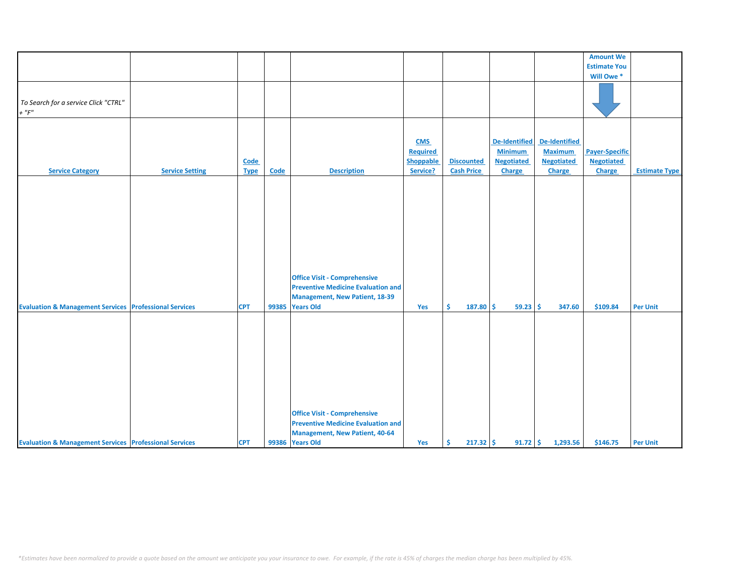|                                                                   |                        |                     |       |                                                                                                                                               |                                                        |                                        |                                                                |                                                                | <b>Amount We</b>                                     |                      |
|-------------------------------------------------------------------|------------------------|---------------------|-------|-----------------------------------------------------------------------------------------------------------------------------------------------|--------------------------------------------------------|----------------------------------------|----------------------------------------------------------------|----------------------------------------------------------------|------------------------------------------------------|----------------------|
|                                                                   |                        |                     |       |                                                                                                                                               |                                                        |                                        |                                                                |                                                                |                                                      |                      |
|                                                                   |                        |                     |       |                                                                                                                                               |                                                        |                                        |                                                                |                                                                | <b>Estimate You</b>                                  |                      |
|                                                                   |                        |                     |       |                                                                                                                                               |                                                        |                                        |                                                                |                                                                | Will Owe *                                           |                      |
| To Search for a service Click "CTRL"<br>$+$ " $F$ "               |                        |                     |       |                                                                                                                                               |                                                        |                                        |                                                                |                                                                |                                                      |                      |
|                                                                   |                        |                     |       |                                                                                                                                               |                                                        |                                        |                                                                |                                                                |                                                      |                      |
| <b>Service Category</b>                                           | <b>Service Setting</b> | Code<br><b>Type</b> | Code  | <b>Description</b>                                                                                                                            | <b>CMS</b><br><b>Required</b><br>Shoppable<br>Service? | <b>Discounted</b><br><b>Cash Price</b> | De-Identified<br><b>Minimum</b><br><b>Negotiated</b><br>Charge | De-Identified<br><b>Maximum</b><br><b>Negotiated</b><br>Charge | <b>Payer-Specific</b><br><b>Negotiated</b><br>Charge | <b>Estimate Type</b> |
|                                                                   |                        |                     |       |                                                                                                                                               |                                                        |                                        |                                                                |                                                                |                                                      |                      |
| <b>Evaluation &amp; Management Services Professional Services</b> |                        | <b>CPT</b>          | 99385 | <b>Office Visit - Comprehensive</b><br><b>Preventive Medicine Evaluation and</b><br><b>Management, New Patient, 18-39</b><br><b>Years Old</b> | Yes                                                    | Ŝ.<br>$187.80$ \$                      | 59.23                                                          | Ŝ.<br>347.60                                                   | \$109.84                                             | <b>Per Unit</b>      |
|                                                                   |                        |                     |       |                                                                                                                                               |                                                        |                                        |                                                                |                                                                |                                                      |                      |
|                                                                   |                        |                     |       | <b>Office Visit - Comprehensive</b><br><b>Preventive Medicine Evaluation and</b>                                                              |                                                        |                                        |                                                                |                                                                |                                                      |                      |
| <b>Evaluation &amp; Management Services Professional Services</b> |                        | <b>CPT</b>          |       | <b>Management, New Patient, 40-64</b><br>99386 Years Old                                                                                      | Yes                                                    | \$<br>$217.32$ \$                      |                                                                | $91.72$ \$ 1,293.56                                            | \$146.75                                             | <b>Per Unit</b>      |
|                                                                   |                        |                     |       |                                                                                                                                               |                                                        |                                        |                                                                |                                                                |                                                      |                      |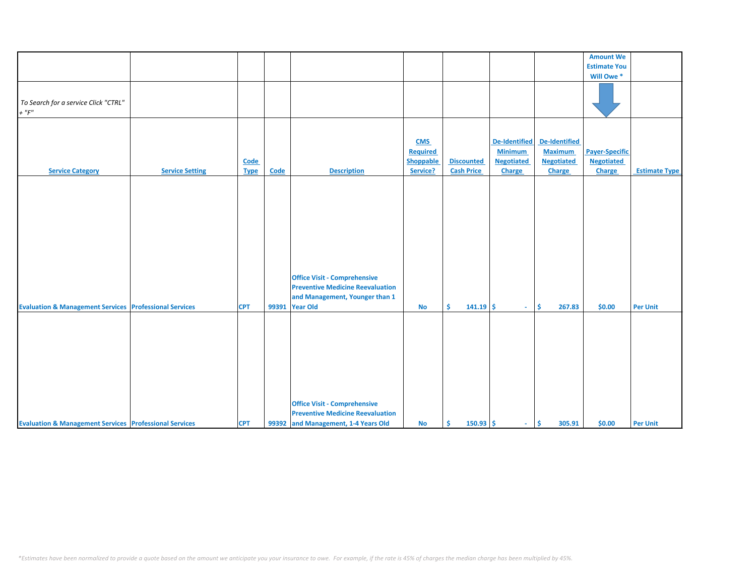|                                                                   |                        |                     |       |                                                                                                                                     |                                                        |                                        |                                                                |                                                                | <b>Amount We</b>                                     |                      |
|-------------------------------------------------------------------|------------------------|---------------------|-------|-------------------------------------------------------------------------------------------------------------------------------------|--------------------------------------------------------|----------------------------------------|----------------------------------------------------------------|----------------------------------------------------------------|------------------------------------------------------|----------------------|
|                                                                   |                        |                     |       |                                                                                                                                     |                                                        |                                        |                                                                |                                                                | <b>Estimate You</b>                                  |                      |
|                                                                   |                        |                     |       |                                                                                                                                     |                                                        |                                        |                                                                |                                                                | Will Owe *                                           |                      |
| To Search for a service Click "CTRL"                              |                        |                     |       |                                                                                                                                     |                                                        |                                        |                                                                |                                                                |                                                      |                      |
| $+$ " $F$ "                                                       |                        |                     |       |                                                                                                                                     |                                                        |                                        |                                                                |                                                                |                                                      |                      |
| <b>Service Category</b>                                           | <b>Service Setting</b> | Code<br><b>Type</b> | Code  | <b>Description</b>                                                                                                                  | <b>CMS</b><br><b>Required</b><br>Shoppable<br>Service? | <b>Discounted</b><br><b>Cash Price</b> | De-Identified<br><b>Minimum</b><br><b>Negotiated</b><br>Charge | De-Identified<br><b>Maximum</b><br><b>Negotiated</b><br>Charge | <b>Payer-Specific</b><br><b>Negotiated</b><br>Charge | <b>Estimate Type</b> |
| <b>Evaluation &amp; Management Services Professional Services</b> |                        | <b>CPT</b>          | 99391 | <b>Office Visit - Comprehensive</b><br><b>Preventive Medicine Reevaluation</b><br>and Management, Younger than 1<br><b>Year Old</b> | <b>No</b>                                              | Ŝ.<br>$141.19$ \$                      | $\sim$ 10 $\pm$                                                | 267.83<br>\$                                                   | \$0.00                                               | <b>Per Unit</b>      |
| <b>Evaluation &amp; Management Services Professional Services</b> |                        | <b>CPT</b>          |       | <b>Office Visit - Comprehensive</b><br><b>Preventive Medicine Reevaluation</b><br>99392 and Management, 1-4 Years Old               | <b>No</b>                                              | Ŝ.<br>$150.93$ \$                      | $-15$                                                          | 305.91                                                         | \$0.00                                               | <b>Per Unit</b>      |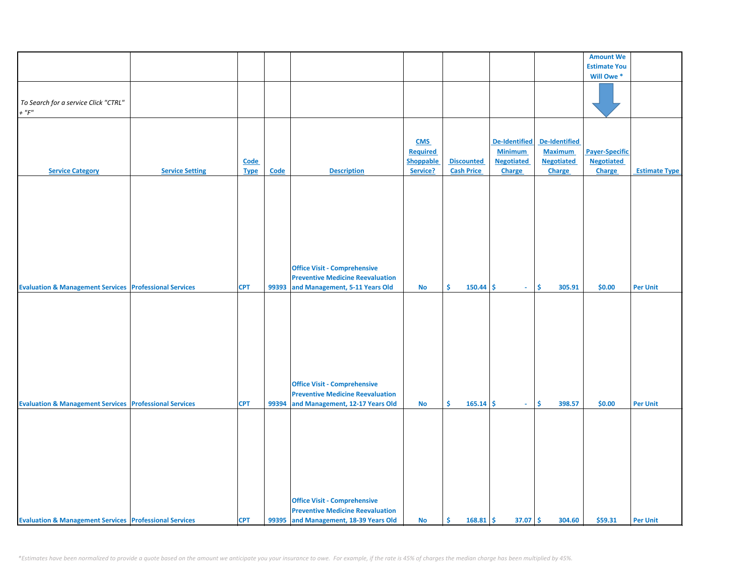|                                                                   |                        |             |       |                                         |                  |                   |                   |                   | <b>Amount We</b>      |                      |
|-------------------------------------------------------------------|------------------------|-------------|-------|-----------------------------------------|------------------|-------------------|-------------------|-------------------|-----------------------|----------------------|
|                                                                   |                        |             |       |                                         |                  |                   |                   |                   | <b>Estimate You</b>   |                      |
|                                                                   |                        |             |       |                                         |                  |                   |                   |                   |                       |                      |
|                                                                   |                        |             |       |                                         |                  |                   |                   |                   | Will Owe*             |                      |
|                                                                   |                        |             |       |                                         |                  |                   |                   |                   |                       |                      |
|                                                                   |                        |             |       |                                         |                  |                   |                   |                   |                       |                      |
| To Search for a service Click "CTRL"                              |                        |             |       |                                         |                  |                   |                   |                   |                       |                      |
| $+$ " $F$ "                                                       |                        |             |       |                                         |                  |                   |                   |                   |                       |                      |
|                                                                   |                        |             |       |                                         |                  |                   |                   |                   |                       |                      |
|                                                                   |                        |             |       |                                         |                  |                   |                   |                   |                       |                      |
|                                                                   |                        |             |       |                                         |                  |                   |                   |                   |                       |                      |
|                                                                   |                        |             |       |                                         |                  |                   |                   |                   |                       |                      |
|                                                                   |                        |             |       |                                         | <b>CMS</b>       |                   | De-Identified     | De-Identified     |                       |                      |
|                                                                   |                        |             |       |                                         | Required         |                   | <b>Minimum</b>    | <b>Maximum</b>    | <b>Payer-Specific</b> |                      |
|                                                                   |                        | <b>Code</b> |       |                                         | <b>Shoppable</b> | <b>Discounted</b> | <b>Negotiated</b> | <b>Negotiated</b> | <b>Negotiated</b>     |                      |
|                                                                   |                        |             |       |                                         |                  |                   |                   |                   |                       |                      |
| <b>Service Category</b>                                           | <b>Service Setting</b> | <b>Type</b> | Code  | <b>Description</b>                      | Service?         | <b>Cash Price</b> | <b>Charge</b>     | <b>Charge</b>     | Charge                | <b>Estimate Type</b> |
|                                                                   |                        |             |       |                                         |                  |                   |                   |                   |                       |                      |
|                                                                   |                        |             |       |                                         |                  |                   |                   |                   |                       |                      |
|                                                                   |                        |             |       |                                         |                  |                   |                   |                   |                       |                      |
|                                                                   |                        |             |       |                                         |                  |                   |                   |                   |                       |                      |
|                                                                   |                        |             |       |                                         |                  |                   |                   |                   |                       |                      |
|                                                                   |                        |             |       |                                         |                  |                   |                   |                   |                       |                      |
|                                                                   |                        |             |       |                                         |                  |                   |                   |                   |                       |                      |
|                                                                   |                        |             |       |                                         |                  |                   |                   |                   |                       |                      |
|                                                                   |                        |             |       |                                         |                  |                   |                   |                   |                       |                      |
|                                                                   |                        |             |       |                                         |                  |                   |                   |                   |                       |                      |
|                                                                   |                        |             |       |                                         |                  |                   |                   |                   |                       |                      |
|                                                                   |                        |             |       |                                         |                  |                   |                   |                   |                       |                      |
|                                                                   |                        |             |       |                                         |                  |                   |                   |                   |                       |                      |
|                                                                   |                        |             |       | <b>Office Visit - Comprehensive</b>     |                  |                   |                   |                   |                       |                      |
|                                                                   |                        |             |       | <b>Preventive Medicine Reevaluation</b> |                  |                   |                   |                   |                       |                      |
| <b>Evaluation &amp; Management Services Professional Services</b> |                        | <b>CPT</b>  | 99393 | and Management, 5-11 Years Old          | <b>No</b>        | Ŝ.<br>$150.44$ \$ | $\sim$            | Ŝ.<br>305.91      | \$0.00                | <b>Per Unit</b>      |
|                                                                   |                        |             |       |                                         |                  |                   |                   |                   |                       |                      |
|                                                                   |                        |             |       |                                         |                  |                   |                   |                   |                       |                      |
|                                                                   |                        |             |       |                                         |                  |                   |                   |                   |                       |                      |
|                                                                   |                        |             |       |                                         |                  |                   |                   |                   |                       |                      |
|                                                                   |                        |             |       |                                         |                  |                   |                   |                   |                       |                      |
|                                                                   |                        |             |       |                                         |                  |                   |                   |                   |                       |                      |
|                                                                   |                        |             |       |                                         |                  |                   |                   |                   |                       |                      |
|                                                                   |                        |             |       |                                         |                  |                   |                   |                   |                       |                      |
|                                                                   |                        |             |       |                                         |                  |                   |                   |                   |                       |                      |
|                                                                   |                        |             |       |                                         |                  |                   |                   |                   |                       |                      |
|                                                                   |                        |             |       |                                         |                  |                   |                   |                   |                       |                      |
|                                                                   |                        |             |       |                                         |                  |                   |                   |                   |                       |                      |
|                                                                   |                        |             |       |                                         |                  |                   |                   |                   |                       |                      |
|                                                                   |                        |             |       | <b>Office Visit - Comprehensive</b>     |                  |                   |                   |                   |                       |                      |
|                                                                   |                        |             |       |                                         |                  |                   |                   |                   |                       |                      |
|                                                                   |                        |             |       | <b>Preventive Medicine Reevaluation</b> |                  |                   |                   |                   |                       |                      |
| <b>Evaluation &amp; Management Services Professional Services</b> |                        | <b>CPT</b>  | 99394 | and Management, 12-17 Years Old         | No               | $165.14$ \$<br>\$ | $\sim$            | \$<br>398.57      | \$0.00                | <b>Per Unit</b>      |
|                                                                   |                        |             |       |                                         |                  |                   |                   |                   |                       |                      |
|                                                                   |                        |             |       |                                         |                  |                   |                   |                   |                       |                      |
|                                                                   |                        |             |       |                                         |                  |                   |                   |                   |                       |                      |
|                                                                   |                        |             |       |                                         |                  |                   |                   |                   |                       |                      |
|                                                                   |                        |             |       |                                         |                  |                   |                   |                   |                       |                      |
|                                                                   |                        |             |       |                                         |                  |                   |                   |                   |                       |                      |
|                                                                   |                        |             |       |                                         |                  |                   |                   |                   |                       |                      |
|                                                                   |                        |             |       |                                         |                  |                   |                   |                   |                       |                      |
|                                                                   |                        |             |       |                                         |                  |                   |                   |                   |                       |                      |
|                                                                   |                        |             |       |                                         |                  |                   |                   |                   |                       |                      |
|                                                                   |                        |             |       |                                         |                  |                   |                   |                   |                       |                      |
|                                                                   |                        |             |       |                                         |                  |                   |                   |                   |                       |                      |
|                                                                   |                        |             |       |                                         |                  |                   |                   |                   |                       |                      |
|                                                                   |                        |             |       | <b>Office Visit - Comprehensive</b>     |                  |                   |                   |                   |                       |                      |
|                                                                   |                        |             |       | <b>Preventive Medicine Reevaluation</b> |                  |                   |                   |                   |                       |                      |
|                                                                   |                        |             |       |                                         |                  |                   |                   |                   |                       |                      |
| <b>Evaluation &amp; Management Services Professional Services</b> |                        | <b>CPT</b>  |       | 99395 and Management, 18-39 Years Old   | <b>No</b>        | $168.81$ \$<br>Ŝ. | $37.07$ \$        | 304.60            | \$59.31               | <b>Per Unit</b>      |

*\*Estimates have been normalized to provide a quote based on the amount we anticipate you your insurance to owe. For example, if the rate is 45% of charges the median charge has been multiplied by 45%.*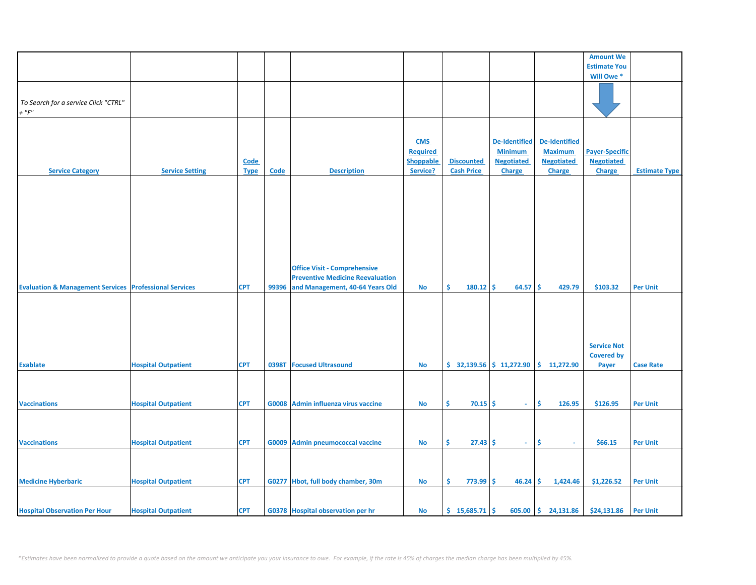|                                                                   |                            |             |             |                                         |                  |                           |                   |                       | <b>Amount We</b>      |                      |
|-------------------------------------------------------------------|----------------------------|-------------|-------------|-----------------------------------------|------------------|---------------------------|-------------------|-----------------------|-----------------------|----------------------|
|                                                                   |                            |             |             |                                         |                  |                           |                   |                       | <b>Estimate You</b>   |                      |
|                                                                   |                            |             |             |                                         |                  |                           |                   |                       | Will Owe*             |                      |
|                                                                   |                            |             |             |                                         |                  |                           |                   |                       |                       |                      |
|                                                                   |                            |             |             |                                         |                  |                           |                   |                       |                       |                      |
|                                                                   |                            |             |             |                                         |                  |                           |                   |                       |                       |                      |
| To Search for a service Click "CTRL"                              |                            |             |             |                                         |                  |                           |                   |                       |                       |                      |
| $+$ " $F$ "                                                       |                            |             |             |                                         |                  |                           |                   |                       |                       |                      |
|                                                                   |                            |             |             |                                         |                  |                           |                   |                       |                       |                      |
|                                                                   |                            |             |             |                                         |                  |                           |                   |                       |                       |                      |
|                                                                   |                            |             |             |                                         |                  |                           |                   |                       |                       |                      |
|                                                                   |                            |             |             |                                         | <b>CMS</b>       |                           | De-Identified     | <b>De-Identified</b>  |                       |                      |
|                                                                   |                            |             |             |                                         | <b>Required</b>  |                           | <b>Minimum</b>    | <b>Maximum</b>        | <b>Payer-Specific</b> |                      |
|                                                                   |                            |             |             |                                         |                  |                           |                   |                       |                       |                      |
|                                                                   |                            | Code        |             |                                         | <b>Shoppable</b> | <b>Discounted</b>         | <b>Negotiated</b> | <b>Negotiated</b>     | <b>Negotiated</b>     |                      |
| <b>Service Category</b>                                           | <b>Service Setting</b>     | <b>Type</b> | <b>Code</b> | <b>Description</b>                      | Service?         | <b>Cash Price</b>         | <b>Charge</b>     | <b>Charge</b>         | Charge                | <b>Estimate Type</b> |
|                                                                   |                            |             |             |                                         |                  |                           |                   |                       |                       |                      |
|                                                                   |                            |             |             |                                         |                  |                           |                   |                       |                       |                      |
|                                                                   |                            |             |             |                                         |                  |                           |                   |                       |                       |                      |
|                                                                   |                            |             |             |                                         |                  |                           |                   |                       |                       |                      |
|                                                                   |                            |             |             |                                         |                  |                           |                   |                       |                       |                      |
|                                                                   |                            |             |             |                                         |                  |                           |                   |                       |                       |                      |
|                                                                   |                            |             |             |                                         |                  |                           |                   |                       |                       |                      |
|                                                                   |                            |             |             |                                         |                  |                           |                   |                       |                       |                      |
|                                                                   |                            |             |             |                                         |                  |                           |                   |                       |                       |                      |
|                                                                   |                            |             |             |                                         |                  |                           |                   |                       |                       |                      |
|                                                                   |                            |             |             |                                         |                  |                           |                   |                       |                       |                      |
|                                                                   |                            |             |             |                                         |                  |                           |                   |                       |                       |                      |
|                                                                   |                            |             |             |                                         |                  |                           |                   |                       |                       |                      |
|                                                                   |                            |             |             | <b>Office Visit - Comprehensive</b>     |                  |                           |                   |                       |                       |                      |
|                                                                   |                            |             |             | <b>Preventive Medicine Reevaluation</b> |                  |                           |                   |                       |                       |                      |
| <b>Evaluation &amp; Management Services Professional Services</b> |                            | <b>CPT</b>  | 99396       | and Management, 40-64 Years Old         | No               | Ŝ.<br>180.12              | Ŝ.<br>64.57       | Ŝ.<br>429.79          | \$103.32              | <b>Per Unit</b>      |
|                                                                   |                            |             |             |                                         |                  |                           |                   |                       |                       |                      |
|                                                                   |                            |             |             |                                         |                  |                           |                   |                       |                       |                      |
|                                                                   |                            |             |             |                                         |                  |                           |                   |                       |                       |                      |
|                                                                   |                            |             |             |                                         |                  |                           |                   |                       |                       |                      |
|                                                                   |                            |             |             |                                         |                  |                           |                   |                       |                       |                      |
|                                                                   |                            |             |             |                                         |                  |                           |                   |                       |                       |                      |
|                                                                   |                            |             |             |                                         |                  |                           |                   |                       |                       |                      |
|                                                                   |                            |             |             |                                         |                  |                           |                   |                       | <b>Service Not</b>    |                      |
|                                                                   |                            |             |             |                                         |                  |                           |                   |                       | <b>Covered by</b>     |                      |
|                                                                   |                            |             |             |                                         |                  |                           |                   |                       |                       |                      |
| <b>Exablate</b>                                                   | <b>Hospital Outpatient</b> | <b>CPT</b>  | 0398T       | <b>Focused Ultrasound</b>               | No               | $$32,139.56$ $$11,272.90$ |                   | \$11,272.90           | Payer                 | <b>Case Rate</b>     |
|                                                                   |                            |             |             |                                         |                  |                           |                   |                       |                       |                      |
|                                                                   |                            |             |             |                                         |                  |                           |                   |                       |                       |                      |
|                                                                   |                            |             |             |                                         |                  |                           |                   |                       |                       |                      |
|                                                                   |                            |             |             |                                         |                  |                           |                   |                       |                       |                      |
| <b>Vaccinations</b>                                               | <b>Hospital Outpatient</b> | <b>CPT</b>  |             | G0008 Admin influenza virus vaccine     | <b>No</b>        | \$<br>70.15               | \$<br>$\sim$      | \$<br>126.95          | \$126.95              | <b>Per Unit</b>      |
|                                                                   |                            |             |             |                                         |                  |                           |                   |                       |                       |                      |
|                                                                   |                            |             |             |                                         |                  |                           |                   |                       |                       |                      |
|                                                                   |                            |             |             |                                         |                  |                           |                   |                       |                       |                      |
|                                                                   |                            |             |             |                                         |                  |                           |                   |                       |                       |                      |
| <b>Vaccinations</b>                                               | <b>Hospital Outpatient</b> | <b>CPT</b>  | G0009       | <b>Admin pneumococcal vaccine</b>       | No               | \$<br>27.43               | \$<br>$\sim$      | \$<br>ä,              | \$66.15               | <b>Per Unit</b>      |
|                                                                   |                            |             |             |                                         |                  |                           |                   |                       |                       |                      |
|                                                                   |                            |             |             |                                         |                  |                           |                   |                       |                       |                      |
|                                                                   |                            |             |             |                                         |                  |                           |                   |                       |                       |                      |
|                                                                   |                            |             |             |                                         |                  |                           |                   |                       |                       |                      |
|                                                                   |                            |             |             |                                         |                  |                           |                   |                       |                       |                      |
| <b>Medicine Hyberbaric</b>                                        | <b>Hospital Outpatient</b> | <b>CPT</b>  |             | G0277 Hbot, full body chamber, 30m      | No               | Ŝ.<br>773.99              | Ŝ.<br>46.24       | -\$<br>1,424.46       | \$1,226.52            | <b>Per Unit</b>      |
|                                                                   |                            |             |             |                                         |                  |                           |                   |                       |                       |                      |
|                                                                   |                            |             |             |                                         |                  |                           |                   |                       |                       |                      |
|                                                                   |                            |             |             |                                         |                  |                           |                   |                       |                       |                      |
| <b>Hospital Observation Per Hour</b>                              | <b>Hospital Outpatient</b> | <b>CPT</b>  |             | G0378 Hospital observation per hr       | No               | $$15,685.71$ \$           |                   | $605.00$ \$ 24,131.86 | \$24,131.86           | <b>Per Unit</b>      |